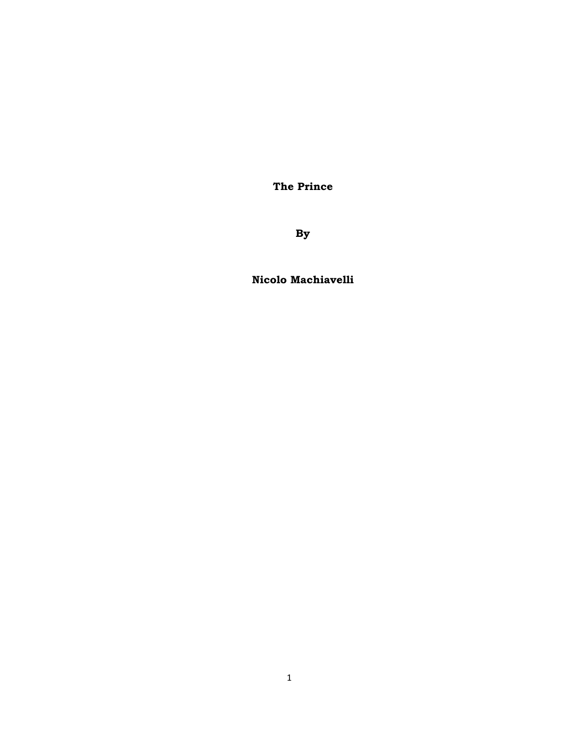**The Prince** 

**By** 

**Nicolo Machiavelli**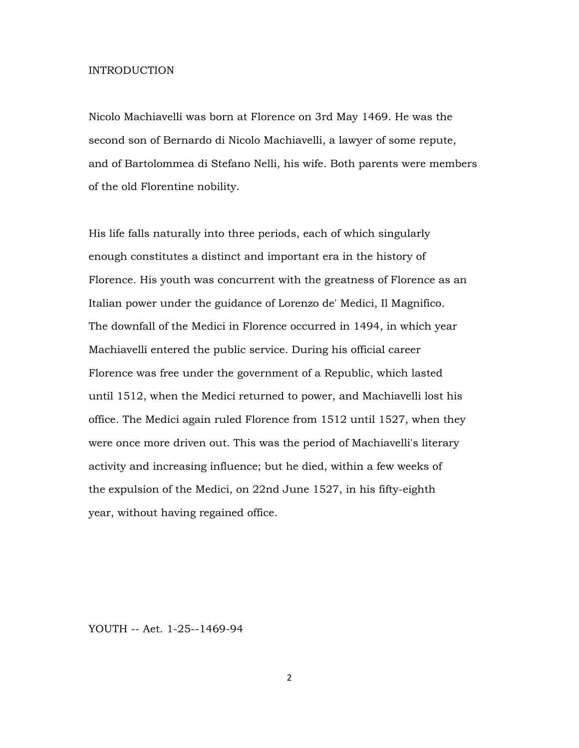#### INTRODUCTION

Nicolo Machiavelli was born at Florence on 3rd May 1469. He was the second son of Bernardo di Nicolo Machiavelli, a lawyer of some repute, and of Bartolommea di Stefano Nelli, his wife. Both parents were members of the old Florentine nobility.

His life falls naturally into three periods, each of which singularly enough constitutes a distinct and important era in the history of Florence. His youth was concurrent with the greatness of Florence as an Italian power under the guidance of Lorenzo de' Medici, Il Magnifico. The downfall of the Medici in Florence occurred in 1494, in which year Machiavelli entered the public service. During his official career Florence was free under the government of a Republic, which lasted until 1512, when the Medici returned to power, and Machiavelli lost his office. The Medici again ruled Florence from 1512 until 1527, when they were once more driven out. This was the period of Machiavelli's literary activity and increasing influence; but he died, within a few weeks of the expulsion of the Medici, on 22nd June 1527, in his fifty-eighth year, without having regained office.

YOUTH -- Aet. 1-25--1469-94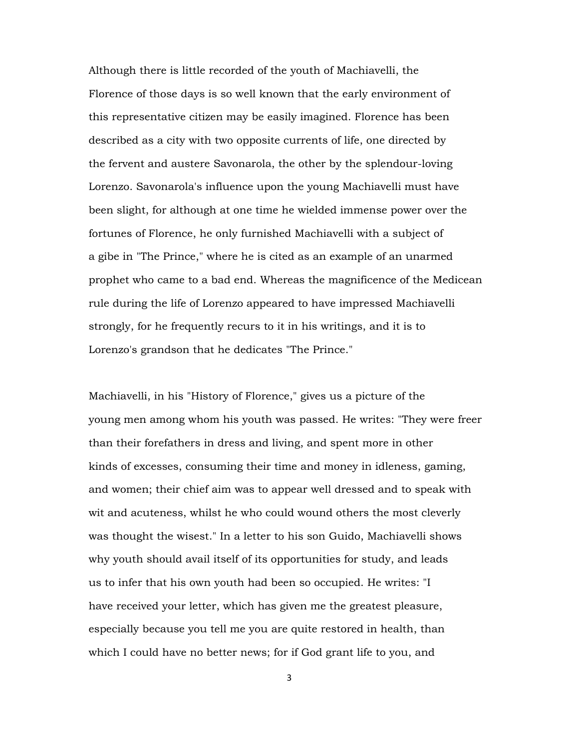Although there is little recorded of the youth of Machiavelli, the Florence of those days is so well known that the early environment of this representative citizen may be easily imagined. Florence has been described as a city with two opposite currents of life, one directed by the fervent and austere Savonarola, the other by the splendour-loving Lorenzo. Savonarola's influence upon the young Machiavelli must have been slight, for although at one time he wielded immense power over the fortunes of Florence, he only furnished Machiavelli with a subject of a gibe in "The Prince," where he is cited as an example of an unarmed prophet who came to a bad end. Whereas the magnificence of the Medicean rule during the life of Lorenzo appeared to have impressed Machiavelli strongly, for he frequently recurs to it in his writings, and it is to Lorenzo's grandson that he dedicates "The Prince."

Machiavelli, in his "History of Florence," gives us a picture of the young men among whom his youth was passed. He writes: "They were freer than their forefathers in dress and living, and spent more in other kinds of excesses, consuming their time and money in idleness, gaming, and women; their chief aim was to appear well dressed and to speak with wit and acuteness, whilst he who could wound others the most cleverly was thought the wisest." In a letter to his son Guido, Machiavelli shows why youth should avail itself of its opportunities for study, and leads us to infer that his own youth had been so occupied. He writes: "I have received your letter, which has given me the greatest pleasure, especially because you tell me you are quite restored in health, than which I could have no better news; for if God grant life to you, and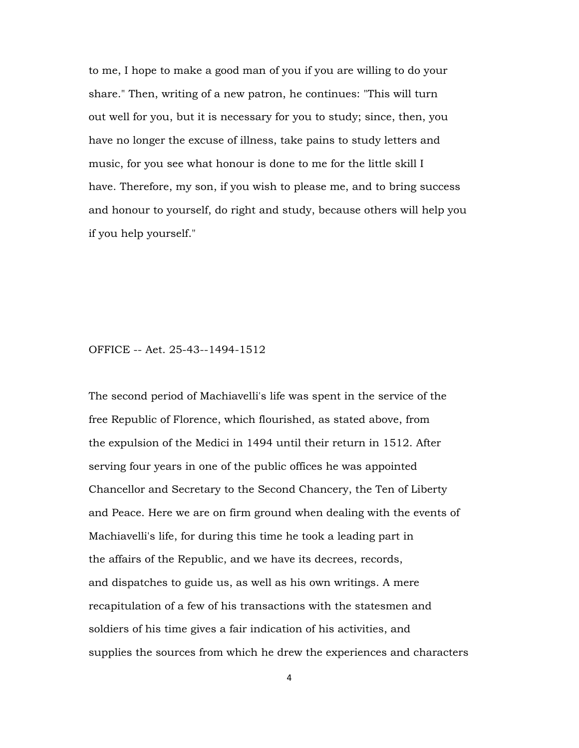to me, I hope to make a good man of you if you are willing to do your share." Then, writing of a new patron, he continues: "This will turn out well for you, but it is necessary for you to study; since, then, you have no longer the excuse of illness, take pains to study letters and music, for you see what honour is done to me for the little skill I have. Therefore, my son, if you wish to please me, and to bring success and honour to yourself, do right and study, because others will help you if you help yourself."

OFFICE -- Aet. 25-43--1494-1512

The second period of Machiavelli's life was spent in the service of the free Republic of Florence, which flourished, as stated above, from the expulsion of the Medici in 1494 until their return in 1512. After serving four years in one of the public offices he was appointed Chancellor and Secretary to the Second Chancery, the Ten of Liberty and Peace. Here we are on firm ground when dealing with the events of Machiavelli's life, for during this time he took a leading part in the affairs of the Republic, and we have its decrees, records, and dispatches to guide us, as well as his own writings. A mere recapitulation of a few of his transactions with the statesmen and soldiers of his time gives a fair indication of his activities, and supplies the sources from which he drew the experiences and characters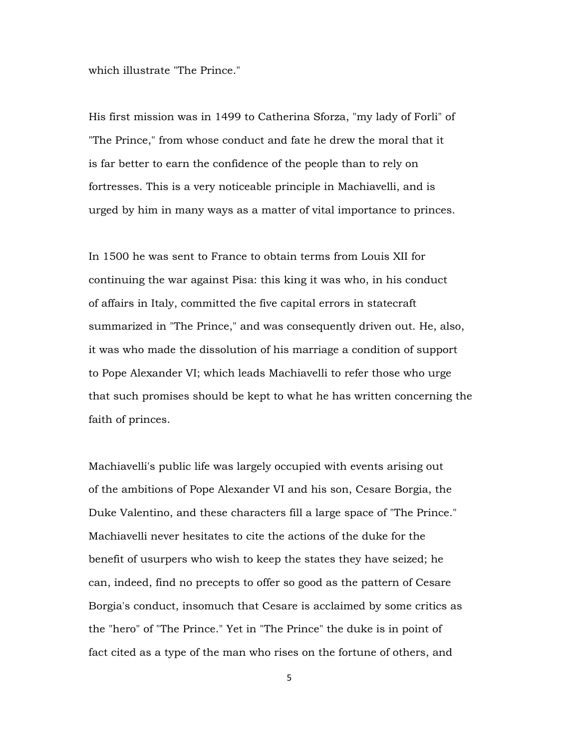which illustrate "The Prince."

His first mission was in 1499 to Catherina Sforza, "my lady of Forli" of "The Prince," from whose conduct and fate he drew the moral that it is far better to earn the confidence of the people than to rely on fortresses. This is a very noticeable principle in Machiavelli, and is urged by him in many ways as a matter of vital importance to princes.

In 1500 he was sent to France to obtain terms from Louis XII for continuing the war against Pisa: this king it was who, in his conduct of affairs in Italy, committed the five capital errors in statecraft summarized in "The Prince," and was consequently driven out. He, also, it was who made the dissolution of his marriage a condition of support to Pope Alexander VI; which leads Machiavelli to refer those who urge that such promises should be kept to what he has written concerning the faith of princes.

Machiavelli's public life was largely occupied with events arising out of the ambitions of Pope Alexander VI and his son, Cesare Borgia, the Duke Valentino, and these characters fill a large space of "The Prince." Machiavelli never hesitates to cite the actions of the duke for the benefit of usurpers who wish to keep the states they have seized; he can, indeed, find no precepts to offer so good as the pattern of Cesare Borgia's conduct, insomuch that Cesare is acclaimed by some critics as the "hero" of "The Prince." Yet in "The Prince" the duke is in point of fact cited as a type of the man who rises on the fortune of others, and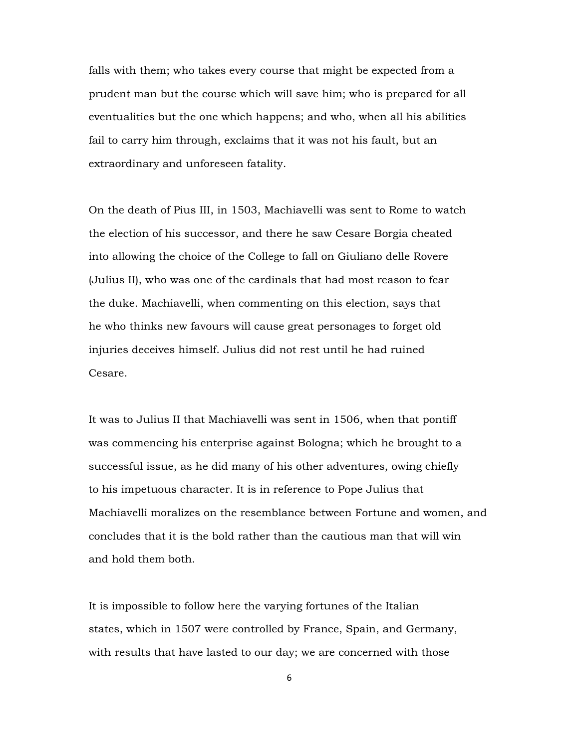falls with them; who takes every course that might be expected from a prudent man but the course which will save him; who is prepared for all eventualities but the one which happens; and who, when all his abilities fail to carry him through, exclaims that it was not his fault, but an extraordinary and unforeseen fatality.

On the death of Pius III, in 1503, Machiavelli was sent to Rome to watch the election of his successor, and there he saw Cesare Borgia cheated into allowing the choice of the College to fall on Giuliano delle Rovere (Julius II), who was one of the cardinals that had most reason to fear the duke. Machiavelli, when commenting on this election, says that he who thinks new favours will cause great personages to forget old injuries deceives himself. Julius did not rest until he had ruined Cesare.

It was to Julius II that Machiavelli was sent in 1506, when that pontiff was commencing his enterprise against Bologna; which he brought to a successful issue, as he did many of his other adventures, owing chiefly to his impetuous character. It is in reference to Pope Julius that Machiavelli moralizes on the resemblance between Fortune and women, and concludes that it is the bold rather than the cautious man that will win and hold them both.

It is impossible to follow here the varying fortunes of the Italian states, which in 1507 were controlled by France, Spain, and Germany, with results that have lasted to our day; we are concerned with those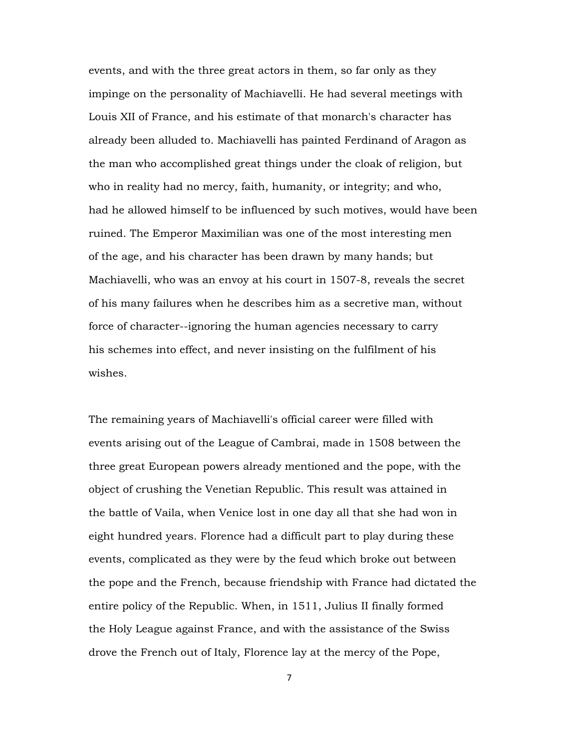events, and with the three great actors in them, so far only as they impinge on the personality of Machiavelli. He had several meetings with Louis XII of France, and his estimate of that monarch's character has already been alluded to. Machiavelli has painted Ferdinand of Aragon as the man who accomplished great things under the cloak of religion, but who in reality had no mercy, faith, humanity, or integrity; and who, had he allowed himself to be influenced by such motives, would have been ruined. The Emperor Maximilian was one of the most interesting men of the age, and his character has been drawn by many hands; but Machiavelli, who was an envoy at his court in 1507-8, reveals the secret of his many failures when he describes him as a secretive man, without force of character--ignoring the human agencies necessary to carry his schemes into effect, and never insisting on the fulfilment of his wishes.

The remaining years of Machiavelli's official career were filled with events arising out of the League of Cambrai, made in 1508 between the three great European powers already mentioned and the pope, with the object of crushing the Venetian Republic. This result was attained in the battle of Vaila, when Venice lost in one day all that she had won in eight hundred years. Florence had a difficult part to play during these events, complicated as they were by the feud which broke out between the pope and the French, because friendship with France had dictated the entire policy of the Republic. When, in 1511, Julius II finally formed the Holy League against France, and with the assistance of the Swiss drove the French out of Italy, Florence lay at the mercy of the Pope,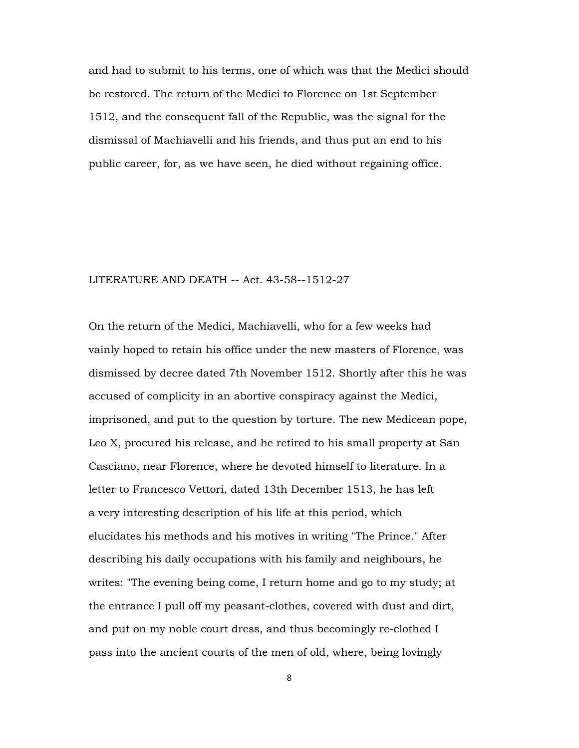and had to submit to his terms, one of which was that the Medici should be restored. The return of the Medici to Florence on 1st September 1512, and the consequent fall of the Republic, was the signal for the dismissal of Machiavelli and his friends, and thus put an end to his public career, for, as we have seen, he died without regaining office.

### LITERATURE AND DEATH -- Aet. 43-58--1512-27

On the return of the Medici, Machiavelli, who for a few weeks had vainly hoped to retain his office under the new masters of Florence, was dismissed by decree dated 7th November 1512. Shortly after this he was accused of complicity in an abortive conspiracy against the Medici, imprisoned, and put to the question by torture. The new Medicean pope, Leo X, procured his release, and he retired to his small property at San Casciano, near Florence, where he devoted himself to literature. In a letter to Francesco Vettori, dated 13th December 1513, he has left a very interesting description of his life at this period, which elucidates his methods and his motives in writing "The Prince." After describing his daily occupations with his family and neighbours, he writes: "The evening being come, I return home and go to my study; at the entrance I pull off my peasant-clothes, covered with dust and dirt, and put on my noble court dress, and thus becomingly re-clothed I pass into the ancient courts of the men of old, where, being lovingly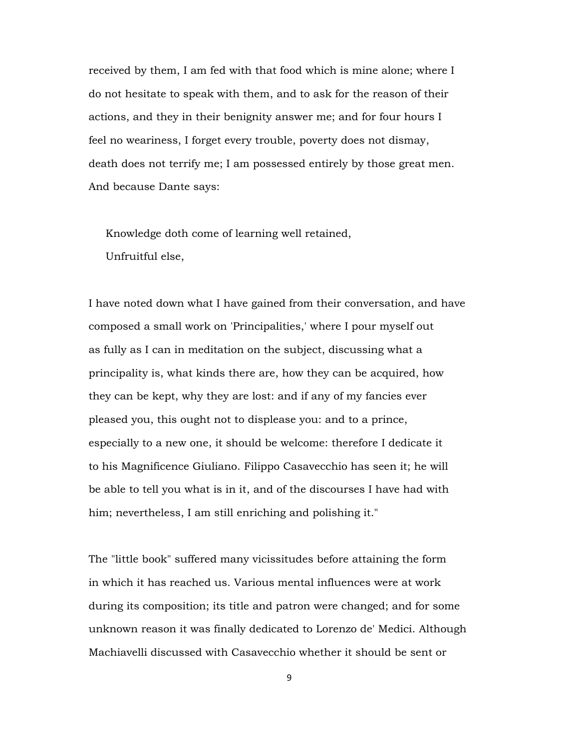received by them, I am fed with that food which is mine alone; where I do not hesitate to speak with them, and to ask for the reason of their actions, and they in their benignity answer me; and for four hours I feel no weariness, I forget every trouble, poverty does not dismay, death does not terrify me; I am possessed entirely by those great men. And because Dante says:

 Knowledge doth come of learning well retained, Unfruitful else,

I have noted down what I have gained from their conversation, and have composed a small work on 'Principalities,' where I pour myself out as fully as I can in meditation on the subject, discussing what a principality is, what kinds there are, how they can be acquired, how they can be kept, why they are lost: and if any of my fancies ever pleased you, this ought not to displease you: and to a prince, especially to a new one, it should be welcome: therefore I dedicate it to his Magnificence Giuliano. Filippo Casavecchio has seen it; he will be able to tell you what is in it, and of the discourses I have had with him; nevertheless, I am still enriching and polishing it."

The "little book" suffered many vicissitudes before attaining the form in which it has reached us. Various mental influences were at work during its composition; its title and patron were changed; and for some unknown reason it was finally dedicated to Lorenzo de' Medici. Although Machiavelli discussed with Casavecchio whether it should be sent or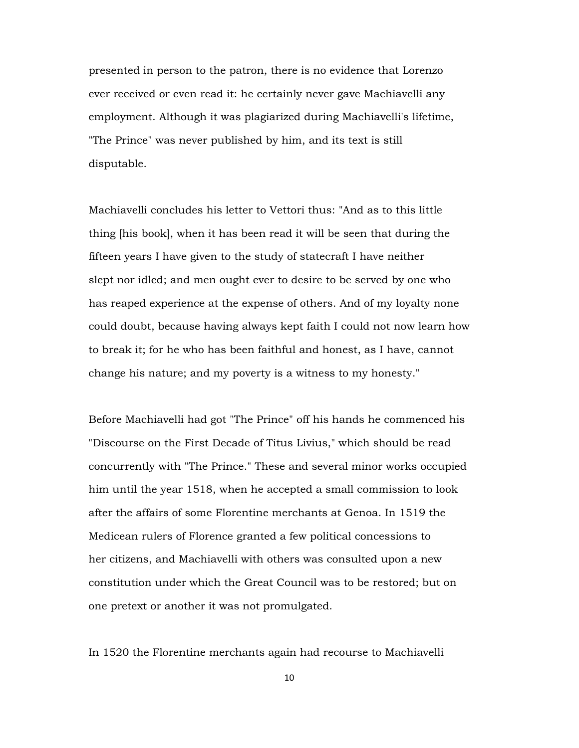presented in person to the patron, there is no evidence that Lorenzo ever received or even read it: he certainly never gave Machiavelli any employment. Although it was plagiarized during Machiavelli's lifetime, "The Prince" was never published by him, and its text is still disputable.

Machiavelli concludes his letter to Vettori thus: "And as to this little thing [his book], when it has been read it will be seen that during the fifteen years I have given to the study of statecraft I have neither slept nor idled; and men ought ever to desire to be served by one who has reaped experience at the expense of others. And of my loyalty none could doubt, because having always kept faith I could not now learn how to break it; for he who has been faithful and honest, as I have, cannot change his nature; and my poverty is a witness to my honesty."

Before Machiavelli had got "The Prince" off his hands he commenced his "Discourse on the First Decade of Titus Livius," which should be read concurrently with "The Prince." These and several minor works occupied him until the year 1518, when he accepted a small commission to look after the affairs of some Florentine merchants at Genoa. In 1519 the Medicean rulers of Florence granted a few political concessions to her citizens, and Machiavelli with others was consulted upon a new constitution under which the Great Council was to be restored; but on one pretext or another it was not promulgated.

In 1520 the Florentine merchants again had recourse to Machiavelli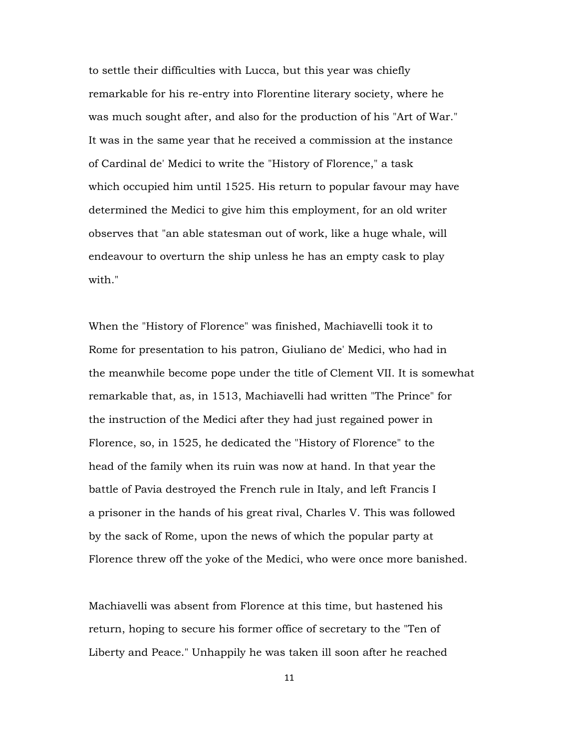to settle their difficulties with Lucca, but this year was chiefly remarkable for his re-entry into Florentine literary society, where he was much sought after, and also for the production of his "Art of War." It was in the same year that he received a commission at the instance of Cardinal de' Medici to write the "History of Florence," a task which occupied him until 1525. His return to popular favour may have determined the Medici to give him this employment, for an old writer observes that "an able statesman out of work, like a huge whale, will endeavour to overturn the ship unless he has an empty cask to play with."

When the "History of Florence" was finished, Machiavelli took it to Rome for presentation to his patron, Giuliano de' Medici, who had in the meanwhile become pope under the title of Clement VII. It is somewhat remarkable that, as, in 1513, Machiavelli had written "The Prince" for the instruction of the Medici after they had just regained power in Florence, so, in 1525, he dedicated the "History of Florence" to the head of the family when its ruin was now at hand. In that year the battle of Pavia destroyed the French rule in Italy, and left Francis I a prisoner in the hands of his great rival, Charles V. This was followed by the sack of Rome, upon the news of which the popular party at Florence threw off the yoke of the Medici, who were once more banished.

Machiavelli was absent from Florence at this time, but hastened his return, hoping to secure his former office of secretary to the "Ten of Liberty and Peace." Unhappily he was taken ill soon after he reached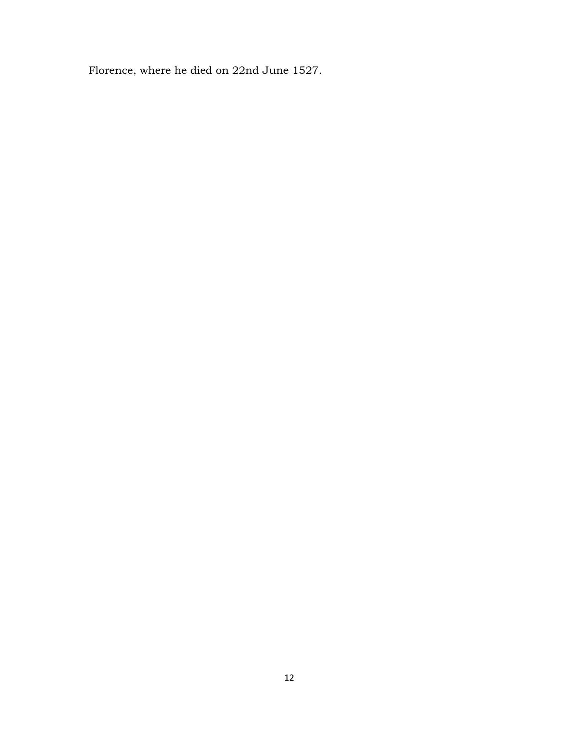Florence, where he died on 22nd June 1527.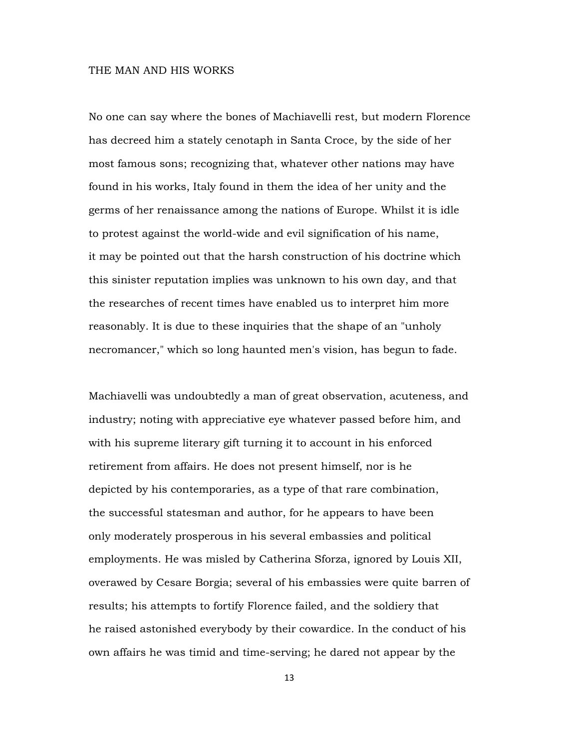### THE MAN AND HIS WORKS

No one can say where the bones of Machiavelli rest, but modern Florence has decreed him a stately cenotaph in Santa Croce, by the side of her most famous sons; recognizing that, whatever other nations may have found in his works, Italy found in them the idea of her unity and the germs of her renaissance among the nations of Europe. Whilst it is idle to protest against the world-wide and evil signification of his name, it may be pointed out that the harsh construction of his doctrine which this sinister reputation implies was unknown to his own day, and that the researches of recent times have enabled us to interpret him more reasonably. It is due to these inquiries that the shape of an "unholy necromancer," which so long haunted men's vision, has begun to fade.

Machiavelli was undoubtedly a man of great observation, acuteness, and industry; noting with appreciative eye whatever passed before him, and with his supreme literary gift turning it to account in his enforced retirement from affairs. He does not present himself, nor is he depicted by his contemporaries, as a type of that rare combination, the successful statesman and author, for he appears to have been only moderately prosperous in his several embassies and political employments. He was misled by Catherina Sforza, ignored by Louis XII, overawed by Cesare Borgia; several of his embassies were quite barren of results; his attempts to fortify Florence failed, and the soldiery that he raised astonished everybody by their cowardice. In the conduct of his own affairs he was timid and time-serving; he dared not appear by the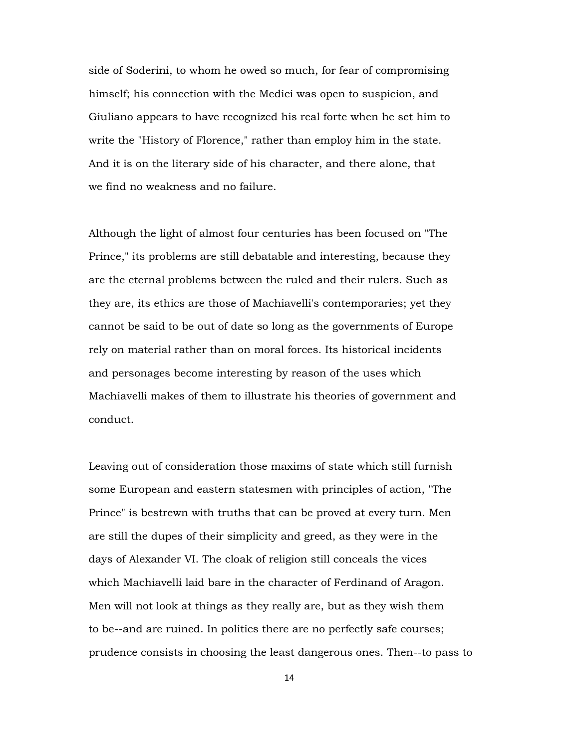side of Soderini, to whom he owed so much, for fear of compromising himself; his connection with the Medici was open to suspicion, and Giuliano appears to have recognized his real forte when he set him to write the "History of Florence," rather than employ him in the state. And it is on the literary side of his character, and there alone, that we find no weakness and no failure.

Although the light of almost four centuries has been focused on "The Prince," its problems are still debatable and interesting, because they are the eternal problems between the ruled and their rulers. Such as they are, its ethics are those of Machiavelli's contemporaries; yet they cannot be said to be out of date so long as the governments of Europe rely on material rather than on moral forces. Its historical incidents and personages become interesting by reason of the uses which Machiavelli makes of them to illustrate his theories of government and conduct.

Leaving out of consideration those maxims of state which still furnish some European and eastern statesmen with principles of action, "The Prince" is bestrewn with truths that can be proved at every turn. Men are still the dupes of their simplicity and greed, as they were in the days of Alexander VI. The cloak of religion still conceals the vices which Machiavelli laid bare in the character of Ferdinand of Aragon. Men will not look at things as they really are, but as they wish them to be--and are ruined. In politics there are no perfectly safe courses; prudence consists in choosing the least dangerous ones. Then--to pass to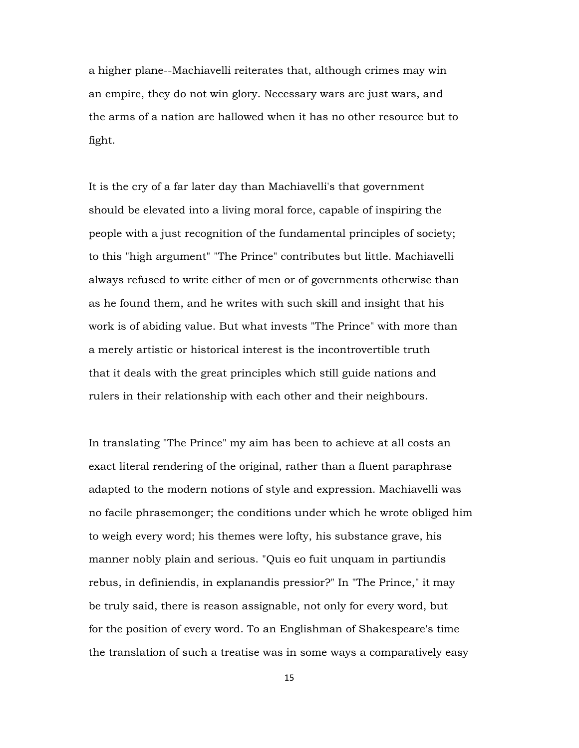a higher plane--Machiavelli reiterates that, although crimes may win an empire, they do not win glory. Necessary wars are just wars, and the arms of a nation are hallowed when it has no other resource but to fight.

It is the cry of a far later day than Machiavelli's that government should be elevated into a living moral force, capable of inspiring the people with a just recognition of the fundamental principles of society; to this "high argument" "The Prince" contributes but little. Machiavelli always refused to write either of men or of governments otherwise than as he found them, and he writes with such skill and insight that his work is of abiding value. But what invests "The Prince" with more than a merely artistic or historical interest is the incontrovertible truth that it deals with the great principles which still guide nations and rulers in their relationship with each other and their neighbours.

In translating "The Prince" my aim has been to achieve at all costs an exact literal rendering of the original, rather than a fluent paraphrase adapted to the modern notions of style and expression. Machiavelli was no facile phrasemonger; the conditions under which he wrote obliged him to weigh every word; his themes were lofty, his substance grave, his manner nobly plain and serious. "Quis eo fuit unquam in partiundis rebus, in definiendis, in explanandis pressior?" In "The Prince," it may be truly said, there is reason assignable, not only for every word, but for the position of every word. To an Englishman of Shakespeare's time the translation of such a treatise was in some ways a comparatively easy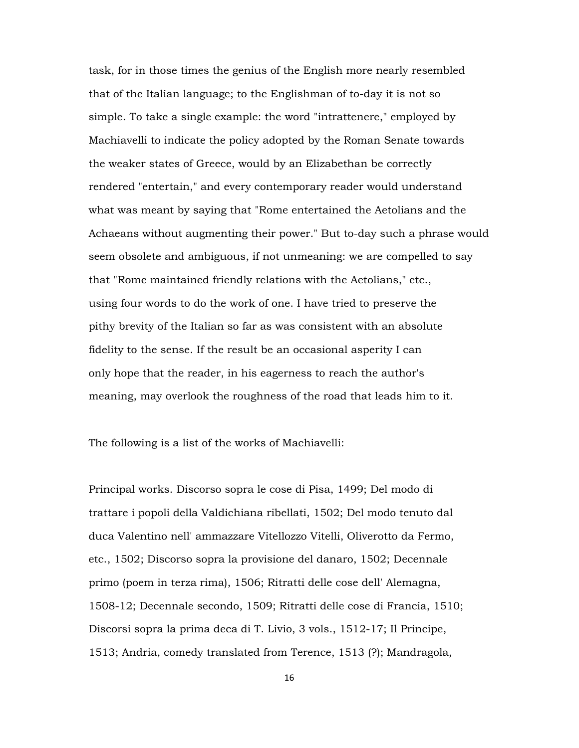task, for in those times the genius of the English more nearly resembled that of the Italian language; to the Englishman of to-day it is not so simple. To take a single example: the word "intrattenere," employed by Machiavelli to indicate the policy adopted by the Roman Senate towards the weaker states of Greece, would by an Elizabethan be correctly rendered "entertain," and every contemporary reader would understand what was meant by saying that "Rome entertained the Aetolians and the Achaeans without augmenting their power." But to-day such a phrase would seem obsolete and ambiguous, if not unmeaning: we are compelled to say that "Rome maintained friendly relations with the Aetolians," etc., using four words to do the work of one. I have tried to preserve the pithy brevity of the Italian so far as was consistent with an absolute fidelity to the sense. If the result be an occasional asperity I can only hope that the reader, in his eagerness to reach the author's meaning, may overlook the roughness of the road that leads him to it.

The following is a list of the works of Machiavelli:

Principal works. Discorso sopra le cose di Pisa, 1499; Del modo di trattare i popoli della Valdichiana ribellati, 1502; Del modo tenuto dal duca Valentino nell' ammazzare Vitellozzo Vitelli, Oliverotto da Fermo, etc., 1502; Discorso sopra la provisione del danaro, 1502; Decennale primo (poem in terza rima), 1506; Ritratti delle cose dell' Alemagna, 1508-12; Decennale secondo, 1509; Ritratti delle cose di Francia, 1510; Discorsi sopra la prima deca di T. Livio, 3 vols., 1512-17; Il Principe, 1513; Andria, comedy translated from Terence, 1513 (?); Mandragola,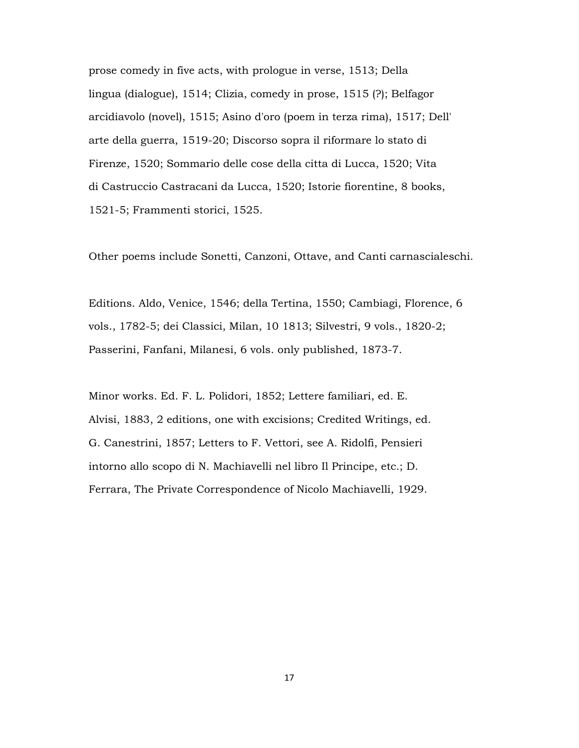prose comedy in five acts, with prologue in verse, 1513; Della lingua (dialogue), 1514; Clizia, comedy in prose, 1515 (?); Belfagor arcidiavolo (novel), 1515; Asino d'oro (poem in terza rima), 1517; Dell' arte della guerra, 1519-20; Discorso sopra il riformare lo stato di Firenze, 1520; Sommario delle cose della citta di Lucca, 1520; Vita di Castruccio Castracani da Lucca, 1520; Istorie fiorentine, 8 books, 1521-5; Frammenti storici, 1525.

Other poems include Sonetti, Canzoni, Ottave, and Canti carnascialeschi.

Editions. Aldo, Venice, 1546; della Tertina, 1550; Cambiagi, Florence, 6 vols., 1782-5; dei Classici, Milan, 10 1813; Silvestri, 9 vols., 1820-2; Passerini, Fanfani, Milanesi, 6 vols. only published, 1873-7.

Minor works. Ed. F. L. Polidori, 1852; Lettere familiari, ed. E. Alvisi, 1883, 2 editions, one with excisions; Credited Writings, ed. G. Canestrini, 1857; Letters to F. Vettori, see A. Ridolfi, Pensieri intorno allo scopo di N. Machiavelli nel libro Il Principe, etc.; D. Ferrara, The Private Correspondence of Nicolo Machiavelli, 1929.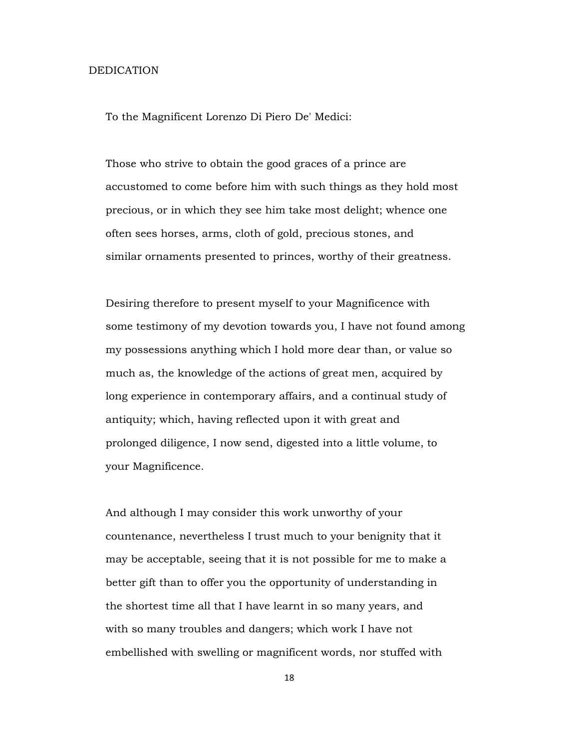#### DEDICATION

To the Magnificent Lorenzo Di Piero De' Medici:

 Those who strive to obtain the good graces of a prince are accustomed to come before him with such things as they hold most precious, or in which they see him take most delight; whence one often sees horses, arms, cloth of gold, precious stones, and similar ornaments presented to princes, worthy of their greatness.

 Desiring therefore to present myself to your Magnificence with some testimony of my devotion towards you, I have not found among my possessions anything which I hold more dear than, or value so much as, the knowledge of the actions of great men, acquired by long experience in contemporary affairs, and a continual study of antiquity; which, having reflected upon it with great and prolonged diligence, I now send, digested into a little volume, to your Magnificence.

 And although I may consider this work unworthy of your countenance, nevertheless I trust much to your benignity that it may be acceptable, seeing that it is not possible for me to make a better gift than to offer you the opportunity of understanding in the shortest time all that I have learnt in so many years, and with so many troubles and dangers; which work I have not embellished with swelling or magnificent words, nor stuffed with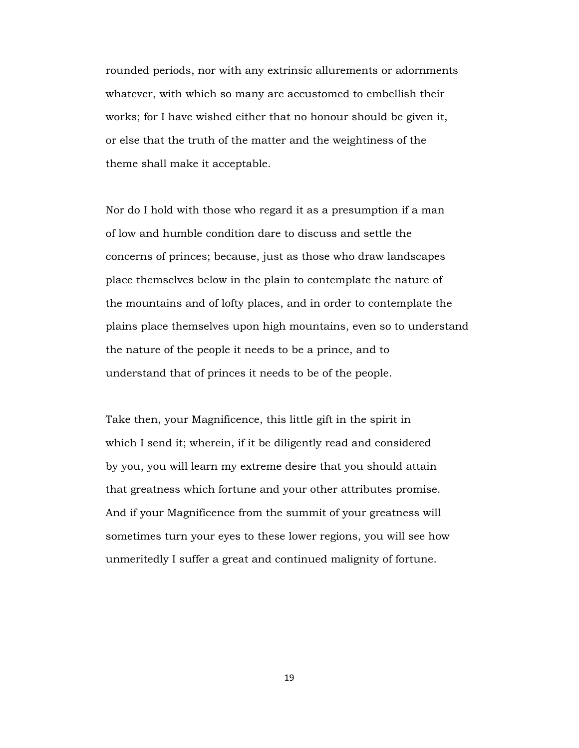rounded periods, nor with any extrinsic allurements or adornments whatever, with which so many are accustomed to embellish their works; for I have wished either that no honour should be given it, or else that the truth of the matter and the weightiness of the theme shall make it acceptable.

 Nor do I hold with those who regard it as a presumption if a man of low and humble condition dare to discuss and settle the concerns of princes; because, just as those who draw landscapes place themselves below in the plain to contemplate the nature of the mountains and of lofty places, and in order to contemplate the plains place themselves upon high mountains, even so to understand the nature of the people it needs to be a prince, and to understand that of princes it needs to be of the people.

 Take then, your Magnificence, this little gift in the spirit in which I send it; wherein, if it be diligently read and considered by you, you will learn my extreme desire that you should attain that greatness which fortune and your other attributes promise. And if your Magnificence from the summit of your greatness will sometimes turn your eyes to these lower regions, you will see how unmeritedly I suffer a great and continued malignity of fortune.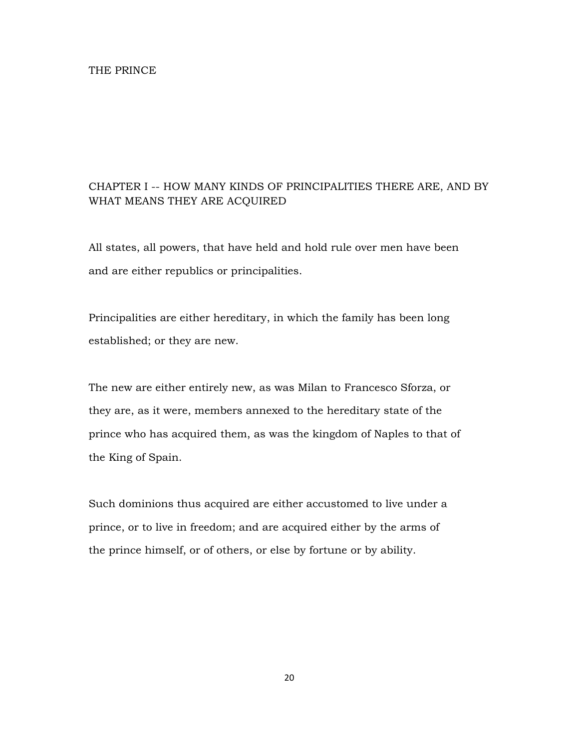# CHAPTER I -- HOW MANY KINDS OF PRINCIPALITIES THERE ARE, AND BY WHAT MEANS THEY ARE ACQUIRED

All states, all powers, that have held and hold rule over men have been and are either republics or principalities.

Principalities are either hereditary, in which the family has been long established; or they are new.

The new are either entirely new, as was Milan to Francesco Sforza, or they are, as it were, members annexed to the hereditary state of the prince who has acquired them, as was the kingdom of Naples to that of the King of Spain.

Such dominions thus acquired are either accustomed to live under a prince, or to live in freedom; and are acquired either by the arms of the prince himself, or of others, or else by fortune or by ability.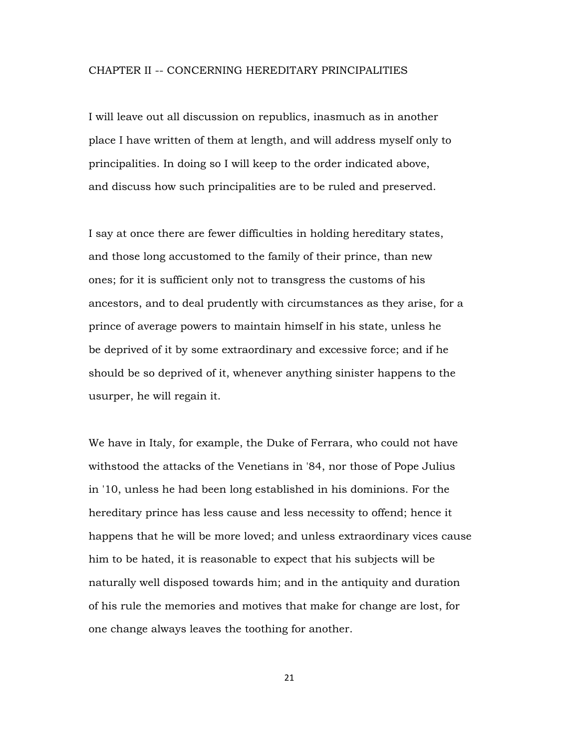### CHAPTER II -- CONCERNING HEREDITARY PRINCIPALITIES

I will leave out all discussion on republics, inasmuch as in another place I have written of them at length, and will address myself only to principalities. In doing so I will keep to the order indicated above, and discuss how such principalities are to be ruled and preserved.

I say at once there are fewer difficulties in holding hereditary states, and those long accustomed to the family of their prince, than new ones; for it is sufficient only not to transgress the customs of his ancestors, and to deal prudently with circumstances as they arise, for a prince of average powers to maintain himself in his state, unless he be deprived of it by some extraordinary and excessive force; and if he should be so deprived of it, whenever anything sinister happens to the usurper, he will regain it.

We have in Italy, for example, the Duke of Ferrara, who could not have withstood the attacks of the Venetians in '84, nor those of Pope Julius in '10, unless he had been long established in his dominions. For the hereditary prince has less cause and less necessity to offend; hence it happens that he will be more loved; and unless extraordinary vices cause him to be hated, it is reasonable to expect that his subjects will be naturally well disposed towards him; and in the antiquity and duration of his rule the memories and motives that make for change are lost, for one change always leaves the toothing for another.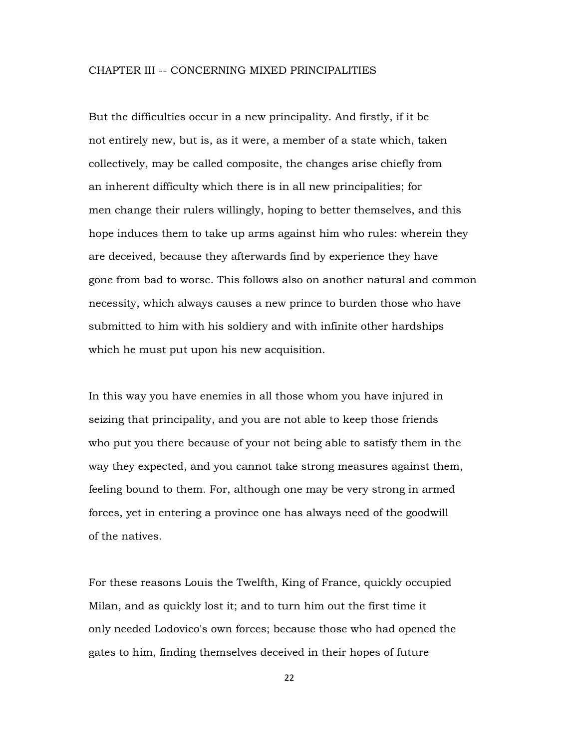### CHAPTER III -- CONCERNING MIXED PRINCIPALITIES

But the difficulties occur in a new principality. And firstly, if it be not entirely new, but is, as it were, a member of a state which, taken collectively, may be called composite, the changes arise chiefly from an inherent difficulty which there is in all new principalities; for men change their rulers willingly, hoping to better themselves, and this hope induces them to take up arms against him who rules: wherein they are deceived, because they afterwards find by experience they have gone from bad to worse. This follows also on another natural and common necessity, which always causes a new prince to burden those who have submitted to him with his soldiery and with infinite other hardships which he must put upon his new acquisition.

In this way you have enemies in all those whom you have injured in seizing that principality, and you are not able to keep those friends who put you there because of your not being able to satisfy them in the way they expected, and you cannot take strong measures against them, feeling bound to them. For, although one may be very strong in armed forces, yet in entering a province one has always need of the goodwill of the natives.

For these reasons Louis the Twelfth, King of France, quickly occupied Milan, and as quickly lost it; and to turn him out the first time it only needed Lodovico's own forces; because those who had opened the gates to him, finding themselves deceived in their hopes of future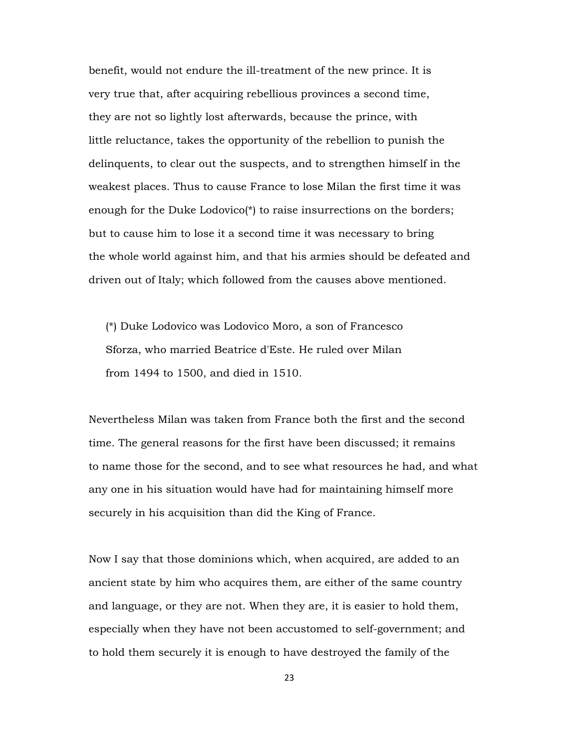benefit, would not endure the ill-treatment of the new prince. It is very true that, after acquiring rebellious provinces a second time, they are not so lightly lost afterwards, because the prince, with little reluctance, takes the opportunity of the rebellion to punish the delinquents, to clear out the suspects, and to strengthen himself in the weakest places. Thus to cause France to lose Milan the first time it was enough for the Duke Lodovico<sup>\*</sup>) to raise insurrections on the borders; but to cause him to lose it a second time it was necessary to bring the whole world against him, and that his armies should be defeated and driven out of Italy; which followed from the causes above mentioned.

 (\*) Duke Lodovico was Lodovico Moro, a son of Francesco Sforza, who married Beatrice d'Este. He ruled over Milan from 1494 to 1500, and died in 1510.

Nevertheless Milan was taken from France both the first and the second time. The general reasons for the first have been discussed; it remains to name those for the second, and to see what resources he had, and what any one in his situation would have had for maintaining himself more securely in his acquisition than did the King of France.

Now I say that those dominions which, when acquired, are added to an ancient state by him who acquires them, are either of the same country and language, or they are not. When they are, it is easier to hold them, especially when they have not been accustomed to self-government; and to hold them securely it is enough to have destroyed the family of the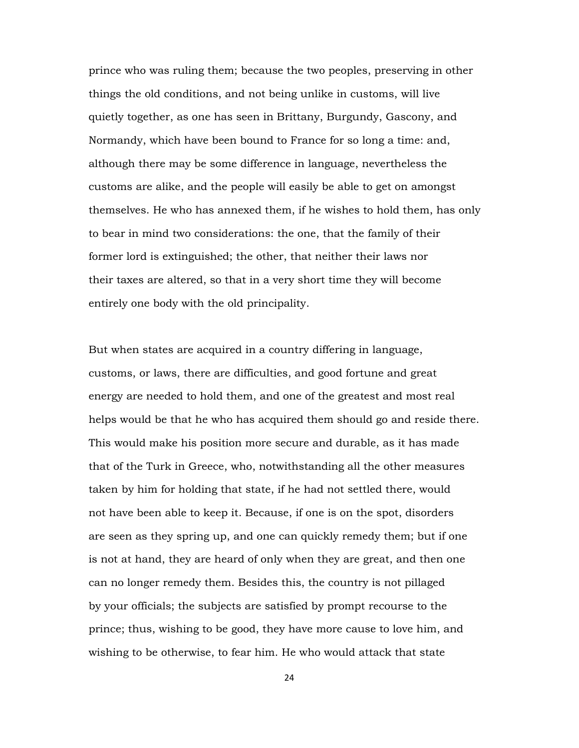prince who was ruling them; because the two peoples, preserving in other things the old conditions, and not being unlike in customs, will live quietly together, as one has seen in Brittany, Burgundy, Gascony, and Normandy, which have been bound to France for so long a time: and, although there may be some difference in language, nevertheless the customs are alike, and the people will easily be able to get on amongst themselves. He who has annexed them, if he wishes to hold them, has only to bear in mind two considerations: the one, that the family of their former lord is extinguished; the other, that neither their laws nor their taxes are altered, so that in a very short time they will become entirely one body with the old principality.

But when states are acquired in a country differing in language, customs, or laws, there are difficulties, and good fortune and great energy are needed to hold them, and one of the greatest and most real helps would be that he who has acquired them should go and reside there. This would make his position more secure and durable, as it has made that of the Turk in Greece, who, notwithstanding all the other measures taken by him for holding that state, if he had not settled there, would not have been able to keep it. Because, if one is on the spot, disorders are seen as they spring up, and one can quickly remedy them; but if one is not at hand, they are heard of only when they are great, and then one can no longer remedy them. Besides this, the country is not pillaged by your officials; the subjects are satisfied by prompt recourse to the prince; thus, wishing to be good, they have more cause to love him, and wishing to be otherwise, to fear him. He who would attack that state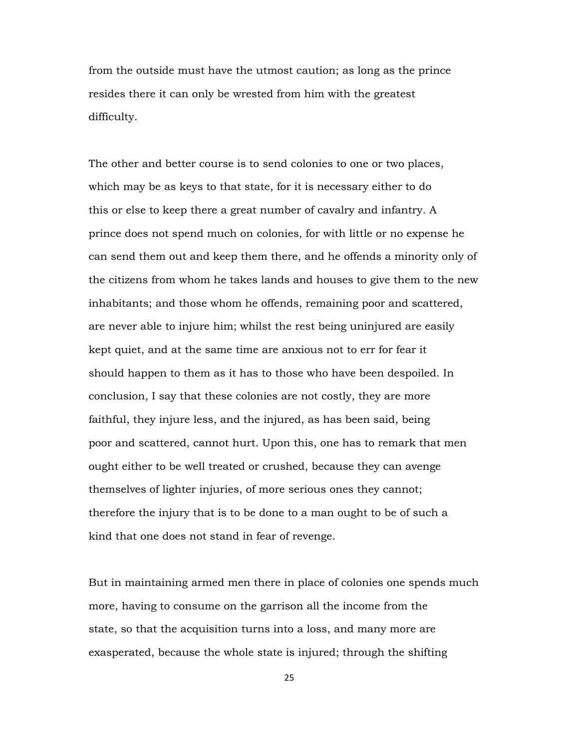from the outside must have the utmost caution; as long as the prince resides there it can only be wrested from him with the greatest difficulty.

The other and better course is to send colonies to one or two places, which may be as keys to that state, for it is necessary either to do this or else to keep there a great number of cavalry and infantry. A prince does not spend much on colonies, for with little or no expense he can send them out and keep them there, and he offends a minority only of the citizens from whom he takes lands and houses to give them to the new inhabitants; and those whom he offends, remaining poor and scattered, are never able to injure him; whilst the rest being uninjured are easily kept quiet, and at the same time are anxious not to err for fear it should happen to them as it has to those who have been despoiled. In conclusion, I say that these colonies are not costly, they are more faithful, they injure less, and the injured, as has been said, being poor and scattered, cannot hurt. Upon this, one has to remark that men ought either to be well treated or crushed, because they can avenge themselves of lighter injuries, of more serious ones they cannot; therefore the injury that is to be done to a man ought to be of such a kind that one does not stand in fear of revenge.

But in maintaining armed men there in place of colonies one spends much more, having to consume on the garrison all the income from the state, so that the acquisition turns into a loss, and many more are exasperated, because the whole state is injured; through the shifting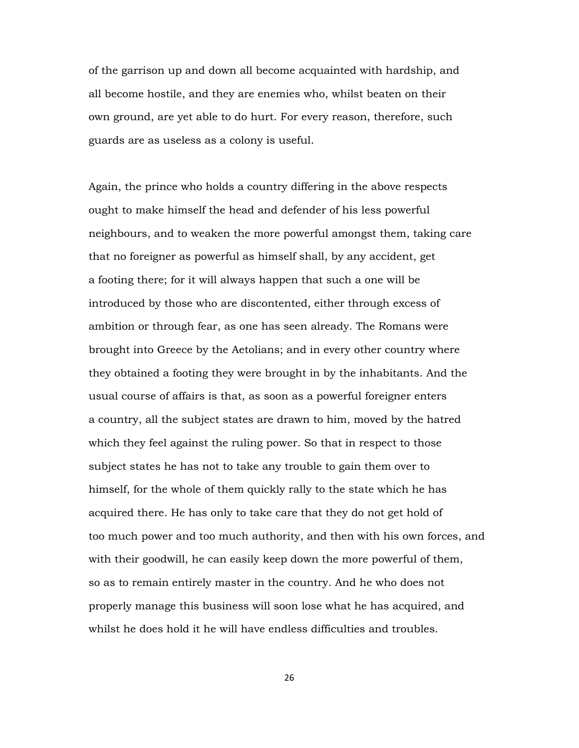of the garrison up and down all become acquainted with hardship, and all become hostile, and they are enemies who, whilst beaten on their own ground, are yet able to do hurt. For every reason, therefore, such guards are as useless as a colony is useful.

Again, the prince who holds a country differing in the above respects ought to make himself the head and defender of his less powerful neighbours, and to weaken the more powerful amongst them, taking care that no foreigner as powerful as himself shall, by any accident, get a footing there; for it will always happen that such a one will be introduced by those who are discontented, either through excess of ambition or through fear, as one has seen already. The Romans were brought into Greece by the Aetolians; and in every other country where they obtained a footing they were brought in by the inhabitants. And the usual course of affairs is that, as soon as a powerful foreigner enters a country, all the subject states are drawn to him, moved by the hatred which they feel against the ruling power. So that in respect to those subject states he has not to take any trouble to gain them over to himself, for the whole of them quickly rally to the state which he has acquired there. He has only to take care that they do not get hold of too much power and too much authority, and then with his own forces, and with their goodwill, he can easily keep down the more powerful of them, so as to remain entirely master in the country. And he who does not properly manage this business will soon lose what he has acquired, and whilst he does hold it he will have endless difficulties and troubles.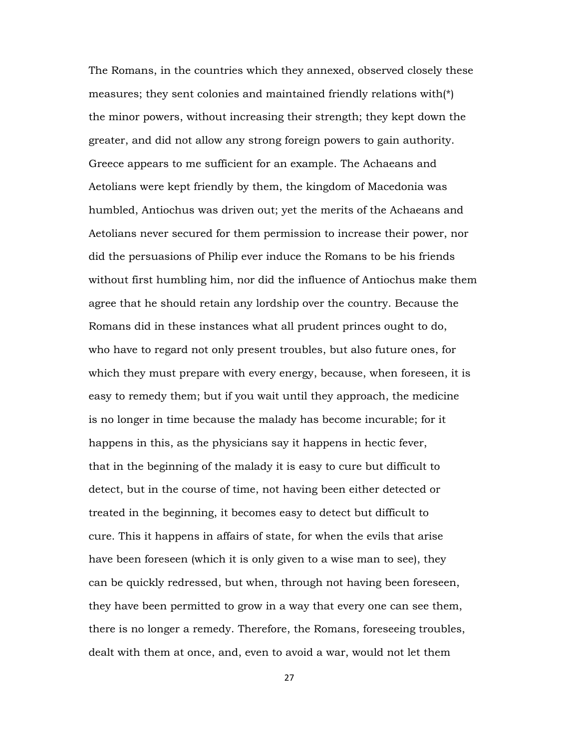The Romans, in the countries which they annexed, observed closely these measures; they sent colonies and maintained friendly relations with(\*) the minor powers, without increasing their strength; they kept down the greater, and did not allow any strong foreign powers to gain authority. Greece appears to me sufficient for an example. The Achaeans and Aetolians were kept friendly by them, the kingdom of Macedonia was humbled, Antiochus was driven out; yet the merits of the Achaeans and Aetolians never secured for them permission to increase their power, nor did the persuasions of Philip ever induce the Romans to be his friends without first humbling him, nor did the influence of Antiochus make them agree that he should retain any lordship over the country. Because the Romans did in these instances what all prudent princes ought to do, who have to regard not only present troubles, but also future ones, for which they must prepare with every energy, because, when foreseen, it is easy to remedy them; but if you wait until they approach, the medicine is no longer in time because the malady has become incurable; for it happens in this, as the physicians say it happens in hectic fever, that in the beginning of the malady it is easy to cure but difficult to detect, but in the course of time, not having been either detected or treated in the beginning, it becomes easy to detect but difficult to cure. This it happens in affairs of state, for when the evils that arise have been foreseen (which it is only given to a wise man to see), they can be quickly redressed, but when, through not having been foreseen, they have been permitted to grow in a way that every one can see them, there is no longer a remedy. Therefore, the Romans, foreseeing troubles, dealt with them at once, and, even to avoid a war, would not let them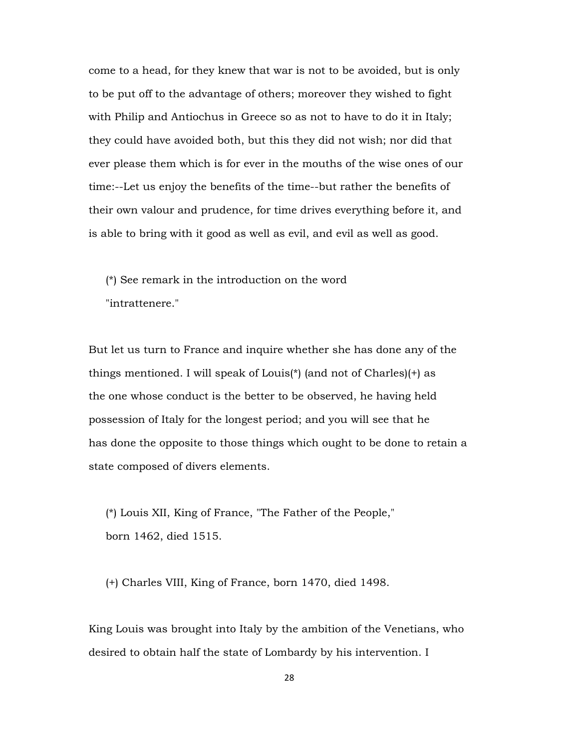come to a head, for they knew that war is not to be avoided, but is only to be put off to the advantage of others; moreover they wished to fight with Philip and Antiochus in Greece so as not to have to do it in Italy; they could have avoided both, but this they did not wish; nor did that ever please them which is for ever in the mouths of the wise ones of our time:--Let us enjoy the benefits of the time--but rather the benefits of their own valour and prudence, for time drives everything before it, and is able to bring with it good as well as evil, and evil as well as good.

 (\*) See remark in the introduction on the word "intrattenere."

But let us turn to France and inquire whether she has done any of the things mentioned. I will speak of Louis(\*) (and not of Charles)(+) as the one whose conduct is the better to be observed, he having held possession of Italy for the longest period; and you will see that he has done the opposite to those things which ought to be done to retain a state composed of divers elements.

 (\*) Louis XII, King of France, "The Father of the People," born 1462, died 1515.

(+) Charles VIII, King of France, born 1470, died 1498.

King Louis was brought into Italy by the ambition of the Venetians, who desired to obtain half the state of Lombardy by his intervention. I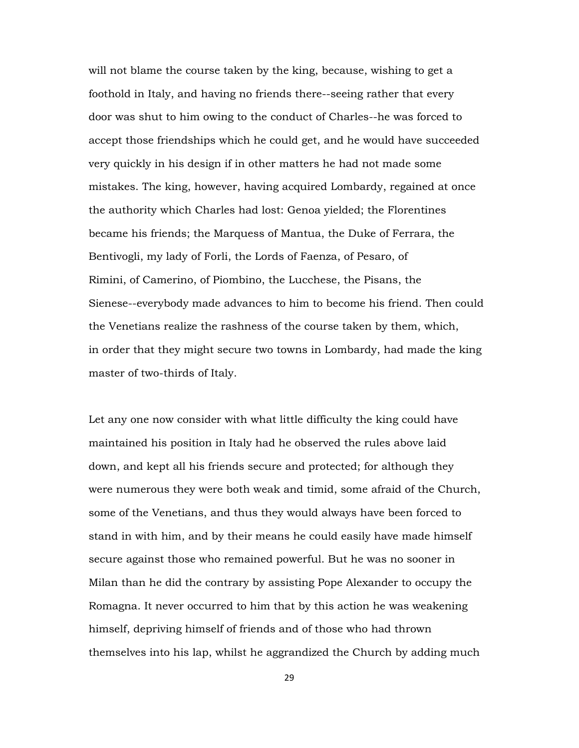will not blame the course taken by the king, because, wishing to get a foothold in Italy, and having no friends there--seeing rather that every door was shut to him owing to the conduct of Charles--he was forced to accept those friendships which he could get, and he would have succeeded very quickly in his design if in other matters he had not made some mistakes. The king, however, having acquired Lombardy, regained at once the authority which Charles had lost: Genoa yielded; the Florentines became his friends; the Marquess of Mantua, the Duke of Ferrara, the Bentivogli, my lady of Forli, the Lords of Faenza, of Pesaro, of Rimini, of Camerino, of Piombino, the Lucchese, the Pisans, the Sienese--everybody made advances to him to become his friend. Then could the Venetians realize the rashness of the course taken by them, which, in order that they might secure two towns in Lombardy, had made the king master of two-thirds of Italy.

Let any one now consider with what little difficulty the king could have maintained his position in Italy had he observed the rules above laid down, and kept all his friends secure and protected; for although they were numerous they were both weak and timid, some afraid of the Church, some of the Venetians, and thus they would always have been forced to stand in with him, and by their means he could easily have made himself secure against those who remained powerful. But he was no sooner in Milan than he did the contrary by assisting Pope Alexander to occupy the Romagna. It never occurred to him that by this action he was weakening himself, depriving himself of friends and of those who had thrown themselves into his lap, whilst he aggrandized the Church by adding much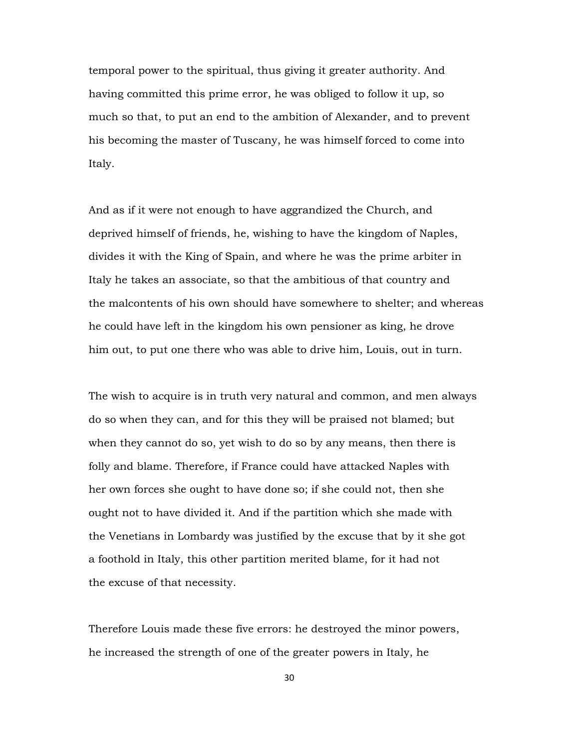temporal power to the spiritual, thus giving it greater authority. And having committed this prime error, he was obliged to follow it up, so much so that, to put an end to the ambition of Alexander, and to prevent his becoming the master of Tuscany, he was himself forced to come into Italy.

And as if it were not enough to have aggrandized the Church, and deprived himself of friends, he, wishing to have the kingdom of Naples, divides it with the King of Spain, and where he was the prime arbiter in Italy he takes an associate, so that the ambitious of that country and the malcontents of his own should have somewhere to shelter; and whereas he could have left in the kingdom his own pensioner as king, he drove him out, to put one there who was able to drive him, Louis, out in turn.

The wish to acquire is in truth very natural and common, and men always do so when they can, and for this they will be praised not blamed; but when they cannot do so, yet wish to do so by any means, then there is folly and blame. Therefore, if France could have attacked Naples with her own forces she ought to have done so; if she could not, then she ought not to have divided it. And if the partition which she made with the Venetians in Lombardy was justified by the excuse that by it she got a foothold in Italy, this other partition merited blame, for it had not the excuse of that necessity.

Therefore Louis made these five errors: he destroyed the minor powers, he increased the strength of one of the greater powers in Italy, he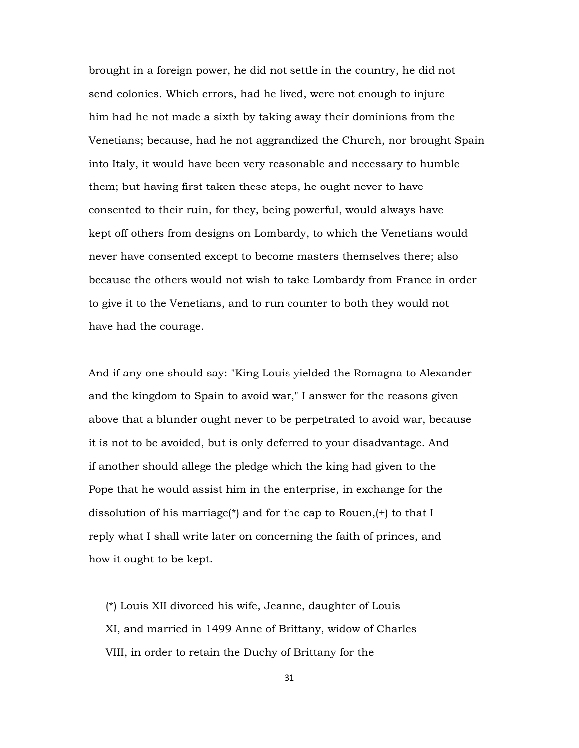brought in a foreign power, he did not settle in the country, he did not send colonies. Which errors, had he lived, were not enough to injure him had he not made a sixth by taking away their dominions from the Venetians; because, had he not aggrandized the Church, nor brought Spain into Italy, it would have been very reasonable and necessary to humble them; but having first taken these steps, he ought never to have consented to their ruin, for they, being powerful, would always have kept off others from designs on Lombardy, to which the Venetians would never have consented except to become masters themselves there; also because the others would not wish to take Lombardy from France in order to give it to the Venetians, and to run counter to both they would not have had the courage.

And if any one should say: "King Louis yielded the Romagna to Alexander and the kingdom to Spain to avoid war," I answer for the reasons given above that a blunder ought never to be perpetrated to avoid war, because it is not to be avoided, but is only deferred to your disadvantage. And if another should allege the pledge which the king had given to the Pope that he would assist him in the enterprise, in exchange for the dissolution of his marriage(\*) and for the cap to Rouen,(+) to that I reply what I shall write later on concerning the faith of princes, and how it ought to be kept.

 (\*) Louis XII divorced his wife, Jeanne, daughter of Louis XI, and married in 1499 Anne of Brittany, widow of Charles VIII, in order to retain the Duchy of Brittany for the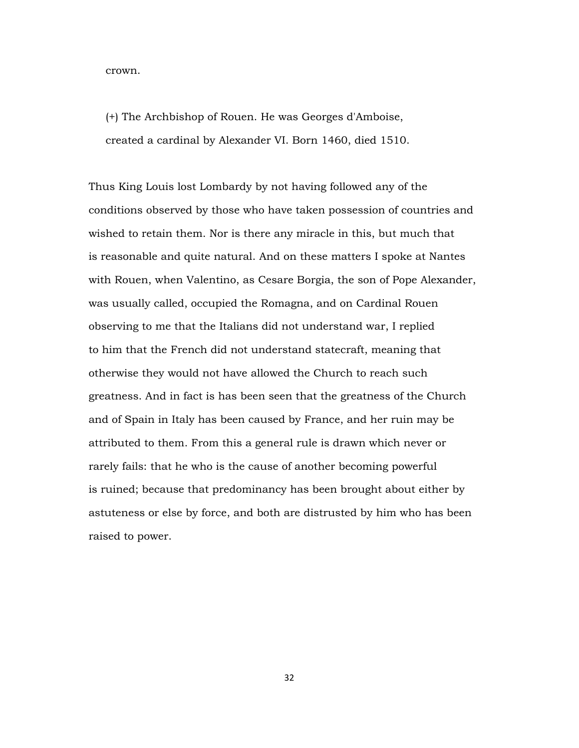crown.

 (+) The Archbishop of Rouen. He was Georges d'Amboise, created a cardinal by Alexander VI. Born 1460, died 1510.

Thus King Louis lost Lombardy by not having followed any of the conditions observed by those who have taken possession of countries and wished to retain them. Nor is there any miracle in this, but much that is reasonable and quite natural. And on these matters I spoke at Nantes with Rouen, when Valentino, as Cesare Borgia, the son of Pope Alexander, was usually called, occupied the Romagna, and on Cardinal Rouen observing to me that the Italians did not understand war, I replied to him that the French did not understand statecraft, meaning that otherwise they would not have allowed the Church to reach such greatness. And in fact is has been seen that the greatness of the Church and of Spain in Italy has been caused by France, and her ruin may be attributed to them. From this a general rule is drawn which never or rarely fails: that he who is the cause of another becoming powerful is ruined; because that predominancy has been brought about either by astuteness or else by force, and both are distrusted by him who has been raised to power.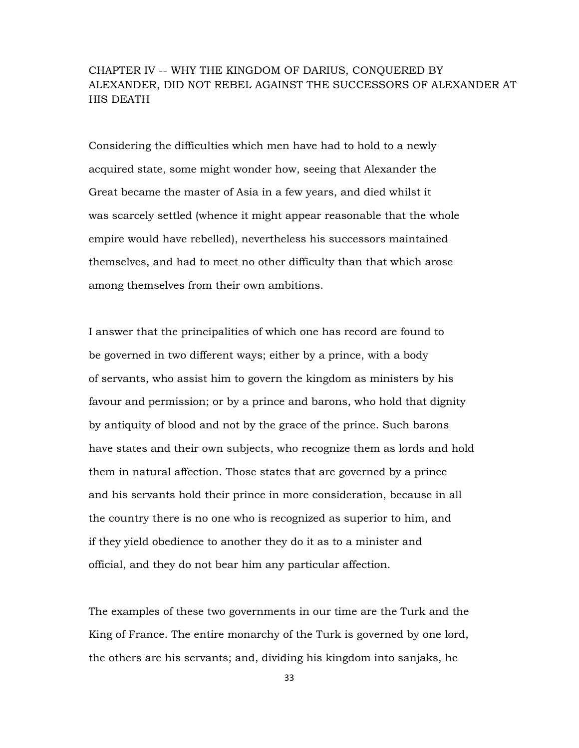# CHAPTER IV -- WHY THE KINGDOM OF DARIUS, CONQUERED BY ALEXANDER, DID NOT REBEL AGAINST THE SUCCESSORS OF ALEXANDER AT HIS DEATH

Considering the difficulties which men have had to hold to a newly acquired state, some might wonder how, seeing that Alexander the Great became the master of Asia in a few years, and died whilst it was scarcely settled (whence it might appear reasonable that the whole empire would have rebelled), nevertheless his successors maintained themselves, and had to meet no other difficulty than that which arose among themselves from their own ambitions.

I answer that the principalities of which one has record are found to be governed in two different ways; either by a prince, with a body of servants, who assist him to govern the kingdom as ministers by his favour and permission; or by a prince and barons, who hold that dignity by antiquity of blood and not by the grace of the prince. Such barons have states and their own subjects, who recognize them as lords and hold them in natural affection. Those states that are governed by a prince and his servants hold their prince in more consideration, because in all the country there is no one who is recognized as superior to him, and if they yield obedience to another they do it as to a minister and official, and they do not bear him any particular affection.

The examples of these two governments in our time are the Turk and the King of France. The entire monarchy of the Turk is governed by one lord, the others are his servants; and, dividing his kingdom into sanjaks, he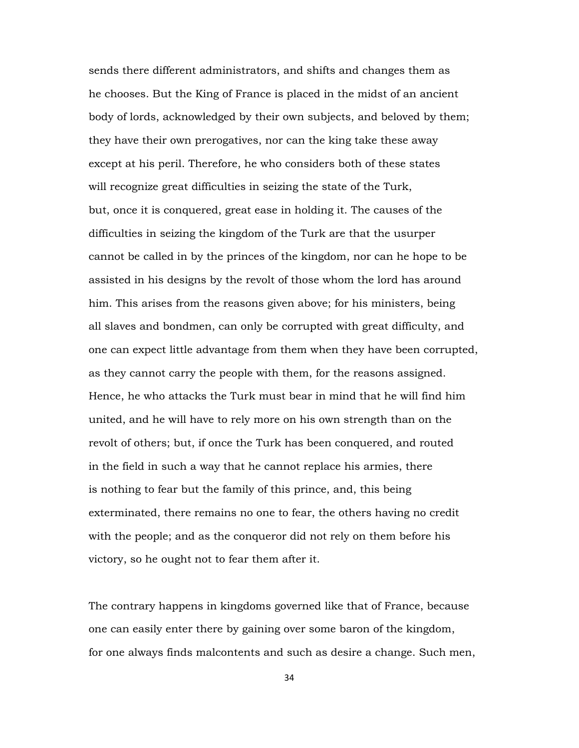sends there different administrators, and shifts and changes them as he chooses. But the King of France is placed in the midst of an ancient body of lords, acknowledged by their own subjects, and beloved by them; they have their own prerogatives, nor can the king take these away except at his peril. Therefore, he who considers both of these states will recognize great difficulties in seizing the state of the Turk, but, once it is conquered, great ease in holding it. The causes of the difficulties in seizing the kingdom of the Turk are that the usurper cannot be called in by the princes of the kingdom, nor can he hope to be assisted in his designs by the revolt of those whom the lord has around him. This arises from the reasons given above; for his ministers, being all slaves and bondmen, can only be corrupted with great difficulty, and one can expect little advantage from them when they have been corrupted, as they cannot carry the people with them, for the reasons assigned. Hence, he who attacks the Turk must bear in mind that he will find him united, and he will have to rely more on his own strength than on the revolt of others; but, if once the Turk has been conquered, and routed in the field in such a way that he cannot replace his armies, there is nothing to fear but the family of this prince, and, this being exterminated, there remains no one to fear, the others having no credit with the people; and as the conqueror did not rely on them before his victory, so he ought not to fear them after it.

The contrary happens in kingdoms governed like that of France, because one can easily enter there by gaining over some baron of the kingdom, for one always finds malcontents and such as desire a change. Such men,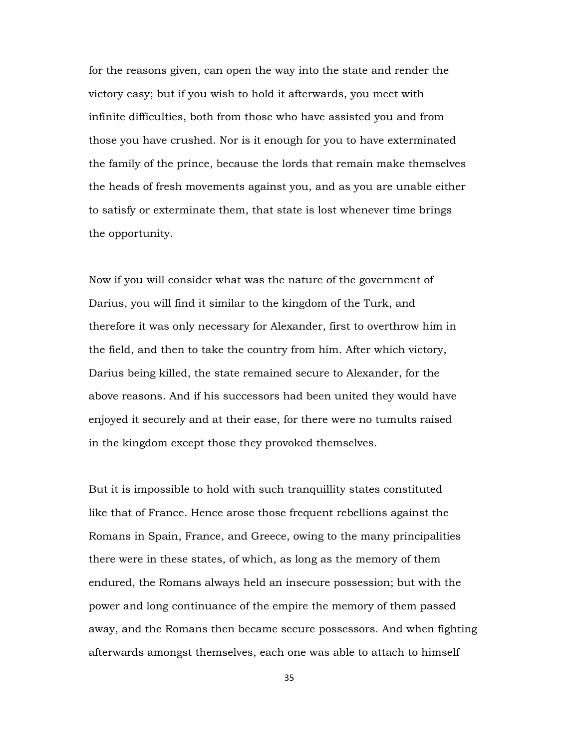for the reasons given, can open the way into the state and render the victory easy; but if you wish to hold it afterwards, you meet with infinite difficulties, both from those who have assisted you and from those you have crushed. Nor is it enough for you to have exterminated the family of the prince, because the lords that remain make themselves the heads of fresh movements against you, and as you are unable either to satisfy or exterminate them, that state is lost whenever time brings the opportunity.

Now if you will consider what was the nature of the government of Darius, you will find it similar to the kingdom of the Turk, and therefore it was only necessary for Alexander, first to overthrow him in the field, and then to take the country from him. After which victory, Darius being killed, the state remained secure to Alexander, for the above reasons. And if his successors had been united they would have enjoyed it securely and at their ease, for there were no tumults raised in the kingdom except those they provoked themselves.

But it is impossible to hold with such tranquillity states constituted like that of France. Hence arose those frequent rebellions against the Romans in Spain, France, and Greece, owing to the many principalities there were in these states, of which, as long as the memory of them endured, the Romans always held an insecure possession; but with the power and long continuance of the empire the memory of them passed away, and the Romans then became secure possessors. And when fighting afterwards amongst themselves, each one was able to attach to himself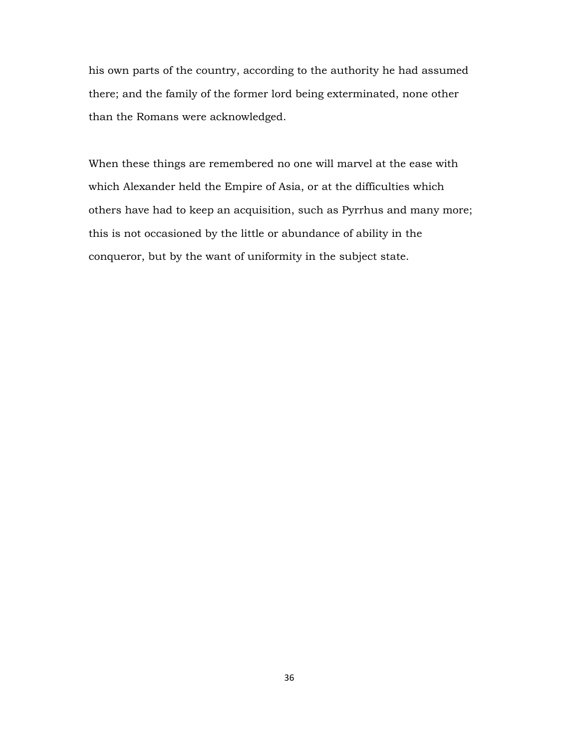his own parts of the country, according to the authority he had assumed there; and the family of the former lord being exterminated, none other than the Romans were acknowledged.

When these things are remembered no one will marvel at the ease with which Alexander held the Empire of Asia, or at the difficulties which others have had to keep an acquisition, such as Pyrrhus and many more; this is not occasioned by the little or abundance of ability in the conqueror, but by the want of uniformity in the subject state.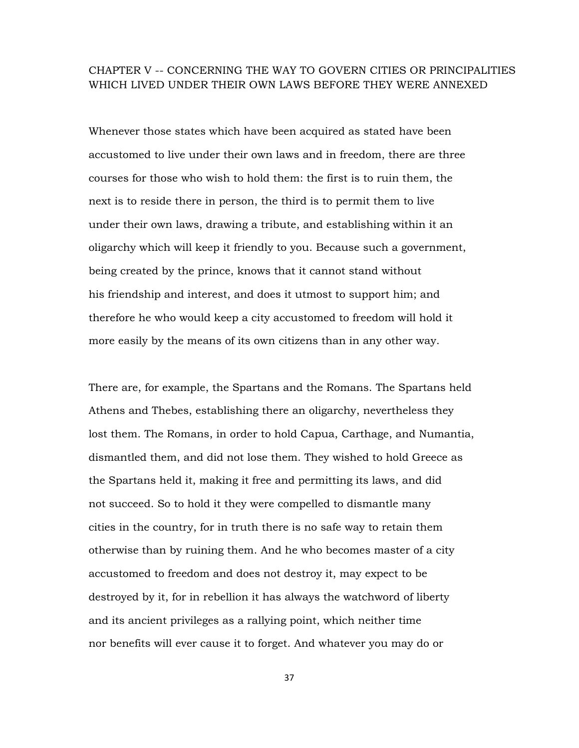## CHAPTER V -- CONCERNING THE WAY TO GOVERN CITIES OR PRINCIPALITIES WHICH LIVED UNDER THEIR OWN LAWS BEFORE THEY WERE ANNEXED

Whenever those states which have been acquired as stated have been accustomed to live under their own laws and in freedom, there are three courses for those who wish to hold them: the first is to ruin them, the next is to reside there in person, the third is to permit them to live under their own laws, drawing a tribute, and establishing within it an oligarchy which will keep it friendly to you. Because such a government, being created by the prince, knows that it cannot stand without his friendship and interest, and does it utmost to support him; and therefore he who would keep a city accustomed to freedom will hold it more easily by the means of its own citizens than in any other way.

There are, for example, the Spartans and the Romans. The Spartans held Athens and Thebes, establishing there an oligarchy, nevertheless they lost them. The Romans, in order to hold Capua, Carthage, and Numantia, dismantled them, and did not lose them. They wished to hold Greece as the Spartans held it, making it free and permitting its laws, and did not succeed. So to hold it they were compelled to dismantle many cities in the country, for in truth there is no safe way to retain them otherwise than by ruining them. And he who becomes master of a city accustomed to freedom and does not destroy it, may expect to be destroyed by it, for in rebellion it has always the watchword of liberty and its ancient privileges as a rallying point, which neither time nor benefits will ever cause it to forget. And whatever you may do or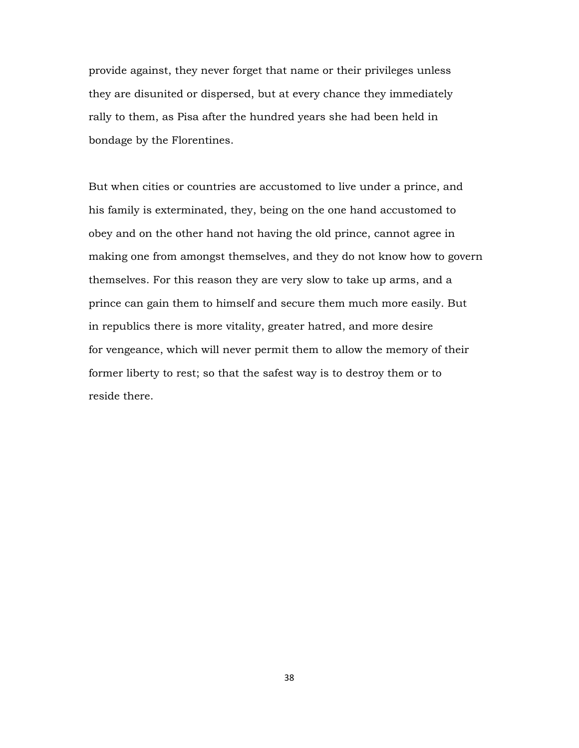provide against, they never forget that name or their privileges unless they are disunited or dispersed, but at every chance they immediately rally to them, as Pisa after the hundred years she had been held in bondage by the Florentines.

But when cities or countries are accustomed to live under a prince, and his family is exterminated, they, being on the one hand accustomed to obey and on the other hand not having the old prince, cannot agree in making one from amongst themselves, and they do not know how to govern themselves. For this reason they are very slow to take up arms, and a prince can gain them to himself and secure them much more easily. But in republics there is more vitality, greater hatred, and more desire for vengeance, which will never permit them to allow the memory of their former liberty to rest; so that the safest way is to destroy them or to reside there.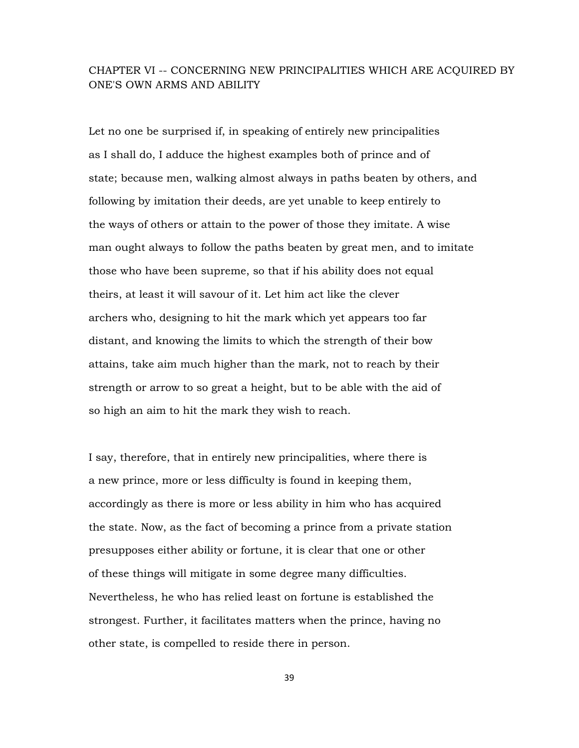## CHAPTER VI -- CONCERNING NEW PRINCIPALITIES WHICH ARE ACQUIRED BY ONE'S OWN ARMS AND ABILITY

Let no one be surprised if, in speaking of entirely new principalities as I shall do, I adduce the highest examples both of prince and of state; because men, walking almost always in paths beaten by others, and following by imitation their deeds, are yet unable to keep entirely to the ways of others or attain to the power of those they imitate. A wise man ought always to follow the paths beaten by great men, and to imitate those who have been supreme, so that if his ability does not equal theirs, at least it will savour of it. Let him act like the clever archers who, designing to hit the mark which yet appears too far distant, and knowing the limits to which the strength of their bow attains, take aim much higher than the mark, not to reach by their strength or arrow to so great a height, but to be able with the aid of so high an aim to hit the mark they wish to reach.

I say, therefore, that in entirely new principalities, where there is a new prince, more or less difficulty is found in keeping them, accordingly as there is more or less ability in him who has acquired the state. Now, as the fact of becoming a prince from a private station presupposes either ability or fortune, it is clear that one or other of these things will mitigate in some degree many difficulties. Nevertheless, he who has relied least on fortune is established the strongest. Further, it facilitates matters when the prince, having no other state, is compelled to reside there in person.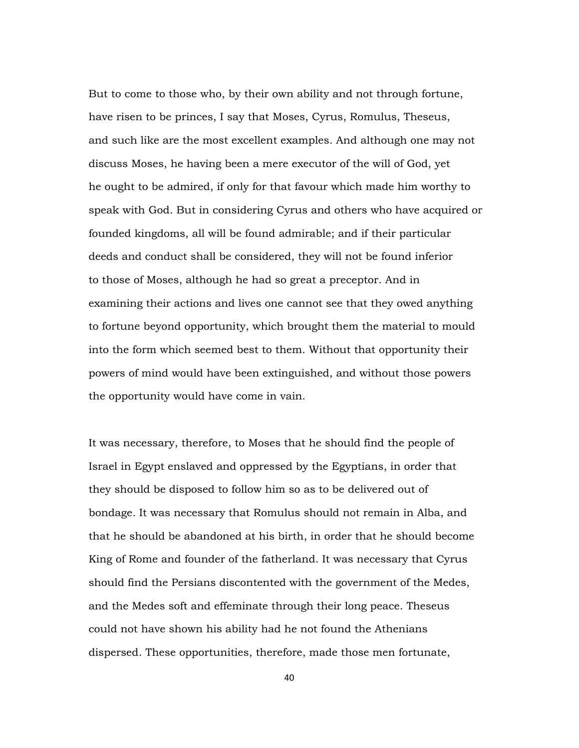But to come to those who, by their own ability and not through fortune, have risen to be princes, I say that Moses, Cyrus, Romulus, Theseus, and such like are the most excellent examples. And although one may not discuss Moses, he having been a mere executor of the will of God, yet he ought to be admired, if only for that favour which made him worthy to speak with God. But in considering Cyrus and others who have acquired or founded kingdoms, all will be found admirable; and if their particular deeds and conduct shall be considered, they will not be found inferior to those of Moses, although he had so great a preceptor. And in examining their actions and lives one cannot see that they owed anything to fortune beyond opportunity, which brought them the material to mould into the form which seemed best to them. Without that opportunity their powers of mind would have been extinguished, and without those powers the opportunity would have come in vain.

It was necessary, therefore, to Moses that he should find the people of Israel in Egypt enslaved and oppressed by the Egyptians, in order that they should be disposed to follow him so as to be delivered out of bondage. It was necessary that Romulus should not remain in Alba, and that he should be abandoned at his birth, in order that he should become King of Rome and founder of the fatherland. It was necessary that Cyrus should find the Persians discontented with the government of the Medes, and the Medes soft and effeminate through their long peace. Theseus could not have shown his ability had he not found the Athenians dispersed. These opportunities, therefore, made those men fortunate,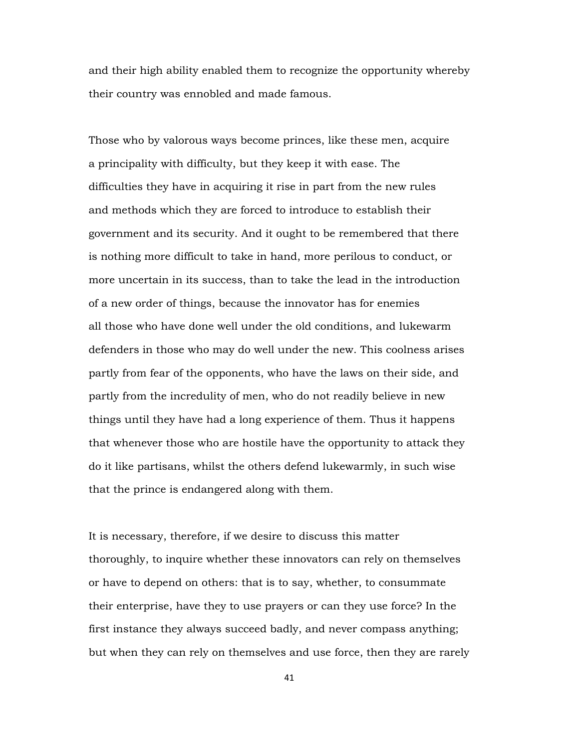and their high ability enabled them to recognize the opportunity whereby their country was ennobled and made famous.

Those who by valorous ways become princes, like these men, acquire a principality with difficulty, but they keep it with ease. The difficulties they have in acquiring it rise in part from the new rules and methods which they are forced to introduce to establish their government and its security. And it ought to be remembered that there is nothing more difficult to take in hand, more perilous to conduct, or more uncertain in its success, than to take the lead in the introduction of a new order of things, because the innovator has for enemies all those who have done well under the old conditions, and lukewarm defenders in those who may do well under the new. This coolness arises partly from fear of the opponents, who have the laws on their side, and partly from the incredulity of men, who do not readily believe in new things until they have had a long experience of them. Thus it happens that whenever those who are hostile have the opportunity to attack they do it like partisans, whilst the others defend lukewarmly, in such wise that the prince is endangered along with them.

It is necessary, therefore, if we desire to discuss this matter thoroughly, to inquire whether these innovators can rely on themselves or have to depend on others: that is to say, whether, to consummate their enterprise, have they to use prayers or can they use force? In the first instance they always succeed badly, and never compass anything; but when they can rely on themselves and use force, then they are rarely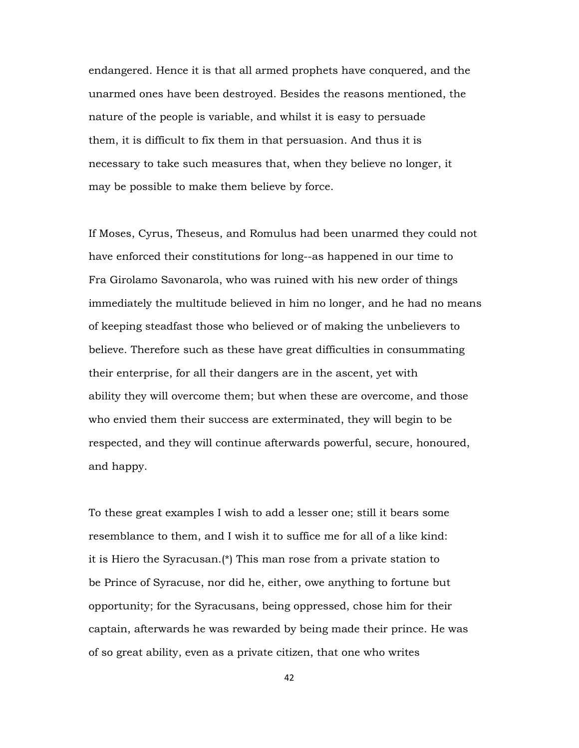endangered. Hence it is that all armed prophets have conquered, and the unarmed ones have been destroyed. Besides the reasons mentioned, the nature of the people is variable, and whilst it is easy to persuade them, it is difficult to fix them in that persuasion. And thus it is necessary to take such measures that, when they believe no longer, it may be possible to make them believe by force.

If Moses, Cyrus, Theseus, and Romulus had been unarmed they could not have enforced their constitutions for long--as happened in our time to Fra Girolamo Savonarola, who was ruined with his new order of things immediately the multitude believed in him no longer, and he had no means of keeping steadfast those who believed or of making the unbelievers to believe. Therefore such as these have great difficulties in consummating their enterprise, for all their dangers are in the ascent, yet with ability they will overcome them; but when these are overcome, and those who envied them their success are exterminated, they will begin to be respected, and they will continue afterwards powerful, secure, honoured, and happy.

To these great examples I wish to add a lesser one; still it bears some resemblance to them, and I wish it to suffice me for all of a like kind: it is Hiero the Syracusan.(\*) This man rose from a private station to be Prince of Syracuse, nor did he, either, owe anything to fortune but opportunity; for the Syracusans, being oppressed, chose him for their captain, afterwards he was rewarded by being made their prince. He was of so great ability, even as a private citizen, that one who writes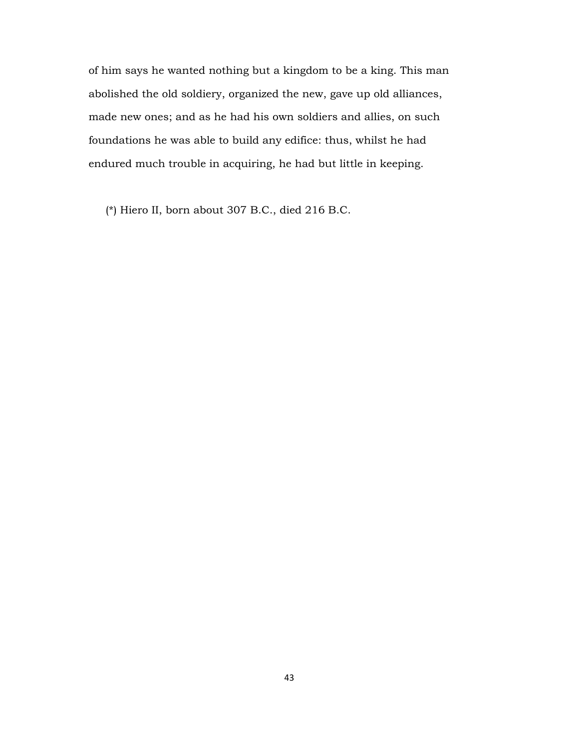of him says he wanted nothing but a kingdom to be a king. This man abolished the old soldiery, organized the new, gave up old alliances, made new ones; and as he had his own soldiers and allies, on such foundations he was able to build any edifice: thus, whilst he had endured much trouble in acquiring, he had but little in keeping.

(\*) Hiero II, born about 307 B.C., died 216 B.C.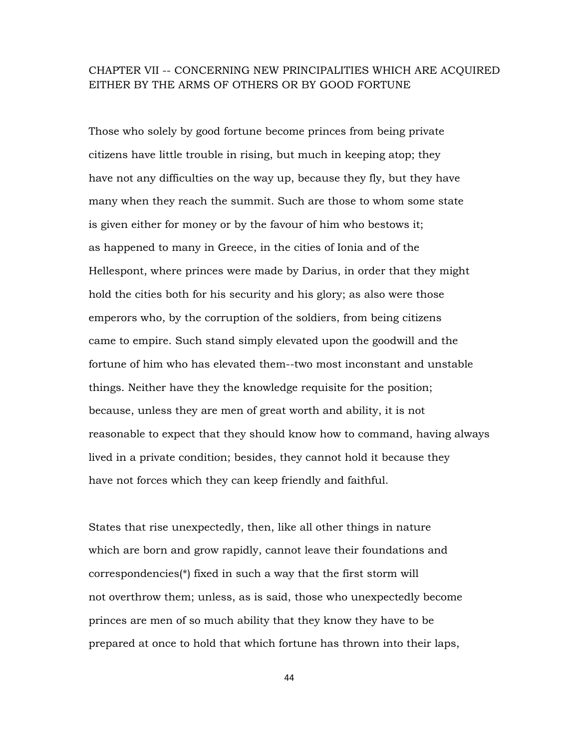## CHAPTER VII -- CONCERNING NEW PRINCIPALITIES WHICH ARE ACQUIRED EITHER BY THE ARMS OF OTHERS OR BY GOOD FORTUNE

Those who solely by good fortune become princes from being private citizens have little trouble in rising, but much in keeping atop; they have not any difficulties on the way up, because they fly, but they have many when they reach the summit. Such are those to whom some state is given either for money or by the favour of him who bestows it; as happened to many in Greece, in the cities of Ionia and of the Hellespont, where princes were made by Darius, in order that they might hold the cities both for his security and his glory; as also were those emperors who, by the corruption of the soldiers, from being citizens came to empire. Such stand simply elevated upon the goodwill and the fortune of him who has elevated them--two most inconstant and unstable things. Neither have they the knowledge requisite for the position; because, unless they are men of great worth and ability, it is not reasonable to expect that they should know how to command, having always lived in a private condition; besides, they cannot hold it because they have not forces which they can keep friendly and faithful.

States that rise unexpectedly, then, like all other things in nature which are born and grow rapidly, cannot leave their foundations and correspondencies(\*) fixed in such a way that the first storm will not overthrow them; unless, as is said, those who unexpectedly become princes are men of so much ability that they know they have to be prepared at once to hold that which fortune has thrown into their laps,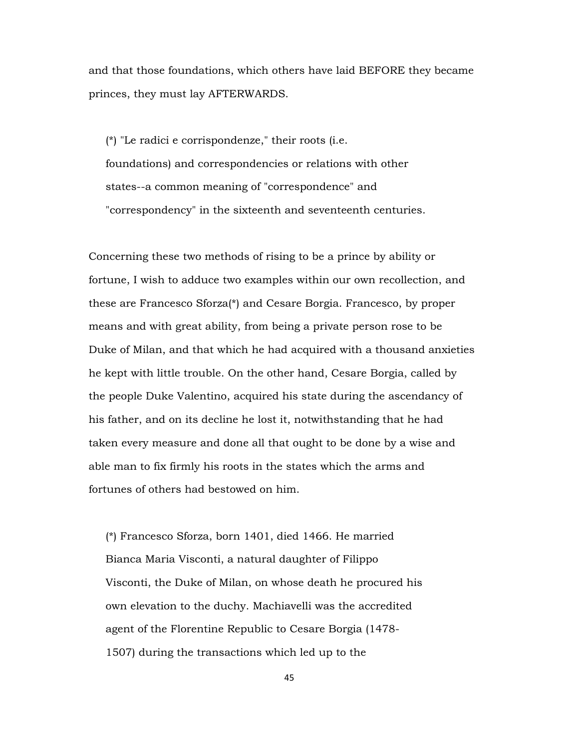and that those foundations, which others have laid BEFORE they became princes, they must lay AFTERWARDS.

 (\*) "Le radici e corrispondenze," their roots (i.e. foundations) and correspondencies or relations with other states--a common meaning of "correspondence" and "correspondency" in the sixteenth and seventeenth centuries.

Concerning these two methods of rising to be a prince by ability or fortune, I wish to adduce two examples within our own recollection, and these are Francesco Sforza(\*) and Cesare Borgia. Francesco, by proper means and with great ability, from being a private person rose to be Duke of Milan, and that which he had acquired with a thousand anxieties he kept with little trouble. On the other hand, Cesare Borgia, called by the people Duke Valentino, acquired his state during the ascendancy of his father, and on its decline he lost it, notwithstanding that he had taken every measure and done all that ought to be done by a wise and able man to fix firmly his roots in the states which the arms and fortunes of others had bestowed on him.

 (\*) Francesco Sforza, born 1401, died 1466. He married Bianca Maria Visconti, a natural daughter of Filippo Visconti, the Duke of Milan, on whose death he procured his own elevation to the duchy. Machiavelli was the accredited agent of the Florentine Republic to Cesare Borgia (1478- 1507) during the transactions which led up to the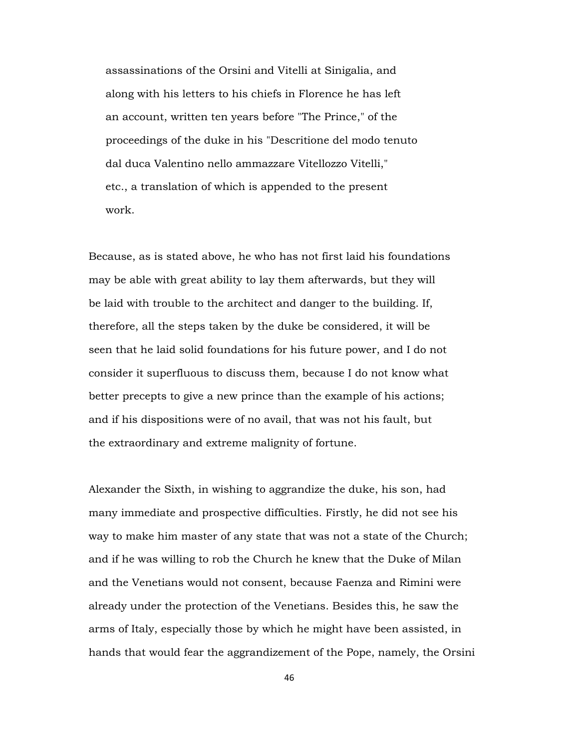assassinations of the Orsini and Vitelli at Sinigalia, and along with his letters to his chiefs in Florence he has left an account, written ten years before "The Prince," of the proceedings of the duke in his "Descritione del modo tenuto dal duca Valentino nello ammazzare Vitellozzo Vitelli," etc., a translation of which is appended to the present work.

Because, as is stated above, he who has not first laid his foundations may be able with great ability to lay them afterwards, but they will be laid with trouble to the architect and danger to the building. If, therefore, all the steps taken by the duke be considered, it will be seen that he laid solid foundations for his future power, and I do not consider it superfluous to discuss them, because I do not know what better precepts to give a new prince than the example of his actions; and if his dispositions were of no avail, that was not his fault, but the extraordinary and extreme malignity of fortune.

Alexander the Sixth, in wishing to aggrandize the duke, his son, had many immediate and prospective difficulties. Firstly, he did not see his way to make him master of any state that was not a state of the Church; and if he was willing to rob the Church he knew that the Duke of Milan and the Venetians would not consent, because Faenza and Rimini were already under the protection of the Venetians. Besides this, he saw the arms of Italy, especially those by which he might have been assisted, in hands that would fear the aggrandizement of the Pope, namely, the Orsini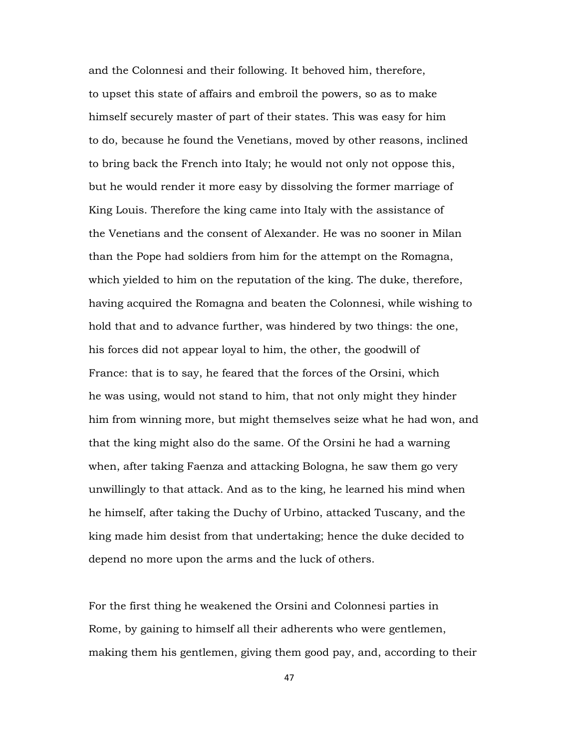and the Colonnesi and their following. It behoved him, therefore, to upset this state of affairs and embroil the powers, so as to make himself securely master of part of their states. This was easy for him to do, because he found the Venetians, moved by other reasons, inclined to bring back the French into Italy; he would not only not oppose this, but he would render it more easy by dissolving the former marriage of King Louis. Therefore the king came into Italy with the assistance of the Venetians and the consent of Alexander. He was no sooner in Milan than the Pope had soldiers from him for the attempt on the Romagna, which yielded to him on the reputation of the king. The duke, therefore, having acquired the Romagna and beaten the Colonnesi, while wishing to hold that and to advance further, was hindered by two things: the one, his forces did not appear loyal to him, the other, the goodwill of France: that is to say, he feared that the forces of the Orsini, which he was using, would not stand to him, that not only might they hinder him from winning more, but might themselves seize what he had won, and that the king might also do the same. Of the Orsini he had a warning when, after taking Faenza and attacking Bologna, he saw them go very unwillingly to that attack. And as to the king, he learned his mind when he himself, after taking the Duchy of Urbino, attacked Tuscany, and the king made him desist from that undertaking; hence the duke decided to depend no more upon the arms and the luck of others.

For the first thing he weakened the Orsini and Colonnesi parties in Rome, by gaining to himself all their adherents who were gentlemen, making them his gentlemen, giving them good pay, and, according to their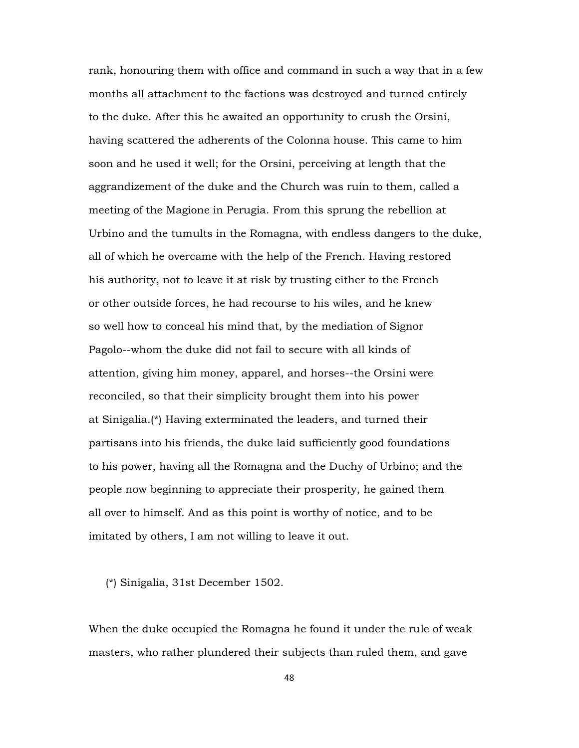rank, honouring them with office and command in such a way that in a few months all attachment to the factions was destroyed and turned entirely to the duke. After this he awaited an opportunity to crush the Orsini, having scattered the adherents of the Colonna house. This came to him soon and he used it well; for the Orsini, perceiving at length that the aggrandizement of the duke and the Church was ruin to them, called a meeting of the Magione in Perugia. From this sprung the rebellion at Urbino and the tumults in the Romagna, with endless dangers to the duke, all of which he overcame with the help of the French. Having restored his authority, not to leave it at risk by trusting either to the French or other outside forces, he had recourse to his wiles, and he knew so well how to conceal his mind that, by the mediation of Signor Pagolo--whom the duke did not fail to secure with all kinds of attention, giving him money, apparel, and horses--the Orsini were reconciled, so that their simplicity brought them into his power at Sinigalia.(\*) Having exterminated the leaders, and turned their partisans into his friends, the duke laid sufficiently good foundations to his power, having all the Romagna and the Duchy of Urbino; and the people now beginning to appreciate their prosperity, he gained them all over to himself. And as this point is worthy of notice, and to be imitated by others, I am not willing to leave it out.

(\*) Sinigalia, 31st December 1502.

When the duke occupied the Romagna he found it under the rule of weak masters, who rather plundered their subjects than ruled them, and gave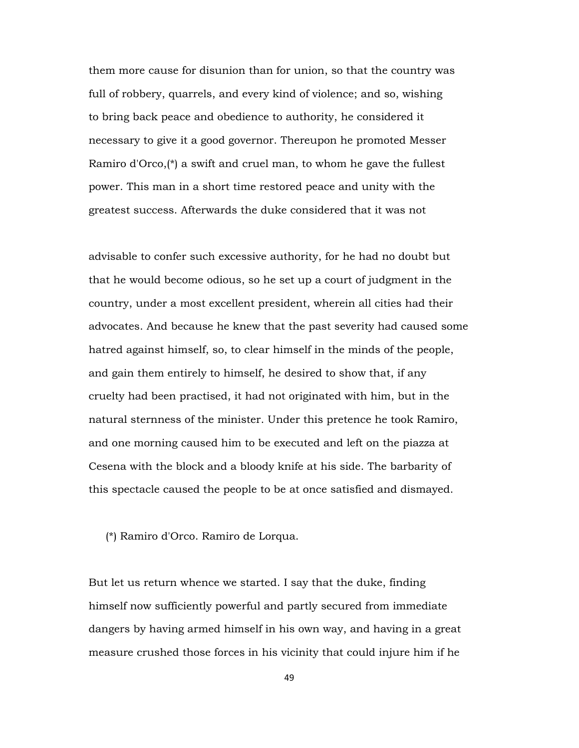them more cause for disunion than for union, so that the country was full of robbery, quarrels, and every kind of violence; and so, wishing to bring back peace and obedience to authority, he considered it necessary to give it a good governor. Thereupon he promoted Messer Ramiro d'Orco,(\*) a swift and cruel man, to whom he gave the fullest power. This man in a short time restored peace and unity with the greatest success. Afterwards the duke considered that it was not

advisable to confer such excessive authority, for he had no doubt but that he would become odious, so he set up a court of judgment in the country, under a most excellent president, wherein all cities had their advocates. And because he knew that the past severity had caused some hatred against himself, so, to clear himself in the minds of the people, and gain them entirely to himself, he desired to show that, if any cruelty had been practised, it had not originated with him, but in the natural sternness of the minister. Under this pretence he took Ramiro, and one morning caused him to be executed and left on the piazza at Cesena with the block and a bloody knife at his side. The barbarity of this spectacle caused the people to be at once satisfied and dismayed.

(\*) Ramiro d'Orco. Ramiro de Lorqua.

But let us return whence we started. I say that the duke, finding himself now sufficiently powerful and partly secured from immediate dangers by having armed himself in his own way, and having in a great measure crushed those forces in his vicinity that could injure him if he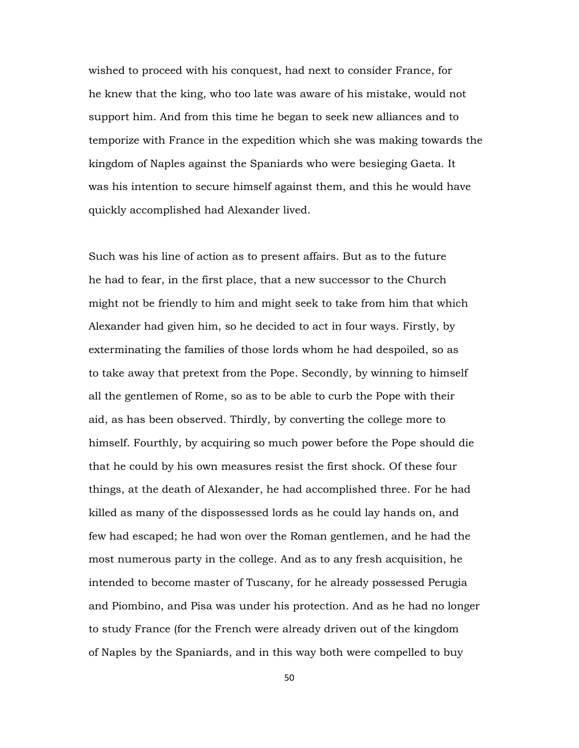wished to proceed with his conquest, had next to consider France, for he knew that the king, who too late was aware of his mistake, would not support him. And from this time he began to seek new alliances and to temporize with France in the expedition which she was making towards the kingdom of Naples against the Spaniards who were besieging Gaeta. It was his intention to secure himself against them, and this he would have quickly accomplished had Alexander lived.

Such was his line of action as to present affairs. But as to the future he had to fear, in the first place, that a new successor to the Church might not be friendly to him and might seek to take from him that which Alexander had given him, so he decided to act in four ways. Firstly, by exterminating the families of those lords whom he had despoiled, so as to take away that pretext from the Pope. Secondly, by winning to himself all the gentlemen of Rome, so as to be able to curb the Pope with their aid, as has been observed. Thirdly, by converting the college more to himself. Fourthly, by acquiring so much power before the Pope should die that he could by his own measures resist the first shock. Of these four things, at the death of Alexander, he had accomplished three. For he had killed as many of the dispossessed lords as he could lay hands on, and few had escaped; he had won over the Roman gentlemen, and he had the most numerous party in the college. And as to any fresh acquisition, he intended to become master of Tuscany, for he already possessed Perugia and Piombino, and Pisa was under his protection. And as he had no longer to study France (for the French were already driven out of the kingdom of Naples by the Spaniards, and in this way both were compelled to buy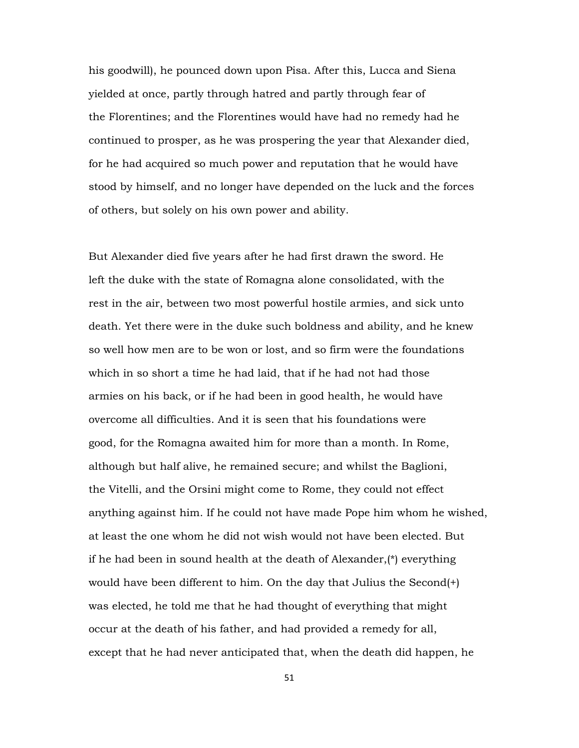his goodwill), he pounced down upon Pisa. After this, Lucca and Siena yielded at once, partly through hatred and partly through fear of the Florentines; and the Florentines would have had no remedy had he continued to prosper, as he was prospering the year that Alexander died, for he had acquired so much power and reputation that he would have stood by himself, and no longer have depended on the luck and the forces of others, but solely on his own power and ability.

But Alexander died five years after he had first drawn the sword. He left the duke with the state of Romagna alone consolidated, with the rest in the air, between two most powerful hostile armies, and sick unto death. Yet there were in the duke such boldness and ability, and he knew so well how men are to be won or lost, and so firm were the foundations which in so short a time he had laid, that if he had not had those armies on his back, or if he had been in good health, he would have overcome all difficulties. And it is seen that his foundations were good, for the Romagna awaited him for more than a month. In Rome, although but half alive, he remained secure; and whilst the Baglioni, the Vitelli, and the Orsini might come to Rome, they could not effect anything against him. If he could not have made Pope him whom he wished, at least the one whom he did not wish would not have been elected. But if he had been in sound health at the death of Alexander,(\*) everything would have been different to him. On the day that Julius the Second(+) was elected, he told me that he had thought of everything that might occur at the death of his father, and had provided a remedy for all, except that he had never anticipated that, when the death did happen, he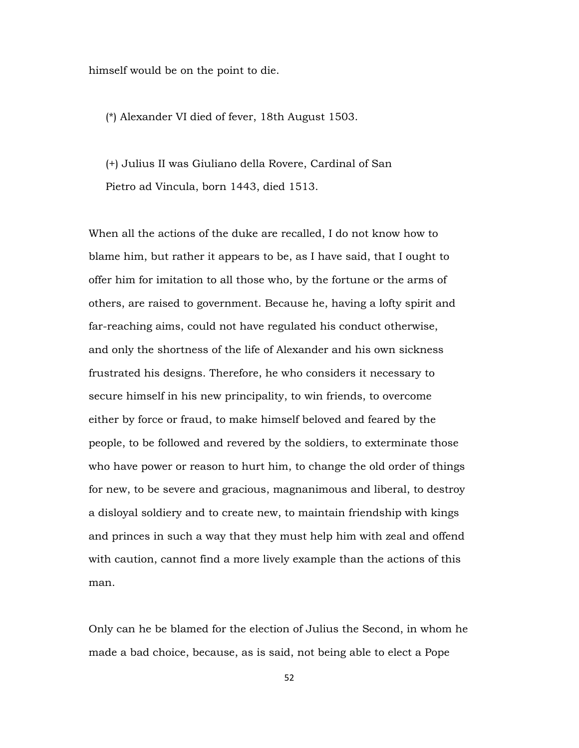himself would be on the point to die.

(\*) Alexander VI died of fever, 18th August 1503.

 (+) Julius II was Giuliano della Rovere, Cardinal of San Pietro ad Vincula, born 1443, died 1513.

When all the actions of the duke are recalled, I do not know how to blame him, but rather it appears to be, as I have said, that I ought to offer him for imitation to all those who, by the fortune or the arms of others, are raised to government. Because he, having a lofty spirit and far-reaching aims, could not have regulated his conduct otherwise, and only the shortness of the life of Alexander and his own sickness frustrated his designs. Therefore, he who considers it necessary to secure himself in his new principality, to win friends, to overcome either by force or fraud, to make himself beloved and feared by the people, to be followed and revered by the soldiers, to exterminate those who have power or reason to hurt him, to change the old order of things for new, to be severe and gracious, magnanimous and liberal, to destroy a disloyal soldiery and to create new, to maintain friendship with kings and princes in such a way that they must help him with zeal and offend with caution, cannot find a more lively example than the actions of this man.

Only can he be blamed for the election of Julius the Second, in whom he made a bad choice, because, as is said, not being able to elect a Pope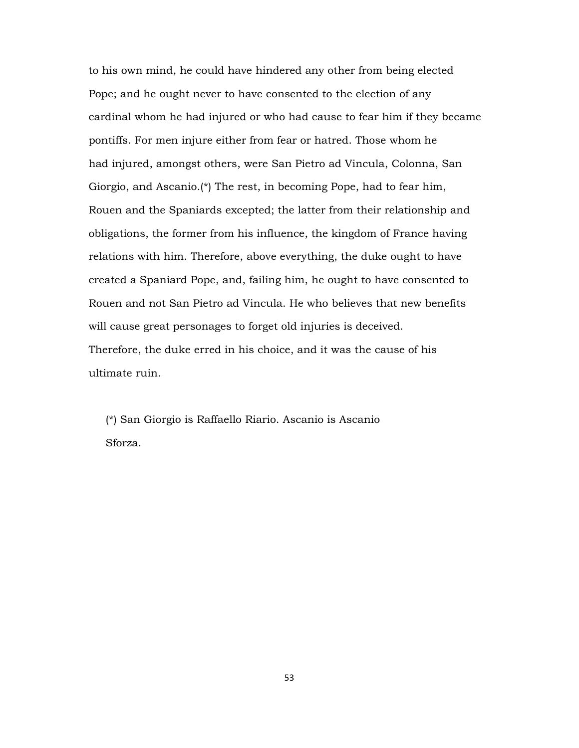to his own mind, he could have hindered any other from being elected Pope; and he ought never to have consented to the election of any cardinal whom he had injured or who had cause to fear him if they became pontiffs. For men injure either from fear or hatred. Those whom he had injured, amongst others, were San Pietro ad Vincula, Colonna, San Giorgio, and Ascanio.(\*) The rest, in becoming Pope, had to fear him, Rouen and the Spaniards excepted; the latter from their relationship and obligations, the former from his influence, the kingdom of France having relations with him. Therefore, above everything, the duke ought to have created a Spaniard Pope, and, failing him, he ought to have consented to Rouen and not San Pietro ad Vincula. He who believes that new benefits will cause great personages to forget old injuries is deceived. Therefore, the duke erred in his choice, and it was the cause of his ultimate ruin.

 (\*) San Giorgio is Raffaello Riario. Ascanio is Ascanio Sforza.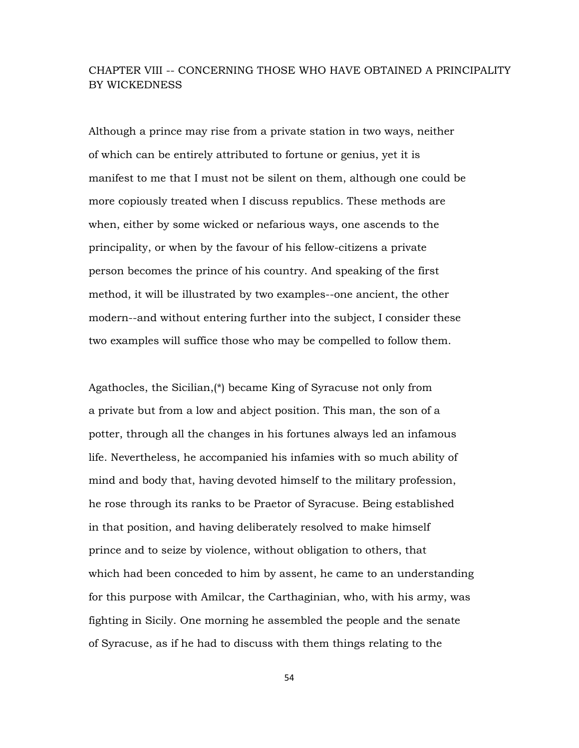## CHAPTER VIII -- CONCERNING THOSE WHO HAVE OBTAINED A PRINCIPALITY BY WICKEDNESS

Although a prince may rise from a private station in two ways, neither of which can be entirely attributed to fortune or genius, yet it is manifest to me that I must not be silent on them, although one could be more copiously treated when I discuss republics. These methods are when, either by some wicked or nefarious ways, one ascends to the principality, or when by the favour of his fellow-citizens a private person becomes the prince of his country. And speaking of the first method, it will be illustrated by two examples--one ancient, the other modern--and without entering further into the subject, I consider these two examples will suffice those who may be compelled to follow them.

Agathocles, the Sicilian,(\*) became King of Syracuse not only from a private but from a low and abject position. This man, the son of a potter, through all the changes in his fortunes always led an infamous life. Nevertheless, he accompanied his infamies with so much ability of mind and body that, having devoted himself to the military profession, he rose through its ranks to be Praetor of Syracuse. Being established in that position, and having deliberately resolved to make himself prince and to seize by violence, without obligation to others, that which had been conceded to him by assent, he came to an understanding for this purpose with Amilcar, the Carthaginian, who, with his army, was fighting in Sicily. One morning he assembled the people and the senate of Syracuse, as if he had to discuss with them things relating to the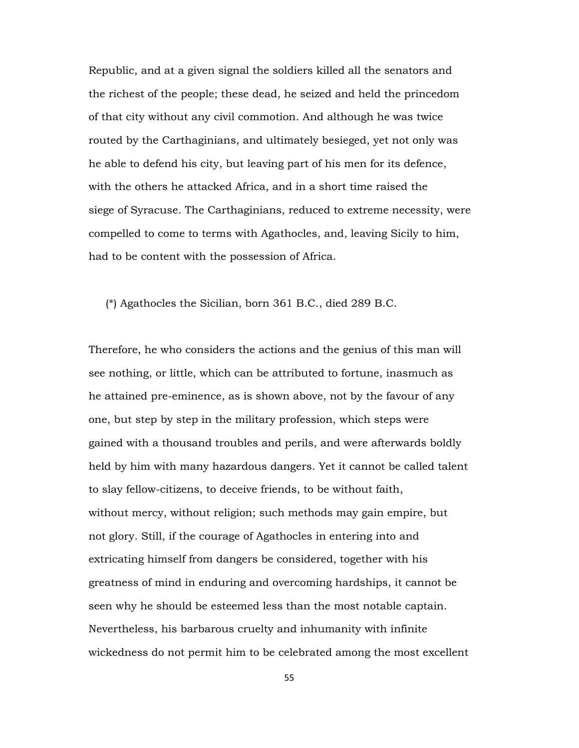Republic, and at a given signal the soldiers killed all the senators and the richest of the people; these dead, he seized and held the princedom of that city without any civil commotion. And although he was twice routed by the Carthaginians, and ultimately besieged, yet not only was he able to defend his city, but leaving part of his men for its defence, with the others he attacked Africa, and in a short time raised the siege of Syracuse. The Carthaginians, reduced to extreme necessity, were compelled to come to terms with Agathocles, and, leaving Sicily to him, had to be content with the possession of Africa.

(\*) Agathocles the Sicilian, born 361 B.C., died 289 B.C.

Therefore, he who considers the actions and the genius of this man will see nothing, or little, which can be attributed to fortune, inasmuch as he attained pre-eminence, as is shown above, not by the favour of any one, but step by step in the military profession, which steps were gained with a thousand troubles and perils, and were afterwards boldly held by him with many hazardous dangers. Yet it cannot be called talent to slay fellow-citizens, to deceive friends, to be without faith, without mercy, without religion; such methods may gain empire, but not glory. Still, if the courage of Agathocles in entering into and extricating himself from dangers be considered, together with his greatness of mind in enduring and overcoming hardships, it cannot be seen why he should be esteemed less than the most notable captain. Nevertheless, his barbarous cruelty and inhumanity with infinite wickedness do not permit him to be celebrated among the most excellent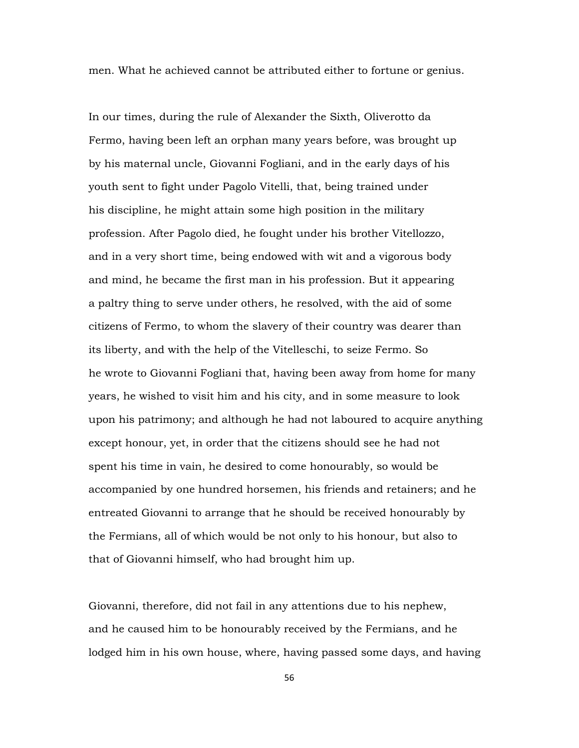men. What he achieved cannot be attributed either to fortune or genius.

In our times, during the rule of Alexander the Sixth, Oliverotto da Fermo, having been left an orphan many years before, was brought up by his maternal uncle, Giovanni Fogliani, and in the early days of his youth sent to fight under Pagolo Vitelli, that, being trained under his discipline, he might attain some high position in the military profession. After Pagolo died, he fought under his brother Vitellozzo, and in a very short time, being endowed with wit and a vigorous body and mind, he became the first man in his profession. But it appearing a paltry thing to serve under others, he resolved, with the aid of some citizens of Fermo, to whom the slavery of their country was dearer than its liberty, and with the help of the Vitelleschi, to seize Fermo. So he wrote to Giovanni Fogliani that, having been away from home for many years, he wished to visit him and his city, and in some measure to look upon his patrimony; and although he had not laboured to acquire anything except honour, yet, in order that the citizens should see he had not spent his time in vain, he desired to come honourably, so would be accompanied by one hundred horsemen, his friends and retainers; and he entreated Giovanni to arrange that he should be received honourably by the Fermians, all of which would be not only to his honour, but also to that of Giovanni himself, who had brought him up.

Giovanni, therefore, did not fail in any attentions due to his nephew, and he caused him to be honourably received by the Fermians, and he lodged him in his own house, where, having passed some days, and having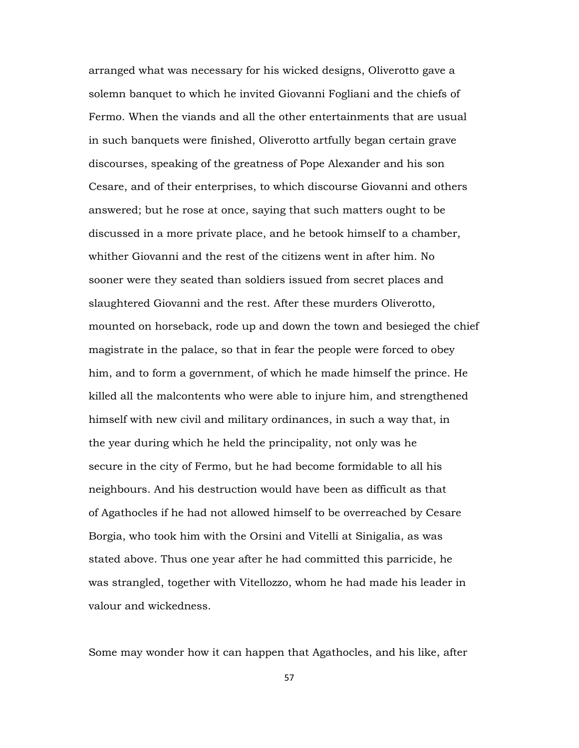arranged what was necessary for his wicked designs, Oliverotto gave a solemn banquet to which he invited Giovanni Fogliani and the chiefs of Fermo. When the viands and all the other entertainments that are usual in such banquets were finished, Oliverotto artfully began certain grave discourses, speaking of the greatness of Pope Alexander and his son Cesare, and of their enterprises, to which discourse Giovanni and others answered; but he rose at once, saying that such matters ought to be discussed in a more private place, and he betook himself to a chamber, whither Giovanni and the rest of the citizens went in after him. No sooner were they seated than soldiers issued from secret places and slaughtered Giovanni and the rest. After these murders Oliverotto, mounted on horseback, rode up and down the town and besieged the chief magistrate in the palace, so that in fear the people were forced to obey him, and to form a government, of which he made himself the prince. He killed all the malcontents who were able to injure him, and strengthened himself with new civil and military ordinances, in such a way that, in the year during which he held the principality, not only was he secure in the city of Fermo, but he had become formidable to all his neighbours. And his destruction would have been as difficult as that of Agathocles if he had not allowed himself to be overreached by Cesare Borgia, who took him with the Orsini and Vitelli at Sinigalia, as was stated above. Thus one year after he had committed this parricide, he was strangled, together with Vitellozzo, whom he had made his leader in valour and wickedness.

Some may wonder how it can happen that Agathocles, and his like, after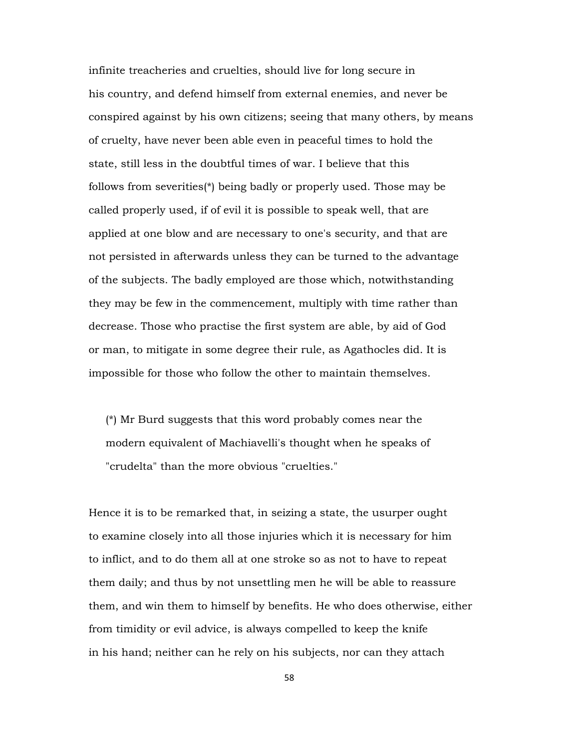infinite treacheries and cruelties, should live for long secure in his country, and defend himself from external enemies, and never be conspired against by his own citizens; seeing that many others, by means of cruelty, have never been able even in peaceful times to hold the state, still less in the doubtful times of war. I believe that this follows from severities(\*) being badly or properly used. Those may be called properly used, if of evil it is possible to speak well, that are applied at one blow and are necessary to one's security, and that are not persisted in afterwards unless they can be turned to the advantage of the subjects. The badly employed are those which, notwithstanding they may be few in the commencement, multiply with time rather than decrease. Those who practise the first system are able, by aid of God or man, to mitigate in some degree their rule, as Agathocles did. It is impossible for those who follow the other to maintain themselves.

 (\*) Mr Burd suggests that this word probably comes near the modern equivalent of Machiavelli's thought when he speaks of "crudelta" than the more obvious "cruelties."

Hence it is to be remarked that, in seizing a state, the usurper ought to examine closely into all those injuries which it is necessary for him to inflict, and to do them all at one stroke so as not to have to repeat them daily; and thus by not unsettling men he will be able to reassure them, and win them to himself by benefits. He who does otherwise, either from timidity or evil advice, is always compelled to keep the knife in his hand; neither can he rely on his subjects, nor can they attach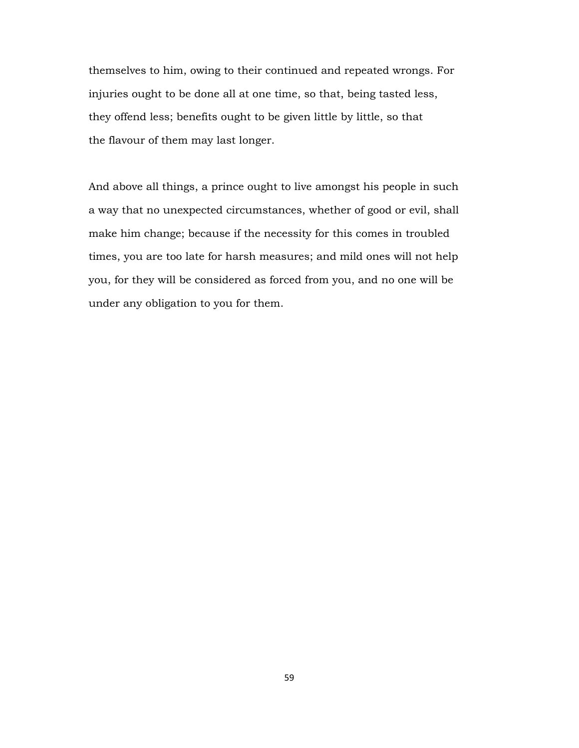themselves to him, owing to their continued and repeated wrongs. For injuries ought to be done all at one time, so that, being tasted less, they offend less; benefits ought to be given little by little, so that the flavour of them may last longer.

And above all things, a prince ought to live amongst his people in such a way that no unexpected circumstances, whether of good or evil, shall make him change; because if the necessity for this comes in troubled times, you are too late for harsh measures; and mild ones will not help you, for they will be considered as forced from you, and no one will be under any obligation to you for them.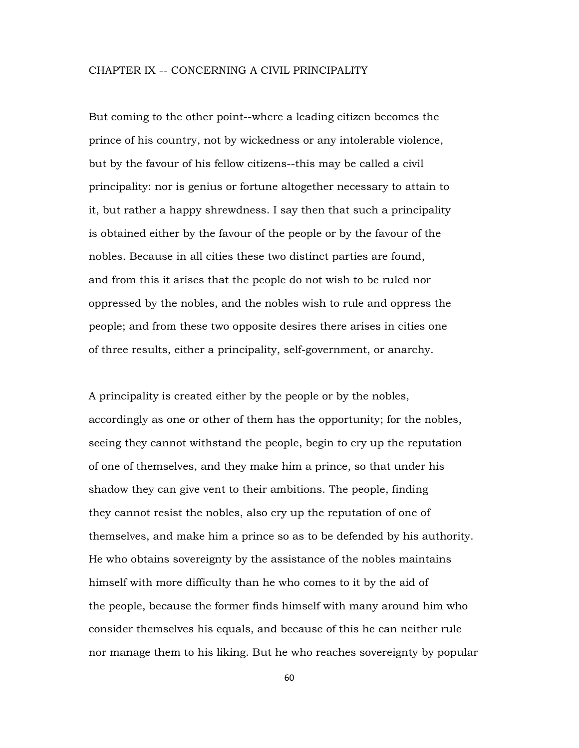#### CHAPTER IX -- CONCERNING A CIVIL PRINCIPALITY

But coming to the other point--where a leading citizen becomes the prince of his country, not by wickedness or any intolerable violence, but by the favour of his fellow citizens--this may be called a civil principality: nor is genius or fortune altogether necessary to attain to it, but rather a happy shrewdness. I say then that such a principality is obtained either by the favour of the people or by the favour of the nobles. Because in all cities these two distinct parties are found, and from this it arises that the people do not wish to be ruled nor oppressed by the nobles, and the nobles wish to rule and oppress the people; and from these two opposite desires there arises in cities one of three results, either a principality, self-government, or anarchy.

A principality is created either by the people or by the nobles, accordingly as one or other of them has the opportunity; for the nobles, seeing they cannot withstand the people, begin to cry up the reputation of one of themselves, and they make him a prince, so that under his shadow they can give vent to their ambitions. The people, finding they cannot resist the nobles, also cry up the reputation of one of themselves, and make him a prince so as to be defended by his authority. He who obtains sovereignty by the assistance of the nobles maintains himself with more difficulty than he who comes to it by the aid of the people, because the former finds himself with many around him who consider themselves his equals, and because of this he can neither rule nor manage them to his liking. But he who reaches sovereignty by popular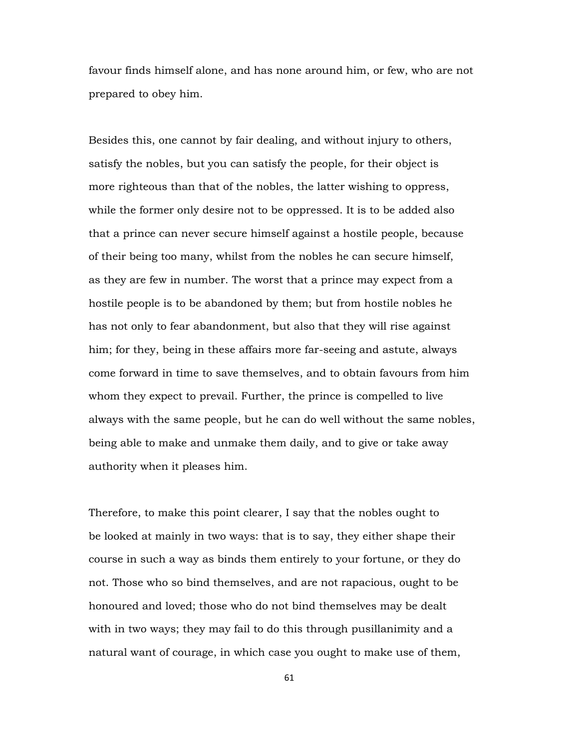favour finds himself alone, and has none around him, or few, who are not prepared to obey him.

Besides this, one cannot by fair dealing, and without injury to others, satisfy the nobles, but you can satisfy the people, for their object is more righteous than that of the nobles, the latter wishing to oppress, while the former only desire not to be oppressed. It is to be added also that a prince can never secure himself against a hostile people, because of their being too many, whilst from the nobles he can secure himself, as they are few in number. The worst that a prince may expect from a hostile people is to be abandoned by them; but from hostile nobles he has not only to fear abandonment, but also that they will rise against him; for they, being in these affairs more far-seeing and astute, always come forward in time to save themselves, and to obtain favours from him whom they expect to prevail. Further, the prince is compelled to live always with the same people, but he can do well without the same nobles, being able to make and unmake them daily, and to give or take away authority when it pleases him.

Therefore, to make this point clearer, I say that the nobles ought to be looked at mainly in two ways: that is to say, they either shape their course in such a way as binds them entirely to your fortune, or they do not. Those who so bind themselves, and are not rapacious, ought to be honoured and loved; those who do not bind themselves may be dealt with in two ways; they may fail to do this through pusillanimity and a natural want of courage, in which case you ought to make use of them,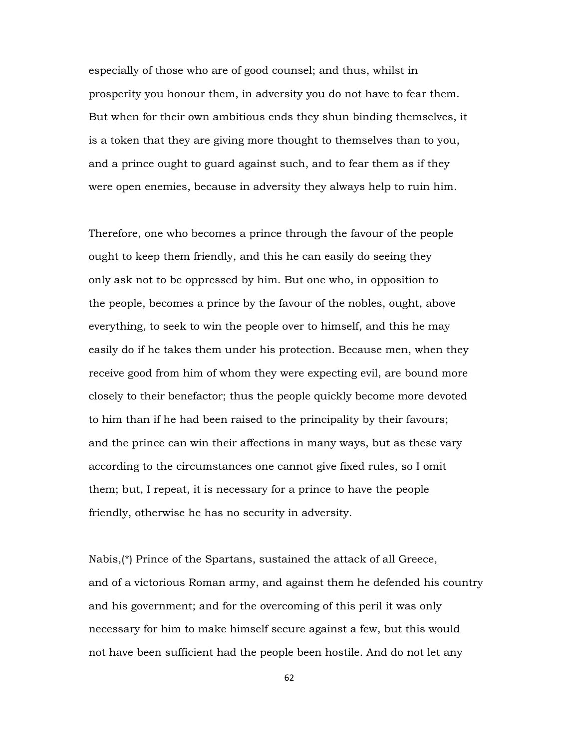especially of those who are of good counsel; and thus, whilst in prosperity you honour them, in adversity you do not have to fear them. But when for their own ambitious ends they shun binding themselves, it is a token that they are giving more thought to themselves than to you, and a prince ought to guard against such, and to fear them as if they were open enemies, because in adversity they always help to ruin him.

Therefore, one who becomes a prince through the favour of the people ought to keep them friendly, and this he can easily do seeing they only ask not to be oppressed by him. But one who, in opposition to the people, becomes a prince by the favour of the nobles, ought, above everything, to seek to win the people over to himself, and this he may easily do if he takes them under his protection. Because men, when they receive good from him of whom they were expecting evil, are bound more closely to their benefactor; thus the people quickly become more devoted to him than if he had been raised to the principality by their favours; and the prince can win their affections in many ways, but as these vary according to the circumstances one cannot give fixed rules, so I omit them; but, I repeat, it is necessary for a prince to have the people friendly, otherwise he has no security in adversity.

Nabis,(\*) Prince of the Spartans, sustained the attack of all Greece, and of a victorious Roman army, and against them he defended his country and his government; and for the overcoming of this peril it was only necessary for him to make himself secure against a few, but this would not have been sufficient had the people been hostile. And do not let any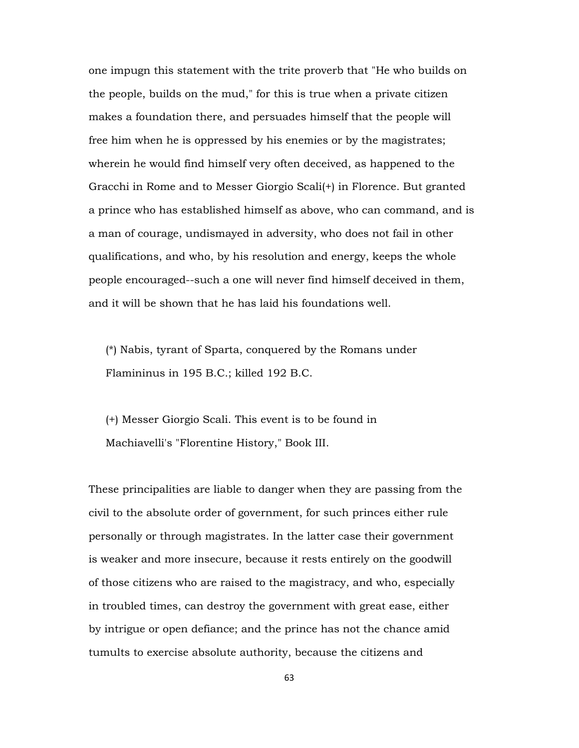one impugn this statement with the trite proverb that "He who builds on the people, builds on the mud," for this is true when a private citizen makes a foundation there, and persuades himself that the people will free him when he is oppressed by his enemies or by the magistrates; wherein he would find himself very often deceived, as happened to the Gracchi in Rome and to Messer Giorgio Scali(+) in Florence. But granted a prince who has established himself as above, who can command, and is a man of courage, undismayed in adversity, who does not fail in other qualifications, and who, by his resolution and energy, keeps the whole people encouraged--such a one will never find himself deceived in them, and it will be shown that he has laid his foundations well.

 (\*) Nabis, tyrant of Sparta, conquered by the Romans under Flamininus in 195 B.C.; killed 192 B.C.

 (+) Messer Giorgio Scali. This event is to be found in Machiavelli's "Florentine History," Book III.

These principalities are liable to danger when they are passing from the civil to the absolute order of government, for such princes either rule personally or through magistrates. In the latter case their government is weaker and more insecure, because it rests entirely on the goodwill of those citizens who are raised to the magistracy, and who, especially in troubled times, can destroy the government with great ease, either by intrigue or open defiance; and the prince has not the chance amid tumults to exercise absolute authority, because the citizens and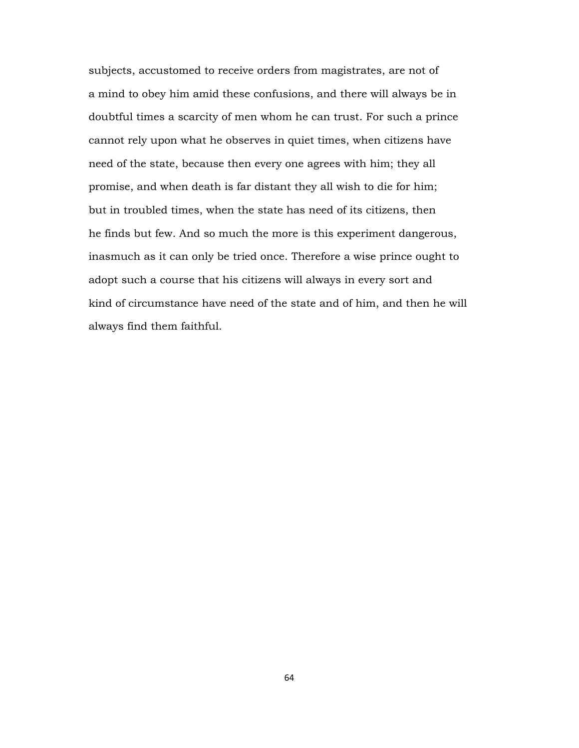subjects, accustomed to receive orders from magistrates, are not of a mind to obey him amid these confusions, and there will always be in doubtful times a scarcity of men whom he can trust. For such a prince cannot rely upon what he observes in quiet times, when citizens have need of the state, because then every one agrees with him; they all promise, and when death is far distant they all wish to die for him; but in troubled times, when the state has need of its citizens, then he finds but few. And so much the more is this experiment dangerous, inasmuch as it can only be tried once. Therefore a wise prince ought to adopt such a course that his citizens will always in every sort and kind of circumstance have need of the state and of him, and then he will always find them faithful.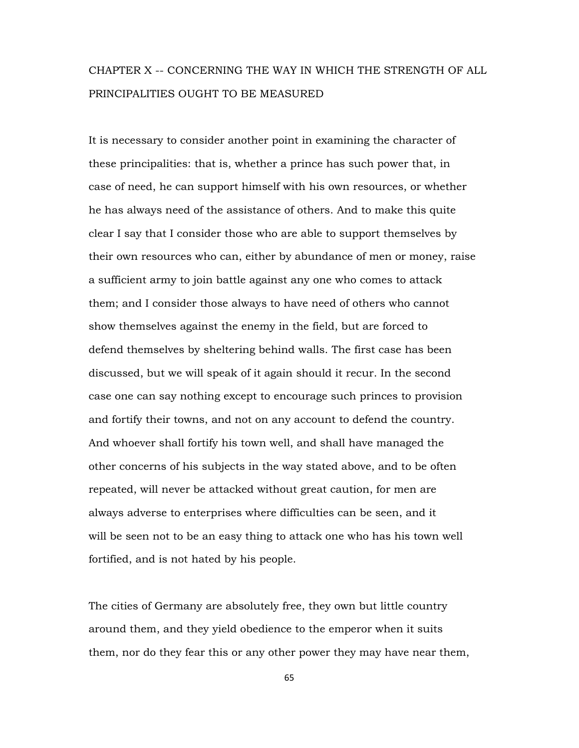# CHAPTER X -- CONCERNING THE WAY IN WHICH THE STRENGTH OF ALL PRINCIPALITIES OUGHT TO BE MEASURED

It is necessary to consider another point in examining the character of these principalities: that is, whether a prince has such power that, in case of need, he can support himself with his own resources, or whether he has always need of the assistance of others. And to make this quite clear I say that I consider those who are able to support themselves by their own resources who can, either by abundance of men or money, raise a sufficient army to join battle against any one who comes to attack them; and I consider those always to have need of others who cannot show themselves against the enemy in the field, but are forced to defend themselves by sheltering behind walls. The first case has been discussed, but we will speak of it again should it recur. In the second case one can say nothing except to encourage such princes to provision and fortify their towns, and not on any account to defend the country. And whoever shall fortify his town well, and shall have managed the other concerns of his subjects in the way stated above, and to be often repeated, will never be attacked without great caution, for men are always adverse to enterprises where difficulties can be seen, and it will be seen not to be an easy thing to attack one who has his town well fortified, and is not hated by his people.

The cities of Germany are absolutely free, they own but little country around them, and they yield obedience to the emperor when it suits them, nor do they fear this or any other power they may have near them,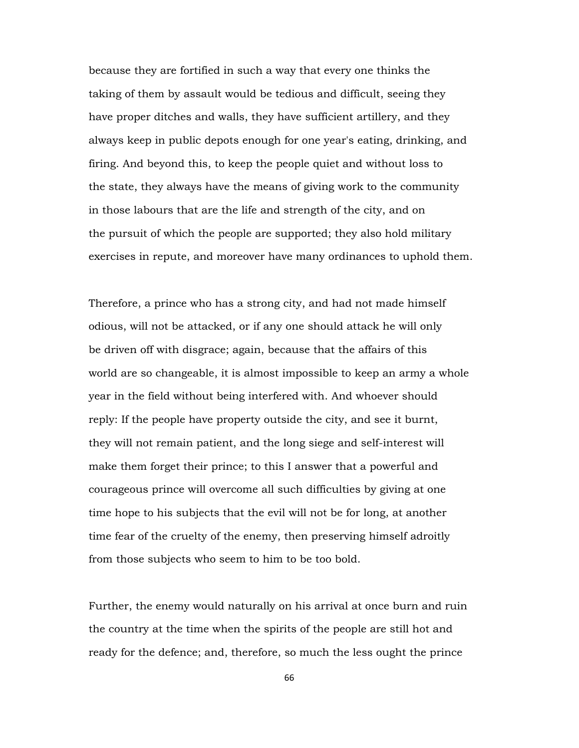because they are fortified in such a way that every one thinks the taking of them by assault would be tedious and difficult, seeing they have proper ditches and walls, they have sufficient artillery, and they always keep in public depots enough for one year's eating, drinking, and firing. And beyond this, to keep the people quiet and without loss to the state, they always have the means of giving work to the community in those labours that are the life and strength of the city, and on the pursuit of which the people are supported; they also hold military exercises in repute, and moreover have many ordinances to uphold them.

Therefore, a prince who has a strong city, and had not made himself odious, will not be attacked, or if any one should attack he will only be driven off with disgrace; again, because that the affairs of this world are so changeable, it is almost impossible to keep an army a whole year in the field without being interfered with. And whoever should reply: If the people have property outside the city, and see it burnt, they will not remain patient, and the long siege and self-interest will make them forget their prince; to this I answer that a powerful and courageous prince will overcome all such difficulties by giving at one time hope to his subjects that the evil will not be for long, at another time fear of the cruelty of the enemy, then preserving himself adroitly from those subjects who seem to him to be too bold.

Further, the enemy would naturally on his arrival at once burn and ruin the country at the time when the spirits of the people are still hot and ready for the defence; and, therefore, so much the less ought the prince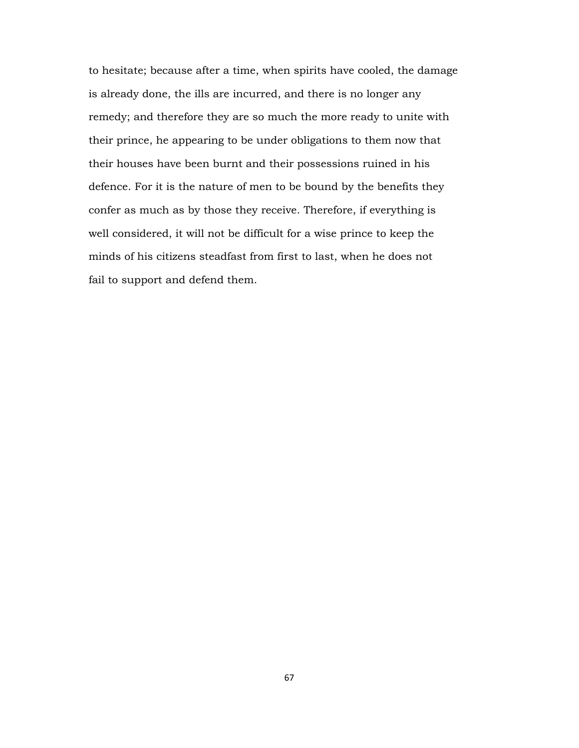to hesitate; because after a time, when spirits have cooled, the damage is already done, the ills are incurred, and there is no longer any remedy; and therefore they are so much the more ready to unite with their prince, he appearing to be under obligations to them now that their houses have been burnt and their possessions ruined in his defence. For it is the nature of men to be bound by the benefits they confer as much as by those they receive. Therefore, if everything is well considered, it will not be difficult for a wise prince to keep the minds of his citizens steadfast from first to last, when he does not fail to support and defend them.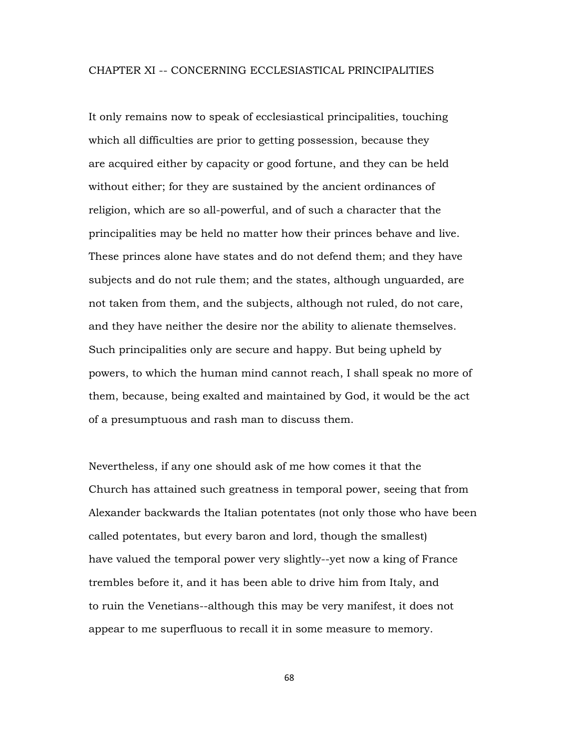#### CHAPTER XI -- CONCERNING ECCLESIASTICAL PRINCIPALITIES

It only remains now to speak of ecclesiastical principalities, touching which all difficulties are prior to getting possession, because they are acquired either by capacity or good fortune, and they can be held without either; for they are sustained by the ancient ordinances of religion, which are so all-powerful, and of such a character that the principalities may be held no matter how their princes behave and live. These princes alone have states and do not defend them; and they have subjects and do not rule them; and the states, although unguarded, are not taken from them, and the subjects, although not ruled, do not care, and they have neither the desire nor the ability to alienate themselves. Such principalities only are secure and happy. But being upheld by powers, to which the human mind cannot reach, I shall speak no more of them, because, being exalted and maintained by God, it would be the act of a presumptuous and rash man to discuss them.

Nevertheless, if any one should ask of me how comes it that the Church has attained such greatness in temporal power, seeing that from Alexander backwards the Italian potentates (not only those who have been called potentates, but every baron and lord, though the smallest) have valued the temporal power very slightly--yet now a king of France trembles before it, and it has been able to drive him from Italy, and to ruin the Venetians--although this may be very manifest, it does not appear to me superfluous to recall it in some measure to memory.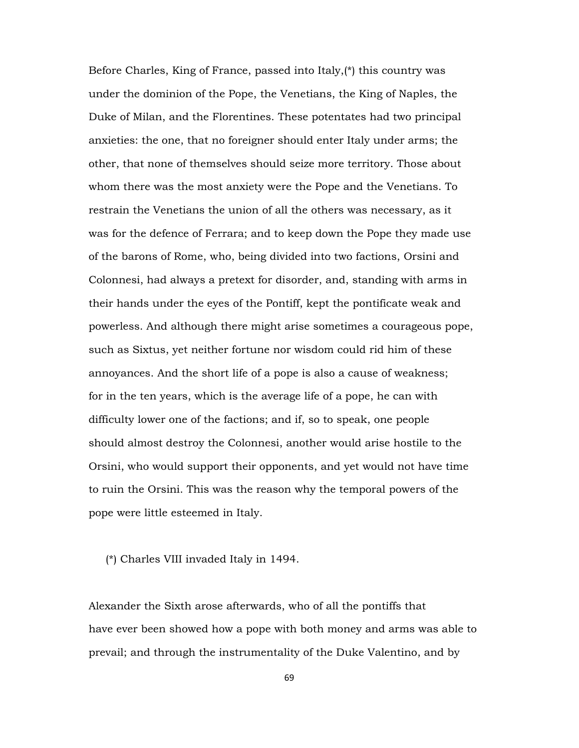Before Charles, King of France, passed into Italy,(\*) this country was under the dominion of the Pope, the Venetians, the King of Naples, the Duke of Milan, and the Florentines. These potentates had two principal anxieties: the one, that no foreigner should enter Italy under arms; the other, that none of themselves should seize more territory. Those about whom there was the most anxiety were the Pope and the Venetians. To restrain the Venetians the union of all the others was necessary, as it was for the defence of Ferrara; and to keep down the Pope they made use of the barons of Rome, who, being divided into two factions, Orsini and Colonnesi, had always a pretext for disorder, and, standing with arms in their hands under the eyes of the Pontiff, kept the pontificate weak and powerless. And although there might arise sometimes a courageous pope, such as Sixtus, yet neither fortune nor wisdom could rid him of these annoyances. And the short life of a pope is also a cause of weakness; for in the ten years, which is the average life of a pope, he can with difficulty lower one of the factions; and if, so to speak, one people should almost destroy the Colonnesi, another would arise hostile to the Orsini, who would support their opponents, and yet would not have time to ruin the Orsini. This was the reason why the temporal powers of the pope were little esteemed in Italy.

(\*) Charles VIII invaded Italy in 1494.

Alexander the Sixth arose afterwards, who of all the pontiffs that have ever been showed how a pope with both money and arms was able to prevail; and through the instrumentality of the Duke Valentino, and by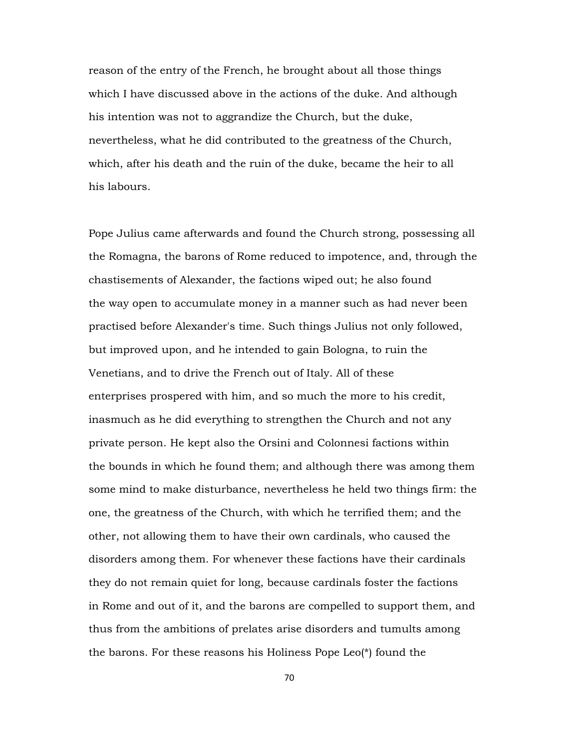reason of the entry of the French, he brought about all those things which I have discussed above in the actions of the duke. And although his intention was not to aggrandize the Church, but the duke, nevertheless, what he did contributed to the greatness of the Church, which, after his death and the ruin of the duke, became the heir to all his labours.

Pope Julius came afterwards and found the Church strong, possessing all the Romagna, the barons of Rome reduced to impotence, and, through the chastisements of Alexander, the factions wiped out; he also found the way open to accumulate money in a manner such as had never been practised before Alexander's time. Such things Julius not only followed, but improved upon, and he intended to gain Bologna, to ruin the Venetians, and to drive the French out of Italy. All of these enterprises prospered with him, and so much the more to his credit, inasmuch as he did everything to strengthen the Church and not any private person. He kept also the Orsini and Colonnesi factions within the bounds in which he found them; and although there was among them some mind to make disturbance, nevertheless he held two things firm: the one, the greatness of the Church, with which he terrified them; and the other, not allowing them to have their own cardinals, who caused the disorders among them. For whenever these factions have their cardinals they do not remain quiet for long, because cardinals foster the factions in Rome and out of it, and the barons are compelled to support them, and thus from the ambitions of prelates arise disorders and tumults among the barons. For these reasons his Holiness Pope Leo(\*) found the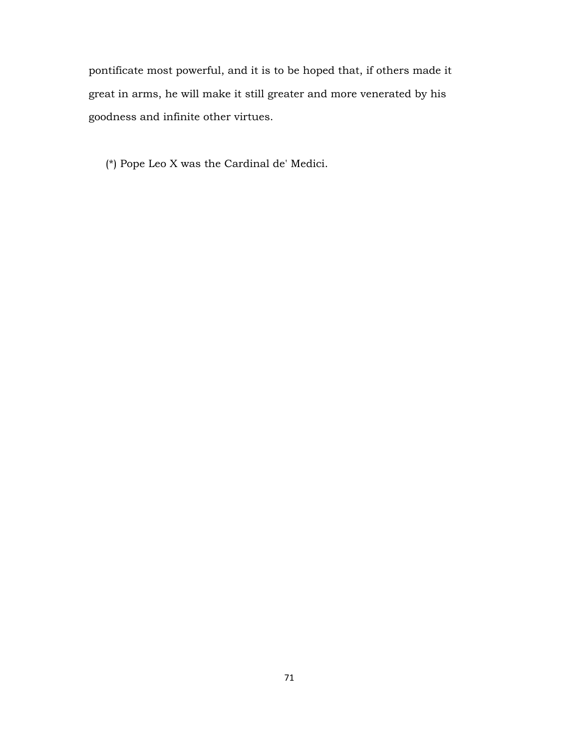pontificate most powerful, and it is to be hoped that, if others made it great in arms, he will make it still greater and more venerated by his goodness and infinite other virtues.

(\*) Pope Leo X was the Cardinal de' Medici.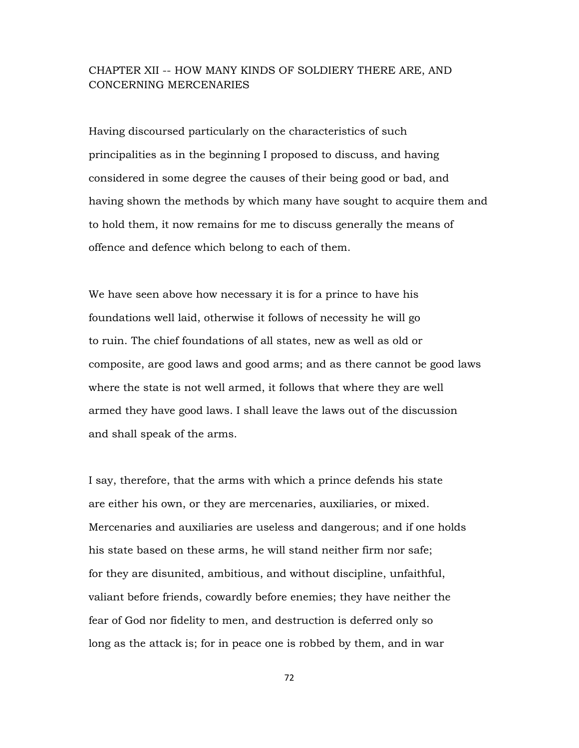## CHAPTER XII -- HOW MANY KINDS OF SOLDIERY THERE ARE, AND CONCERNING MERCENARIES

Having discoursed particularly on the characteristics of such principalities as in the beginning I proposed to discuss, and having considered in some degree the causes of their being good or bad, and having shown the methods by which many have sought to acquire them and to hold them, it now remains for me to discuss generally the means of offence and defence which belong to each of them.

We have seen above how necessary it is for a prince to have his foundations well laid, otherwise it follows of necessity he will go to ruin. The chief foundations of all states, new as well as old or composite, are good laws and good arms; and as there cannot be good laws where the state is not well armed, it follows that where they are well armed they have good laws. I shall leave the laws out of the discussion and shall speak of the arms.

I say, therefore, that the arms with which a prince defends his state are either his own, or they are mercenaries, auxiliaries, or mixed. Mercenaries and auxiliaries are useless and dangerous; and if one holds his state based on these arms, he will stand neither firm nor safe; for they are disunited, ambitious, and without discipline, unfaithful, valiant before friends, cowardly before enemies; they have neither the fear of God nor fidelity to men, and destruction is deferred only so long as the attack is; for in peace one is robbed by them, and in war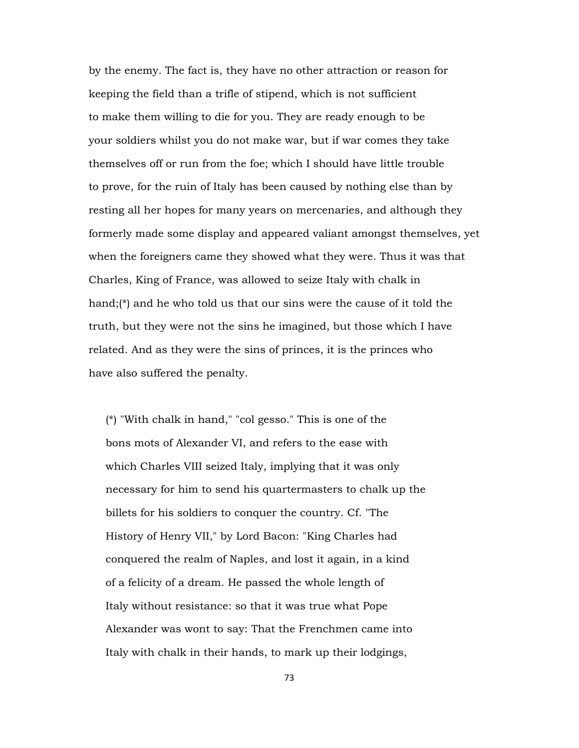by the enemy. The fact is, they have no other attraction or reason for keeping the field than a trifle of stipend, which is not sufficient to make them willing to die for you. They are ready enough to be your soldiers whilst you do not make war, but if war comes they take themselves off or run from the foe; which I should have little trouble to prove, for the ruin of Italy has been caused by nothing else than by resting all her hopes for many years on mercenaries, and although they formerly made some display and appeared valiant amongst themselves, yet when the foreigners came they showed what they were. Thus it was that Charles, King of France, was allowed to seize Italy with chalk in hand;(\*) and he who told us that our sins were the cause of it told the truth, but they were not the sins he imagined, but those which I have related. And as they were the sins of princes, it is the princes who have also suffered the penalty.

 (\*) "With chalk in hand," "col gesso." This is one of the bons mots of Alexander VI, and refers to the ease with which Charles VIII seized Italy, implying that it was only necessary for him to send his quartermasters to chalk up the billets for his soldiers to conquer the country. Cf. "The History of Henry VII," by Lord Bacon: "King Charles had conquered the realm of Naples, and lost it again, in a kind of a felicity of a dream. He passed the whole length of Italy without resistance: so that it was true what Pope Alexander was wont to say: That the Frenchmen came into Italy with chalk in their hands, to mark up their lodgings,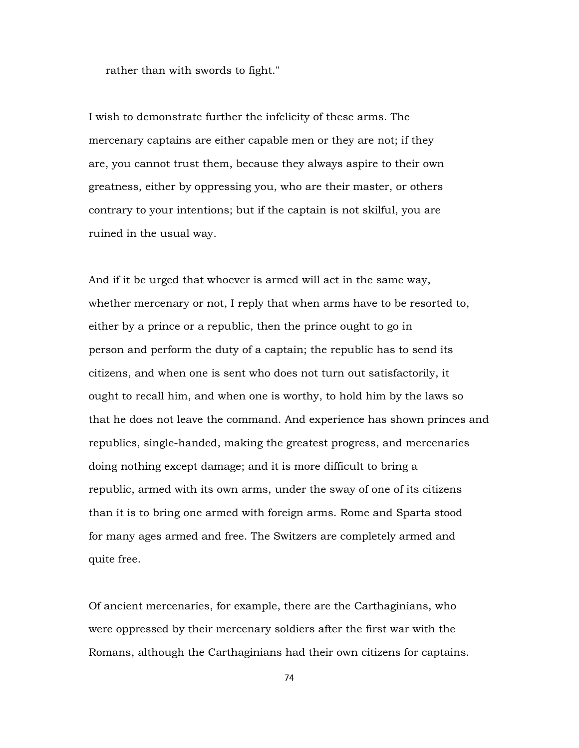rather than with swords to fight."

I wish to demonstrate further the infelicity of these arms. The mercenary captains are either capable men or they are not; if they are, you cannot trust them, because they always aspire to their own greatness, either by oppressing you, who are their master, or others contrary to your intentions; but if the captain is not skilful, you are ruined in the usual way.

And if it be urged that whoever is armed will act in the same way, whether mercenary or not, I reply that when arms have to be resorted to, either by a prince or a republic, then the prince ought to go in person and perform the duty of a captain; the republic has to send its citizens, and when one is sent who does not turn out satisfactorily, it ought to recall him, and when one is worthy, to hold him by the laws so that he does not leave the command. And experience has shown princes and republics, single-handed, making the greatest progress, and mercenaries doing nothing except damage; and it is more difficult to bring a republic, armed with its own arms, under the sway of one of its citizens than it is to bring one armed with foreign arms. Rome and Sparta stood for many ages armed and free. The Switzers are completely armed and quite free.

Of ancient mercenaries, for example, there are the Carthaginians, who were oppressed by their mercenary soldiers after the first war with the Romans, although the Carthaginians had their own citizens for captains.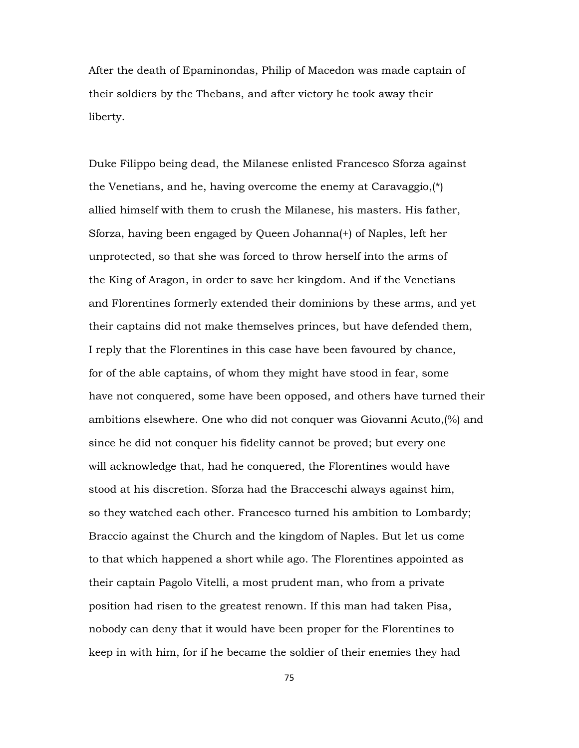After the death of Epaminondas, Philip of Macedon was made captain of their soldiers by the Thebans, and after victory he took away their liberty.

Duke Filippo being dead, the Milanese enlisted Francesco Sforza against the Venetians, and he, having overcome the enemy at Caravaggio,(\*) allied himself with them to crush the Milanese, his masters. His father, Sforza, having been engaged by Queen Johanna(+) of Naples, left her unprotected, so that she was forced to throw herself into the arms of the King of Aragon, in order to save her kingdom. And if the Venetians and Florentines formerly extended their dominions by these arms, and yet their captains did not make themselves princes, but have defended them, I reply that the Florentines in this case have been favoured by chance, for of the able captains, of whom they might have stood in fear, some have not conquered, some have been opposed, and others have turned their ambitions elsewhere. One who did not conquer was Giovanni Acuto,(%) and since he did not conquer his fidelity cannot be proved; but every one will acknowledge that, had he conquered, the Florentines would have stood at his discretion. Sforza had the Bracceschi always against him, so they watched each other. Francesco turned his ambition to Lombardy; Braccio against the Church and the kingdom of Naples. But let us come to that which happened a short while ago. The Florentines appointed as their captain Pagolo Vitelli, a most prudent man, who from a private position had risen to the greatest renown. If this man had taken Pisa, nobody can deny that it would have been proper for the Florentines to keep in with him, for if he became the soldier of their enemies they had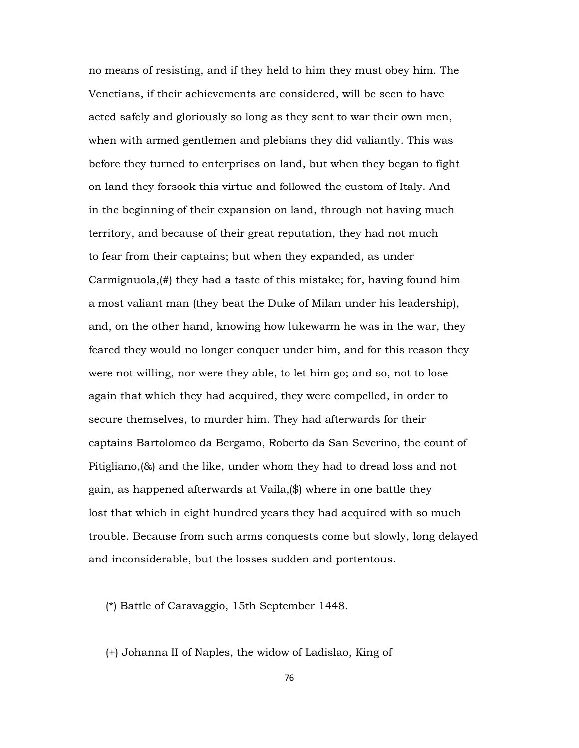no means of resisting, and if they held to him they must obey him. The Venetians, if their achievements are considered, will be seen to have acted safely and gloriously so long as they sent to war their own men, when with armed gentlemen and plebians they did valiantly. This was before they turned to enterprises on land, but when they began to fight on land they forsook this virtue and followed the custom of Italy. And in the beginning of their expansion on land, through not having much territory, and because of their great reputation, they had not much to fear from their captains; but when they expanded, as under Carmignuola,(#) they had a taste of this mistake; for, having found him a most valiant man (they beat the Duke of Milan under his leadership), and, on the other hand, knowing how lukewarm he was in the war, they feared they would no longer conquer under him, and for this reason they were not willing, nor were they able, to let him go; and so, not to lose again that which they had acquired, they were compelled, in order to secure themselves, to murder him. They had afterwards for their captains Bartolomeo da Bergamo, Roberto da San Severino, the count of Pitigliano,(&) and the like, under whom they had to dread loss and not gain, as happened afterwards at Vaila,(\$) where in one battle they lost that which in eight hundred years they had acquired with so much trouble. Because from such arms conquests come but slowly, long delayed and inconsiderable, but the losses sudden and portentous.

(\*) Battle of Caravaggio, 15th September 1448.

(+) Johanna II of Naples, the widow of Ladislao, King of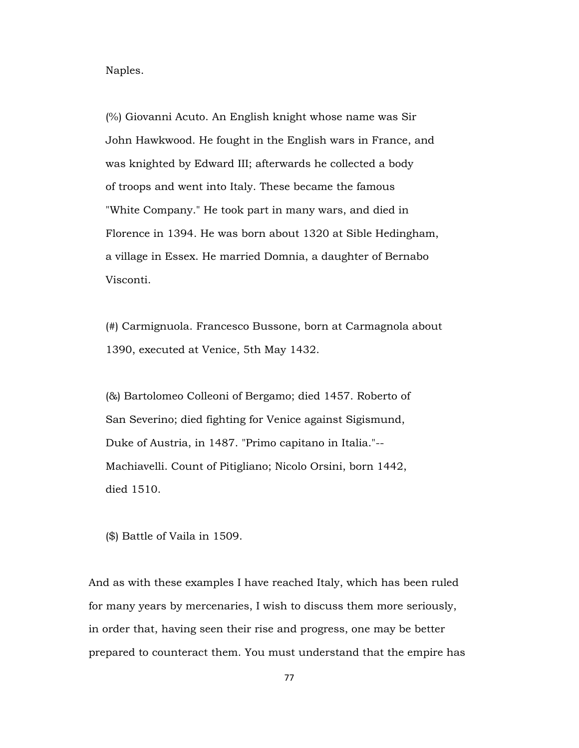Naples.

 (%) Giovanni Acuto. An English knight whose name was Sir John Hawkwood. He fought in the English wars in France, and was knighted by Edward III; afterwards he collected a body of troops and went into Italy. These became the famous "White Company." He took part in many wars, and died in Florence in 1394. He was born about 1320 at Sible Hedingham, a village in Essex. He married Domnia, a daughter of Bernabo Visconti.

 (#) Carmignuola. Francesco Bussone, born at Carmagnola about 1390, executed at Venice, 5th May 1432.

 (&) Bartolomeo Colleoni of Bergamo; died 1457. Roberto of San Severino; died fighting for Venice against Sigismund, Duke of Austria, in 1487. "Primo capitano in Italia."-- Machiavelli. Count of Pitigliano; Nicolo Orsini, born 1442, died 1510.

(\$) Battle of Vaila in 1509.

And as with these examples I have reached Italy, which has been ruled for many years by mercenaries, I wish to discuss them more seriously, in order that, having seen their rise and progress, one may be better prepared to counteract them. You must understand that the empire has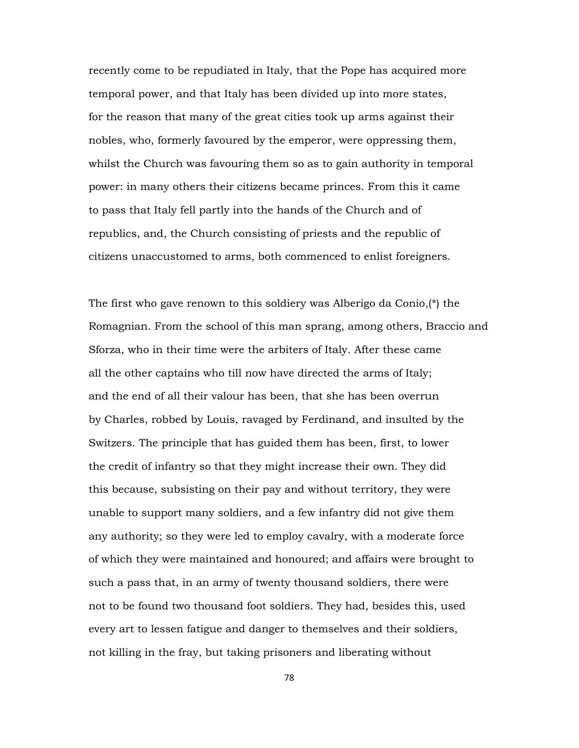recently come to be repudiated in Italy, that the Pope has acquired more temporal power, and that Italy has been divided up into more states, for the reason that many of the great cities took up arms against their nobles, who, formerly favoured by the emperor, were oppressing them, whilst the Church was favouring them so as to gain authority in temporal power: in many others their citizens became princes. From this it came to pass that Italy fell partly into the hands of the Church and of republics, and, the Church consisting of priests and the republic of citizens unaccustomed to arms, both commenced to enlist foreigners.

The first who gave renown to this soldiery was Alberigo da Conio,(\*) the Romagnian. From the school of this man sprang, among others, Braccio and Sforza, who in their time were the arbiters of Italy. After these came all the other captains who till now have directed the arms of Italy; and the end of all their valour has been, that she has been overrun by Charles, robbed by Louis, ravaged by Ferdinand, and insulted by the Switzers. The principle that has guided them has been, first, to lower the credit of infantry so that they might increase their own. They did this because, subsisting on their pay and without territory, they were unable to support many soldiers, and a few infantry did not give them any authority; so they were led to employ cavalry, with a moderate force of which they were maintained and honoured; and affairs were brought to such a pass that, in an army of twenty thousand soldiers, there were not to be found two thousand foot soldiers. They had, besides this, used every art to lessen fatigue and danger to themselves and their soldiers, not killing in the fray, but taking prisoners and liberating without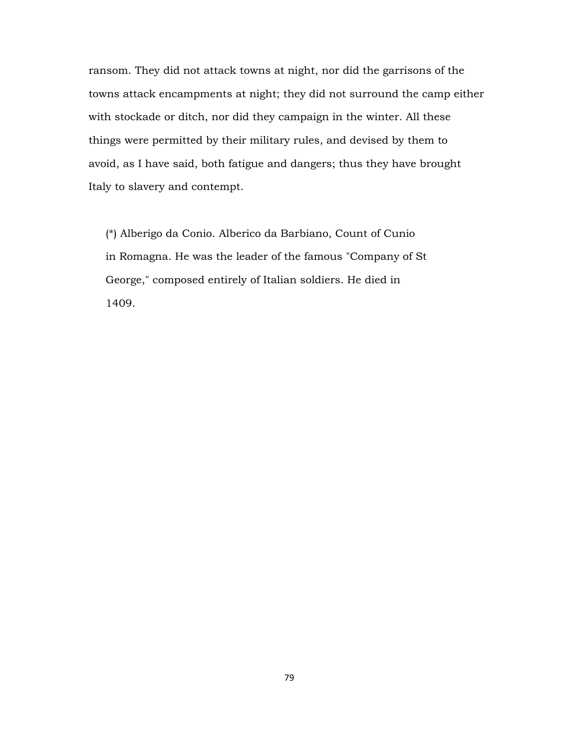ransom. They did not attack towns at night, nor did the garrisons of the towns attack encampments at night; they did not surround the camp either with stockade or ditch, nor did they campaign in the winter. All these things were permitted by their military rules, and devised by them to avoid, as I have said, both fatigue and dangers; thus they have brought Italy to slavery and contempt.

 (\*) Alberigo da Conio. Alberico da Barbiano, Count of Cunio in Romagna. He was the leader of the famous "Company of St George," composed entirely of Italian soldiers. He died in 1409.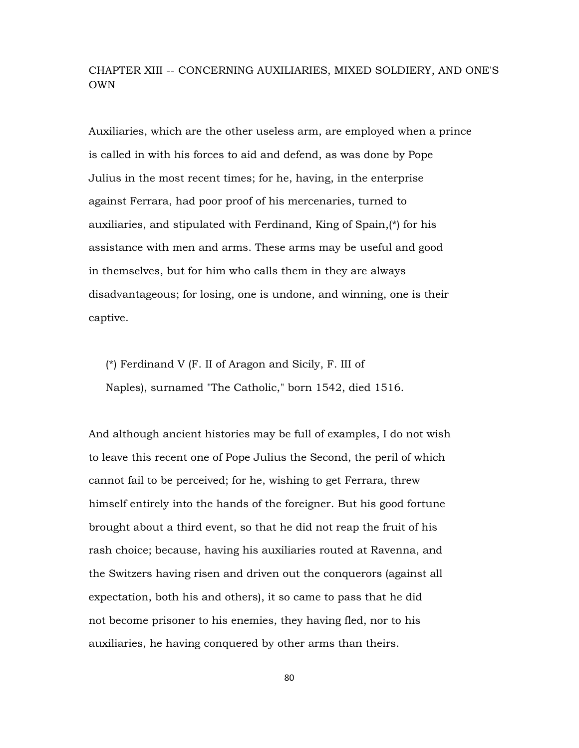# CHAPTER XIII -- CONCERNING AUXILIARIES, MIXED SOLDIERY, AND ONE'S OWN

Auxiliaries, which are the other useless arm, are employed when a prince is called in with his forces to aid and defend, as was done by Pope Julius in the most recent times; for he, having, in the enterprise against Ferrara, had poor proof of his mercenaries, turned to auxiliaries, and stipulated with Ferdinand, King of Spain,(\*) for his assistance with men and arms. These arms may be useful and good in themselves, but for him who calls them in they are always disadvantageous; for losing, one is undone, and winning, one is their captive.

 (\*) Ferdinand V (F. II of Aragon and Sicily, F. III of Naples), surnamed "The Catholic," born 1542, died 1516.

And although ancient histories may be full of examples, I do not wish to leave this recent one of Pope Julius the Second, the peril of which cannot fail to be perceived; for he, wishing to get Ferrara, threw himself entirely into the hands of the foreigner. But his good fortune brought about a third event, so that he did not reap the fruit of his rash choice; because, having his auxiliaries routed at Ravenna, and the Switzers having risen and driven out the conquerors (against all expectation, both his and others), it so came to pass that he did not become prisoner to his enemies, they having fled, nor to his auxiliaries, he having conquered by other arms than theirs.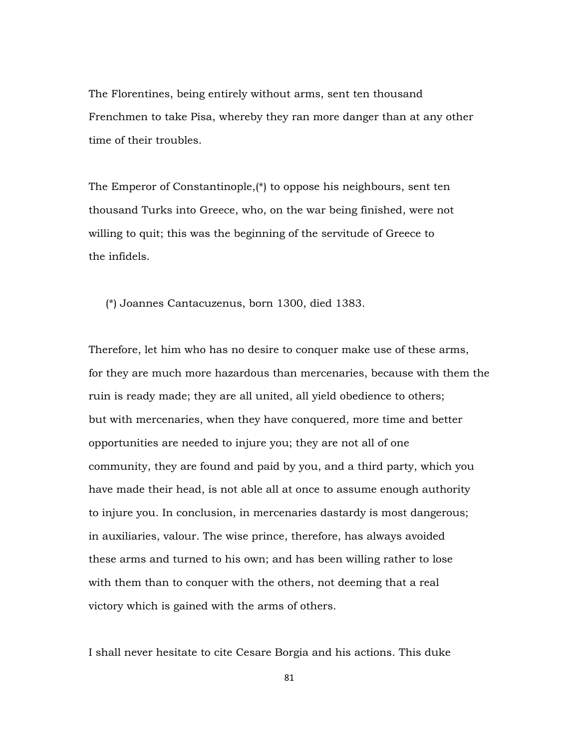The Florentines, being entirely without arms, sent ten thousand Frenchmen to take Pisa, whereby they ran more danger than at any other time of their troubles.

The Emperor of Constantinople,(\*) to oppose his neighbours, sent ten thousand Turks into Greece, who, on the war being finished, were not willing to quit; this was the beginning of the servitude of Greece to the infidels.

(\*) Joannes Cantacuzenus, born 1300, died 1383.

Therefore, let him who has no desire to conquer make use of these arms, for they are much more hazardous than mercenaries, because with them the ruin is ready made; they are all united, all yield obedience to others; but with mercenaries, when they have conquered, more time and better opportunities are needed to injure you; they are not all of one community, they are found and paid by you, and a third party, which you have made their head, is not able all at once to assume enough authority to injure you. In conclusion, in mercenaries dastardy is most dangerous; in auxiliaries, valour. The wise prince, therefore, has always avoided these arms and turned to his own; and has been willing rather to lose with them than to conquer with the others, not deeming that a real victory which is gained with the arms of others.

I shall never hesitate to cite Cesare Borgia and his actions. This duke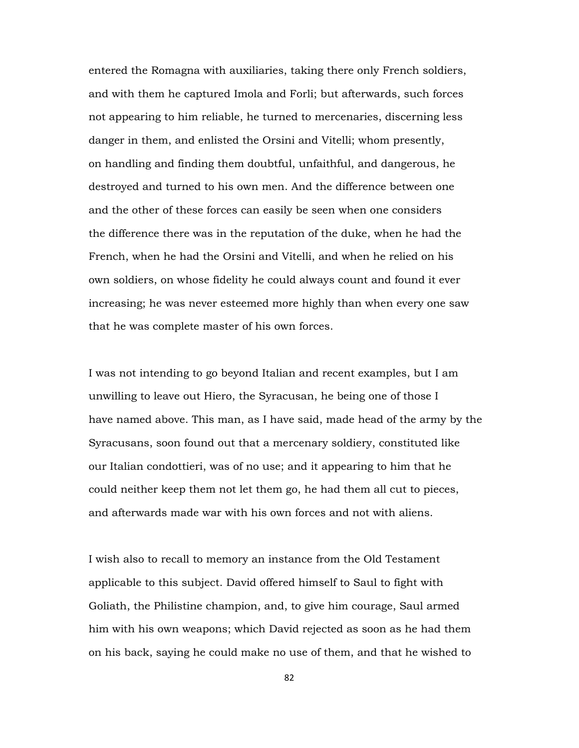entered the Romagna with auxiliaries, taking there only French soldiers, and with them he captured Imola and Forli; but afterwards, such forces not appearing to him reliable, he turned to mercenaries, discerning less danger in them, and enlisted the Orsini and Vitelli; whom presently, on handling and finding them doubtful, unfaithful, and dangerous, he destroyed and turned to his own men. And the difference between one and the other of these forces can easily be seen when one considers the difference there was in the reputation of the duke, when he had the French, when he had the Orsini and Vitelli, and when he relied on his own soldiers, on whose fidelity he could always count and found it ever increasing; he was never esteemed more highly than when every one saw that he was complete master of his own forces.

I was not intending to go beyond Italian and recent examples, but I am unwilling to leave out Hiero, the Syracusan, he being one of those I have named above. This man, as I have said, made head of the army by the Syracusans, soon found out that a mercenary soldiery, constituted like our Italian condottieri, was of no use; and it appearing to him that he could neither keep them not let them go, he had them all cut to pieces, and afterwards made war with his own forces and not with aliens.

I wish also to recall to memory an instance from the Old Testament applicable to this subject. David offered himself to Saul to fight with Goliath, the Philistine champion, and, to give him courage, Saul armed him with his own weapons; which David rejected as soon as he had them on his back, saying he could make no use of them, and that he wished to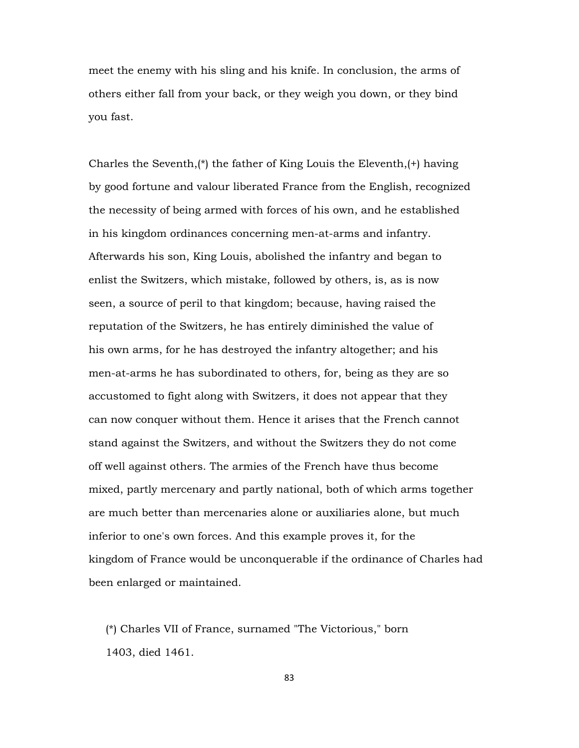meet the enemy with his sling and his knife. In conclusion, the arms of others either fall from your back, or they weigh you down, or they bind you fast.

Charles the Seventh, $(*)$  the father of King Louis the Eleventh, $(*)$  having by good fortune and valour liberated France from the English, recognized the necessity of being armed with forces of his own, and he established in his kingdom ordinances concerning men-at-arms and infantry. Afterwards his son, King Louis, abolished the infantry and began to enlist the Switzers, which mistake, followed by others, is, as is now seen, a source of peril to that kingdom; because, having raised the reputation of the Switzers, he has entirely diminished the value of his own arms, for he has destroyed the infantry altogether; and his men-at-arms he has subordinated to others, for, being as they are so accustomed to fight along with Switzers, it does not appear that they can now conquer without them. Hence it arises that the French cannot stand against the Switzers, and without the Switzers they do not come off well against others. The armies of the French have thus become mixed, partly mercenary and partly national, both of which arms together are much better than mercenaries alone or auxiliaries alone, but much inferior to one's own forces. And this example proves it, for the kingdom of France would be unconquerable if the ordinance of Charles had been enlarged or maintained.

 (\*) Charles VII of France, surnamed "The Victorious," born 1403, died 1461.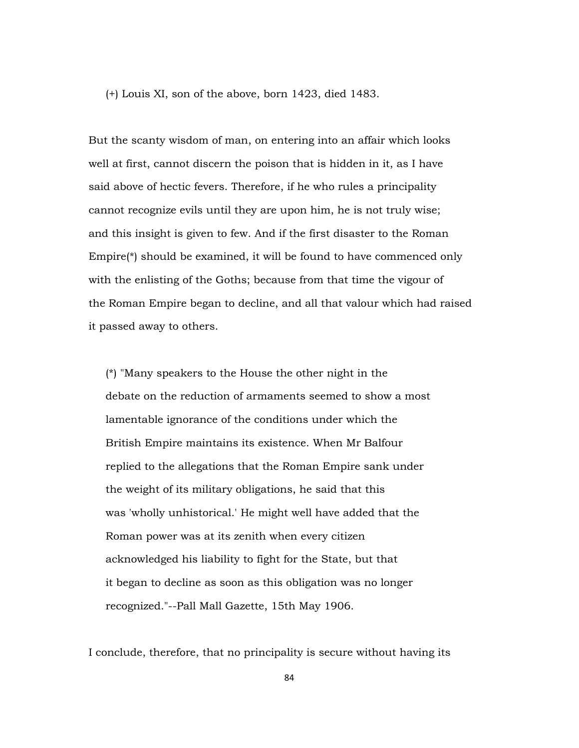(+) Louis XI, son of the above, born 1423, died 1483.

But the scanty wisdom of man, on entering into an affair which looks well at first, cannot discern the poison that is hidden in it, as I have said above of hectic fevers. Therefore, if he who rules a principality cannot recognize evils until they are upon him, he is not truly wise; and this insight is given to few. And if the first disaster to the Roman Empire(\*) should be examined, it will be found to have commenced only with the enlisting of the Goths; because from that time the vigour of the Roman Empire began to decline, and all that valour which had raised it passed away to others.

 (\*) "Many speakers to the House the other night in the debate on the reduction of armaments seemed to show a most lamentable ignorance of the conditions under which the British Empire maintains its existence. When Mr Balfour replied to the allegations that the Roman Empire sank under the weight of its military obligations, he said that this was 'wholly unhistorical.' He might well have added that the Roman power was at its zenith when every citizen acknowledged his liability to fight for the State, but that it began to decline as soon as this obligation was no longer recognized."--Pall Mall Gazette, 15th May 1906.

I conclude, therefore, that no principality is secure without having its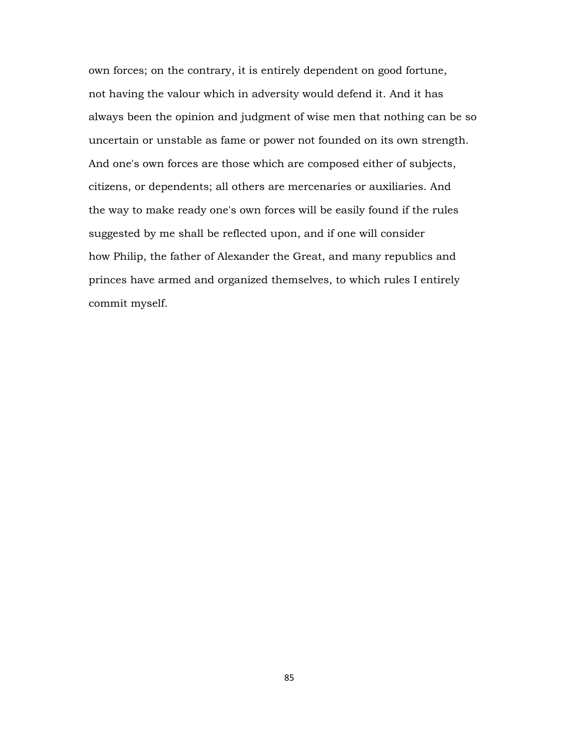own forces; on the contrary, it is entirely dependent on good fortune, not having the valour which in adversity would defend it. And it has always been the opinion and judgment of wise men that nothing can be so uncertain or unstable as fame or power not founded on its own strength. And one's own forces are those which are composed either of subjects, citizens, or dependents; all others are mercenaries or auxiliaries. And the way to make ready one's own forces will be easily found if the rules suggested by me shall be reflected upon, and if one will consider how Philip, the father of Alexander the Great, and many republics and princes have armed and organized themselves, to which rules I entirely commit myself.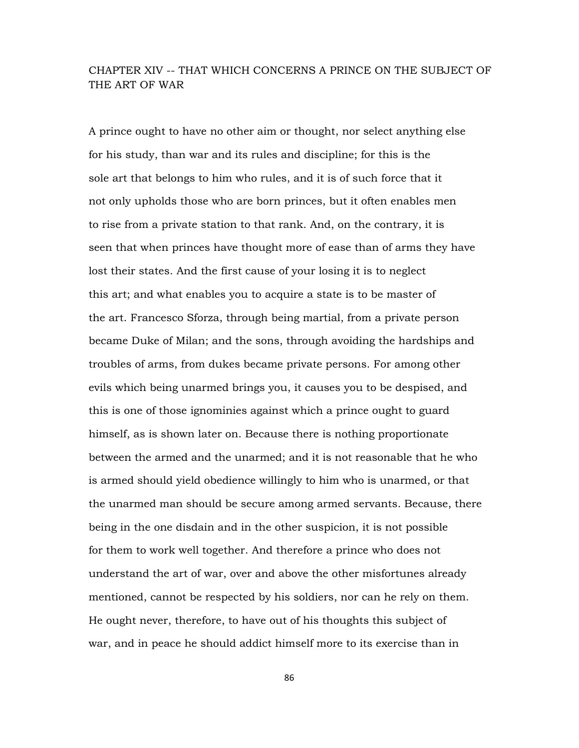# CHAPTER XIV -- THAT WHICH CONCERNS A PRINCE ON THE SUBJECT OF THE ART OF WAR

A prince ought to have no other aim or thought, nor select anything else for his study, than war and its rules and discipline; for this is the sole art that belongs to him who rules, and it is of such force that it not only upholds those who are born princes, but it often enables men to rise from a private station to that rank. And, on the contrary, it is seen that when princes have thought more of ease than of arms they have lost their states. And the first cause of your losing it is to neglect this art; and what enables you to acquire a state is to be master of the art. Francesco Sforza, through being martial, from a private person became Duke of Milan; and the sons, through avoiding the hardships and troubles of arms, from dukes became private persons. For among other evils which being unarmed brings you, it causes you to be despised, and this is one of those ignominies against which a prince ought to guard himself, as is shown later on. Because there is nothing proportionate between the armed and the unarmed; and it is not reasonable that he who is armed should yield obedience willingly to him who is unarmed, or that the unarmed man should be secure among armed servants. Because, there being in the one disdain and in the other suspicion, it is not possible for them to work well together. And therefore a prince who does not understand the art of war, over and above the other misfortunes already mentioned, cannot be respected by his soldiers, nor can he rely on them. He ought never, therefore, to have out of his thoughts this subject of war, and in peace he should addict himself more to its exercise than in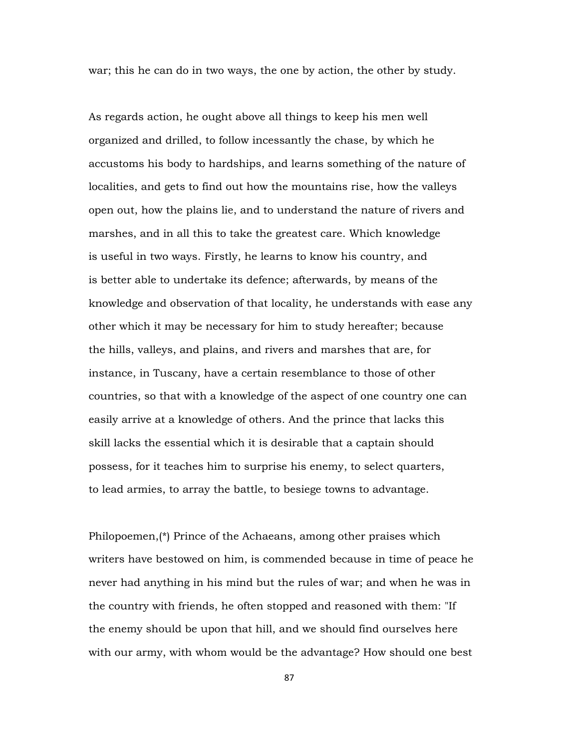war; this he can do in two ways, the one by action, the other by study.

As regards action, he ought above all things to keep his men well organized and drilled, to follow incessantly the chase, by which he accustoms his body to hardships, and learns something of the nature of localities, and gets to find out how the mountains rise, how the valleys open out, how the plains lie, and to understand the nature of rivers and marshes, and in all this to take the greatest care. Which knowledge is useful in two ways. Firstly, he learns to know his country, and is better able to undertake its defence; afterwards, by means of the knowledge and observation of that locality, he understands with ease any other which it may be necessary for him to study hereafter; because the hills, valleys, and plains, and rivers and marshes that are, for instance, in Tuscany, have a certain resemblance to those of other countries, so that with a knowledge of the aspect of one country one can easily arrive at a knowledge of others. And the prince that lacks this skill lacks the essential which it is desirable that a captain should possess, for it teaches him to surprise his enemy, to select quarters, to lead armies, to array the battle, to besiege towns to advantage.

Philopoemen,(\*) Prince of the Achaeans, among other praises which writers have bestowed on him, is commended because in time of peace he never had anything in his mind but the rules of war; and when he was in the country with friends, he often stopped and reasoned with them: "If the enemy should be upon that hill, and we should find ourselves here with our army, with whom would be the advantage? How should one best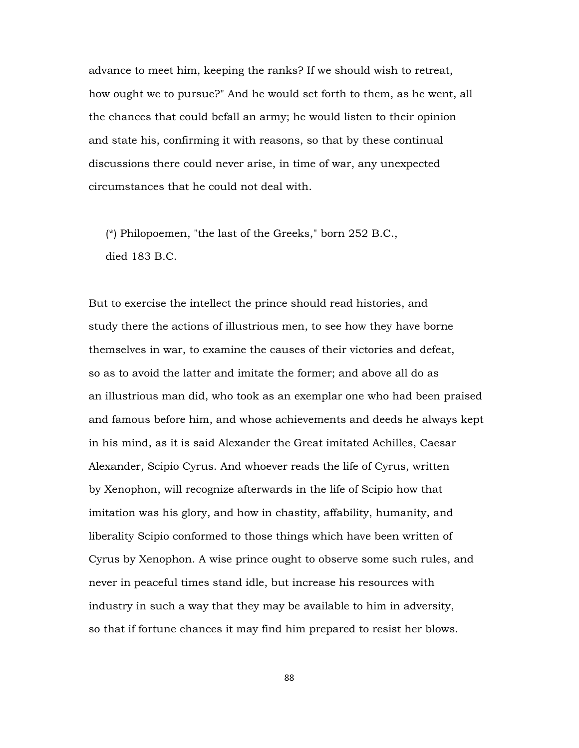advance to meet him, keeping the ranks? If we should wish to retreat, how ought we to pursue?" And he would set forth to them, as he went, all the chances that could befall an army; he would listen to their opinion and state his, confirming it with reasons, so that by these continual discussions there could never arise, in time of war, any unexpected circumstances that he could not deal with.

 (\*) Philopoemen, "the last of the Greeks," born 252 B.C., died 183 B.C.

But to exercise the intellect the prince should read histories, and study there the actions of illustrious men, to see how they have borne themselves in war, to examine the causes of their victories and defeat, so as to avoid the latter and imitate the former; and above all do as an illustrious man did, who took as an exemplar one who had been praised and famous before him, and whose achievements and deeds he always kept in his mind, as it is said Alexander the Great imitated Achilles, Caesar Alexander, Scipio Cyrus. And whoever reads the life of Cyrus, written by Xenophon, will recognize afterwards in the life of Scipio how that imitation was his glory, and how in chastity, affability, humanity, and liberality Scipio conformed to those things which have been written of Cyrus by Xenophon. A wise prince ought to observe some such rules, and never in peaceful times stand idle, but increase his resources with industry in such a way that they may be available to him in adversity, so that if fortune chances it may find him prepared to resist her blows.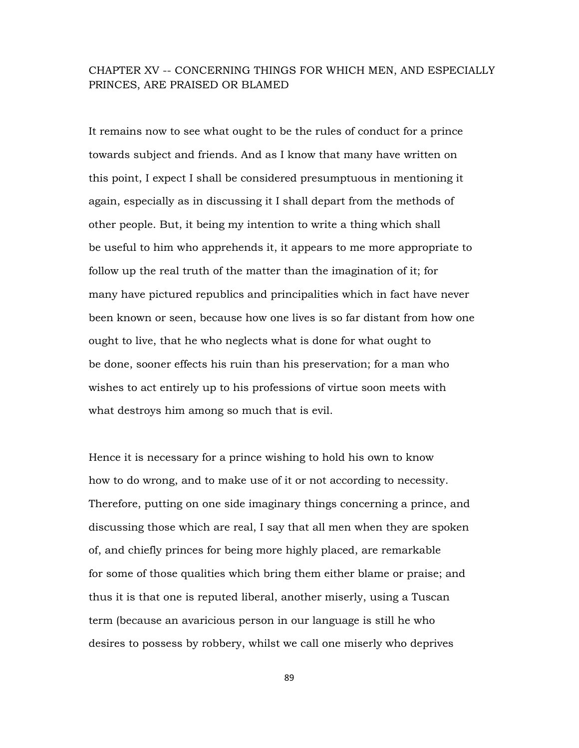# CHAPTER XV -- CONCERNING THINGS FOR WHICH MEN, AND ESPECIALLY PRINCES, ARE PRAISED OR BLAMED

It remains now to see what ought to be the rules of conduct for a prince towards subject and friends. And as I know that many have written on this point, I expect I shall be considered presumptuous in mentioning it again, especially as in discussing it I shall depart from the methods of other people. But, it being my intention to write a thing which shall be useful to him who apprehends it, it appears to me more appropriate to follow up the real truth of the matter than the imagination of it; for many have pictured republics and principalities which in fact have never been known or seen, because how one lives is so far distant from how one ought to live, that he who neglects what is done for what ought to be done, sooner effects his ruin than his preservation; for a man who wishes to act entirely up to his professions of virtue soon meets with what destroys him among so much that is evil.

Hence it is necessary for a prince wishing to hold his own to know how to do wrong, and to make use of it or not according to necessity. Therefore, putting on one side imaginary things concerning a prince, and discussing those which are real, I say that all men when they are spoken of, and chiefly princes for being more highly placed, are remarkable for some of those qualities which bring them either blame or praise; and thus it is that one is reputed liberal, another miserly, using a Tuscan term (because an avaricious person in our language is still he who desires to possess by robbery, whilst we call one miserly who deprives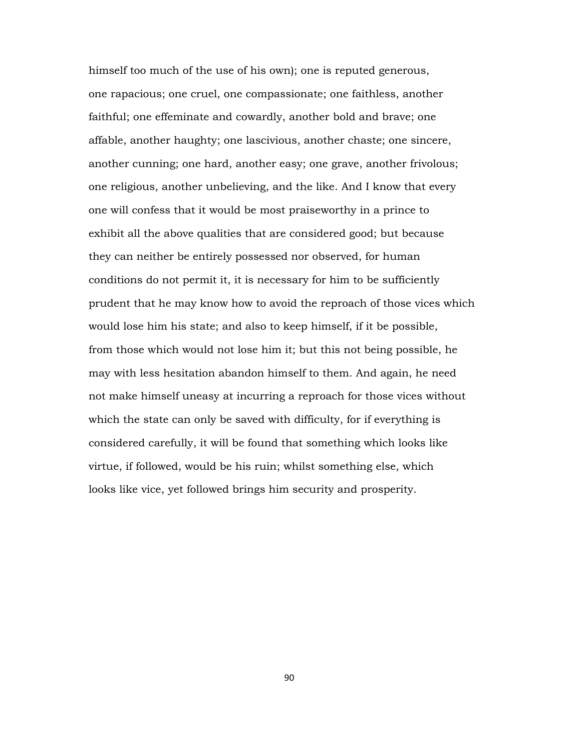himself too much of the use of his own); one is reputed generous, one rapacious; one cruel, one compassionate; one faithless, another faithful; one effeminate and cowardly, another bold and brave; one affable, another haughty; one lascivious, another chaste; one sincere, another cunning; one hard, another easy; one grave, another frivolous; one religious, another unbelieving, and the like. And I know that every one will confess that it would be most praiseworthy in a prince to exhibit all the above qualities that are considered good; but because they can neither be entirely possessed nor observed, for human conditions do not permit it, it is necessary for him to be sufficiently prudent that he may know how to avoid the reproach of those vices which would lose him his state; and also to keep himself, if it be possible, from those which would not lose him it; but this not being possible, he may with less hesitation abandon himself to them. And again, he need not make himself uneasy at incurring a reproach for those vices without which the state can only be saved with difficulty, for if everything is considered carefully, it will be found that something which looks like virtue, if followed, would be his ruin; whilst something else, which looks like vice, yet followed brings him security and prosperity.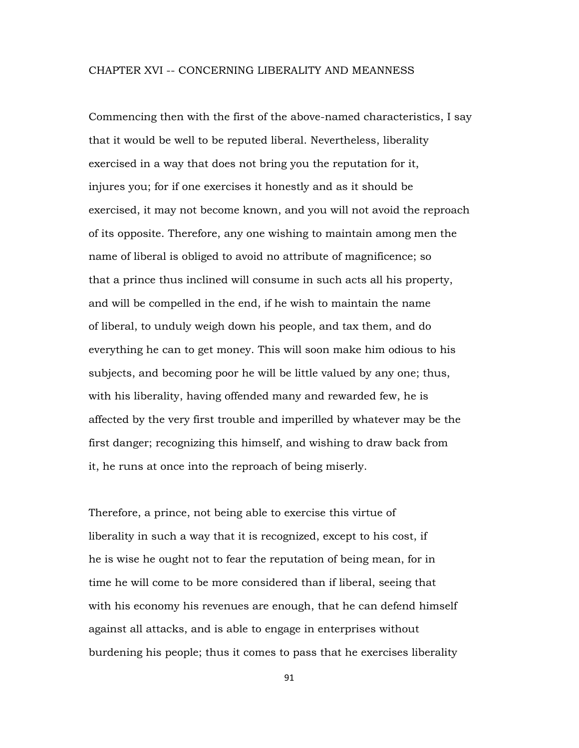#### CHAPTER XVI -- CONCERNING LIBERALITY AND MEANNESS

Commencing then with the first of the above-named characteristics, I say that it would be well to be reputed liberal. Nevertheless, liberality exercised in a way that does not bring you the reputation for it, injures you; for if one exercises it honestly and as it should be exercised, it may not become known, and you will not avoid the reproach of its opposite. Therefore, any one wishing to maintain among men the name of liberal is obliged to avoid no attribute of magnificence; so that a prince thus inclined will consume in such acts all his property, and will be compelled in the end, if he wish to maintain the name of liberal, to unduly weigh down his people, and tax them, and do everything he can to get money. This will soon make him odious to his subjects, and becoming poor he will be little valued by any one; thus, with his liberality, having offended many and rewarded few, he is affected by the very first trouble and imperilled by whatever may be the first danger; recognizing this himself, and wishing to draw back from it, he runs at once into the reproach of being miserly.

Therefore, a prince, not being able to exercise this virtue of liberality in such a way that it is recognized, except to his cost, if he is wise he ought not to fear the reputation of being mean, for in time he will come to be more considered than if liberal, seeing that with his economy his revenues are enough, that he can defend himself against all attacks, and is able to engage in enterprises without burdening his people; thus it comes to pass that he exercises liberality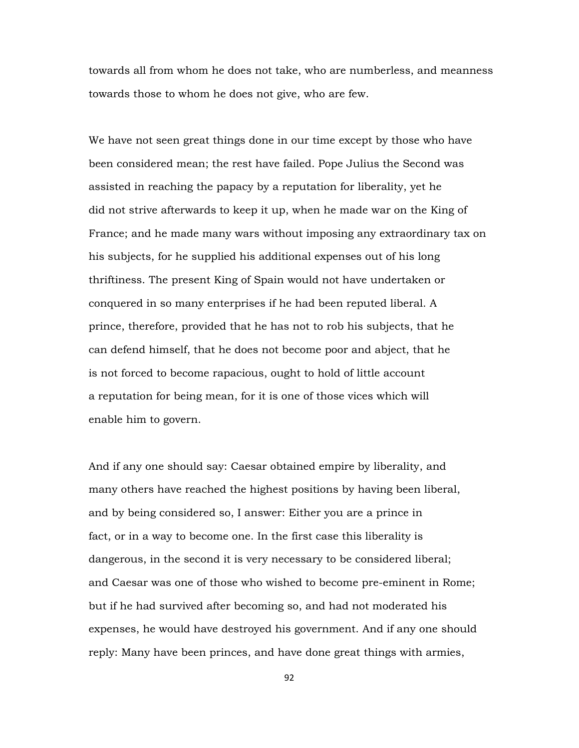towards all from whom he does not take, who are numberless, and meanness towards those to whom he does not give, who are few.

We have not seen great things done in our time except by those who have been considered mean; the rest have failed. Pope Julius the Second was assisted in reaching the papacy by a reputation for liberality, yet he did not strive afterwards to keep it up, when he made war on the King of France; and he made many wars without imposing any extraordinary tax on his subjects, for he supplied his additional expenses out of his long thriftiness. The present King of Spain would not have undertaken or conquered in so many enterprises if he had been reputed liberal. A prince, therefore, provided that he has not to rob his subjects, that he can defend himself, that he does not become poor and abject, that he is not forced to become rapacious, ought to hold of little account a reputation for being mean, for it is one of those vices which will enable him to govern.

And if any one should say: Caesar obtained empire by liberality, and many others have reached the highest positions by having been liberal, and by being considered so, I answer: Either you are a prince in fact, or in a way to become one. In the first case this liberality is dangerous, in the second it is very necessary to be considered liberal; and Caesar was one of those who wished to become pre-eminent in Rome; but if he had survived after becoming so, and had not moderated his expenses, he would have destroyed his government. And if any one should reply: Many have been princes, and have done great things with armies,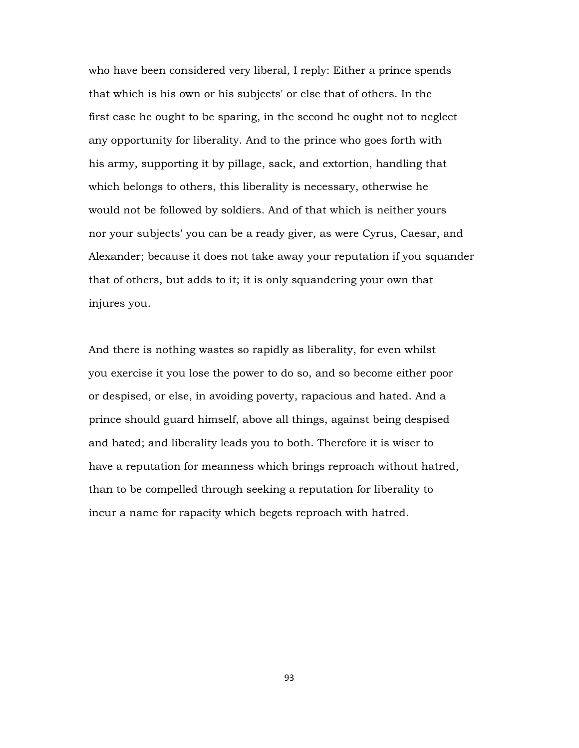who have been considered very liberal, I reply: Either a prince spends that which is his own or his subjects' or else that of others. In the first case he ought to be sparing, in the second he ought not to neglect any opportunity for liberality. And to the prince who goes forth with his army, supporting it by pillage, sack, and extortion, handling that which belongs to others, this liberality is necessary, otherwise he would not be followed by soldiers. And of that which is neither yours nor your subjects' you can be a ready giver, as were Cyrus, Caesar, and Alexander; because it does not take away your reputation if you squander that of others, but adds to it; it is only squandering your own that injures you.

And there is nothing wastes so rapidly as liberality, for even whilst you exercise it you lose the power to do so, and so become either poor or despised, or else, in avoiding poverty, rapacious and hated. And a prince should guard himself, above all things, against being despised and hated; and liberality leads you to both. Therefore it is wiser to have a reputation for meanness which brings reproach without hatred, than to be compelled through seeking a reputation for liberality to incur a name for rapacity which begets reproach with hatred.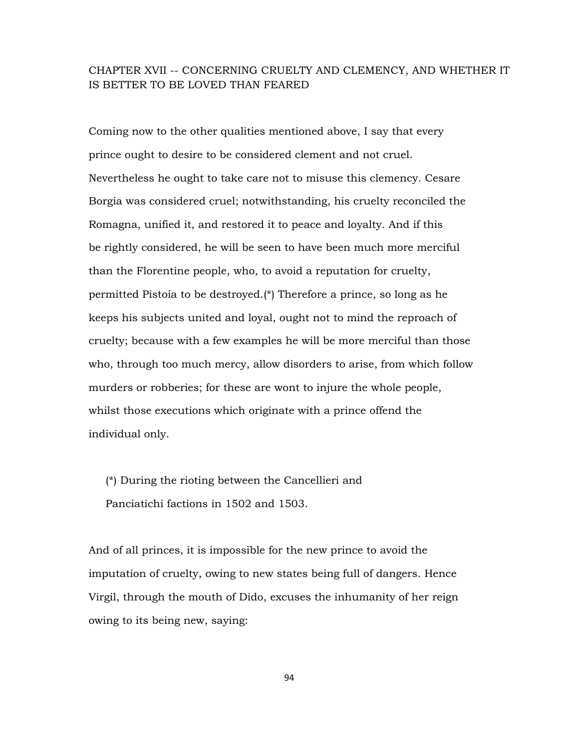# CHAPTER XVII -- CONCERNING CRUELTY AND CLEMENCY, AND WHETHER IT IS BETTER TO BE LOVED THAN FEARED

Coming now to the other qualities mentioned above, I say that every prince ought to desire to be considered clement and not cruel. Nevertheless he ought to take care not to misuse this clemency. Cesare Borgia was considered cruel; notwithstanding, his cruelty reconciled the Romagna, unified it, and restored it to peace and loyalty. And if this be rightly considered, he will be seen to have been much more merciful than the Florentine people, who, to avoid a reputation for cruelty, permitted Pistoia to be destroyed.(\*) Therefore a prince, so long as he keeps his subjects united and loyal, ought not to mind the reproach of cruelty; because with a few examples he will be more merciful than those who, through too much mercy, allow disorders to arise, from which follow murders or robberies; for these are wont to injure the whole people, whilst those executions which originate with a prince offend the individual only.

 (\*) During the rioting between the Cancellieri and Panciatichi factions in 1502 and 1503.

And of all princes, it is impossible for the new prince to avoid the imputation of cruelty, owing to new states being full of dangers. Hence Virgil, through the mouth of Dido, excuses the inhumanity of her reign owing to its being new, saying: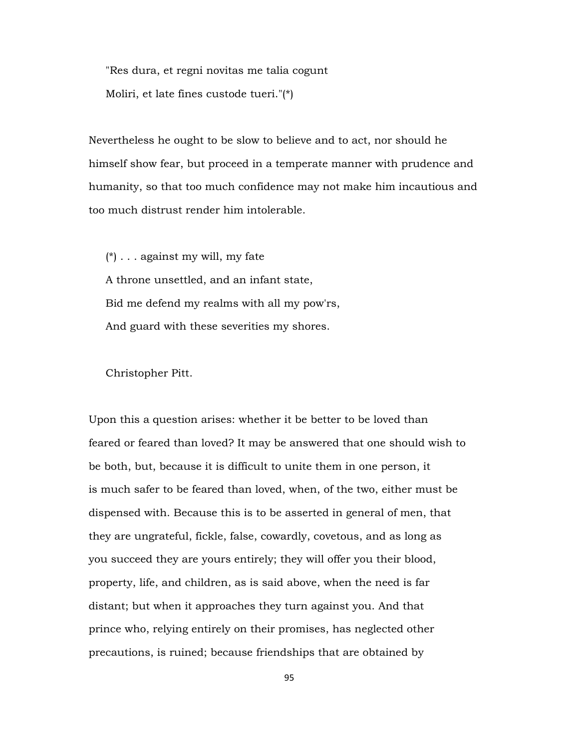"Res dura, et regni novitas me talia cogunt Moliri, et late fines custode tueri."(\*)

Nevertheless he ought to be slow to believe and to act, nor should he himself show fear, but proceed in a temperate manner with prudence and humanity, so that too much confidence may not make him incautious and too much distrust render him intolerable.

 $(*)$ ... against my will, my fate A throne unsettled, and an infant state, Bid me defend my realms with all my pow'rs, And guard with these severities my shores.

Christopher Pitt.

Upon this a question arises: whether it be better to be loved than feared or feared than loved? It may be answered that one should wish to be both, but, because it is difficult to unite them in one person, it is much safer to be feared than loved, when, of the two, either must be dispensed with. Because this is to be asserted in general of men, that they are ungrateful, fickle, false, cowardly, covetous, and as long as you succeed they are yours entirely; they will offer you their blood, property, life, and children, as is said above, when the need is far distant; but when it approaches they turn against you. And that prince who, relying entirely on their promises, has neglected other precautions, is ruined; because friendships that are obtained by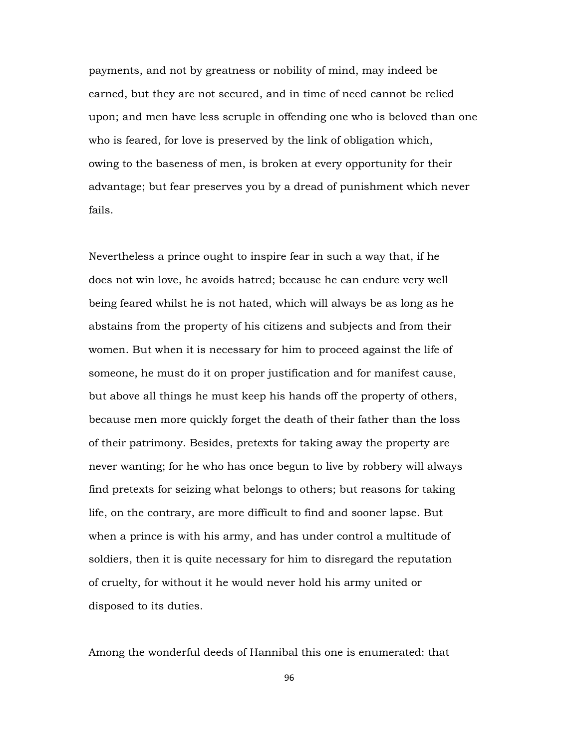payments, and not by greatness or nobility of mind, may indeed be earned, but they are not secured, and in time of need cannot be relied upon; and men have less scruple in offending one who is beloved than one who is feared, for love is preserved by the link of obligation which, owing to the baseness of men, is broken at every opportunity for their advantage; but fear preserves you by a dread of punishment which never fails.

Nevertheless a prince ought to inspire fear in such a way that, if he does not win love, he avoids hatred; because he can endure very well being feared whilst he is not hated, which will always be as long as he abstains from the property of his citizens and subjects and from their women. But when it is necessary for him to proceed against the life of someone, he must do it on proper justification and for manifest cause, but above all things he must keep his hands off the property of others, because men more quickly forget the death of their father than the loss of their patrimony. Besides, pretexts for taking away the property are never wanting; for he who has once begun to live by robbery will always find pretexts for seizing what belongs to others; but reasons for taking life, on the contrary, are more difficult to find and sooner lapse. But when a prince is with his army, and has under control a multitude of soldiers, then it is quite necessary for him to disregard the reputation of cruelty, for without it he would never hold his army united or disposed to its duties.

Among the wonderful deeds of Hannibal this one is enumerated: that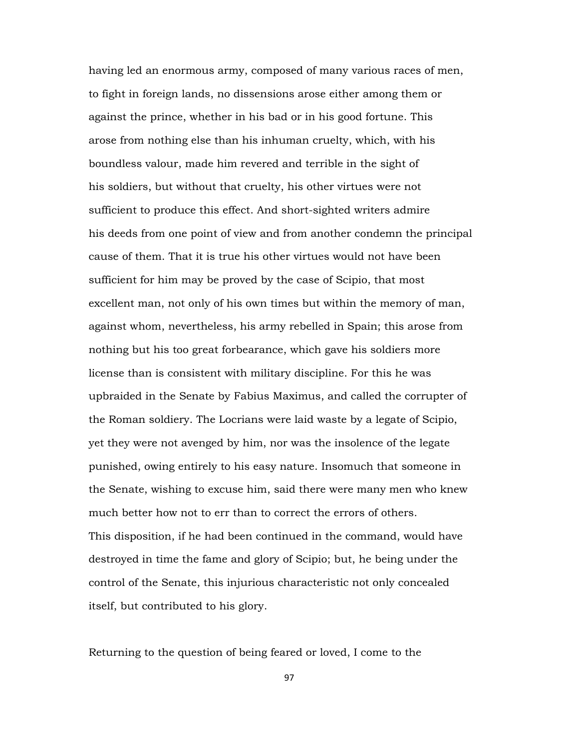having led an enormous army, composed of many various races of men, to fight in foreign lands, no dissensions arose either among them or against the prince, whether in his bad or in his good fortune. This arose from nothing else than his inhuman cruelty, which, with his boundless valour, made him revered and terrible in the sight of his soldiers, but without that cruelty, his other virtues were not sufficient to produce this effect. And short-sighted writers admire his deeds from one point of view and from another condemn the principal cause of them. That it is true his other virtues would not have been sufficient for him may be proved by the case of Scipio, that most excellent man, not only of his own times but within the memory of man, against whom, nevertheless, his army rebelled in Spain; this arose from nothing but his too great forbearance, which gave his soldiers more license than is consistent with military discipline. For this he was upbraided in the Senate by Fabius Maximus, and called the corrupter of the Roman soldiery. The Locrians were laid waste by a legate of Scipio, yet they were not avenged by him, nor was the insolence of the legate punished, owing entirely to his easy nature. Insomuch that someone in the Senate, wishing to excuse him, said there were many men who knew much better how not to err than to correct the errors of others. This disposition, if he had been continued in the command, would have destroyed in time the fame and glory of Scipio; but, he being under the control of the Senate, this injurious characteristic not only concealed itself, but contributed to his glory.

Returning to the question of being feared or loved, I come to the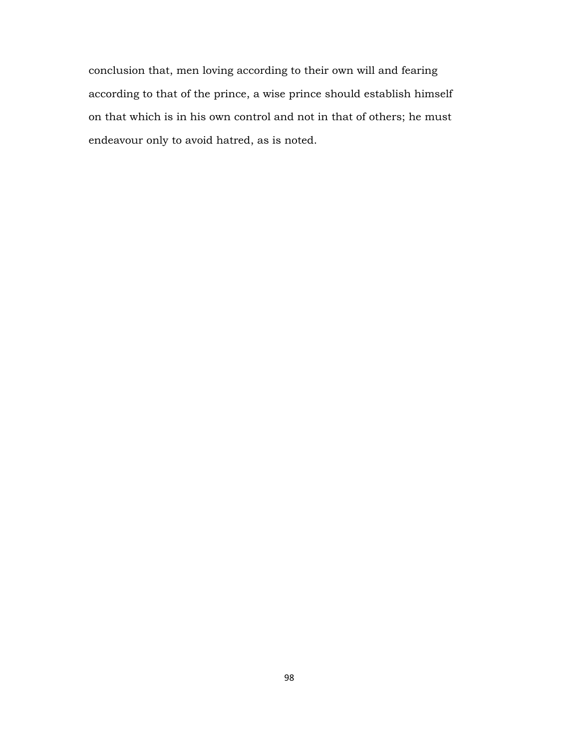conclusion that, men loving according to their own will and fearing according to that of the prince, a wise prince should establish himself on that which is in his own control and not in that of others; he must endeavour only to avoid hatred, as is noted.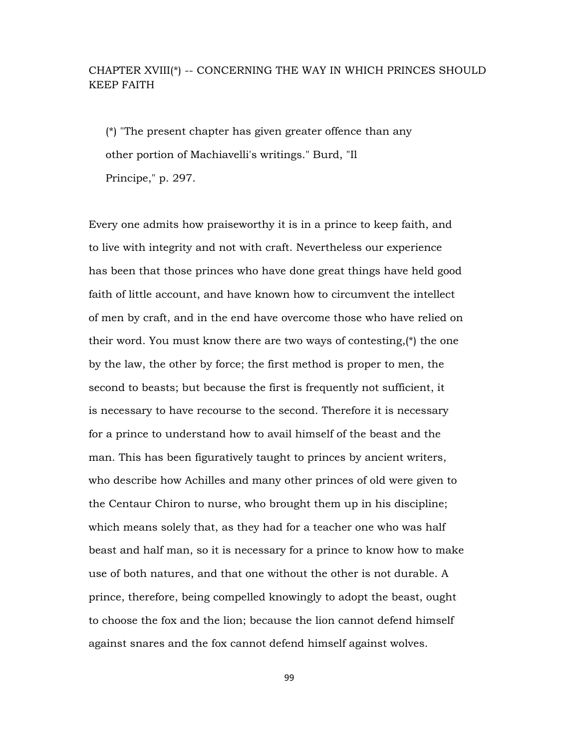# CHAPTER XVIII(\*) -- CONCERNING THE WAY IN WHICH PRINCES SHOULD KEEP FAITH

 (\*) "The present chapter has given greater offence than any other portion of Machiavelli's writings." Burd, "Il Principe," p. 297.

Every one admits how praiseworthy it is in a prince to keep faith, and to live with integrity and not with craft. Nevertheless our experience has been that those princes who have done great things have held good faith of little account, and have known how to circumvent the intellect of men by craft, and in the end have overcome those who have relied on their word. You must know there are two ways of contesting, $(*)$  the one by the law, the other by force; the first method is proper to men, the second to beasts; but because the first is frequently not sufficient, it is necessary to have recourse to the second. Therefore it is necessary for a prince to understand how to avail himself of the beast and the man. This has been figuratively taught to princes by ancient writers, who describe how Achilles and many other princes of old were given to the Centaur Chiron to nurse, who brought them up in his discipline; which means solely that, as they had for a teacher one who was half beast and half man, so it is necessary for a prince to know how to make use of both natures, and that one without the other is not durable. A prince, therefore, being compelled knowingly to adopt the beast, ought to choose the fox and the lion; because the lion cannot defend himself against snares and the fox cannot defend himself against wolves.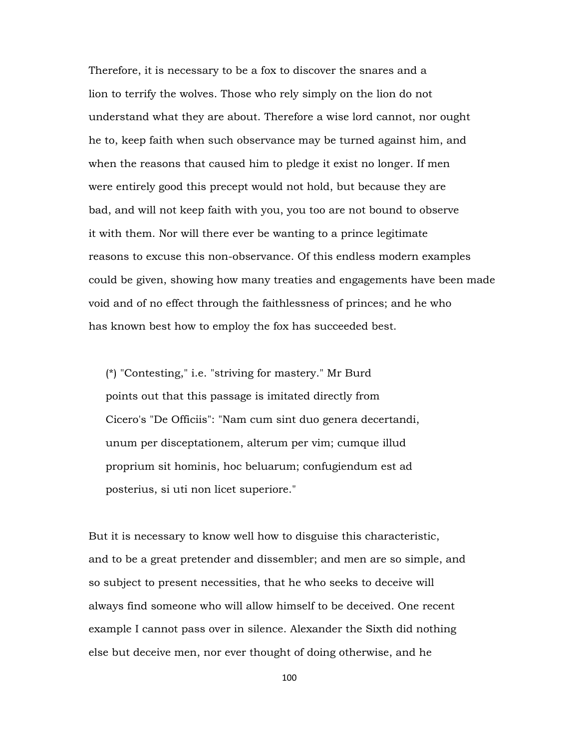Therefore, it is necessary to be a fox to discover the snares and a lion to terrify the wolves. Those who rely simply on the lion do not understand what they are about. Therefore a wise lord cannot, nor ought he to, keep faith when such observance may be turned against him, and when the reasons that caused him to pledge it exist no longer. If men were entirely good this precept would not hold, but because they are bad, and will not keep faith with you, you too are not bound to observe it with them. Nor will there ever be wanting to a prince legitimate reasons to excuse this non-observance. Of this endless modern examples could be given, showing how many treaties and engagements have been made void and of no effect through the faithlessness of princes; and he who has known best how to employ the fox has succeeded best.

 (\*) "Contesting," i.e. "striving for mastery." Mr Burd points out that this passage is imitated directly from Cicero's "De Officiis": "Nam cum sint duo genera decertandi, unum per disceptationem, alterum per vim; cumque illud proprium sit hominis, hoc beluarum; confugiendum est ad posterius, si uti non licet superiore."

But it is necessary to know well how to disguise this characteristic, and to be a great pretender and dissembler; and men are so simple, and so subject to present necessities, that he who seeks to deceive will always find someone who will allow himself to be deceived. One recent example I cannot pass over in silence. Alexander the Sixth did nothing else but deceive men, nor ever thought of doing otherwise, and he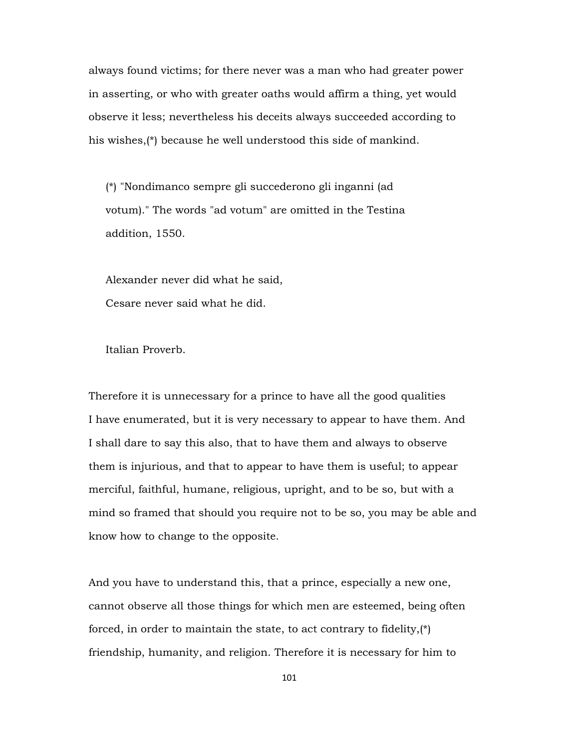always found victims; for there never was a man who had greater power in asserting, or who with greater oaths would affirm a thing, yet would observe it less; nevertheless his deceits always succeeded according to his wishes,(\*) because he well understood this side of mankind.

 (\*) "Nondimanco sempre gli succederono gli inganni (ad votum)." The words "ad votum" are omitted in the Testina addition, 1550.

 Alexander never did what he said, Cesare never said what he did.

Italian Proverb.

Therefore it is unnecessary for a prince to have all the good qualities I have enumerated, but it is very necessary to appear to have them. And I shall dare to say this also, that to have them and always to observe them is injurious, and that to appear to have them is useful; to appear merciful, faithful, humane, religious, upright, and to be so, but with a mind so framed that should you require not to be so, you may be able and know how to change to the opposite.

And you have to understand this, that a prince, especially a new one, cannot observe all those things for which men are esteemed, being often forced, in order to maintain the state, to act contrary to fidelity,(\*) friendship, humanity, and religion. Therefore it is necessary for him to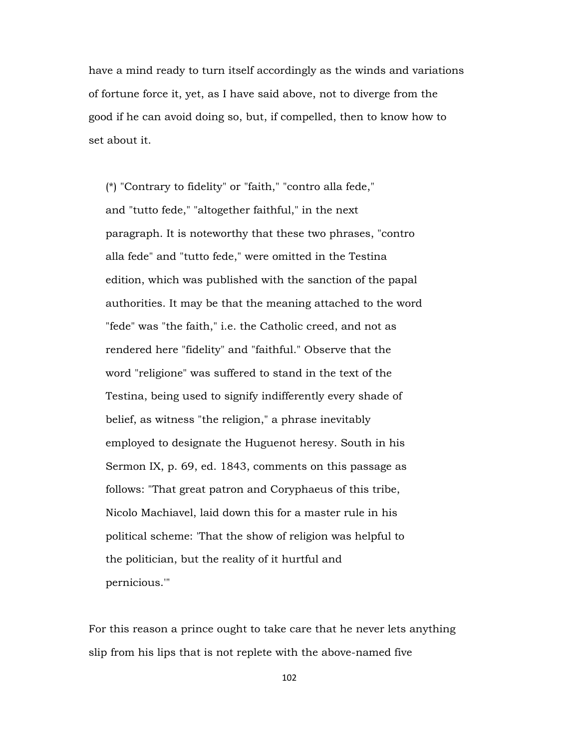have a mind ready to turn itself accordingly as the winds and variations of fortune force it, yet, as I have said above, not to diverge from the good if he can avoid doing so, but, if compelled, then to know how to set about it.

 (\*) "Contrary to fidelity" or "faith," "contro alla fede," and "tutto fede," "altogether faithful," in the next paragraph. It is noteworthy that these two phrases, "contro alla fede" and "tutto fede," were omitted in the Testina edition, which was published with the sanction of the papal authorities. It may be that the meaning attached to the word "fede" was "the faith," i.e. the Catholic creed, and not as rendered here "fidelity" and "faithful." Observe that the word "religione" was suffered to stand in the text of the Testina, being used to signify indifferently every shade of belief, as witness "the religion," a phrase inevitably employed to designate the Huguenot heresy. South in his Sermon IX, p. 69, ed. 1843, comments on this passage as follows: "That great patron and Coryphaeus of this tribe, Nicolo Machiavel, laid down this for a master rule in his political scheme: 'That the show of religion was helpful to the politician, but the reality of it hurtful and pernicious.'"

For this reason a prince ought to take care that he never lets anything slip from his lips that is not replete with the above-named five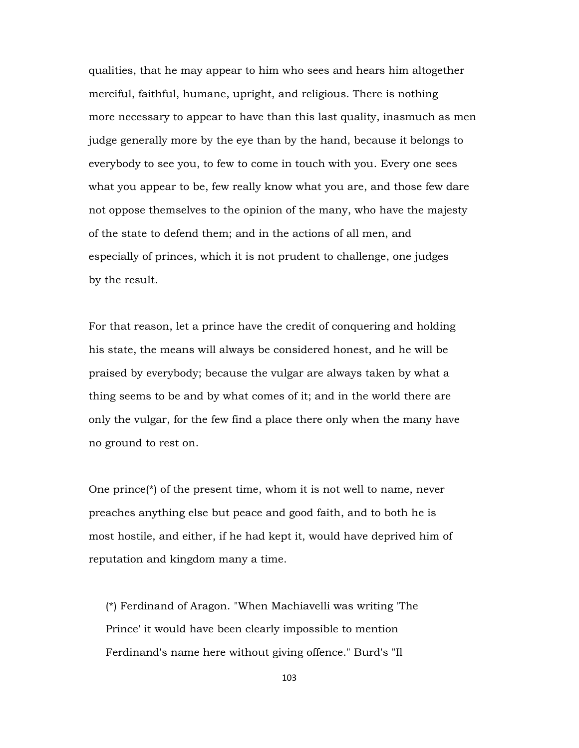qualities, that he may appear to him who sees and hears him altogether merciful, faithful, humane, upright, and religious. There is nothing more necessary to appear to have than this last quality, inasmuch as men judge generally more by the eye than by the hand, because it belongs to everybody to see you, to few to come in touch with you. Every one sees what you appear to be, few really know what you are, and those few dare not oppose themselves to the opinion of the many, who have the majesty of the state to defend them; and in the actions of all men, and especially of princes, which it is not prudent to challenge, one judges by the result.

For that reason, let a prince have the credit of conquering and holding his state, the means will always be considered honest, and he will be praised by everybody; because the vulgar are always taken by what a thing seems to be and by what comes of it; and in the world there are only the vulgar, for the few find a place there only when the many have no ground to rest on.

One prince( $\ast$ ) of the present time, whom it is not well to name, never preaches anything else but peace and good faith, and to both he is most hostile, and either, if he had kept it, would have deprived him of reputation and kingdom many a time.

 (\*) Ferdinand of Aragon. "When Machiavelli was writing 'The Prince' it would have been clearly impossible to mention Ferdinand's name here without giving offence." Burd's "Il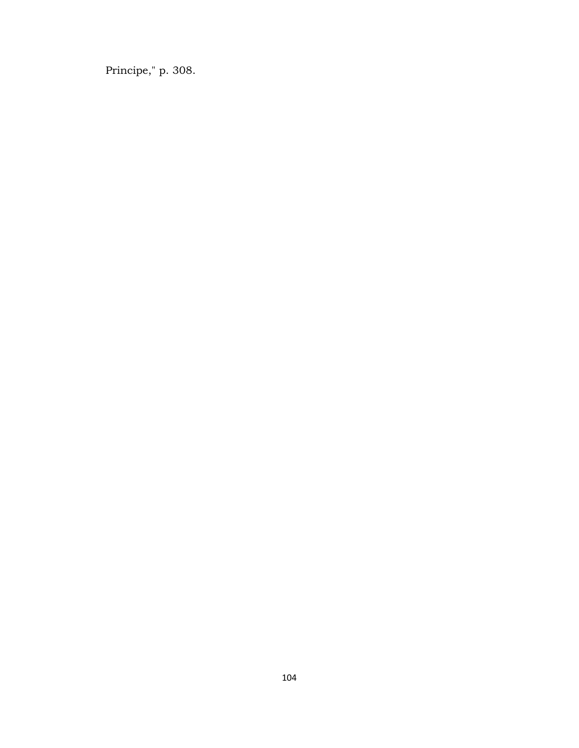Principe," p. 308.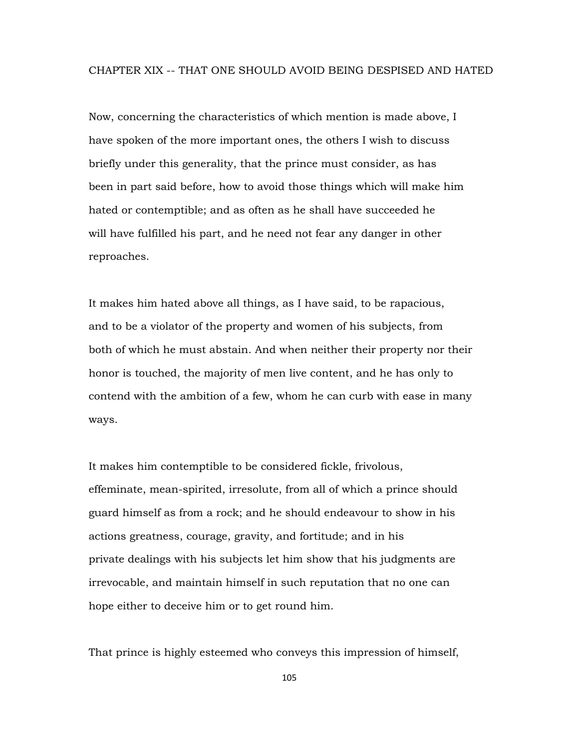Now, concerning the characteristics of which mention is made above, I have spoken of the more important ones, the others I wish to discuss briefly under this generality, that the prince must consider, as has been in part said before, how to avoid those things which will make him hated or contemptible; and as often as he shall have succeeded he will have fulfilled his part, and he need not fear any danger in other reproaches.

It makes him hated above all things, as I have said, to be rapacious, and to be a violator of the property and women of his subjects, from both of which he must abstain. And when neither their property nor their honor is touched, the majority of men live content, and he has only to contend with the ambition of a few, whom he can curb with ease in many ways.

It makes him contemptible to be considered fickle, frivolous, effeminate, mean-spirited, irresolute, from all of which a prince should guard himself as from a rock; and he should endeavour to show in his actions greatness, courage, gravity, and fortitude; and in his private dealings with his subjects let him show that his judgments are irrevocable, and maintain himself in such reputation that no one can hope either to deceive him or to get round him.

That prince is highly esteemed who conveys this impression of himself,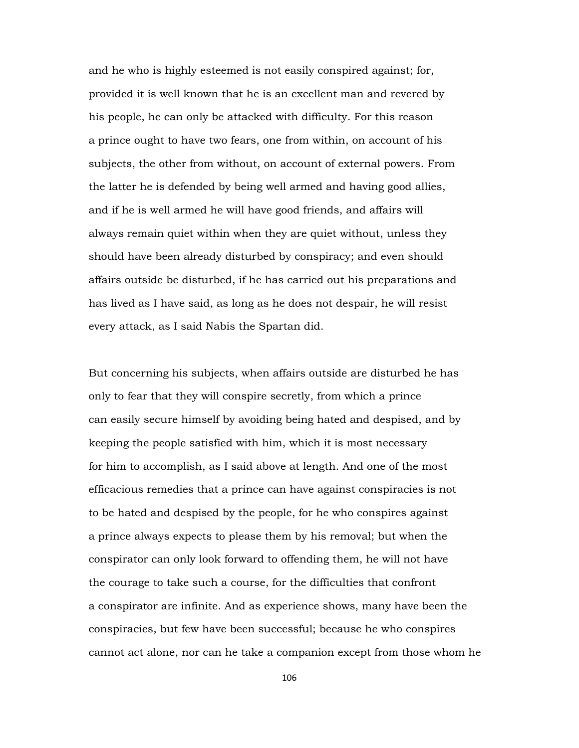and he who is highly esteemed is not easily conspired against; for, provided it is well known that he is an excellent man and revered by his people, he can only be attacked with difficulty. For this reason a prince ought to have two fears, one from within, on account of his subjects, the other from without, on account of external powers. From the latter he is defended by being well armed and having good allies, and if he is well armed he will have good friends, and affairs will always remain quiet within when they are quiet without, unless they should have been already disturbed by conspiracy; and even should affairs outside be disturbed, if he has carried out his preparations and has lived as I have said, as long as he does not despair, he will resist every attack, as I said Nabis the Spartan did.

But concerning his subjects, when affairs outside are disturbed he has only to fear that they will conspire secretly, from which a prince can easily secure himself by avoiding being hated and despised, and by keeping the people satisfied with him, which it is most necessary for him to accomplish, as I said above at length. And one of the most efficacious remedies that a prince can have against conspiracies is not to be hated and despised by the people, for he who conspires against a prince always expects to please them by his removal; but when the conspirator can only look forward to offending them, he will not have the courage to take such a course, for the difficulties that confront a conspirator are infinite. And as experience shows, many have been the conspiracies, but few have been successful; because he who conspires cannot act alone, nor can he take a companion except from those whom he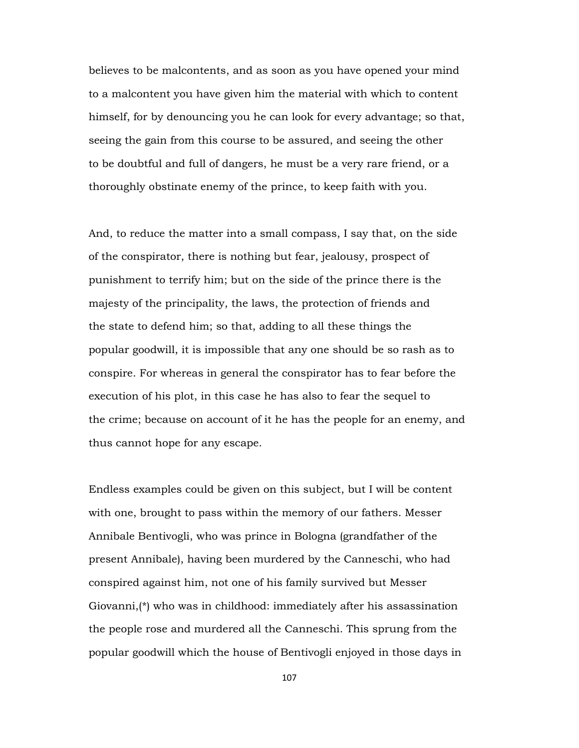believes to be malcontents, and as soon as you have opened your mind to a malcontent you have given him the material with which to content himself, for by denouncing you he can look for every advantage; so that, seeing the gain from this course to be assured, and seeing the other to be doubtful and full of dangers, he must be a very rare friend, or a thoroughly obstinate enemy of the prince, to keep faith with you.

And, to reduce the matter into a small compass, I say that, on the side of the conspirator, there is nothing but fear, jealousy, prospect of punishment to terrify him; but on the side of the prince there is the majesty of the principality, the laws, the protection of friends and the state to defend him; so that, adding to all these things the popular goodwill, it is impossible that any one should be so rash as to conspire. For whereas in general the conspirator has to fear before the execution of his plot, in this case he has also to fear the sequel to the crime; because on account of it he has the people for an enemy, and thus cannot hope for any escape.

Endless examples could be given on this subject, but I will be content with one, brought to pass within the memory of our fathers. Messer Annibale Bentivogli, who was prince in Bologna (grandfather of the present Annibale), having been murdered by the Canneschi, who had conspired against him, not one of his family survived but Messer Giovanni,(\*) who was in childhood: immediately after his assassination the people rose and murdered all the Canneschi. This sprung from the popular goodwill which the house of Bentivogli enjoyed in those days in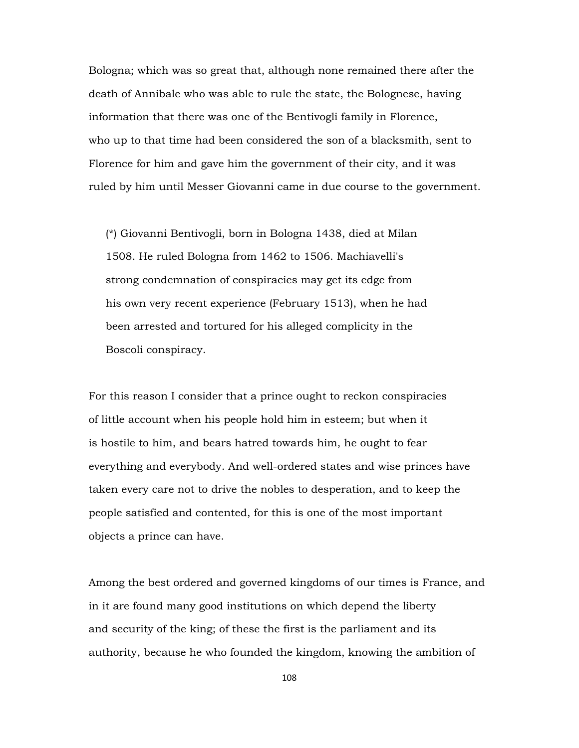Bologna; which was so great that, although none remained there after the death of Annibale who was able to rule the state, the Bolognese, having information that there was one of the Bentivogli family in Florence, who up to that time had been considered the son of a blacksmith, sent to Florence for him and gave him the government of their city, and it was ruled by him until Messer Giovanni came in due course to the government.

 (\*) Giovanni Bentivogli, born in Bologna 1438, died at Milan 1508. He ruled Bologna from 1462 to 1506. Machiavelli's strong condemnation of conspiracies may get its edge from his own very recent experience (February 1513), when he had been arrested and tortured for his alleged complicity in the Boscoli conspiracy.

For this reason I consider that a prince ought to reckon conspiracies of little account when his people hold him in esteem; but when it is hostile to him, and bears hatred towards him, he ought to fear everything and everybody. And well-ordered states and wise princes have taken every care not to drive the nobles to desperation, and to keep the people satisfied and contented, for this is one of the most important objects a prince can have.

Among the best ordered and governed kingdoms of our times is France, and in it are found many good institutions on which depend the liberty and security of the king; of these the first is the parliament and its authority, because he who founded the kingdom, knowing the ambition of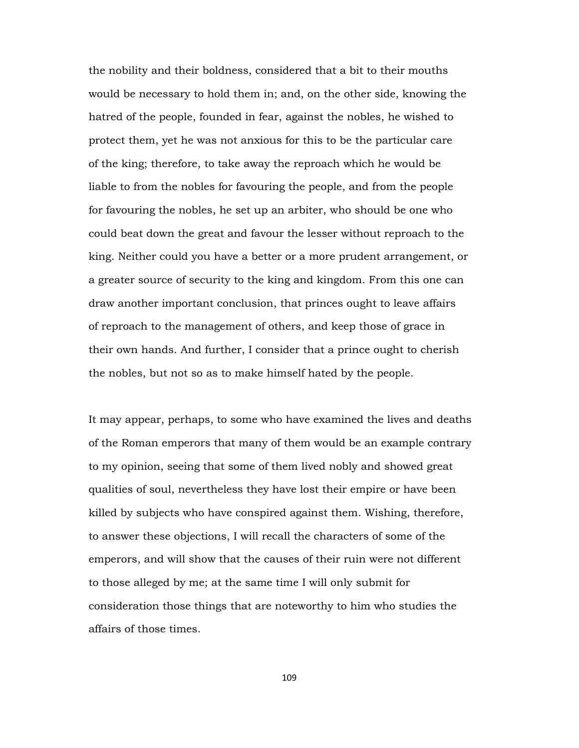the nobility and their boldness, considered that a bit to their mouths would be necessary to hold them in; and, on the other side, knowing the hatred of the people, founded in fear, against the nobles, he wished to protect them, yet he was not anxious for this to be the particular care of the king; therefore, to take away the reproach which he would be liable to from the nobles for favouring the people, and from the people for favouring the nobles, he set up an arbiter, who should be one who could beat down the great and favour the lesser without reproach to the king. Neither could you have a better or a more prudent arrangement, or a greater source of security to the king and kingdom. From this one can draw another important conclusion, that princes ought to leave affairs of reproach to the management of others, and keep those of grace in their own hands. And further, I consider that a prince ought to cherish the nobles, but not so as to make himself hated by the people.

It may appear, perhaps, to some who have examined the lives and deaths of the Roman emperors that many of them would be an example contrary to my opinion, seeing that some of them lived nobly and showed great qualities of soul, nevertheless they have lost their empire or have been killed by subjects who have conspired against them. Wishing, therefore, to answer these objections, I will recall the characters of some of the emperors, and will show that the causes of their ruin were not different to those alleged by me; at the same time I will only submit for consideration those things that are noteworthy to him who studies the affairs of those times.

109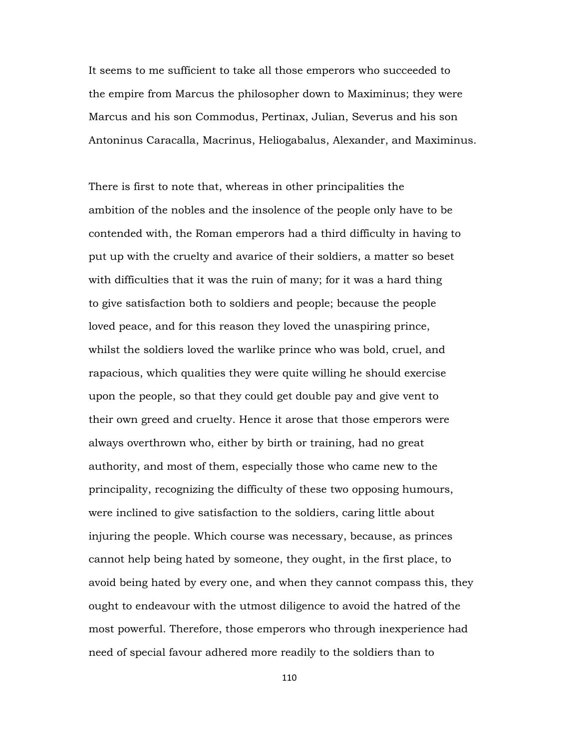It seems to me sufficient to take all those emperors who succeeded to the empire from Marcus the philosopher down to Maximinus; they were Marcus and his son Commodus, Pertinax, Julian, Severus and his son Antoninus Caracalla, Macrinus, Heliogabalus, Alexander, and Maximinus.

There is first to note that, whereas in other principalities the ambition of the nobles and the insolence of the people only have to be contended with, the Roman emperors had a third difficulty in having to put up with the cruelty and avarice of their soldiers, a matter so beset with difficulties that it was the ruin of many; for it was a hard thing to give satisfaction both to soldiers and people; because the people loved peace, and for this reason they loved the unaspiring prince, whilst the soldiers loved the warlike prince who was bold, cruel, and rapacious, which qualities they were quite willing he should exercise upon the people, so that they could get double pay and give vent to their own greed and cruelty. Hence it arose that those emperors were always overthrown who, either by birth or training, had no great authority, and most of them, especially those who came new to the principality, recognizing the difficulty of these two opposing humours, were inclined to give satisfaction to the soldiers, caring little about injuring the people. Which course was necessary, because, as princes cannot help being hated by someone, they ought, in the first place, to avoid being hated by every one, and when they cannot compass this, they ought to endeavour with the utmost diligence to avoid the hatred of the most powerful. Therefore, those emperors who through inexperience had need of special favour adhered more readily to the soldiers than to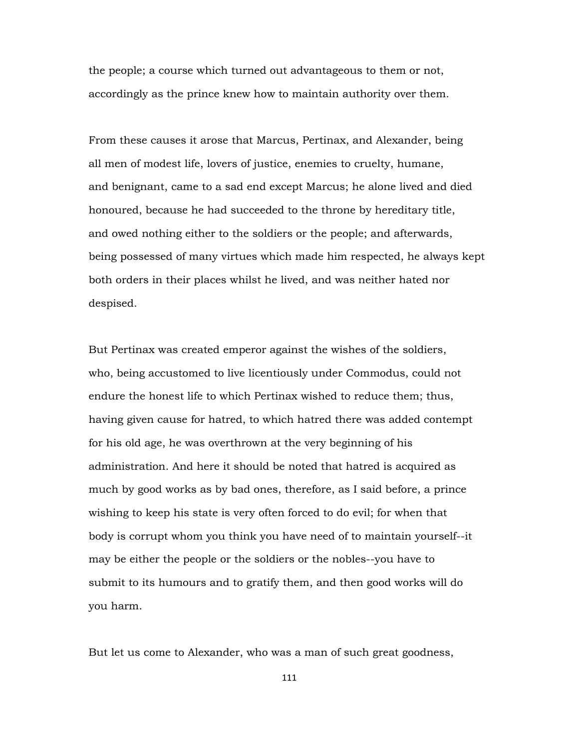the people; a course which turned out advantageous to them or not, accordingly as the prince knew how to maintain authority over them.

From these causes it arose that Marcus, Pertinax, and Alexander, being all men of modest life, lovers of justice, enemies to cruelty, humane, and benignant, came to a sad end except Marcus; he alone lived and died honoured, because he had succeeded to the throne by hereditary title, and owed nothing either to the soldiers or the people; and afterwards, being possessed of many virtues which made him respected, he always kept both orders in their places whilst he lived, and was neither hated nor despised.

But Pertinax was created emperor against the wishes of the soldiers, who, being accustomed to live licentiously under Commodus, could not endure the honest life to which Pertinax wished to reduce them; thus, having given cause for hatred, to which hatred there was added contempt for his old age, he was overthrown at the very beginning of his administration. And here it should be noted that hatred is acquired as much by good works as by bad ones, therefore, as I said before, a prince wishing to keep his state is very often forced to do evil; for when that body is corrupt whom you think you have need of to maintain yourself--it may be either the people or the soldiers or the nobles--you have to submit to its humours and to gratify them, and then good works will do you harm.

But let us come to Alexander, who was a man of such great goodness,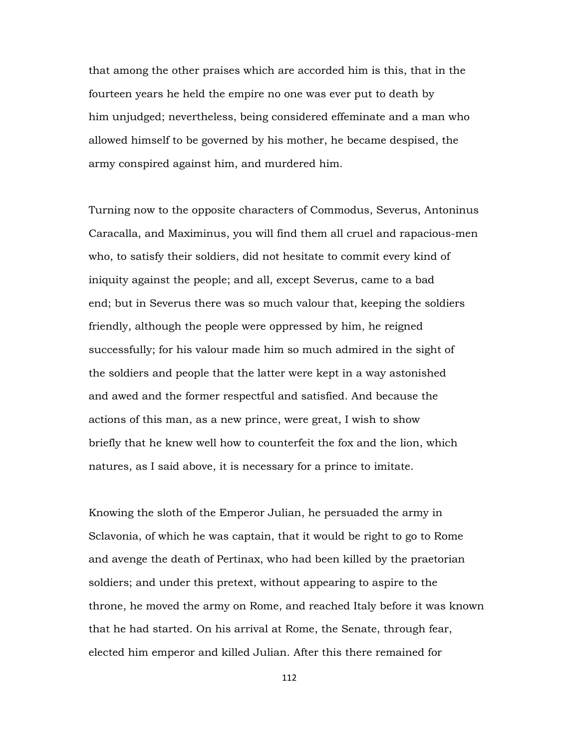that among the other praises which are accorded him is this, that in the fourteen years he held the empire no one was ever put to death by him unjudged; nevertheless, being considered effeminate and a man who allowed himself to be governed by his mother, he became despised, the army conspired against him, and murdered him.

Turning now to the opposite characters of Commodus, Severus, Antoninus Caracalla, and Maximinus, you will find them all cruel and rapacious-men who, to satisfy their soldiers, did not hesitate to commit every kind of iniquity against the people; and all, except Severus, came to a bad end; but in Severus there was so much valour that, keeping the soldiers friendly, although the people were oppressed by him, he reigned successfully; for his valour made him so much admired in the sight of the soldiers and people that the latter were kept in a way astonished and awed and the former respectful and satisfied. And because the actions of this man, as a new prince, were great, I wish to show briefly that he knew well how to counterfeit the fox and the lion, which natures, as I said above, it is necessary for a prince to imitate.

Knowing the sloth of the Emperor Julian, he persuaded the army in Sclavonia, of which he was captain, that it would be right to go to Rome and avenge the death of Pertinax, who had been killed by the praetorian soldiers; and under this pretext, without appearing to aspire to the throne, he moved the army on Rome, and reached Italy before it was known that he had started. On his arrival at Rome, the Senate, through fear, elected him emperor and killed Julian. After this there remained for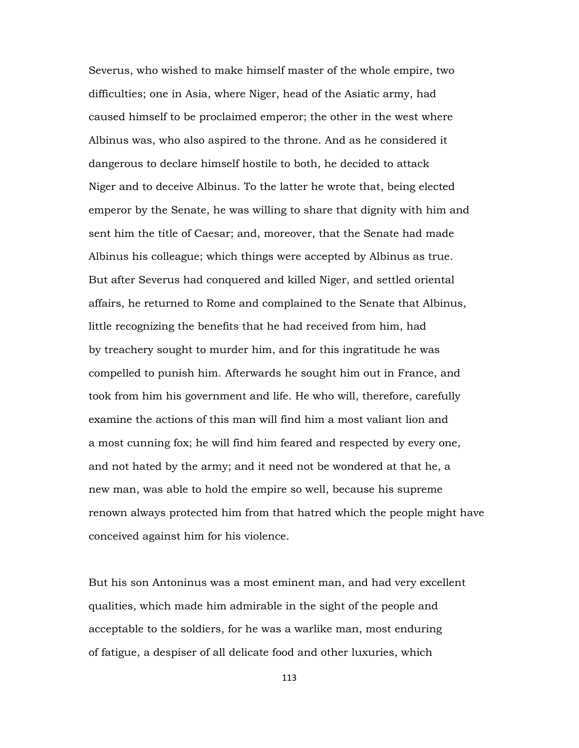Severus, who wished to make himself master of the whole empire, two difficulties; one in Asia, where Niger, head of the Asiatic army, had caused himself to be proclaimed emperor; the other in the west where Albinus was, who also aspired to the throne. And as he considered it dangerous to declare himself hostile to both, he decided to attack Niger and to deceive Albinus. To the latter he wrote that, being elected emperor by the Senate, he was willing to share that dignity with him and sent him the title of Caesar; and, moreover, that the Senate had made Albinus his colleague; which things were accepted by Albinus as true. But after Severus had conquered and killed Niger, and settled oriental affairs, he returned to Rome and complained to the Senate that Albinus, little recognizing the benefits that he had received from him, had by treachery sought to murder him, and for this ingratitude he was compelled to punish him. Afterwards he sought him out in France, and took from him his government and life. He who will, therefore, carefully examine the actions of this man will find him a most valiant lion and a most cunning fox; he will find him feared and respected by every one, and not hated by the army; and it need not be wondered at that he, a new man, was able to hold the empire so well, because his supreme renown always protected him from that hatred which the people might have conceived against him for his violence.

But his son Antoninus was a most eminent man, and had very excellent qualities, which made him admirable in the sight of the people and acceptable to the soldiers, for he was a warlike man, most enduring of fatigue, a despiser of all delicate food and other luxuries, which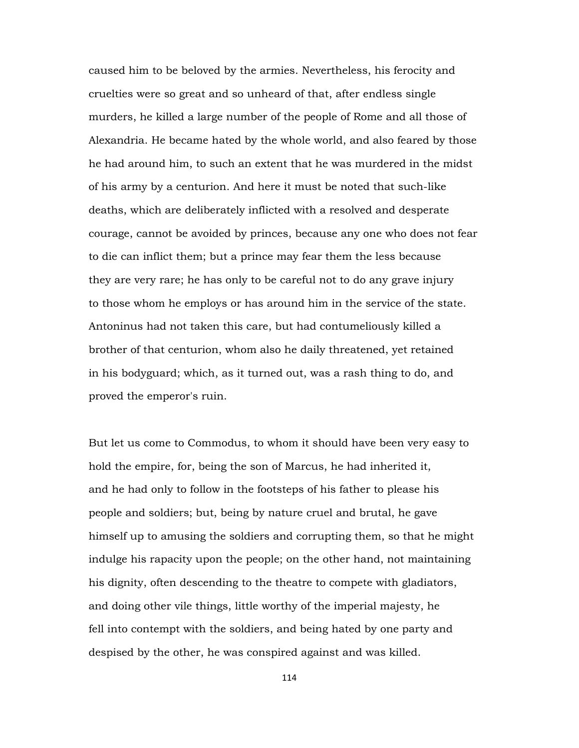caused him to be beloved by the armies. Nevertheless, his ferocity and cruelties were so great and so unheard of that, after endless single murders, he killed a large number of the people of Rome and all those of Alexandria. He became hated by the whole world, and also feared by those he had around him, to such an extent that he was murdered in the midst of his army by a centurion. And here it must be noted that such-like deaths, which are deliberately inflicted with a resolved and desperate courage, cannot be avoided by princes, because any one who does not fear to die can inflict them; but a prince may fear them the less because they are very rare; he has only to be careful not to do any grave injury to those whom he employs or has around him in the service of the state. Antoninus had not taken this care, but had contumeliously killed a brother of that centurion, whom also he daily threatened, yet retained in his bodyguard; which, as it turned out, was a rash thing to do, and proved the emperor's ruin.

But let us come to Commodus, to whom it should have been very easy to hold the empire, for, being the son of Marcus, he had inherited it, and he had only to follow in the footsteps of his father to please his people and soldiers; but, being by nature cruel and brutal, he gave himself up to amusing the soldiers and corrupting them, so that he might indulge his rapacity upon the people; on the other hand, not maintaining his dignity, often descending to the theatre to compete with gladiators, and doing other vile things, little worthy of the imperial majesty, he fell into contempt with the soldiers, and being hated by one party and despised by the other, he was conspired against and was killed.

114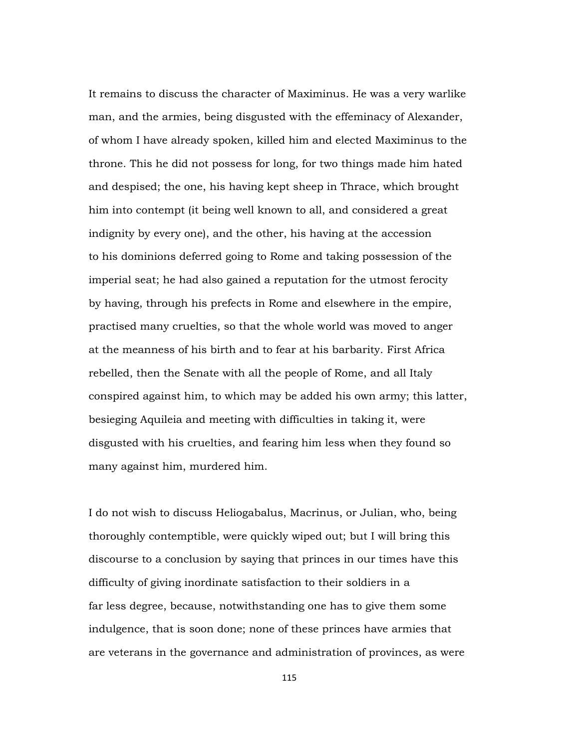It remains to discuss the character of Maximinus. He was a very warlike man, and the armies, being disgusted with the effeminacy of Alexander, of whom I have already spoken, killed him and elected Maximinus to the throne. This he did not possess for long, for two things made him hated and despised; the one, his having kept sheep in Thrace, which brought him into contempt (it being well known to all, and considered a great indignity by every one), and the other, his having at the accession to his dominions deferred going to Rome and taking possession of the imperial seat; he had also gained a reputation for the utmost ferocity by having, through his prefects in Rome and elsewhere in the empire, practised many cruelties, so that the whole world was moved to anger at the meanness of his birth and to fear at his barbarity. First Africa rebelled, then the Senate with all the people of Rome, and all Italy conspired against him, to which may be added his own army; this latter, besieging Aquileia and meeting with difficulties in taking it, were disgusted with his cruelties, and fearing him less when they found so many against him, murdered him.

I do not wish to discuss Heliogabalus, Macrinus, or Julian, who, being thoroughly contemptible, were quickly wiped out; but I will bring this discourse to a conclusion by saying that princes in our times have this difficulty of giving inordinate satisfaction to their soldiers in a far less degree, because, notwithstanding one has to give them some indulgence, that is soon done; none of these princes have armies that are veterans in the governance and administration of provinces, as were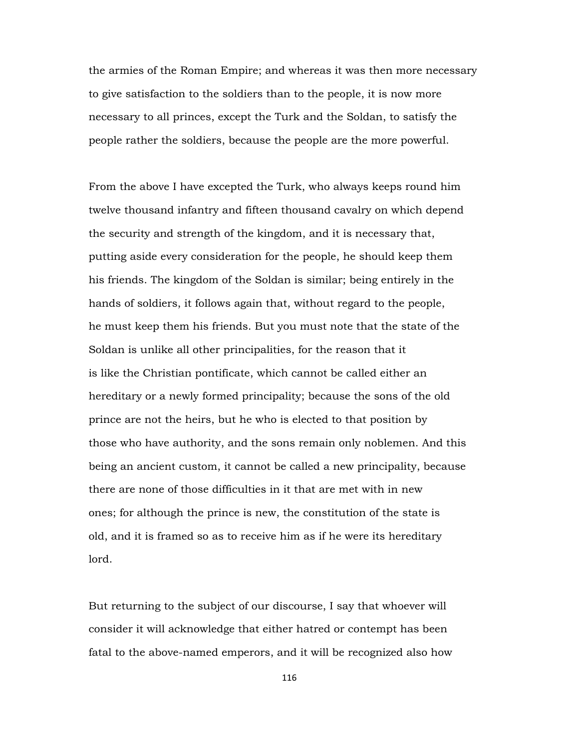the armies of the Roman Empire; and whereas it was then more necessary to give satisfaction to the soldiers than to the people, it is now more necessary to all princes, except the Turk and the Soldan, to satisfy the people rather the soldiers, because the people are the more powerful.

From the above I have excepted the Turk, who always keeps round him twelve thousand infantry and fifteen thousand cavalry on which depend the security and strength of the kingdom, and it is necessary that, putting aside every consideration for the people, he should keep them his friends. The kingdom of the Soldan is similar; being entirely in the hands of soldiers, it follows again that, without regard to the people, he must keep them his friends. But you must note that the state of the Soldan is unlike all other principalities, for the reason that it is like the Christian pontificate, which cannot be called either an hereditary or a newly formed principality; because the sons of the old prince are not the heirs, but he who is elected to that position by those who have authority, and the sons remain only noblemen. And this being an ancient custom, it cannot be called a new principality, because there are none of those difficulties in it that are met with in new ones; for although the prince is new, the constitution of the state is old, and it is framed so as to receive him as if he were its hereditary lord.

But returning to the subject of our discourse, I say that whoever will consider it will acknowledge that either hatred or contempt has been fatal to the above-named emperors, and it will be recognized also how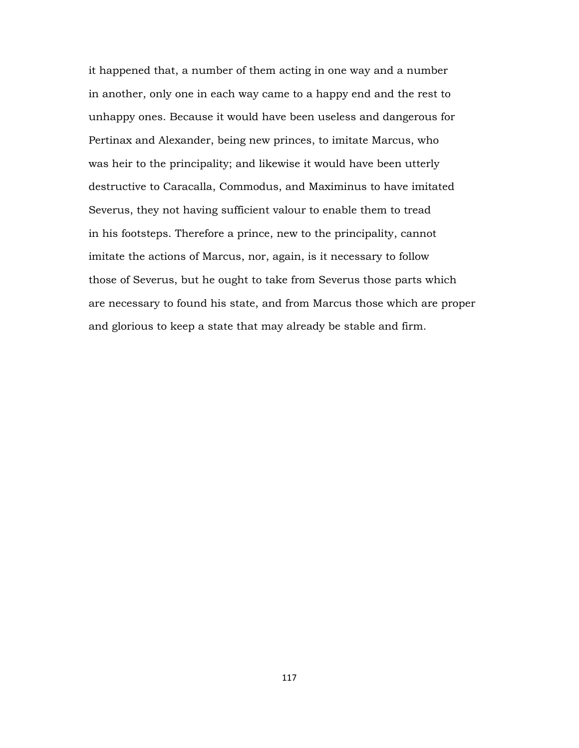it happened that, a number of them acting in one way and a number in another, only one in each way came to a happy end and the rest to unhappy ones. Because it would have been useless and dangerous for Pertinax and Alexander, being new princes, to imitate Marcus, who was heir to the principality; and likewise it would have been utterly destructive to Caracalla, Commodus, and Maximinus to have imitated Severus, they not having sufficient valour to enable them to tread in his footsteps. Therefore a prince, new to the principality, cannot imitate the actions of Marcus, nor, again, is it necessary to follow those of Severus, but he ought to take from Severus those parts which are necessary to found his state, and from Marcus those which are proper and glorious to keep a state that may already be stable and firm.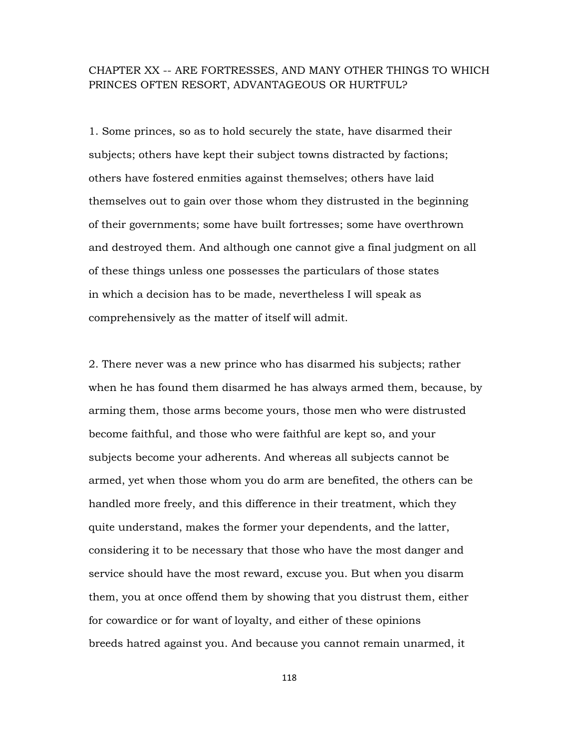### CHAPTER XX -- ARE FORTRESSES, AND MANY OTHER THINGS TO WHICH PRINCES OFTEN RESORT, ADVANTAGEOUS OR HURTFUL?

1. Some princes, so as to hold securely the state, have disarmed their subjects; others have kept their subject towns distracted by factions; others have fostered enmities against themselves; others have laid themselves out to gain over those whom they distrusted in the beginning of their governments; some have built fortresses; some have overthrown and destroyed them. And although one cannot give a final judgment on all of these things unless one possesses the particulars of those states in which a decision has to be made, nevertheless I will speak as comprehensively as the matter of itself will admit.

2. There never was a new prince who has disarmed his subjects; rather when he has found them disarmed he has always armed them, because, by arming them, those arms become yours, those men who were distrusted become faithful, and those who were faithful are kept so, and your subjects become your adherents. And whereas all subjects cannot be armed, yet when those whom you do arm are benefited, the others can be handled more freely, and this difference in their treatment, which they quite understand, makes the former your dependents, and the latter, considering it to be necessary that those who have the most danger and service should have the most reward, excuse you. But when you disarm them, you at once offend them by showing that you distrust them, either for cowardice or for want of loyalty, and either of these opinions breeds hatred against you. And because you cannot remain unarmed, it

118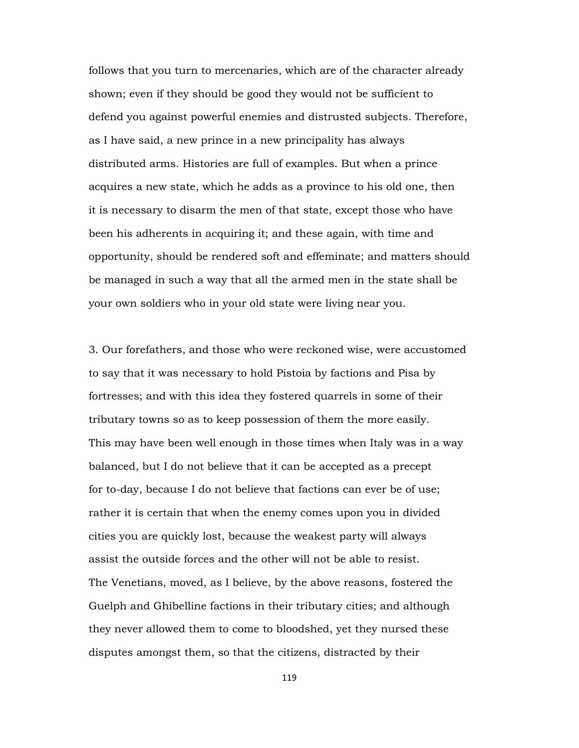follows that you turn to mercenaries, which are of the character already shown; even if they should be good they would not be sufficient to defend you against powerful enemies and distrusted subjects. Therefore, as I have said, a new prince in a new principality has always distributed arms. Histories are full of examples. But when a prince acquires a new state, which he adds as a province to his old one, then it is necessary to disarm the men of that state, except those who have been his adherents in acquiring it; and these again, with time and opportunity, should be rendered soft and effeminate; and matters should be managed in such a way that all the armed men in the state shall be your own soldiers who in your old state were living near you.

3. Our forefathers, and those who were reckoned wise, were accustomed to say that it was necessary to hold Pistoia by factions and Pisa by fortresses; and with this idea they fostered quarrels in some of their tributary towns so as to keep possession of them the more easily. This may have been well enough in those times when Italy was in a way balanced, but I do not believe that it can be accepted as a precept for to-day, because I do not believe that factions can ever be of use; rather it is certain that when the enemy comes upon you in divided cities you are quickly lost, because the weakest party will always assist the outside forces and the other will not be able to resist. The Venetians, moved, as I believe, by the above reasons, fostered the Guelph and Ghibelline factions in their tributary cities; and although they never allowed them to come to bloodshed, yet they nursed these disputes amongst them, so that the citizens, distracted by their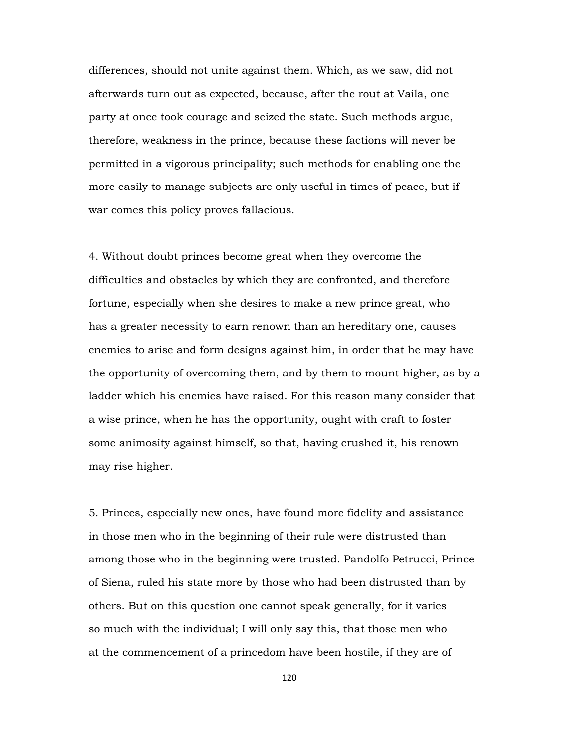differences, should not unite against them. Which, as we saw, did not afterwards turn out as expected, because, after the rout at Vaila, one party at once took courage and seized the state. Such methods argue, therefore, weakness in the prince, because these factions will never be permitted in a vigorous principality; such methods for enabling one the more easily to manage subjects are only useful in times of peace, but if war comes this policy proves fallacious.

4. Without doubt princes become great when they overcome the difficulties and obstacles by which they are confronted, and therefore fortune, especially when she desires to make a new prince great, who has a greater necessity to earn renown than an hereditary one, causes enemies to arise and form designs against him, in order that he may have the opportunity of overcoming them, and by them to mount higher, as by a ladder which his enemies have raised. For this reason many consider that a wise prince, when he has the opportunity, ought with craft to foster some animosity against himself, so that, having crushed it, his renown may rise higher.

5. Princes, especially new ones, have found more fidelity and assistance in those men who in the beginning of their rule were distrusted than among those who in the beginning were trusted. Pandolfo Petrucci, Prince of Siena, ruled his state more by those who had been distrusted than by others. But on this question one cannot speak generally, for it varies so much with the individual; I will only say this, that those men who at the commencement of a princedom have been hostile, if they are of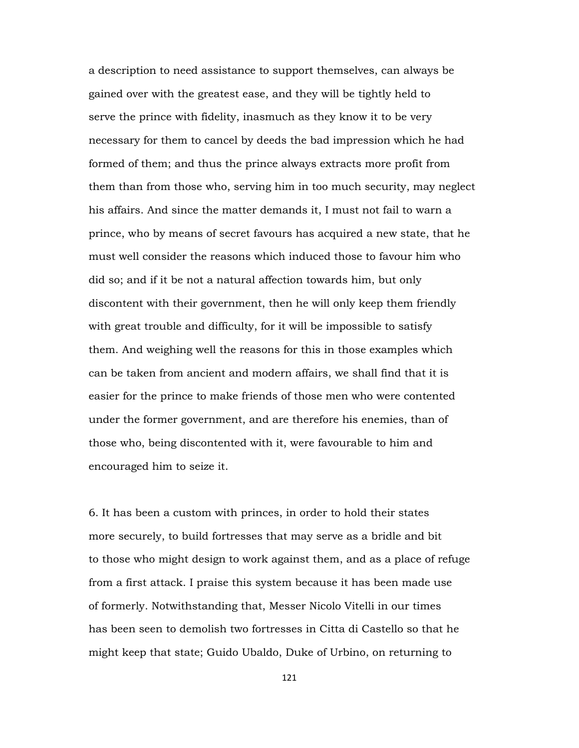a description to need assistance to support themselves, can always be gained over with the greatest ease, and they will be tightly held to serve the prince with fidelity, inasmuch as they know it to be very necessary for them to cancel by deeds the bad impression which he had formed of them; and thus the prince always extracts more profit from them than from those who, serving him in too much security, may neglect his affairs. And since the matter demands it, I must not fail to warn a prince, who by means of secret favours has acquired a new state, that he must well consider the reasons which induced those to favour him who did so; and if it be not a natural affection towards him, but only discontent with their government, then he will only keep them friendly with great trouble and difficulty, for it will be impossible to satisfy them. And weighing well the reasons for this in those examples which can be taken from ancient and modern affairs, we shall find that it is easier for the prince to make friends of those men who were contented under the former government, and are therefore his enemies, than of those who, being discontented with it, were favourable to him and encouraged him to seize it.

6. It has been a custom with princes, in order to hold their states more securely, to build fortresses that may serve as a bridle and bit to those who might design to work against them, and as a place of refuge from a first attack. I praise this system because it has been made use of formerly. Notwithstanding that, Messer Nicolo Vitelli in our times has been seen to demolish two fortresses in Citta di Castello so that he might keep that state; Guido Ubaldo, Duke of Urbino, on returning to

121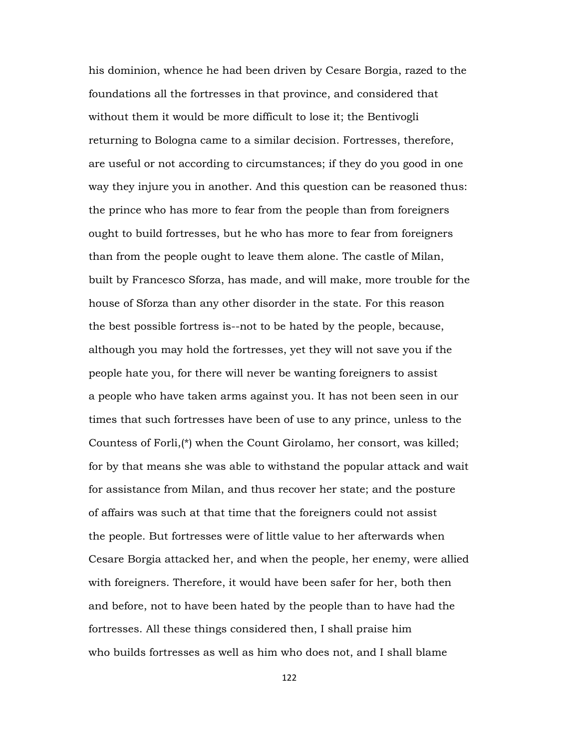his dominion, whence he had been driven by Cesare Borgia, razed to the foundations all the fortresses in that province, and considered that without them it would be more difficult to lose it; the Bentivogli returning to Bologna came to a similar decision. Fortresses, therefore, are useful or not according to circumstances; if they do you good in one way they injure you in another. And this question can be reasoned thus: the prince who has more to fear from the people than from foreigners ought to build fortresses, but he who has more to fear from foreigners than from the people ought to leave them alone. The castle of Milan, built by Francesco Sforza, has made, and will make, more trouble for the house of Sforza than any other disorder in the state. For this reason the best possible fortress is--not to be hated by the people, because, although you may hold the fortresses, yet they will not save you if the people hate you, for there will never be wanting foreigners to assist a people who have taken arms against you. It has not been seen in our times that such fortresses have been of use to any prince, unless to the Countess of Forli,(\*) when the Count Girolamo, her consort, was killed; for by that means she was able to withstand the popular attack and wait for assistance from Milan, and thus recover her state; and the posture of affairs was such at that time that the foreigners could not assist the people. But fortresses were of little value to her afterwards when Cesare Borgia attacked her, and when the people, her enemy, were allied with foreigners. Therefore, it would have been safer for her, both then and before, not to have been hated by the people than to have had the fortresses. All these things considered then, I shall praise him who builds fortresses as well as him who does not, and I shall blame

122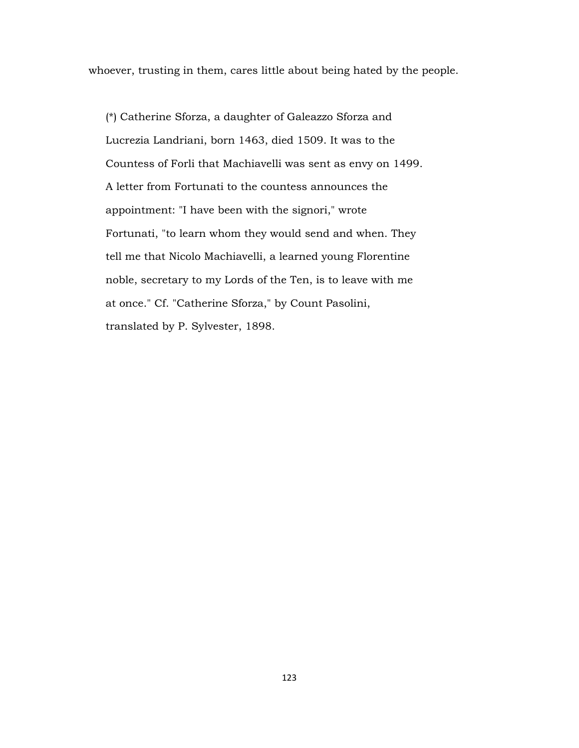whoever, trusting in them, cares little about being hated by the people.

 (\*) Catherine Sforza, a daughter of Galeazzo Sforza and Lucrezia Landriani, born 1463, died 1509. It was to the Countess of Forli that Machiavelli was sent as envy on 1499. A letter from Fortunati to the countess announces the appointment: "I have been with the signori," wrote Fortunati, "to learn whom they would send and when. They tell me that Nicolo Machiavelli, a learned young Florentine noble, secretary to my Lords of the Ten, is to leave with me at once." Cf. "Catherine Sforza," by Count Pasolini, translated by P. Sylvester, 1898.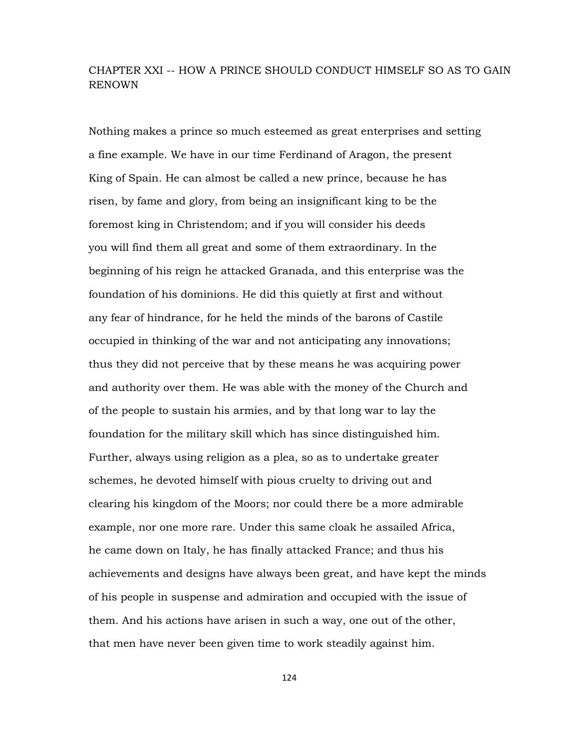## CHAPTER XXI -- HOW A PRINCE SHOULD CONDUCT HIMSELF SO AS TO GAIN RENOWN

Nothing makes a prince so much esteemed as great enterprises and setting a fine example. We have in our time Ferdinand of Aragon, the present King of Spain. He can almost be called a new prince, because he has risen, by fame and glory, from being an insignificant king to be the foremost king in Christendom; and if you will consider his deeds you will find them all great and some of them extraordinary. In the beginning of his reign he attacked Granada, and this enterprise was the foundation of his dominions. He did this quietly at first and without any fear of hindrance, for he held the minds of the barons of Castile occupied in thinking of the war and not anticipating any innovations; thus they did not perceive that by these means he was acquiring power and authority over them. He was able with the money of the Church and of the people to sustain his armies, and by that long war to lay the foundation for the military skill which has since distinguished him. Further, always using religion as a plea, so as to undertake greater schemes, he devoted himself with pious cruelty to driving out and clearing his kingdom of the Moors; nor could there be a more admirable example, nor one more rare. Under this same cloak he assailed Africa, he came down on Italy, he has finally attacked France; and thus his achievements and designs have always been great, and have kept the minds of his people in suspense and admiration and occupied with the issue of them. And his actions have arisen in such a way, one out of the other, that men have never been given time to work steadily against him.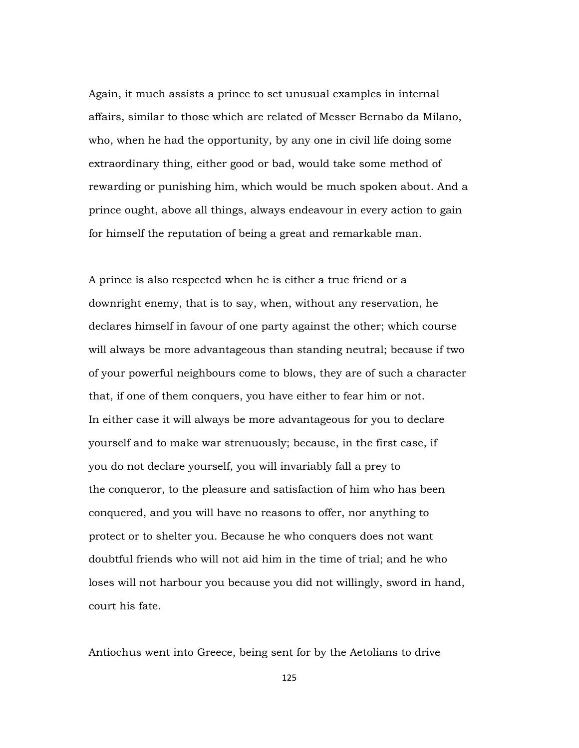Again, it much assists a prince to set unusual examples in internal affairs, similar to those which are related of Messer Bernabo da Milano, who, when he had the opportunity, by any one in civil life doing some extraordinary thing, either good or bad, would take some method of rewarding or punishing him, which would be much spoken about. And a prince ought, above all things, always endeavour in every action to gain for himself the reputation of being a great and remarkable man.

A prince is also respected when he is either a true friend or a downright enemy, that is to say, when, without any reservation, he declares himself in favour of one party against the other; which course will always be more advantageous than standing neutral; because if two of your powerful neighbours come to blows, they are of such a character that, if one of them conquers, you have either to fear him or not. In either case it will always be more advantageous for you to declare yourself and to make war strenuously; because, in the first case, if you do not declare yourself, you will invariably fall a prey to the conqueror, to the pleasure and satisfaction of him who has been conquered, and you will have no reasons to offer, nor anything to protect or to shelter you. Because he who conquers does not want doubtful friends who will not aid him in the time of trial; and he who loses will not harbour you because you did not willingly, sword in hand, court his fate.

Antiochus went into Greece, being sent for by the Aetolians to drive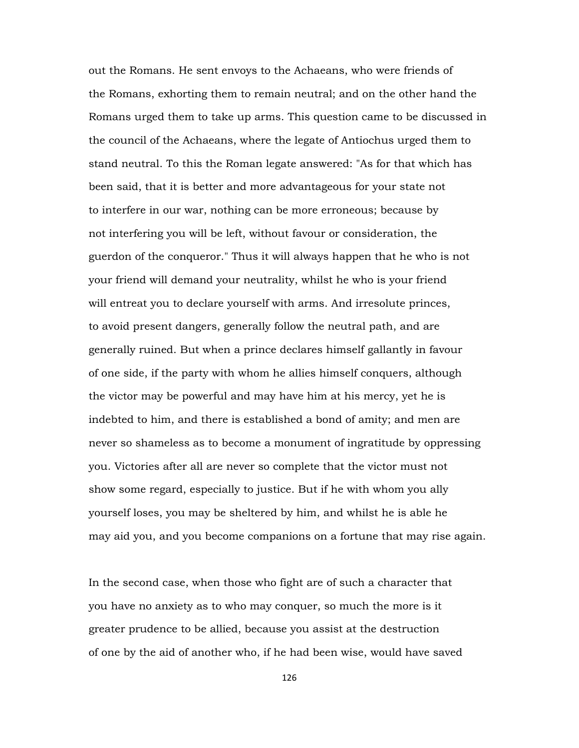out the Romans. He sent envoys to the Achaeans, who were friends of the Romans, exhorting them to remain neutral; and on the other hand the Romans urged them to take up arms. This question came to be discussed in the council of the Achaeans, where the legate of Antiochus urged them to stand neutral. To this the Roman legate answered: "As for that which has been said, that it is better and more advantageous for your state not to interfere in our war, nothing can be more erroneous; because by not interfering you will be left, without favour or consideration, the guerdon of the conqueror." Thus it will always happen that he who is not your friend will demand your neutrality, whilst he who is your friend will entreat you to declare yourself with arms. And irresolute princes, to avoid present dangers, generally follow the neutral path, and are generally ruined. But when a prince declares himself gallantly in favour of one side, if the party with whom he allies himself conquers, although the victor may be powerful and may have him at his mercy, yet he is indebted to him, and there is established a bond of amity; and men are never so shameless as to become a monument of ingratitude by oppressing you. Victories after all are never so complete that the victor must not show some regard, especially to justice. But if he with whom you ally yourself loses, you may be sheltered by him, and whilst he is able he may aid you, and you become companions on a fortune that may rise again.

In the second case, when those who fight are of such a character that you have no anxiety as to who may conquer, so much the more is it greater prudence to be allied, because you assist at the destruction of one by the aid of another who, if he had been wise, would have saved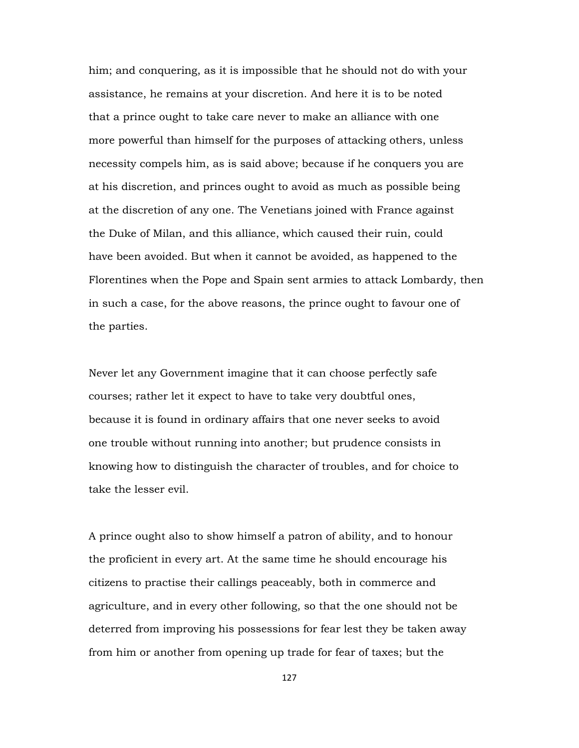him; and conquering, as it is impossible that he should not do with your assistance, he remains at your discretion. And here it is to be noted that a prince ought to take care never to make an alliance with one more powerful than himself for the purposes of attacking others, unless necessity compels him, as is said above; because if he conquers you are at his discretion, and princes ought to avoid as much as possible being at the discretion of any one. The Venetians joined with France against the Duke of Milan, and this alliance, which caused their ruin, could have been avoided. But when it cannot be avoided, as happened to the Florentines when the Pope and Spain sent armies to attack Lombardy, then in such a case, for the above reasons, the prince ought to favour one of the parties.

Never let any Government imagine that it can choose perfectly safe courses; rather let it expect to have to take very doubtful ones, because it is found in ordinary affairs that one never seeks to avoid one trouble without running into another; but prudence consists in knowing how to distinguish the character of troubles, and for choice to take the lesser evil.

A prince ought also to show himself a patron of ability, and to honour the proficient in every art. At the same time he should encourage his citizens to practise their callings peaceably, both in commerce and agriculture, and in every other following, so that the one should not be deterred from improving his possessions for fear lest they be taken away from him or another from opening up trade for fear of taxes; but the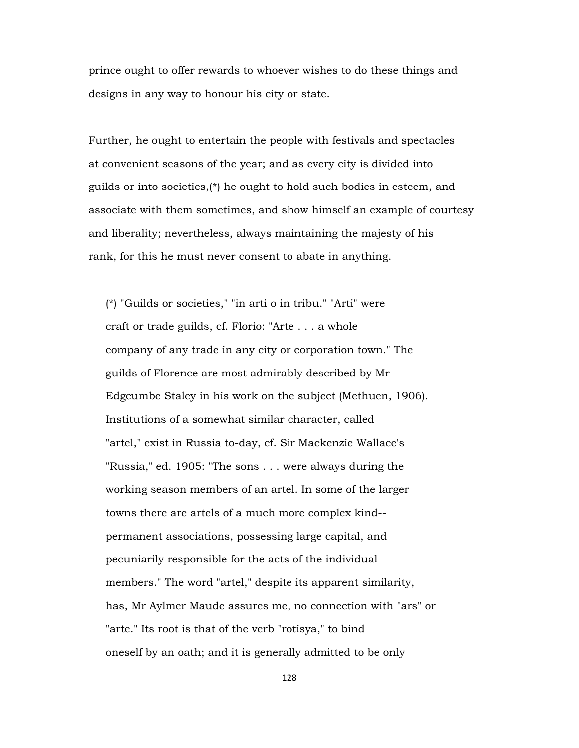prince ought to offer rewards to whoever wishes to do these things and designs in any way to honour his city or state.

Further, he ought to entertain the people with festivals and spectacles at convenient seasons of the year; and as every city is divided into guilds or into societies,(\*) he ought to hold such bodies in esteem, and associate with them sometimes, and show himself an example of courtesy and liberality; nevertheless, always maintaining the majesty of his rank, for this he must never consent to abate in anything.

 (\*) "Guilds or societies," "in arti o in tribu." "Arti" were craft or trade guilds, cf. Florio: "Arte . . . a whole company of any trade in any city or corporation town." The guilds of Florence are most admirably described by Mr Edgcumbe Staley in his work on the subject (Methuen, 1906). Institutions of a somewhat similar character, called "artel," exist in Russia to-day, cf. Sir Mackenzie Wallace's "Russia," ed. 1905: "The sons . . . were always during the working season members of an artel. In some of the larger towns there are artels of a much more complex kind- permanent associations, possessing large capital, and pecuniarily responsible for the acts of the individual members." The word "artel," despite its apparent similarity, has, Mr Aylmer Maude assures me, no connection with "ars" or "arte." Its root is that of the verb "rotisya," to bind oneself by an oath; and it is generally admitted to be only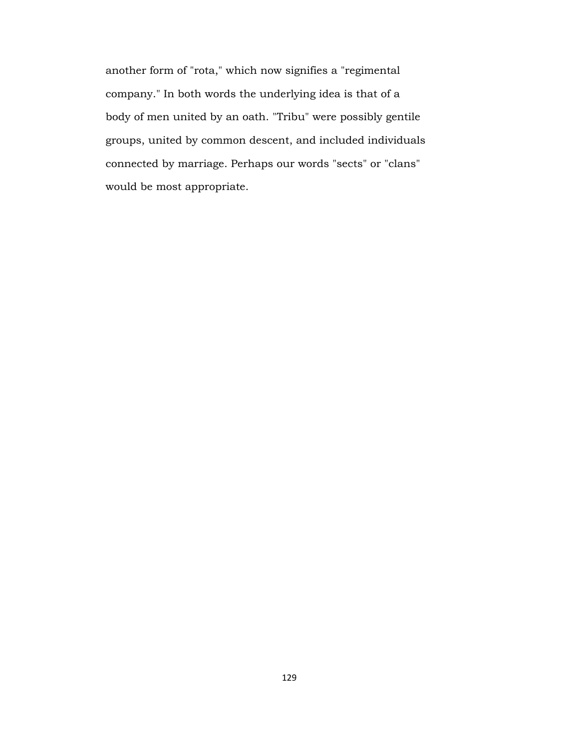another form of "rota," which now signifies a "regimental company." In both words the underlying idea is that of a body of men united by an oath. "Tribu" were possibly gentile groups, united by common descent, and included individuals connected by marriage. Perhaps our words "sects" or "clans" would be most appropriate.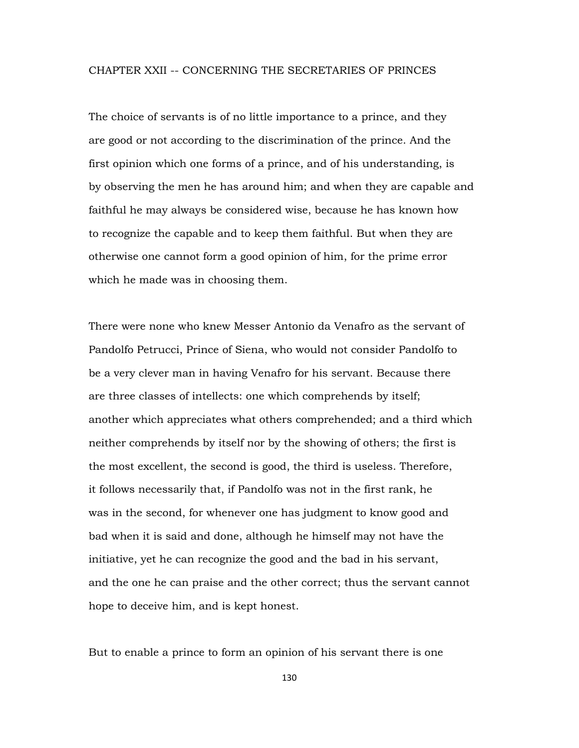### CHAPTER XXII -- CONCERNING THE SECRETARIES OF PRINCES

The choice of servants is of no little importance to a prince, and they are good or not according to the discrimination of the prince. And the first opinion which one forms of a prince, and of his understanding, is by observing the men he has around him; and when they are capable and faithful he may always be considered wise, because he has known how to recognize the capable and to keep them faithful. But when they are otherwise one cannot form a good opinion of him, for the prime error which he made was in choosing them.

There were none who knew Messer Antonio da Venafro as the servant of Pandolfo Petrucci, Prince of Siena, who would not consider Pandolfo to be a very clever man in having Venafro for his servant. Because there are three classes of intellects: one which comprehends by itself; another which appreciates what others comprehended; and a third which neither comprehends by itself nor by the showing of others; the first is the most excellent, the second is good, the third is useless. Therefore, it follows necessarily that, if Pandolfo was not in the first rank, he was in the second, for whenever one has judgment to know good and bad when it is said and done, although he himself may not have the initiative, yet he can recognize the good and the bad in his servant, and the one he can praise and the other correct; thus the servant cannot hope to deceive him, and is kept honest.

But to enable a prince to form an opinion of his servant there is one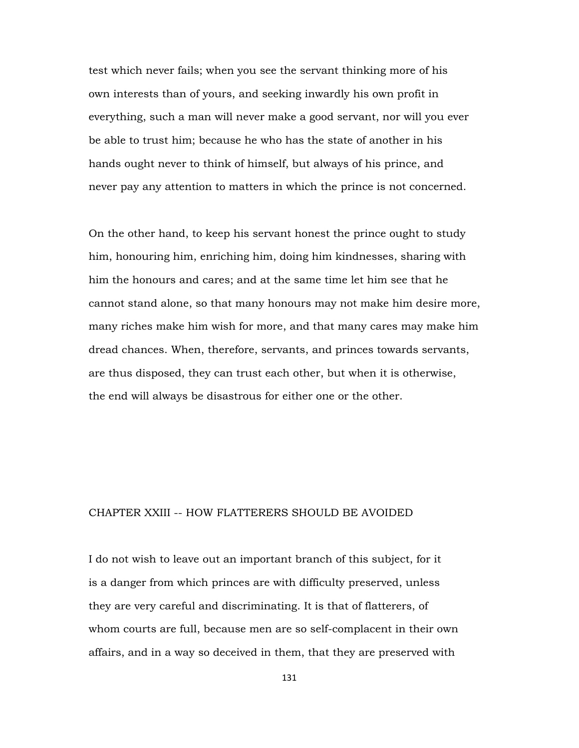test which never fails; when you see the servant thinking more of his own interests than of yours, and seeking inwardly his own profit in everything, such a man will never make a good servant, nor will you ever be able to trust him; because he who has the state of another in his hands ought never to think of himself, but always of his prince, and never pay any attention to matters in which the prince is not concerned.

On the other hand, to keep his servant honest the prince ought to study him, honouring him, enriching him, doing him kindnesses, sharing with him the honours and cares; and at the same time let him see that he cannot stand alone, so that many honours may not make him desire more, many riches make him wish for more, and that many cares may make him dread chances. When, therefore, servants, and princes towards servants, are thus disposed, they can trust each other, but when it is otherwise, the end will always be disastrous for either one or the other.

#### CHAPTER XXIII -- HOW FLATTERERS SHOULD BE AVOIDED

I do not wish to leave out an important branch of this subject, for it is a danger from which princes are with difficulty preserved, unless they are very careful and discriminating. It is that of flatterers, of whom courts are full, because men are so self-complacent in their own affairs, and in a way so deceived in them, that they are preserved with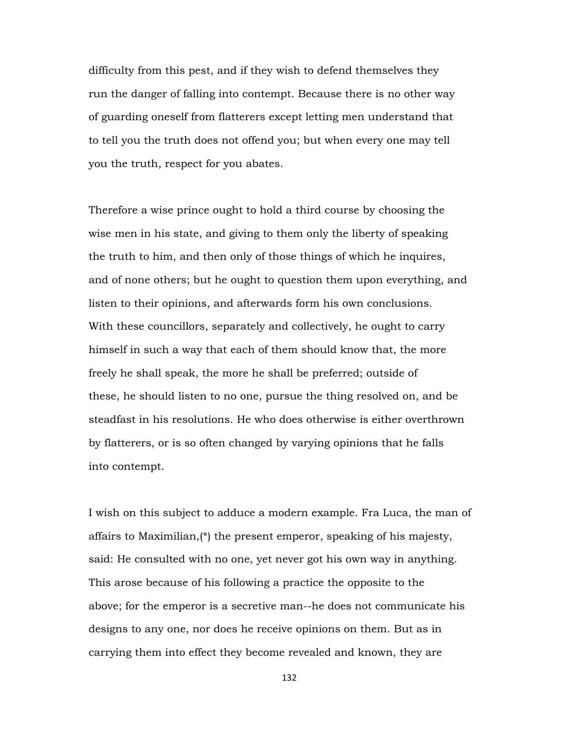difficulty from this pest, and if they wish to defend themselves they run the danger of falling into contempt. Because there is no other way of guarding oneself from flatterers except letting men understand that to tell you the truth does not offend you; but when every one may tell you the truth, respect for you abates.

Therefore a wise prince ought to hold a third course by choosing the wise men in his state, and giving to them only the liberty of speaking the truth to him, and then only of those things of which he inquires, and of none others; but he ought to question them upon everything, and listen to their opinions, and afterwards form his own conclusions. With these councillors, separately and collectively, he ought to carry himself in such a way that each of them should know that, the more freely he shall speak, the more he shall be preferred; outside of these, he should listen to no one, pursue the thing resolved on, and be steadfast in his resolutions. He who does otherwise is either overthrown by flatterers, or is so often changed by varying opinions that he falls into contempt.

I wish on this subject to adduce a modern example. Fra Luca, the man of affairs to Maximilian,(\*) the present emperor, speaking of his majesty, said: He consulted with no one, yet never got his own way in anything. This arose because of his following a practice the opposite to the above; for the emperor is a secretive man--he does not communicate his designs to any one, nor does he receive opinions on them. But as in carrying them into effect they become revealed and known, they are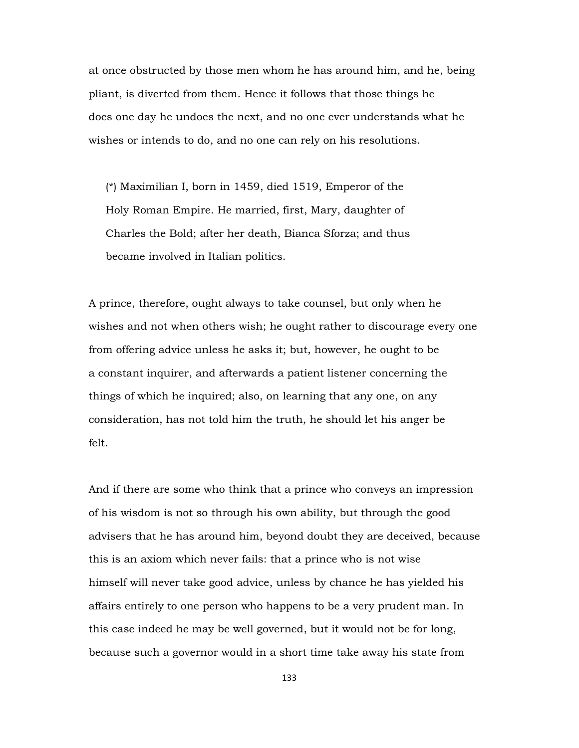at once obstructed by those men whom he has around him, and he, being pliant, is diverted from them. Hence it follows that those things he does one day he undoes the next, and no one ever understands what he wishes or intends to do, and no one can rely on his resolutions.

 (\*) Maximilian I, born in 1459, died 1519, Emperor of the Holy Roman Empire. He married, first, Mary, daughter of Charles the Bold; after her death, Bianca Sforza; and thus became involved in Italian politics.

A prince, therefore, ought always to take counsel, but only when he wishes and not when others wish; he ought rather to discourage every one from offering advice unless he asks it; but, however, he ought to be a constant inquirer, and afterwards a patient listener concerning the things of which he inquired; also, on learning that any one, on any consideration, has not told him the truth, he should let his anger be felt.

And if there are some who think that a prince who conveys an impression of his wisdom is not so through his own ability, but through the good advisers that he has around him, beyond doubt they are deceived, because this is an axiom which never fails: that a prince who is not wise himself will never take good advice, unless by chance he has yielded his affairs entirely to one person who happens to be a very prudent man. In this case indeed he may be well governed, but it would not be for long, because such a governor would in a short time take away his state from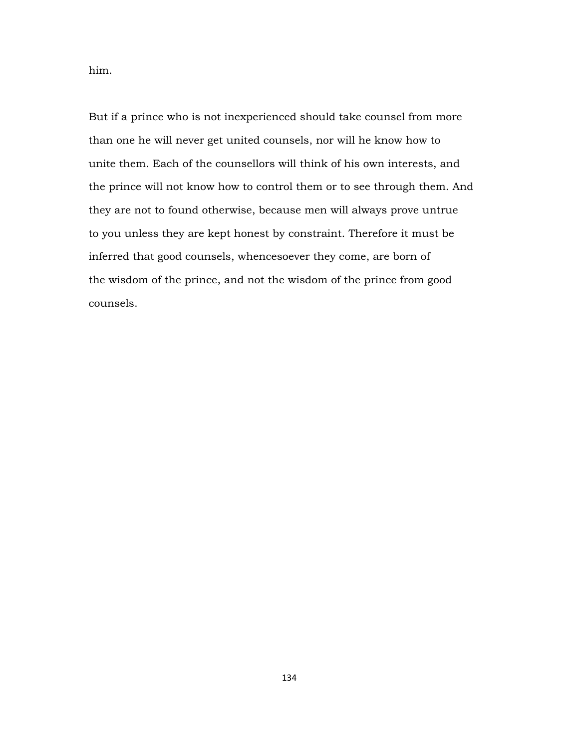him.

But if a prince who is not inexperienced should take counsel from more than one he will never get united counsels, nor will he know how to unite them. Each of the counsellors will think of his own interests, and the prince will not know how to control them or to see through them. And they are not to found otherwise, because men will always prove untrue to you unless they are kept honest by constraint. Therefore it must be inferred that good counsels, whencesoever they come, are born of the wisdom of the prince, and not the wisdom of the prince from good counsels.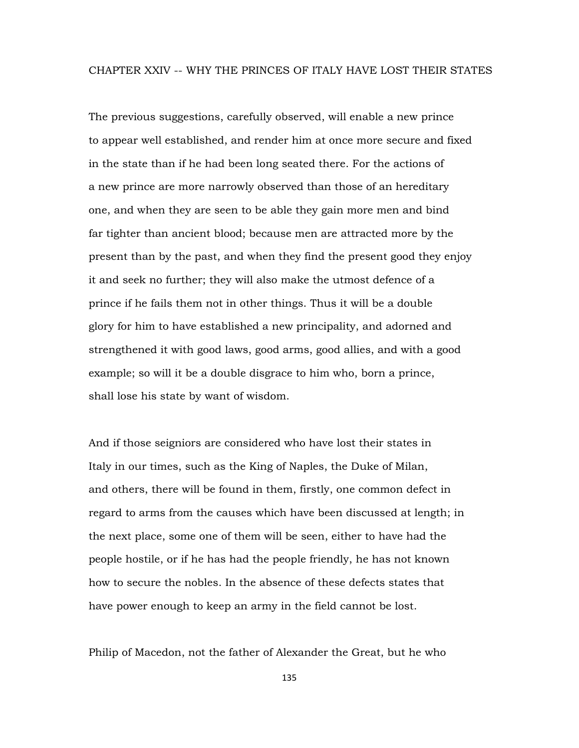#### CHAPTER XXIV -- WHY THE PRINCES OF ITALY HAVE LOST THEIR STATES

The previous suggestions, carefully observed, will enable a new prince to appear well established, and render him at once more secure and fixed in the state than if he had been long seated there. For the actions of a new prince are more narrowly observed than those of an hereditary one, and when they are seen to be able they gain more men and bind far tighter than ancient blood; because men are attracted more by the present than by the past, and when they find the present good they enjoy it and seek no further; they will also make the utmost defence of a prince if he fails them not in other things. Thus it will be a double glory for him to have established a new principality, and adorned and strengthened it with good laws, good arms, good allies, and with a good example; so will it be a double disgrace to him who, born a prince, shall lose his state by want of wisdom.

And if those seigniors are considered who have lost their states in Italy in our times, such as the King of Naples, the Duke of Milan, and others, there will be found in them, firstly, one common defect in regard to arms from the causes which have been discussed at length; in the next place, some one of them will be seen, either to have had the people hostile, or if he has had the people friendly, he has not known how to secure the nobles. In the absence of these defects states that have power enough to keep an army in the field cannot be lost.

Philip of Macedon, not the father of Alexander the Great, but he who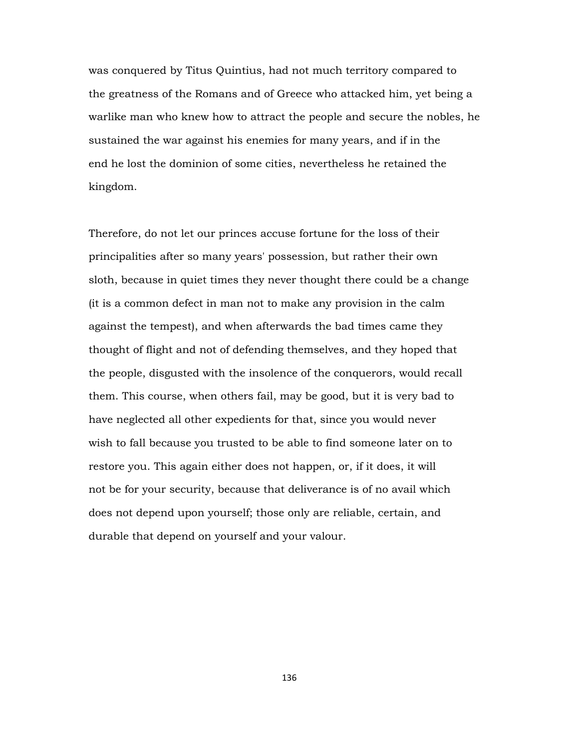was conquered by Titus Quintius, had not much territory compared to the greatness of the Romans and of Greece who attacked him, yet being a warlike man who knew how to attract the people and secure the nobles, he sustained the war against his enemies for many years, and if in the end he lost the dominion of some cities, nevertheless he retained the kingdom.

Therefore, do not let our princes accuse fortune for the loss of their principalities after so many years' possession, but rather their own sloth, because in quiet times they never thought there could be a change (it is a common defect in man not to make any provision in the calm against the tempest), and when afterwards the bad times came they thought of flight and not of defending themselves, and they hoped that the people, disgusted with the insolence of the conquerors, would recall them. This course, when others fail, may be good, but it is very bad to have neglected all other expedients for that, since you would never wish to fall because you trusted to be able to find someone later on to restore you. This again either does not happen, or, if it does, it will not be for your security, because that deliverance is of no avail which does not depend upon yourself; those only are reliable, certain, and durable that depend on yourself and your valour.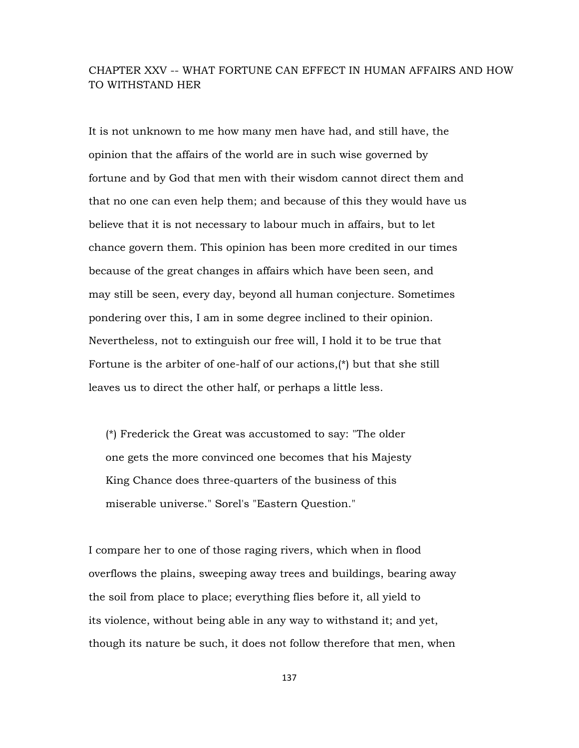## CHAPTER XXV -- WHAT FORTUNE CAN EFFECT IN HUMAN AFFAIRS AND HOW TO WITHSTAND HER

It is not unknown to me how many men have had, and still have, the opinion that the affairs of the world are in such wise governed by fortune and by God that men with their wisdom cannot direct them and that no one can even help them; and because of this they would have us believe that it is not necessary to labour much in affairs, but to let chance govern them. This opinion has been more credited in our times because of the great changes in affairs which have been seen, and may still be seen, every day, beyond all human conjecture. Sometimes pondering over this, I am in some degree inclined to their opinion. Nevertheless, not to extinguish our free will, I hold it to be true that Fortune is the arbiter of one-half of our actions,(\*) but that she still leaves us to direct the other half, or perhaps a little less.

 (\*) Frederick the Great was accustomed to say: "The older one gets the more convinced one becomes that his Majesty King Chance does three-quarters of the business of this miserable universe." Sorel's "Eastern Question."

I compare her to one of those raging rivers, which when in flood overflows the plains, sweeping away trees and buildings, bearing away the soil from place to place; everything flies before it, all yield to its violence, without being able in any way to withstand it; and yet, though its nature be such, it does not follow therefore that men, when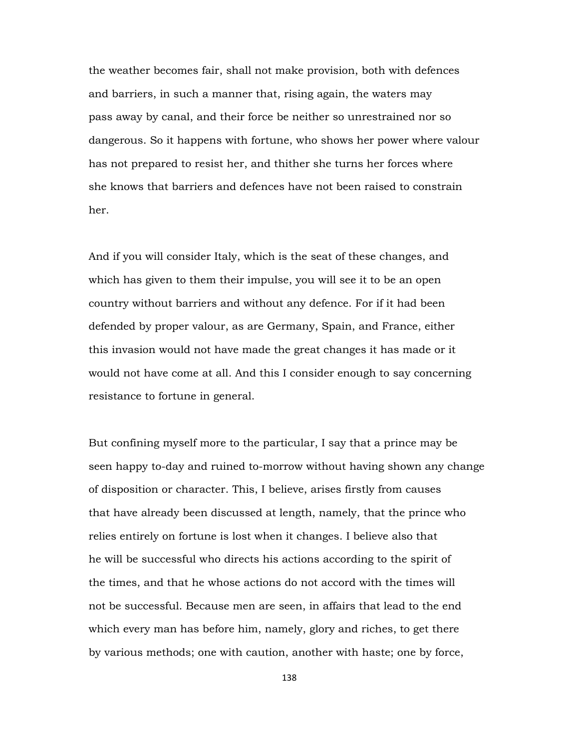the weather becomes fair, shall not make provision, both with defences and barriers, in such a manner that, rising again, the waters may pass away by canal, and their force be neither so unrestrained nor so dangerous. So it happens with fortune, who shows her power where valour has not prepared to resist her, and thither she turns her forces where she knows that barriers and defences have not been raised to constrain her.

And if you will consider Italy, which is the seat of these changes, and which has given to them their impulse, you will see it to be an open country without barriers and without any defence. For if it had been defended by proper valour, as are Germany, Spain, and France, either this invasion would not have made the great changes it has made or it would not have come at all. And this I consider enough to say concerning resistance to fortune in general.

But confining myself more to the particular, I say that a prince may be seen happy to-day and ruined to-morrow without having shown any change of disposition or character. This, I believe, arises firstly from causes that have already been discussed at length, namely, that the prince who relies entirely on fortune is lost when it changes. I believe also that he will be successful who directs his actions according to the spirit of the times, and that he whose actions do not accord with the times will not be successful. Because men are seen, in affairs that lead to the end which every man has before him, namely, glory and riches, to get there by various methods; one with caution, another with haste; one by force,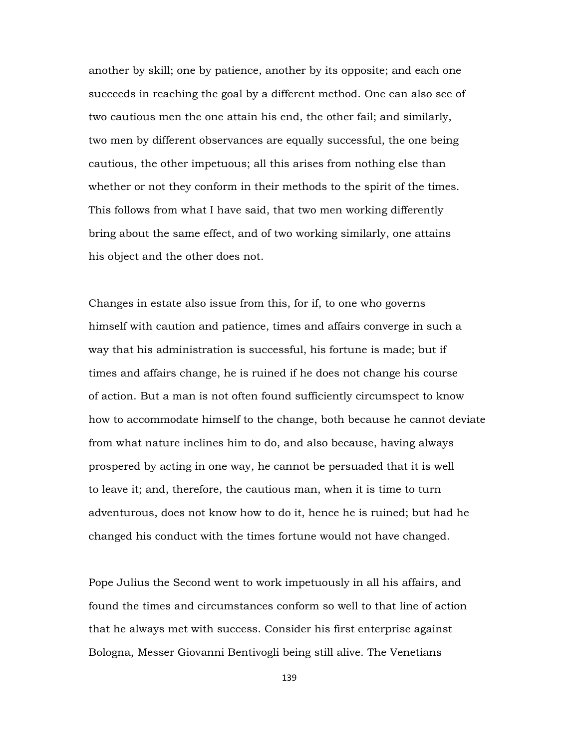another by skill; one by patience, another by its opposite; and each one succeeds in reaching the goal by a different method. One can also see of two cautious men the one attain his end, the other fail; and similarly, two men by different observances are equally successful, the one being cautious, the other impetuous; all this arises from nothing else than whether or not they conform in their methods to the spirit of the times. This follows from what I have said, that two men working differently bring about the same effect, and of two working similarly, one attains his object and the other does not.

Changes in estate also issue from this, for if, to one who governs himself with caution and patience, times and affairs converge in such a way that his administration is successful, his fortune is made; but if times and affairs change, he is ruined if he does not change his course of action. But a man is not often found sufficiently circumspect to know how to accommodate himself to the change, both because he cannot deviate from what nature inclines him to do, and also because, having always prospered by acting in one way, he cannot be persuaded that it is well to leave it; and, therefore, the cautious man, when it is time to turn adventurous, does not know how to do it, hence he is ruined; but had he changed his conduct with the times fortune would not have changed.

Pope Julius the Second went to work impetuously in all his affairs, and found the times and circumstances conform so well to that line of action that he always met with success. Consider his first enterprise against Bologna, Messer Giovanni Bentivogli being still alive. The Venetians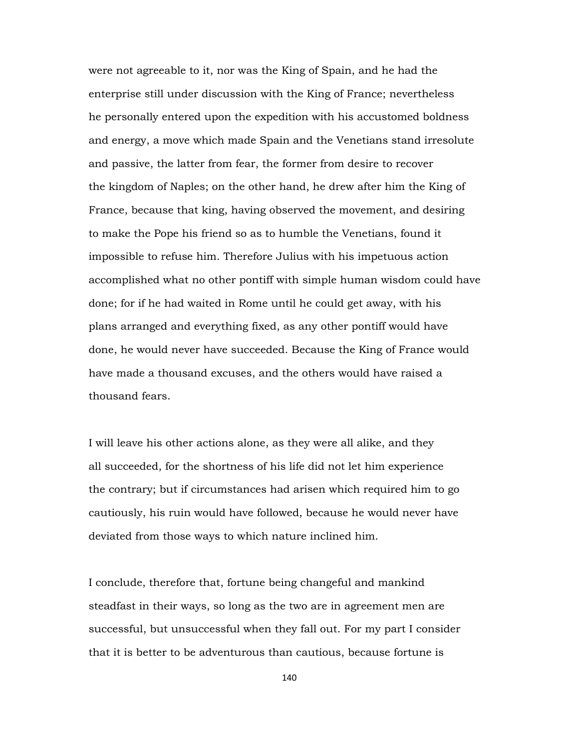were not agreeable to it, nor was the King of Spain, and he had the enterprise still under discussion with the King of France; nevertheless he personally entered upon the expedition with his accustomed boldness and energy, a move which made Spain and the Venetians stand irresolute and passive, the latter from fear, the former from desire to recover the kingdom of Naples; on the other hand, he drew after him the King of France, because that king, having observed the movement, and desiring to make the Pope his friend so as to humble the Venetians, found it impossible to refuse him. Therefore Julius with his impetuous action accomplished what no other pontiff with simple human wisdom could have done; for if he had waited in Rome until he could get away, with his plans arranged and everything fixed, as any other pontiff would have done, he would never have succeeded. Because the King of France would have made a thousand excuses, and the others would have raised a thousand fears.

I will leave his other actions alone, as they were all alike, and they all succeeded, for the shortness of his life did not let him experience the contrary; but if circumstances had arisen which required him to go cautiously, his ruin would have followed, because he would never have deviated from those ways to which nature inclined him.

I conclude, therefore that, fortune being changeful and mankind steadfast in their ways, so long as the two are in agreement men are successful, but unsuccessful when they fall out. For my part I consider that it is better to be adventurous than cautious, because fortune is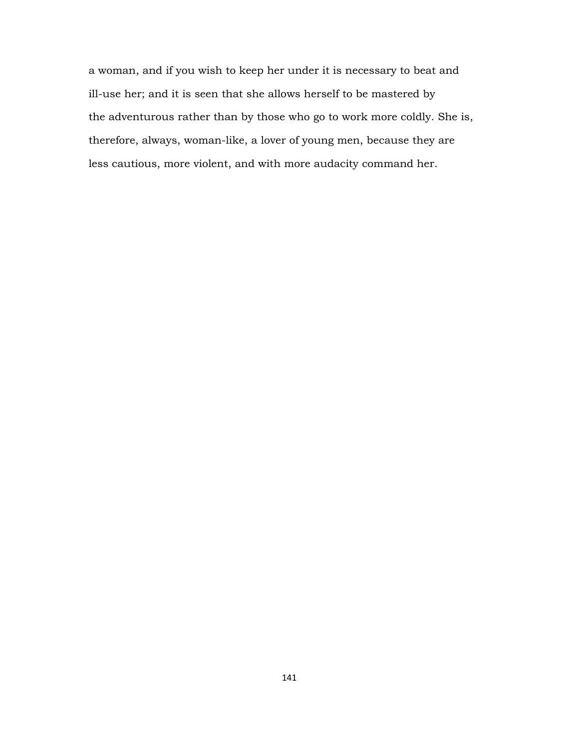a woman, and if you wish to keep her under it is necessary to beat and ill-use her; and it is seen that she allows herself to be mastered by the adventurous rather than by those who go to work more coldly. She is, therefore, always, woman-like, a lover of young men, because they are less cautious, more violent, and with more audacity command her.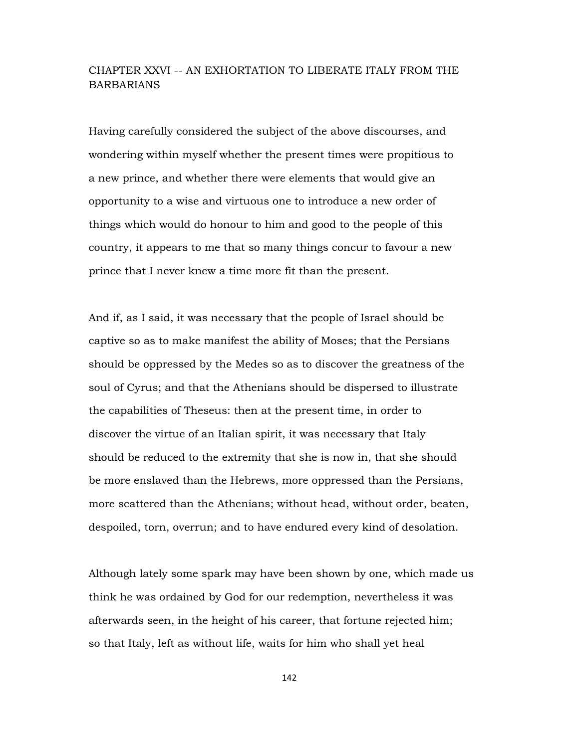# CHAPTER XXVI -- AN EXHORTATION TO LIBERATE ITALY FROM THE **BARBARIANS**

Having carefully considered the subject of the above discourses, and wondering within myself whether the present times were propitious to a new prince, and whether there were elements that would give an opportunity to a wise and virtuous one to introduce a new order of things which would do honour to him and good to the people of this country, it appears to me that so many things concur to favour a new prince that I never knew a time more fit than the present.

And if, as I said, it was necessary that the people of Israel should be captive so as to make manifest the ability of Moses; that the Persians should be oppressed by the Medes so as to discover the greatness of the soul of Cyrus; and that the Athenians should be dispersed to illustrate the capabilities of Theseus: then at the present time, in order to discover the virtue of an Italian spirit, it was necessary that Italy should be reduced to the extremity that she is now in, that she should be more enslaved than the Hebrews, more oppressed than the Persians, more scattered than the Athenians; without head, without order, beaten, despoiled, torn, overrun; and to have endured every kind of desolation.

Although lately some spark may have been shown by one, which made us think he was ordained by God for our redemption, nevertheless it was afterwards seen, in the height of his career, that fortune rejected him; so that Italy, left as without life, waits for him who shall yet heal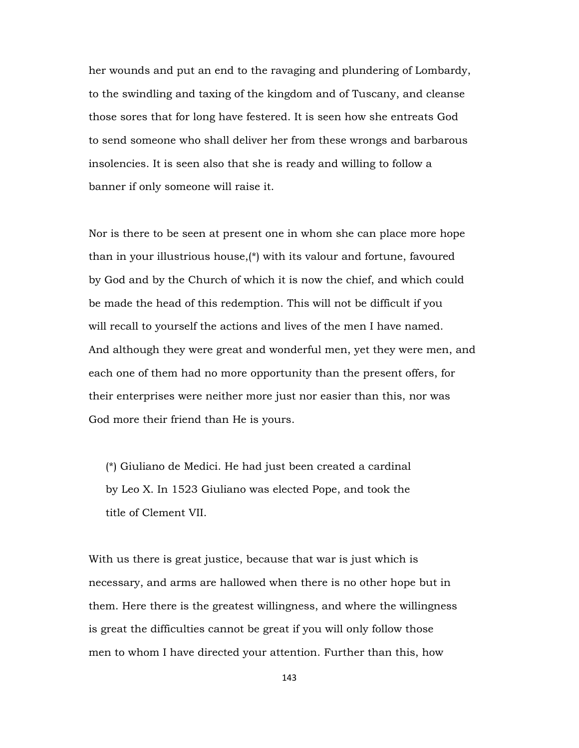her wounds and put an end to the ravaging and plundering of Lombardy, to the swindling and taxing of the kingdom and of Tuscany, and cleanse those sores that for long have festered. It is seen how she entreats God to send someone who shall deliver her from these wrongs and barbarous insolencies. It is seen also that she is ready and willing to follow a banner if only someone will raise it.

Nor is there to be seen at present one in whom she can place more hope than in your illustrious house,(\*) with its valour and fortune, favoured by God and by the Church of which it is now the chief, and which could be made the head of this redemption. This will not be difficult if you will recall to yourself the actions and lives of the men I have named. And although they were great and wonderful men, yet they were men, and each one of them had no more opportunity than the present offers, for their enterprises were neither more just nor easier than this, nor was God more their friend than He is yours.

 (\*) Giuliano de Medici. He had just been created a cardinal by Leo X. In 1523 Giuliano was elected Pope, and took the title of Clement VII.

With us there is great justice, because that war is just which is necessary, and arms are hallowed when there is no other hope but in them. Here there is the greatest willingness, and where the willingness is great the difficulties cannot be great if you will only follow those men to whom I have directed your attention. Further than this, how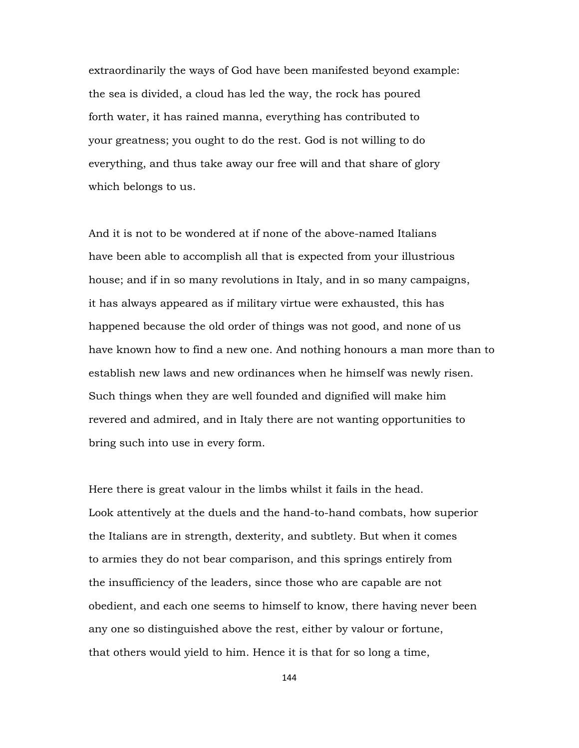extraordinarily the ways of God have been manifested beyond example: the sea is divided, a cloud has led the way, the rock has poured forth water, it has rained manna, everything has contributed to your greatness; you ought to do the rest. God is not willing to do everything, and thus take away our free will and that share of glory which belongs to us.

And it is not to be wondered at if none of the above-named Italians have been able to accomplish all that is expected from your illustrious house; and if in so many revolutions in Italy, and in so many campaigns, it has always appeared as if military virtue were exhausted, this has happened because the old order of things was not good, and none of us have known how to find a new one. And nothing honours a man more than to establish new laws and new ordinances when he himself was newly risen. Such things when they are well founded and dignified will make him revered and admired, and in Italy there are not wanting opportunities to bring such into use in every form.

Here there is great valour in the limbs whilst it fails in the head. Look attentively at the duels and the hand-to-hand combats, how superior the Italians are in strength, dexterity, and subtlety. But when it comes to armies they do not bear comparison, and this springs entirely from the insufficiency of the leaders, since those who are capable are not obedient, and each one seems to himself to know, there having never been any one so distinguished above the rest, either by valour or fortune, that others would yield to him. Hence it is that for so long a time,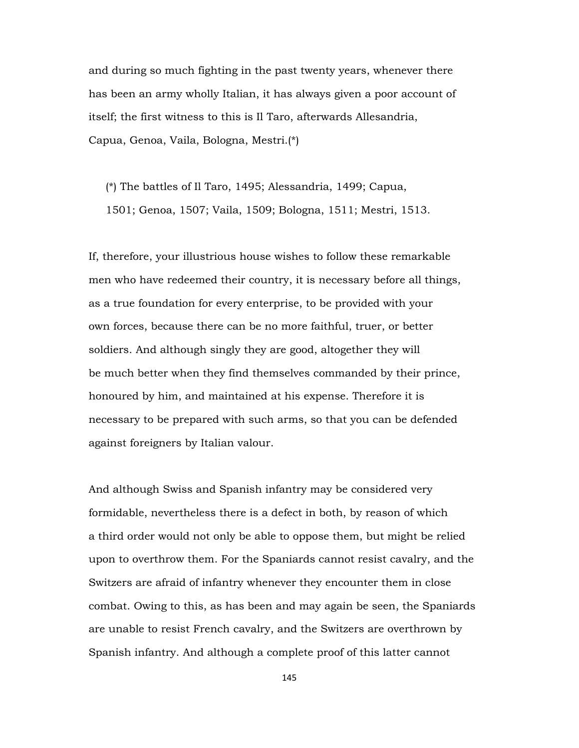and during so much fighting in the past twenty years, whenever there has been an army wholly Italian, it has always given a poor account of itself; the first witness to this is Il Taro, afterwards Allesandria, Capua, Genoa, Vaila, Bologna, Mestri.(\*)

 (\*) The battles of Il Taro, 1495; Alessandria, 1499; Capua, 1501; Genoa, 1507; Vaila, 1509; Bologna, 1511; Mestri, 1513.

If, therefore, your illustrious house wishes to follow these remarkable men who have redeemed their country, it is necessary before all things, as a true foundation for every enterprise, to be provided with your own forces, because there can be no more faithful, truer, or better soldiers. And although singly they are good, altogether they will be much better when they find themselves commanded by their prince, honoured by him, and maintained at his expense. Therefore it is necessary to be prepared with such arms, so that you can be defended against foreigners by Italian valour.

And although Swiss and Spanish infantry may be considered very formidable, nevertheless there is a defect in both, by reason of which a third order would not only be able to oppose them, but might be relied upon to overthrow them. For the Spaniards cannot resist cavalry, and the Switzers are afraid of infantry whenever they encounter them in close combat. Owing to this, as has been and may again be seen, the Spaniards are unable to resist French cavalry, and the Switzers are overthrown by Spanish infantry. And although a complete proof of this latter cannot

145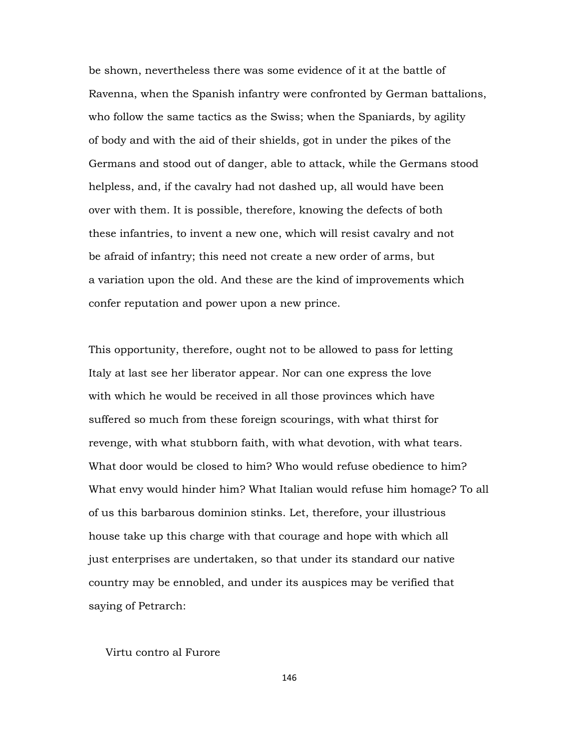be shown, nevertheless there was some evidence of it at the battle of Ravenna, when the Spanish infantry were confronted by German battalions, who follow the same tactics as the Swiss; when the Spaniards, by agility of body and with the aid of their shields, got in under the pikes of the Germans and stood out of danger, able to attack, while the Germans stood helpless, and, if the cavalry had not dashed up, all would have been over with them. It is possible, therefore, knowing the defects of both these infantries, to invent a new one, which will resist cavalry and not be afraid of infantry; this need not create a new order of arms, but a variation upon the old. And these are the kind of improvements which confer reputation and power upon a new prince.

This opportunity, therefore, ought not to be allowed to pass for letting Italy at last see her liberator appear. Nor can one express the love with which he would be received in all those provinces which have suffered so much from these foreign scourings, with what thirst for revenge, with what stubborn faith, with what devotion, with what tears. What door would be closed to him? Who would refuse obedience to him? What envy would hinder him? What Italian would refuse him homage? To all of us this barbarous dominion stinks. Let, therefore, your illustrious house take up this charge with that courage and hope with which all just enterprises are undertaken, so that under its standard our native country may be ennobled, and under its auspices may be verified that saying of Petrarch:

#### Virtu contro al Furore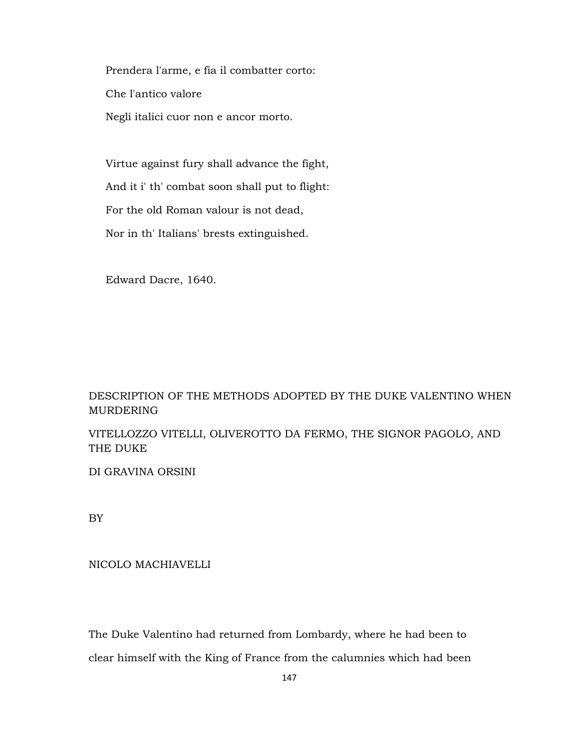Prendera l'arme, e fia il combatter corto: Che l'antico valore Negli italici cuor non e ancor morto.

 Virtue against fury shall advance the fight, And it i' th' combat soon shall put to flight: For the old Roman valour is not dead, Nor in th' Italians' brests extinguished.

Edward Dacre, 1640.

# DESCRIPTION OF THE METHODS ADOPTED BY THE DUKE VALENTINO WHEN MURDERING

VITELLOZZO VITELLI, OLIVEROTTO DA FERMO, THE SIGNOR PAGOLO, AND THE DUKE

DI GRAVINA ORSINI

BY

### NICOLO MACHIAVELLI

The Duke Valentino had returned from Lombardy, where he had been to clear himself with the King of France from the calumnies which had been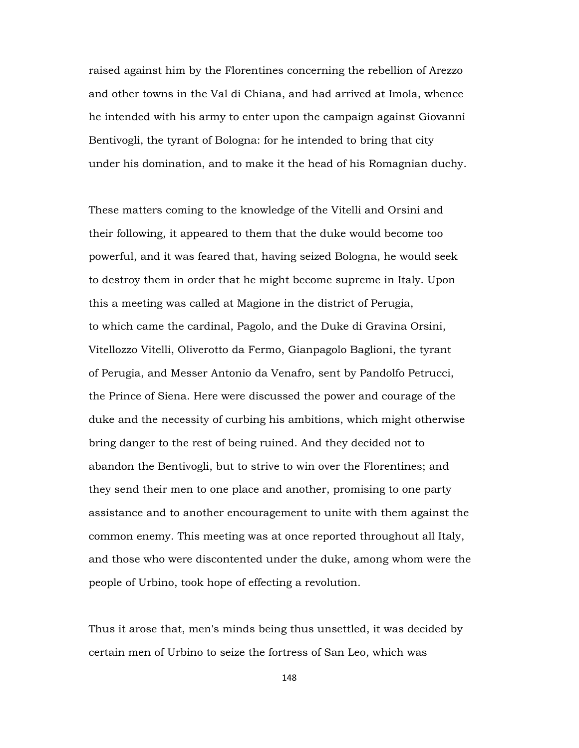raised against him by the Florentines concerning the rebellion of Arezzo and other towns in the Val di Chiana, and had arrived at Imola, whence he intended with his army to enter upon the campaign against Giovanni Bentivogli, the tyrant of Bologna: for he intended to bring that city under his domination, and to make it the head of his Romagnian duchy.

These matters coming to the knowledge of the Vitelli and Orsini and their following, it appeared to them that the duke would become too powerful, and it was feared that, having seized Bologna, he would seek to destroy them in order that he might become supreme in Italy. Upon this a meeting was called at Magione in the district of Perugia, to which came the cardinal, Pagolo, and the Duke di Gravina Orsini, Vitellozzo Vitelli, Oliverotto da Fermo, Gianpagolo Baglioni, the tyrant of Perugia, and Messer Antonio da Venafro, sent by Pandolfo Petrucci, the Prince of Siena. Here were discussed the power and courage of the duke and the necessity of curbing his ambitions, which might otherwise bring danger to the rest of being ruined. And they decided not to abandon the Bentivogli, but to strive to win over the Florentines; and they send their men to one place and another, promising to one party assistance and to another encouragement to unite with them against the common enemy. This meeting was at once reported throughout all Italy, and those who were discontented under the duke, among whom were the people of Urbino, took hope of effecting a revolution.

Thus it arose that, men's minds being thus unsettled, it was decided by certain men of Urbino to seize the fortress of San Leo, which was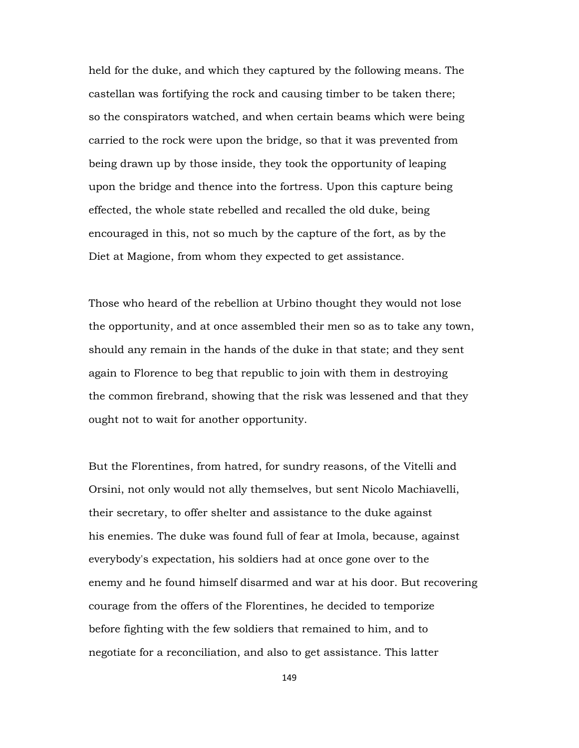held for the duke, and which they captured by the following means. The castellan was fortifying the rock and causing timber to be taken there; so the conspirators watched, and when certain beams which were being carried to the rock were upon the bridge, so that it was prevented from being drawn up by those inside, they took the opportunity of leaping upon the bridge and thence into the fortress. Upon this capture being effected, the whole state rebelled and recalled the old duke, being encouraged in this, not so much by the capture of the fort, as by the Diet at Magione, from whom they expected to get assistance.

Those who heard of the rebellion at Urbino thought they would not lose the opportunity, and at once assembled their men so as to take any town, should any remain in the hands of the duke in that state; and they sent again to Florence to beg that republic to join with them in destroying the common firebrand, showing that the risk was lessened and that they ought not to wait for another opportunity.

But the Florentines, from hatred, for sundry reasons, of the Vitelli and Orsini, not only would not ally themselves, but sent Nicolo Machiavelli, their secretary, to offer shelter and assistance to the duke against his enemies. The duke was found full of fear at Imola, because, against everybody's expectation, his soldiers had at once gone over to the enemy and he found himself disarmed and war at his door. But recovering courage from the offers of the Florentines, he decided to temporize before fighting with the few soldiers that remained to him, and to negotiate for a reconciliation, and also to get assistance. This latter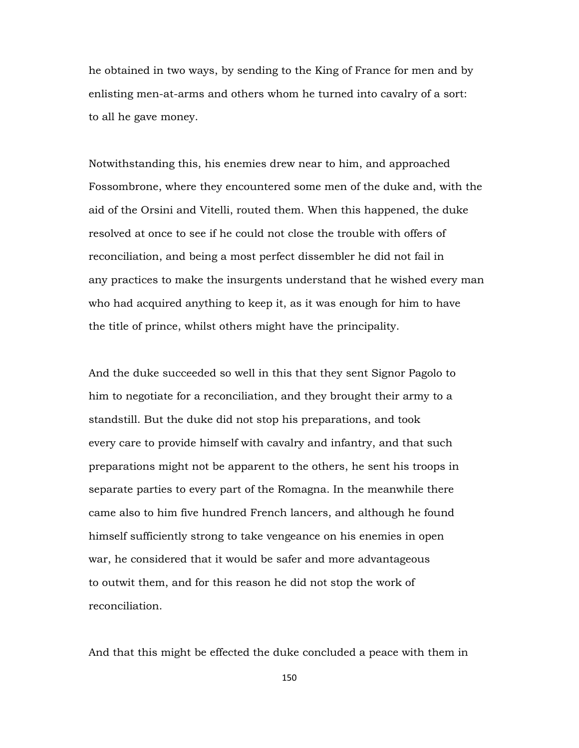he obtained in two ways, by sending to the King of France for men and by enlisting men-at-arms and others whom he turned into cavalry of a sort: to all he gave money.

Notwithstanding this, his enemies drew near to him, and approached Fossombrone, where they encountered some men of the duke and, with the aid of the Orsini and Vitelli, routed them. When this happened, the duke resolved at once to see if he could not close the trouble with offers of reconciliation, and being a most perfect dissembler he did not fail in any practices to make the insurgents understand that he wished every man who had acquired anything to keep it, as it was enough for him to have the title of prince, whilst others might have the principality.

And the duke succeeded so well in this that they sent Signor Pagolo to him to negotiate for a reconciliation, and they brought their army to a standstill. But the duke did not stop his preparations, and took every care to provide himself with cavalry and infantry, and that such preparations might not be apparent to the others, he sent his troops in separate parties to every part of the Romagna. In the meanwhile there came also to him five hundred French lancers, and although he found himself sufficiently strong to take vengeance on his enemies in open war, he considered that it would be safer and more advantageous to outwit them, and for this reason he did not stop the work of reconciliation.

And that this might be effected the duke concluded a peace with them in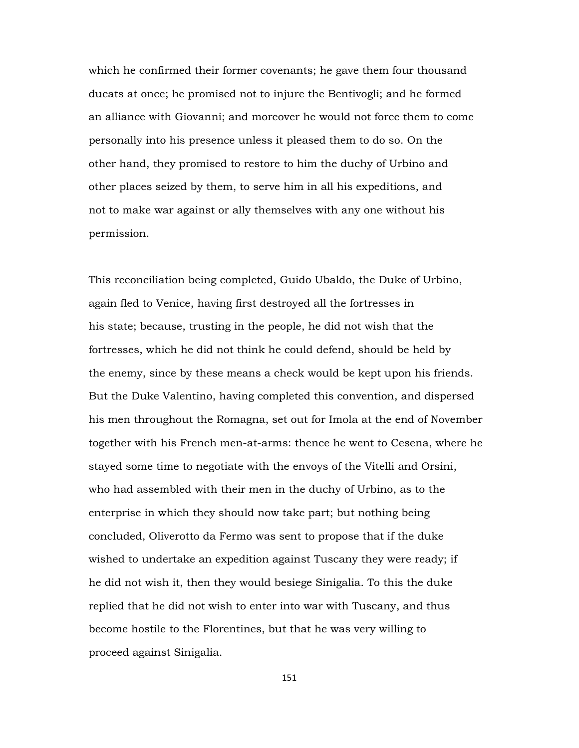which he confirmed their former covenants; he gave them four thousand ducats at once; he promised not to injure the Bentivogli; and he formed an alliance with Giovanni; and moreover he would not force them to come personally into his presence unless it pleased them to do so. On the other hand, they promised to restore to him the duchy of Urbino and other places seized by them, to serve him in all his expeditions, and not to make war against or ally themselves with any one without his permission.

This reconciliation being completed, Guido Ubaldo, the Duke of Urbino, again fled to Venice, having first destroyed all the fortresses in his state; because, trusting in the people, he did not wish that the fortresses, which he did not think he could defend, should be held by the enemy, since by these means a check would be kept upon his friends. But the Duke Valentino, having completed this convention, and dispersed his men throughout the Romagna, set out for Imola at the end of November together with his French men-at-arms: thence he went to Cesena, where he stayed some time to negotiate with the envoys of the Vitelli and Orsini, who had assembled with their men in the duchy of Urbino, as to the enterprise in which they should now take part; but nothing being concluded, Oliverotto da Fermo was sent to propose that if the duke wished to undertake an expedition against Tuscany they were ready; if he did not wish it, then they would besiege Sinigalia. To this the duke replied that he did not wish to enter into war with Tuscany, and thus become hostile to the Florentines, but that he was very willing to proceed against Sinigalia.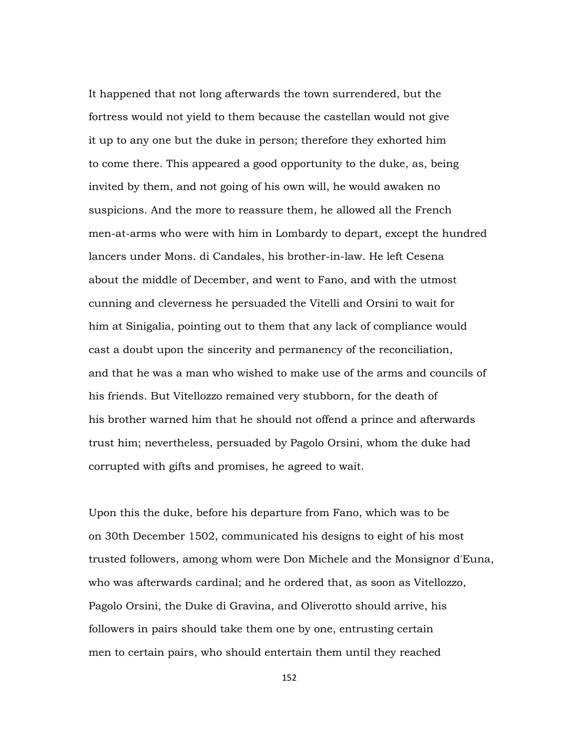It happened that not long afterwards the town surrendered, but the fortress would not yield to them because the castellan would not give it up to any one but the duke in person; therefore they exhorted him to come there. This appeared a good opportunity to the duke, as, being invited by them, and not going of his own will, he would awaken no suspicions. And the more to reassure them, he allowed all the French men-at-arms who were with him in Lombardy to depart, except the hundred lancers under Mons. di Candales, his brother-in-law. He left Cesena about the middle of December, and went to Fano, and with the utmost cunning and cleverness he persuaded the Vitelli and Orsini to wait for him at Sinigalia, pointing out to them that any lack of compliance would cast a doubt upon the sincerity and permanency of the reconciliation, and that he was a man who wished to make use of the arms and councils of his friends. But Vitellozzo remained very stubborn, for the death of his brother warned him that he should not offend a prince and afterwards trust him; nevertheless, persuaded by Pagolo Orsini, whom the duke had corrupted with gifts and promises, he agreed to wait.

Upon this the duke, before his departure from Fano, which was to be on 30th December 1502, communicated his designs to eight of his most trusted followers, among whom were Don Michele and the Monsignor d'Euna, who was afterwards cardinal; and he ordered that, as soon as Vitellozzo, Pagolo Orsini, the Duke di Gravina, and Oliverotto should arrive, his followers in pairs should take them one by one, entrusting certain men to certain pairs, who should entertain them until they reached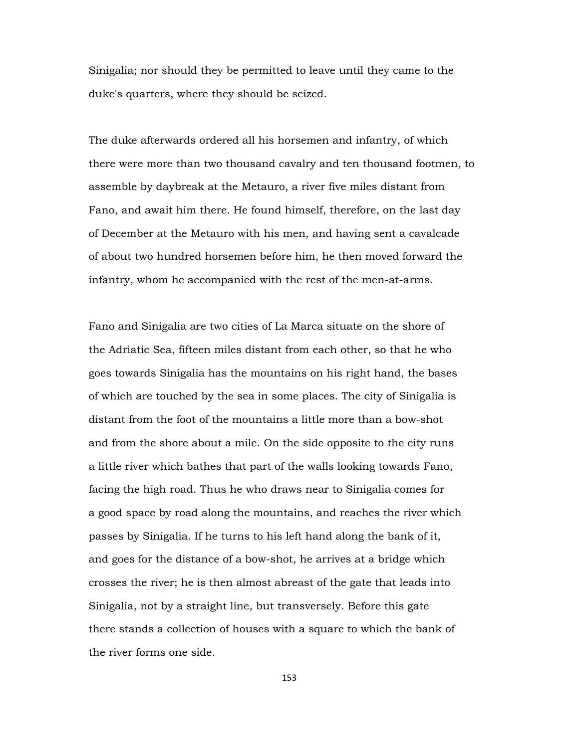Sinigalia; nor should they be permitted to leave until they came to the duke's quarters, where they should be seized.

The duke afterwards ordered all his horsemen and infantry, of which there were more than two thousand cavalry and ten thousand footmen, to assemble by daybreak at the Metauro, a river five miles distant from Fano, and await him there. He found himself, therefore, on the last day of December at the Metauro with his men, and having sent a cavalcade of about two hundred horsemen before him, he then moved forward the infantry, whom he accompanied with the rest of the men-at-arms.

Fano and Sinigalia are two cities of La Marca situate on the shore of the Adriatic Sea, fifteen miles distant from each other, so that he who goes towards Sinigalia has the mountains on his right hand, the bases of which are touched by the sea in some places. The city of Sinigalia is distant from the foot of the mountains a little more than a bow-shot and from the shore about a mile. On the side opposite to the city runs a little river which bathes that part of the walls looking towards Fano, facing the high road. Thus he who draws near to Sinigalia comes for a good space by road along the mountains, and reaches the river which passes by Sinigalia. If he turns to his left hand along the bank of it, and goes for the distance of a bow-shot, he arrives at a bridge which crosses the river; he is then almost abreast of the gate that leads into Sinigalia, not by a straight line, but transversely. Before this gate there stands a collection of houses with a square to which the bank of the river forms one side.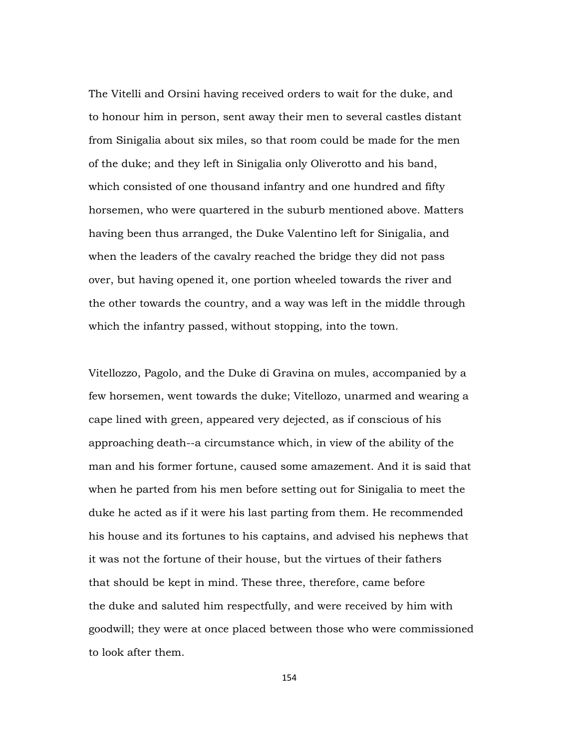The Vitelli and Orsini having received orders to wait for the duke, and to honour him in person, sent away their men to several castles distant from Sinigalia about six miles, so that room could be made for the men of the duke; and they left in Sinigalia only Oliverotto and his band, which consisted of one thousand infantry and one hundred and fifty horsemen, who were quartered in the suburb mentioned above. Matters having been thus arranged, the Duke Valentino left for Sinigalia, and when the leaders of the cavalry reached the bridge they did not pass over, but having opened it, one portion wheeled towards the river and the other towards the country, and a way was left in the middle through which the infantry passed, without stopping, into the town.

Vitellozzo, Pagolo, and the Duke di Gravina on mules, accompanied by a few horsemen, went towards the duke; Vitellozo, unarmed and wearing a cape lined with green, appeared very dejected, as if conscious of his approaching death--a circumstance which, in view of the ability of the man and his former fortune, caused some amazement. And it is said that when he parted from his men before setting out for Sinigalia to meet the duke he acted as if it were his last parting from them. He recommended his house and its fortunes to his captains, and advised his nephews that it was not the fortune of their house, but the virtues of their fathers that should be kept in mind. These three, therefore, came before the duke and saluted him respectfully, and were received by him with goodwill; they were at once placed between those who were commissioned to look after them.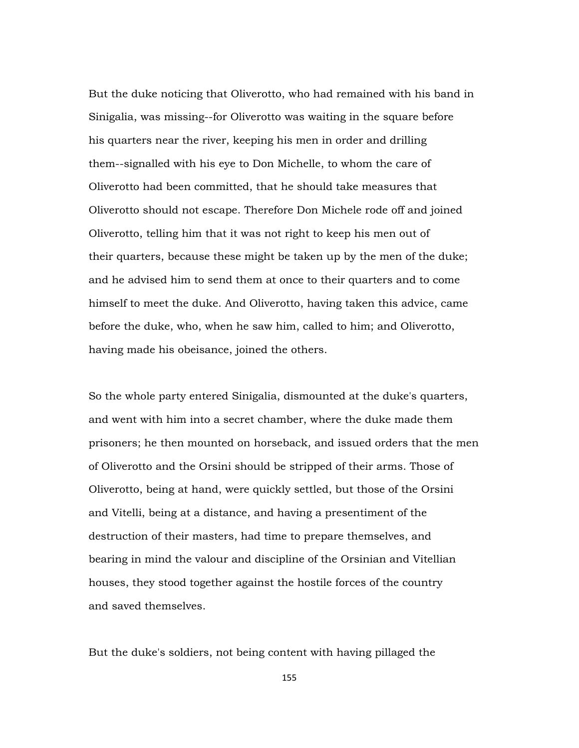But the duke noticing that Oliverotto, who had remained with his band in Sinigalia, was missing--for Oliverotto was waiting in the square before his quarters near the river, keeping his men in order and drilling them--signalled with his eye to Don Michelle, to whom the care of Oliverotto had been committed, that he should take measures that Oliverotto should not escape. Therefore Don Michele rode off and joined Oliverotto, telling him that it was not right to keep his men out of their quarters, because these might be taken up by the men of the duke; and he advised him to send them at once to their quarters and to come himself to meet the duke. And Oliverotto, having taken this advice, came before the duke, who, when he saw him, called to him; and Oliverotto, having made his obeisance, joined the others.

So the whole party entered Sinigalia, dismounted at the duke's quarters, and went with him into a secret chamber, where the duke made them prisoners; he then mounted on horseback, and issued orders that the men of Oliverotto and the Orsini should be stripped of their arms. Those of Oliverotto, being at hand, were quickly settled, but those of the Orsini and Vitelli, being at a distance, and having a presentiment of the destruction of their masters, had time to prepare themselves, and bearing in mind the valour and discipline of the Orsinian and Vitellian houses, they stood together against the hostile forces of the country and saved themselves.

But the duke's soldiers, not being content with having pillaged the

155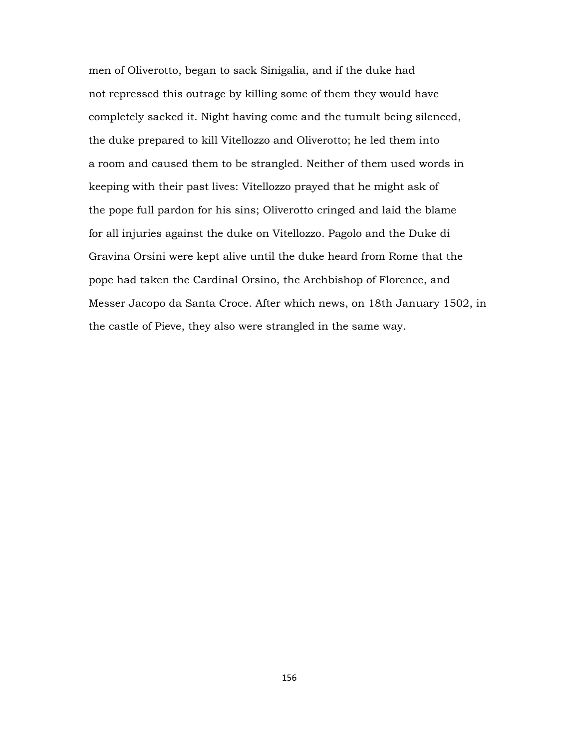men of Oliverotto, began to sack Sinigalia, and if the duke had not repressed this outrage by killing some of them they would have completely sacked it. Night having come and the tumult being silenced, the duke prepared to kill Vitellozzo and Oliverotto; he led them into a room and caused them to be strangled. Neither of them used words in keeping with their past lives: Vitellozzo prayed that he might ask of the pope full pardon for his sins; Oliverotto cringed and laid the blame for all injuries against the duke on Vitellozzo. Pagolo and the Duke di Gravina Orsini were kept alive until the duke heard from Rome that the pope had taken the Cardinal Orsino, the Archbishop of Florence, and Messer Jacopo da Santa Croce. After which news, on 18th January 1502, in the castle of Pieve, they also were strangled in the same way.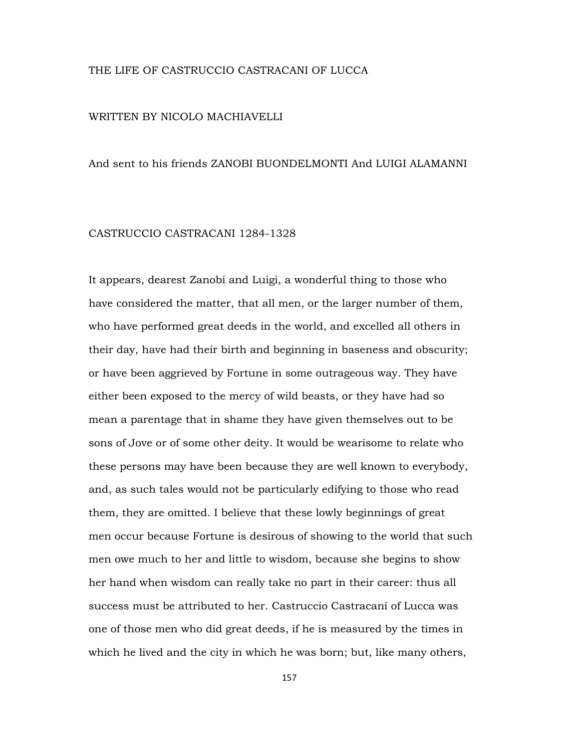#### THE LIFE OF CASTRUCCIO CASTRACANI OF LUCCA

#### WRITTEN BY NICOLO MACHIAVELLI

#### And sent to his friends ZANOBI BUONDELMONTI And LUIGI ALAMANNI

## CASTRUCCIO CASTRACANI 1284-1328

It appears, dearest Zanobi and Luigi, a wonderful thing to those who have considered the matter, that all men, or the larger number of them, who have performed great deeds in the world, and excelled all others in their day, have had their birth and beginning in baseness and obscurity; or have been aggrieved by Fortune in some outrageous way. They have either been exposed to the mercy of wild beasts, or they have had so mean a parentage that in shame they have given themselves out to be sons of Jove or of some other deity. It would be wearisome to relate who these persons may have been because they are well known to everybody, and, as such tales would not be particularly edifying to those who read them, they are omitted. I believe that these lowly beginnings of great men occur because Fortune is desirous of showing to the world that such men owe much to her and little to wisdom, because she begins to show her hand when wisdom can really take no part in their career: thus all success must be attributed to her. Castruccio Castracani of Lucca was one of those men who did great deeds, if he is measured by the times in which he lived and the city in which he was born; but, like many others,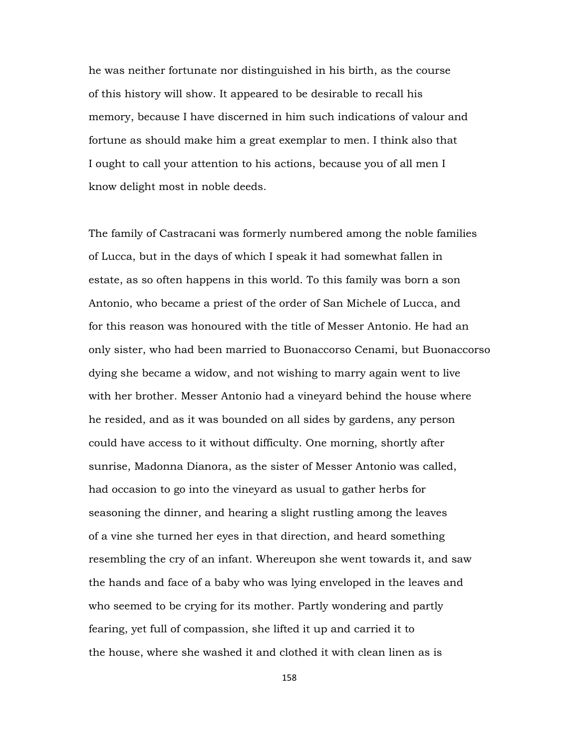he was neither fortunate nor distinguished in his birth, as the course of this history will show. It appeared to be desirable to recall his memory, because I have discerned in him such indications of valour and fortune as should make him a great exemplar to men. I think also that I ought to call your attention to his actions, because you of all men I know delight most in noble deeds.

The family of Castracani was formerly numbered among the noble families of Lucca, but in the days of which I speak it had somewhat fallen in estate, as so often happens in this world. To this family was born a son Antonio, who became a priest of the order of San Michele of Lucca, and for this reason was honoured with the title of Messer Antonio. He had an only sister, who had been married to Buonaccorso Cenami, but Buonaccorso dying she became a widow, and not wishing to marry again went to live with her brother. Messer Antonio had a vineyard behind the house where he resided, and as it was bounded on all sides by gardens, any person could have access to it without difficulty. One morning, shortly after sunrise, Madonna Dianora, as the sister of Messer Antonio was called, had occasion to go into the vineyard as usual to gather herbs for seasoning the dinner, and hearing a slight rustling among the leaves of a vine she turned her eyes in that direction, and heard something resembling the cry of an infant. Whereupon she went towards it, and saw the hands and face of a baby who was lying enveloped in the leaves and who seemed to be crying for its mother. Partly wondering and partly fearing, yet full of compassion, she lifted it up and carried it to the house, where she washed it and clothed it with clean linen as is

158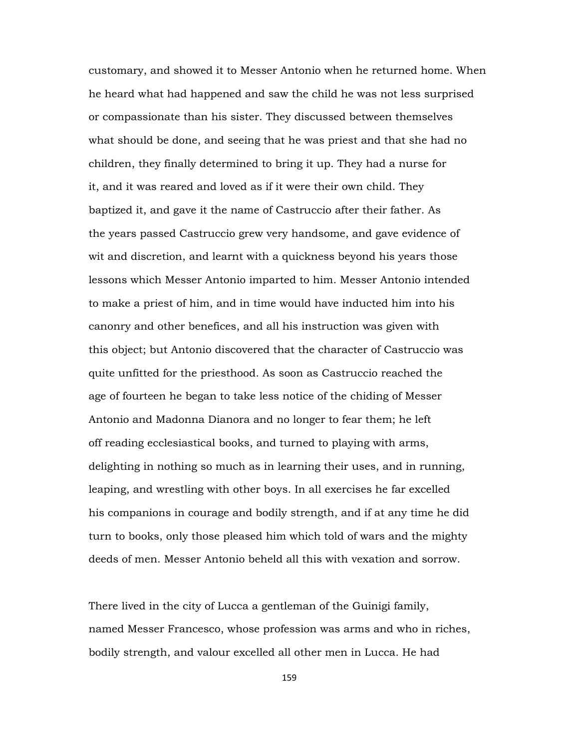customary, and showed it to Messer Antonio when he returned home. When he heard what had happened and saw the child he was not less surprised or compassionate than his sister. They discussed between themselves what should be done, and seeing that he was priest and that she had no children, they finally determined to bring it up. They had a nurse for it, and it was reared and loved as if it were their own child. They baptized it, and gave it the name of Castruccio after their father. As the years passed Castruccio grew very handsome, and gave evidence of wit and discretion, and learnt with a quickness beyond his years those lessons which Messer Antonio imparted to him. Messer Antonio intended to make a priest of him, and in time would have inducted him into his canonry and other benefices, and all his instruction was given with this object; but Antonio discovered that the character of Castruccio was quite unfitted for the priesthood. As soon as Castruccio reached the age of fourteen he began to take less notice of the chiding of Messer Antonio and Madonna Dianora and no longer to fear them; he left off reading ecclesiastical books, and turned to playing with arms, delighting in nothing so much as in learning their uses, and in running, leaping, and wrestling with other boys. In all exercises he far excelled his companions in courage and bodily strength, and if at any time he did turn to books, only those pleased him which told of wars and the mighty deeds of men. Messer Antonio beheld all this with vexation and sorrow.

There lived in the city of Lucca a gentleman of the Guinigi family, named Messer Francesco, whose profession was arms and who in riches, bodily strength, and valour excelled all other men in Lucca. He had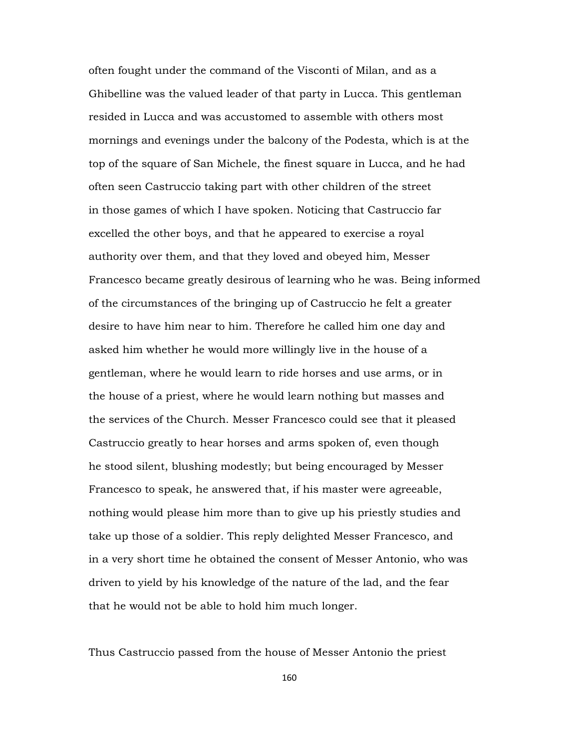often fought under the command of the Visconti of Milan, and as a Ghibelline was the valued leader of that party in Lucca. This gentleman resided in Lucca and was accustomed to assemble with others most mornings and evenings under the balcony of the Podesta, which is at the top of the square of San Michele, the finest square in Lucca, and he had often seen Castruccio taking part with other children of the street in those games of which I have spoken. Noticing that Castruccio far excelled the other boys, and that he appeared to exercise a royal authority over them, and that they loved and obeyed him, Messer Francesco became greatly desirous of learning who he was. Being informed of the circumstances of the bringing up of Castruccio he felt a greater desire to have him near to him. Therefore he called him one day and asked him whether he would more willingly live in the house of a gentleman, where he would learn to ride horses and use arms, or in the house of a priest, where he would learn nothing but masses and the services of the Church. Messer Francesco could see that it pleased Castruccio greatly to hear horses and arms spoken of, even though he stood silent, blushing modestly; but being encouraged by Messer Francesco to speak, he answered that, if his master were agreeable, nothing would please him more than to give up his priestly studies and take up those of a soldier. This reply delighted Messer Francesco, and in a very short time he obtained the consent of Messer Antonio, who was driven to yield by his knowledge of the nature of the lad, and the fear that he would not be able to hold him much longer.

Thus Castruccio passed from the house of Messer Antonio the priest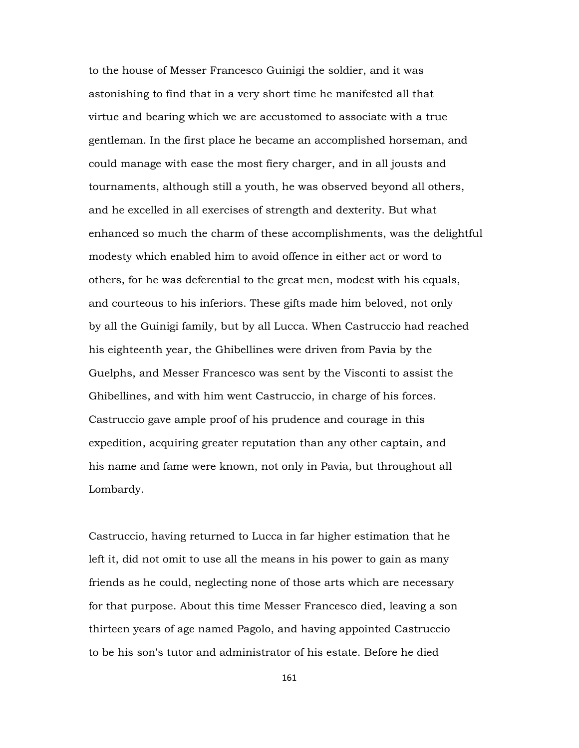to the house of Messer Francesco Guinigi the soldier, and it was astonishing to find that in a very short time he manifested all that virtue and bearing which we are accustomed to associate with a true gentleman. In the first place he became an accomplished horseman, and could manage with ease the most fiery charger, and in all jousts and tournaments, although still a youth, he was observed beyond all others, and he excelled in all exercises of strength and dexterity. But what enhanced so much the charm of these accomplishments, was the delightful modesty which enabled him to avoid offence in either act or word to others, for he was deferential to the great men, modest with his equals, and courteous to his inferiors. These gifts made him beloved, not only by all the Guinigi family, but by all Lucca. When Castruccio had reached his eighteenth year, the Ghibellines were driven from Pavia by the Guelphs, and Messer Francesco was sent by the Visconti to assist the Ghibellines, and with him went Castruccio, in charge of his forces. Castruccio gave ample proof of his prudence and courage in this expedition, acquiring greater reputation than any other captain, and his name and fame were known, not only in Pavia, but throughout all Lombardy.

Castruccio, having returned to Lucca in far higher estimation that he left it, did not omit to use all the means in his power to gain as many friends as he could, neglecting none of those arts which are necessary for that purpose. About this time Messer Francesco died, leaving a son thirteen years of age named Pagolo, and having appointed Castruccio to be his son's tutor and administrator of his estate. Before he died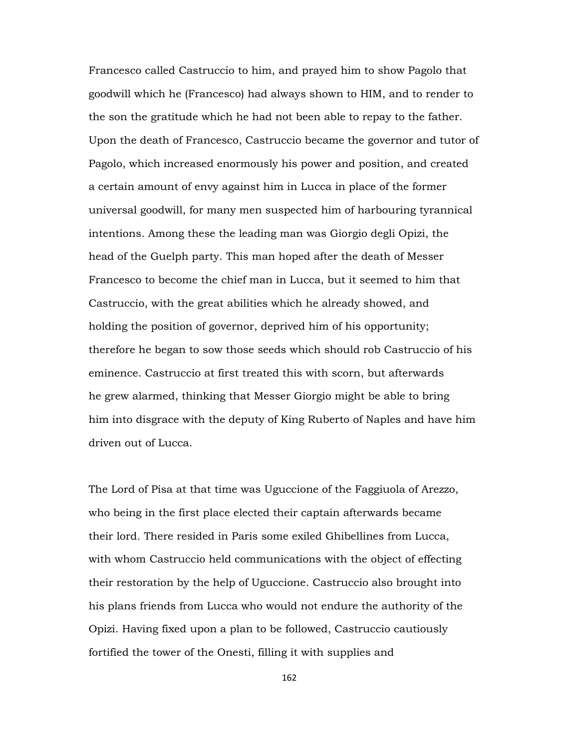Francesco called Castruccio to him, and prayed him to show Pagolo that goodwill which he (Francesco) had always shown to HIM, and to render to the son the gratitude which he had not been able to repay to the father. Upon the death of Francesco, Castruccio became the governor and tutor of Pagolo, which increased enormously his power and position, and created a certain amount of envy against him in Lucca in place of the former universal goodwill, for many men suspected him of harbouring tyrannical intentions. Among these the leading man was Giorgio degli Opizi, the head of the Guelph party. This man hoped after the death of Messer Francesco to become the chief man in Lucca, but it seemed to him that Castruccio, with the great abilities which he already showed, and holding the position of governor, deprived him of his opportunity; therefore he began to sow those seeds which should rob Castruccio of his eminence. Castruccio at first treated this with scorn, but afterwards he grew alarmed, thinking that Messer Giorgio might be able to bring him into disgrace with the deputy of King Ruberto of Naples and have him driven out of Lucca.

The Lord of Pisa at that time was Uguccione of the Faggiuola of Arezzo, who being in the first place elected their captain afterwards became their lord. There resided in Paris some exiled Ghibellines from Lucca, with whom Castruccio held communications with the object of effecting their restoration by the help of Uguccione. Castruccio also brought into his plans friends from Lucca who would not endure the authority of the Opizi. Having fixed upon a plan to be followed, Castruccio cautiously fortified the tower of the Onesti, filling it with supplies and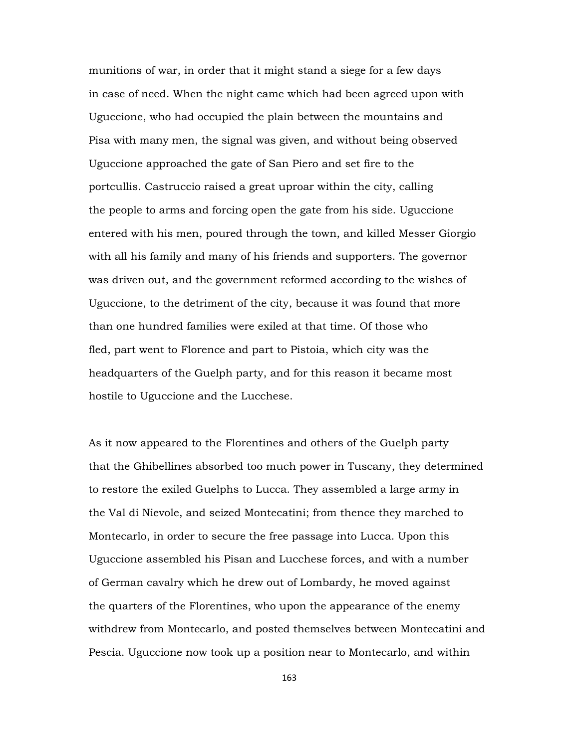munitions of war, in order that it might stand a siege for a few days in case of need. When the night came which had been agreed upon with Uguccione, who had occupied the plain between the mountains and Pisa with many men, the signal was given, and without being observed Uguccione approached the gate of San Piero and set fire to the portcullis. Castruccio raised a great uproar within the city, calling the people to arms and forcing open the gate from his side. Uguccione entered with his men, poured through the town, and killed Messer Giorgio with all his family and many of his friends and supporters. The governor was driven out, and the government reformed according to the wishes of Uguccione, to the detriment of the city, because it was found that more than one hundred families were exiled at that time. Of those who fled, part went to Florence and part to Pistoia, which city was the headquarters of the Guelph party, and for this reason it became most hostile to Uguccione and the Lucchese.

As it now appeared to the Florentines and others of the Guelph party that the Ghibellines absorbed too much power in Tuscany, they determined to restore the exiled Guelphs to Lucca. They assembled a large army in the Val di Nievole, and seized Montecatini; from thence they marched to Montecarlo, in order to secure the free passage into Lucca. Upon this Uguccione assembled his Pisan and Lucchese forces, and with a number of German cavalry which he drew out of Lombardy, he moved against the quarters of the Florentines, who upon the appearance of the enemy withdrew from Montecarlo, and posted themselves between Montecatini and Pescia. Uguccione now took up a position near to Montecarlo, and within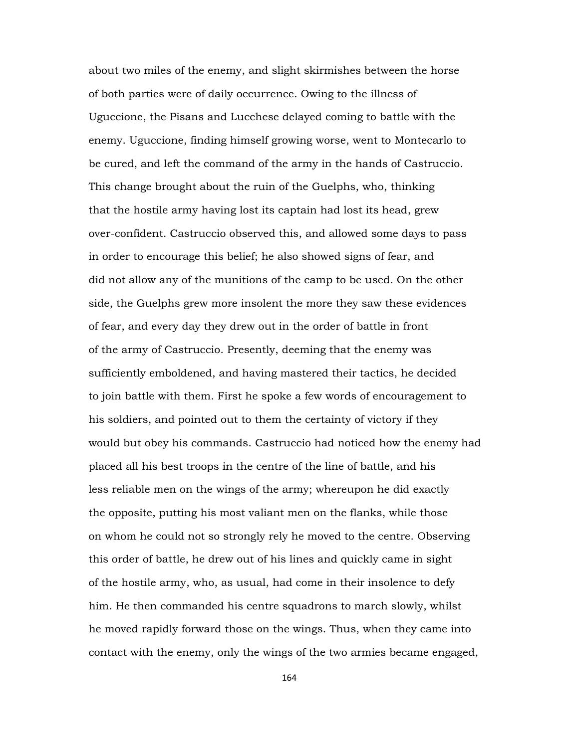about two miles of the enemy, and slight skirmishes between the horse of both parties were of daily occurrence. Owing to the illness of Uguccione, the Pisans and Lucchese delayed coming to battle with the enemy. Uguccione, finding himself growing worse, went to Montecarlo to be cured, and left the command of the army in the hands of Castruccio. This change brought about the ruin of the Guelphs, who, thinking that the hostile army having lost its captain had lost its head, grew over-confident. Castruccio observed this, and allowed some days to pass in order to encourage this belief; he also showed signs of fear, and did not allow any of the munitions of the camp to be used. On the other side, the Guelphs grew more insolent the more they saw these evidences of fear, and every day they drew out in the order of battle in front of the army of Castruccio. Presently, deeming that the enemy was sufficiently emboldened, and having mastered their tactics, he decided to join battle with them. First he spoke a few words of encouragement to his soldiers, and pointed out to them the certainty of victory if they would but obey his commands. Castruccio had noticed how the enemy had placed all his best troops in the centre of the line of battle, and his less reliable men on the wings of the army; whereupon he did exactly the opposite, putting his most valiant men on the flanks, while those on whom he could not so strongly rely he moved to the centre. Observing this order of battle, he drew out of his lines and quickly came in sight of the hostile army, who, as usual, had come in their insolence to defy him. He then commanded his centre squadrons to march slowly, whilst he moved rapidly forward those on the wings. Thus, when they came into contact with the enemy, only the wings of the two armies became engaged,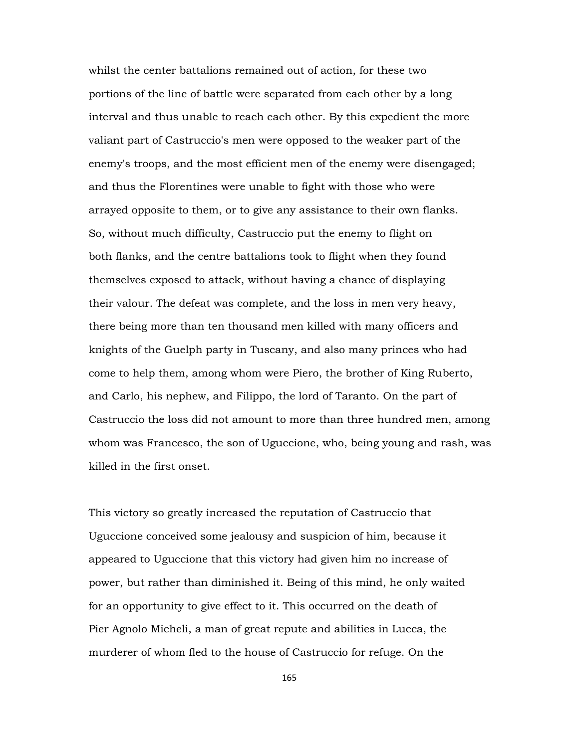whilst the center battalions remained out of action, for these two portions of the line of battle were separated from each other by a long interval and thus unable to reach each other. By this expedient the more valiant part of Castruccio's men were opposed to the weaker part of the enemy's troops, and the most efficient men of the enemy were disengaged; and thus the Florentines were unable to fight with those who were arrayed opposite to them, or to give any assistance to their own flanks. So, without much difficulty, Castruccio put the enemy to flight on both flanks, and the centre battalions took to flight when they found themselves exposed to attack, without having a chance of displaying their valour. The defeat was complete, and the loss in men very heavy, there being more than ten thousand men killed with many officers and knights of the Guelph party in Tuscany, and also many princes who had come to help them, among whom were Piero, the brother of King Ruberto, and Carlo, his nephew, and Filippo, the lord of Taranto. On the part of Castruccio the loss did not amount to more than three hundred men, among whom was Francesco, the son of Uguccione, who, being young and rash, was killed in the first onset.

This victory so greatly increased the reputation of Castruccio that Uguccione conceived some jealousy and suspicion of him, because it appeared to Uguccione that this victory had given him no increase of power, but rather than diminished it. Being of this mind, he only waited for an opportunity to give effect to it. This occurred on the death of Pier Agnolo Micheli, a man of great repute and abilities in Lucca, the murderer of whom fled to the house of Castruccio for refuge. On the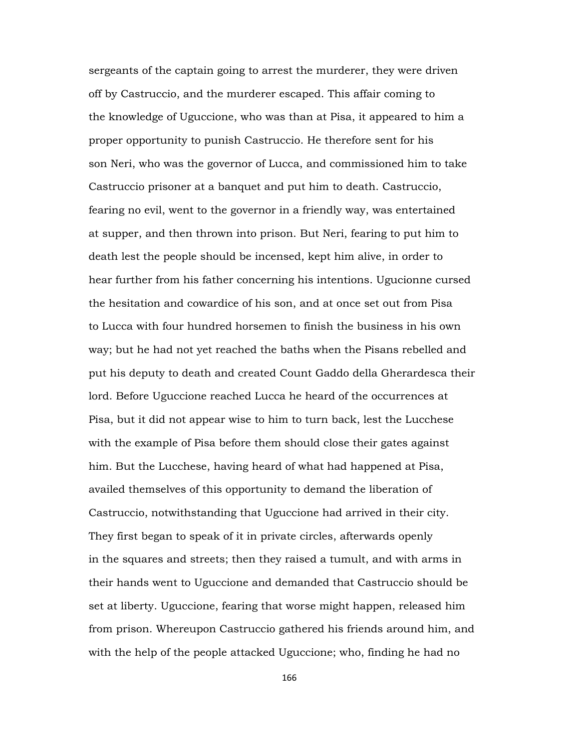sergeants of the captain going to arrest the murderer, they were driven off by Castruccio, and the murderer escaped. This affair coming to the knowledge of Uguccione, who was than at Pisa, it appeared to him a proper opportunity to punish Castruccio. He therefore sent for his son Neri, who was the governor of Lucca, and commissioned him to take Castruccio prisoner at a banquet and put him to death. Castruccio, fearing no evil, went to the governor in a friendly way, was entertained at supper, and then thrown into prison. But Neri, fearing to put him to death lest the people should be incensed, kept him alive, in order to hear further from his father concerning his intentions. Ugucionne cursed the hesitation and cowardice of his son, and at once set out from Pisa to Lucca with four hundred horsemen to finish the business in his own way; but he had not yet reached the baths when the Pisans rebelled and put his deputy to death and created Count Gaddo della Gherardesca their lord. Before Uguccione reached Lucca he heard of the occurrences at Pisa, but it did not appear wise to him to turn back, lest the Lucchese with the example of Pisa before them should close their gates against him. But the Lucchese, having heard of what had happened at Pisa, availed themselves of this opportunity to demand the liberation of Castruccio, notwithstanding that Uguccione had arrived in their city. They first began to speak of it in private circles, afterwards openly in the squares and streets; then they raised a tumult, and with arms in their hands went to Uguccione and demanded that Castruccio should be set at liberty. Uguccione, fearing that worse might happen, released him from prison. Whereupon Castruccio gathered his friends around him, and with the help of the people attacked Uguccione; who, finding he had no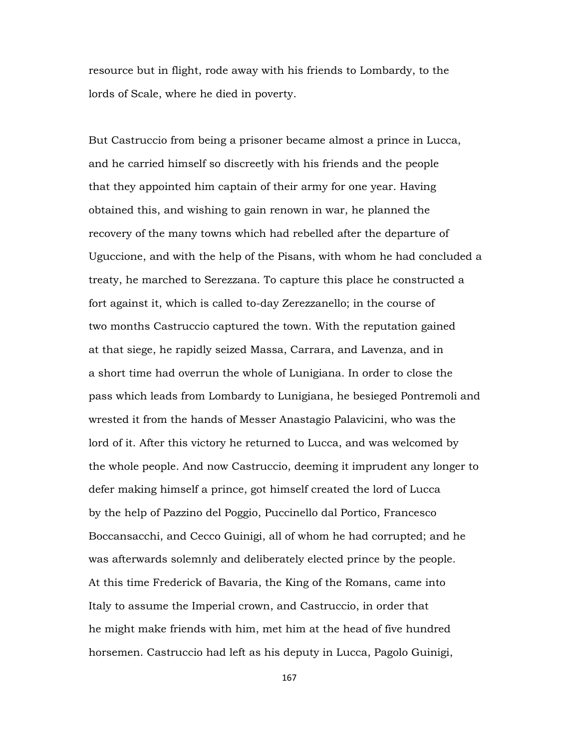resource but in flight, rode away with his friends to Lombardy, to the lords of Scale, where he died in poverty.

But Castruccio from being a prisoner became almost a prince in Lucca, and he carried himself so discreetly with his friends and the people that they appointed him captain of their army for one year. Having obtained this, and wishing to gain renown in war, he planned the recovery of the many towns which had rebelled after the departure of Uguccione, and with the help of the Pisans, with whom he had concluded a treaty, he marched to Serezzana. To capture this place he constructed a fort against it, which is called to-day Zerezzanello; in the course of two months Castruccio captured the town. With the reputation gained at that siege, he rapidly seized Massa, Carrara, and Lavenza, and in a short time had overrun the whole of Lunigiana. In order to close the pass which leads from Lombardy to Lunigiana, he besieged Pontremoli and wrested it from the hands of Messer Anastagio Palavicini, who was the lord of it. After this victory he returned to Lucca, and was welcomed by the whole people. And now Castruccio, deeming it imprudent any longer to defer making himself a prince, got himself created the lord of Lucca by the help of Pazzino del Poggio, Puccinello dal Portico, Francesco Boccansacchi, and Cecco Guinigi, all of whom he had corrupted; and he was afterwards solemnly and deliberately elected prince by the people. At this time Frederick of Bavaria, the King of the Romans, came into Italy to assume the Imperial crown, and Castruccio, in order that he might make friends with him, met him at the head of five hundred horsemen. Castruccio had left as his deputy in Lucca, Pagolo Guinigi,

167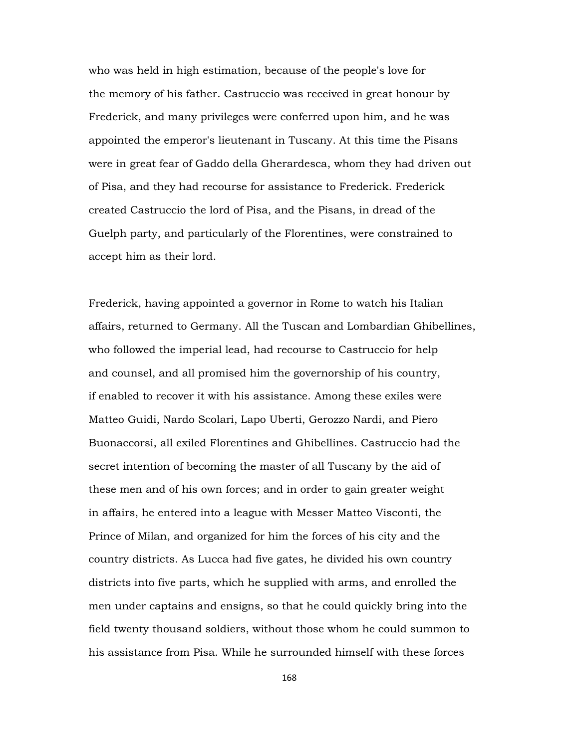who was held in high estimation, because of the people's love for the memory of his father. Castruccio was received in great honour by Frederick, and many privileges were conferred upon him, and he was appointed the emperor's lieutenant in Tuscany. At this time the Pisans were in great fear of Gaddo della Gherardesca, whom they had driven out of Pisa, and they had recourse for assistance to Frederick. Frederick created Castruccio the lord of Pisa, and the Pisans, in dread of the Guelph party, and particularly of the Florentines, were constrained to accept him as their lord.

Frederick, having appointed a governor in Rome to watch his Italian affairs, returned to Germany. All the Tuscan and Lombardian Ghibellines, who followed the imperial lead, had recourse to Castruccio for help and counsel, and all promised him the governorship of his country, if enabled to recover it with his assistance. Among these exiles were Matteo Guidi, Nardo Scolari, Lapo Uberti, Gerozzo Nardi, and Piero Buonaccorsi, all exiled Florentines and Ghibellines. Castruccio had the secret intention of becoming the master of all Tuscany by the aid of these men and of his own forces; and in order to gain greater weight in affairs, he entered into a league with Messer Matteo Visconti, the Prince of Milan, and organized for him the forces of his city and the country districts. As Lucca had five gates, he divided his own country districts into five parts, which he supplied with arms, and enrolled the men under captains and ensigns, so that he could quickly bring into the field twenty thousand soldiers, without those whom he could summon to his assistance from Pisa. While he surrounded himself with these forces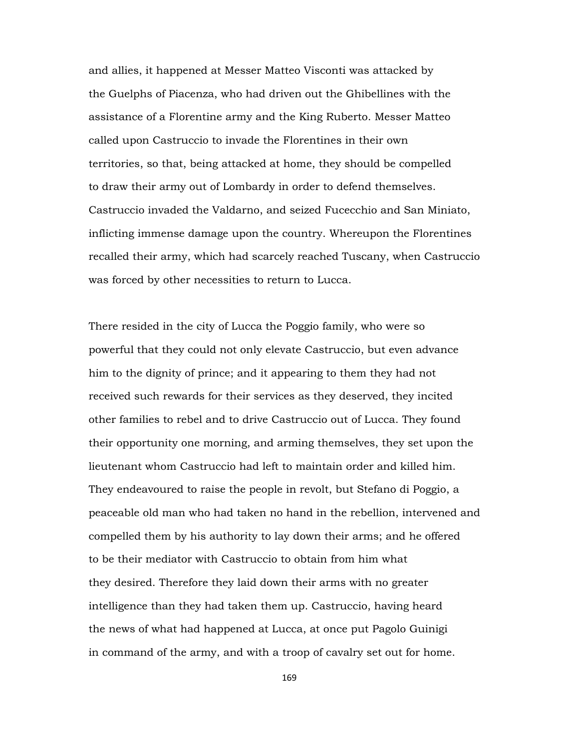and allies, it happened at Messer Matteo Visconti was attacked by the Guelphs of Piacenza, who had driven out the Ghibellines with the assistance of a Florentine army and the King Ruberto. Messer Matteo called upon Castruccio to invade the Florentines in their own territories, so that, being attacked at home, they should be compelled to draw their army out of Lombardy in order to defend themselves. Castruccio invaded the Valdarno, and seized Fucecchio and San Miniato, inflicting immense damage upon the country. Whereupon the Florentines recalled their army, which had scarcely reached Tuscany, when Castruccio was forced by other necessities to return to Lucca.

There resided in the city of Lucca the Poggio family, who were so powerful that they could not only elevate Castruccio, but even advance him to the dignity of prince; and it appearing to them they had not received such rewards for their services as they deserved, they incited other families to rebel and to drive Castruccio out of Lucca. They found their opportunity one morning, and arming themselves, they set upon the lieutenant whom Castruccio had left to maintain order and killed him. They endeavoured to raise the people in revolt, but Stefano di Poggio, a peaceable old man who had taken no hand in the rebellion, intervened and compelled them by his authority to lay down their arms; and he offered to be their mediator with Castruccio to obtain from him what they desired. Therefore they laid down their arms with no greater intelligence than they had taken them up. Castruccio, having heard the news of what had happened at Lucca, at once put Pagolo Guinigi in command of the army, and with a troop of cavalry set out for home.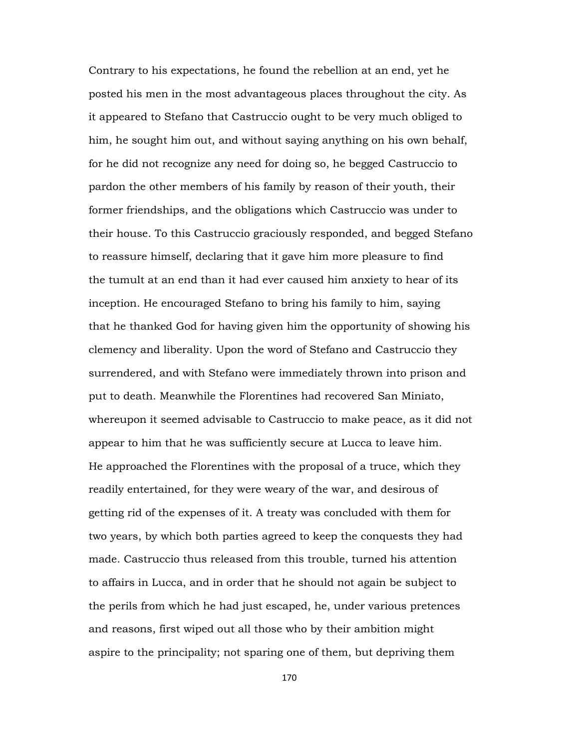Contrary to his expectations, he found the rebellion at an end, yet he posted his men in the most advantageous places throughout the city. As it appeared to Stefano that Castruccio ought to be very much obliged to him, he sought him out, and without saying anything on his own behalf, for he did not recognize any need for doing so, he begged Castruccio to pardon the other members of his family by reason of their youth, their former friendships, and the obligations which Castruccio was under to their house. To this Castruccio graciously responded, and begged Stefano to reassure himself, declaring that it gave him more pleasure to find the tumult at an end than it had ever caused him anxiety to hear of its inception. He encouraged Stefano to bring his family to him, saying that he thanked God for having given him the opportunity of showing his clemency and liberality. Upon the word of Stefano and Castruccio they surrendered, and with Stefano were immediately thrown into prison and put to death. Meanwhile the Florentines had recovered San Miniato, whereupon it seemed advisable to Castruccio to make peace, as it did not appear to him that he was sufficiently secure at Lucca to leave him. He approached the Florentines with the proposal of a truce, which they readily entertained, for they were weary of the war, and desirous of getting rid of the expenses of it. A treaty was concluded with them for two years, by which both parties agreed to keep the conquests they had made. Castruccio thus released from this trouble, turned his attention to affairs in Lucca, and in order that he should not again be subject to the perils from which he had just escaped, he, under various pretences and reasons, first wiped out all those who by their ambition might aspire to the principality; not sparing one of them, but depriving them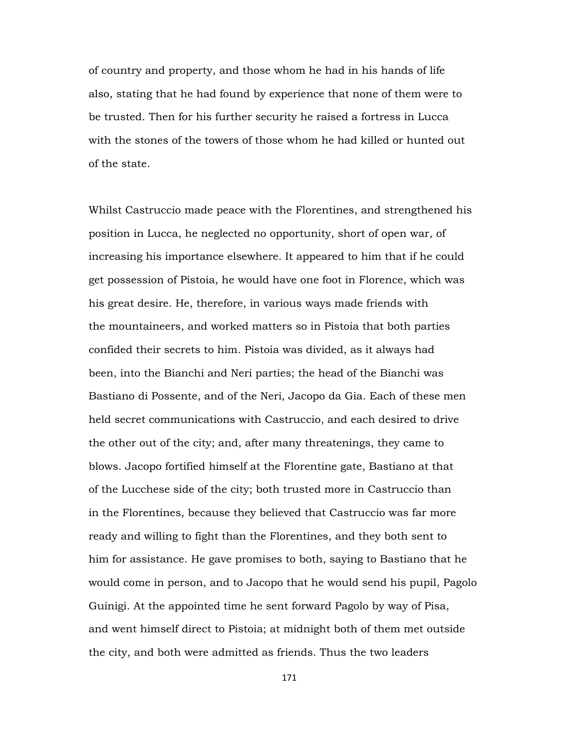of country and property, and those whom he had in his hands of life also, stating that he had found by experience that none of them were to be trusted. Then for his further security he raised a fortress in Lucca with the stones of the towers of those whom he had killed or hunted out of the state.

Whilst Castruccio made peace with the Florentines, and strengthened his position in Lucca, he neglected no opportunity, short of open war, of increasing his importance elsewhere. It appeared to him that if he could get possession of Pistoia, he would have one foot in Florence, which was his great desire. He, therefore, in various ways made friends with the mountaineers, and worked matters so in Pistoia that both parties confided their secrets to him. Pistoia was divided, as it always had been, into the Bianchi and Neri parties; the head of the Bianchi was Bastiano di Possente, and of the Neri, Jacopo da Gia. Each of these men held secret communications with Castruccio, and each desired to drive the other out of the city; and, after many threatenings, they came to blows. Jacopo fortified himself at the Florentine gate, Bastiano at that of the Lucchese side of the city; both trusted more in Castruccio than in the Florentines, because they believed that Castruccio was far more ready and willing to fight than the Florentines, and they both sent to him for assistance. He gave promises to both, saying to Bastiano that he would come in person, and to Jacopo that he would send his pupil, Pagolo Guinigi. At the appointed time he sent forward Pagolo by way of Pisa, and went himself direct to Pistoia; at midnight both of them met outside the city, and both were admitted as friends. Thus the two leaders

171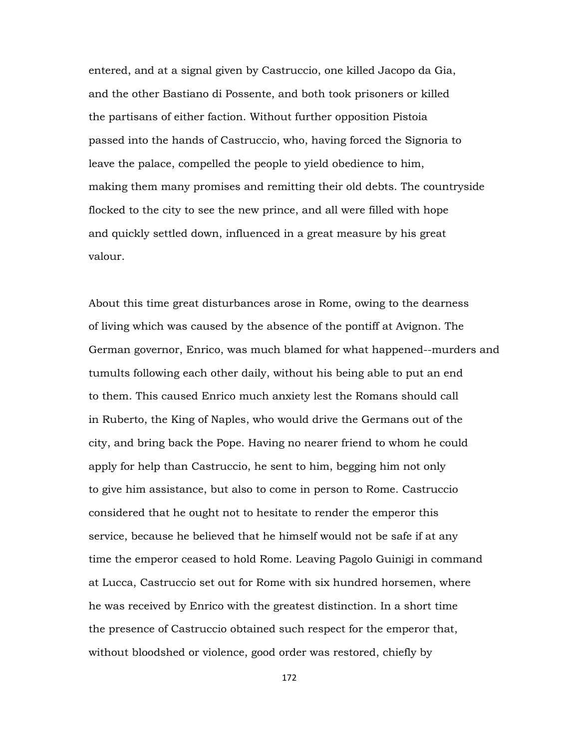entered, and at a signal given by Castruccio, one killed Jacopo da Gia, and the other Bastiano di Possente, and both took prisoners or killed the partisans of either faction. Without further opposition Pistoia passed into the hands of Castruccio, who, having forced the Signoria to leave the palace, compelled the people to yield obedience to him, making them many promises and remitting their old debts. The countryside flocked to the city to see the new prince, and all were filled with hope and quickly settled down, influenced in a great measure by his great valour.

About this time great disturbances arose in Rome, owing to the dearness of living which was caused by the absence of the pontiff at Avignon. The German governor, Enrico, was much blamed for what happened--murders and tumults following each other daily, without his being able to put an end to them. This caused Enrico much anxiety lest the Romans should call in Ruberto, the King of Naples, who would drive the Germans out of the city, and bring back the Pope. Having no nearer friend to whom he could apply for help than Castruccio, he sent to him, begging him not only to give him assistance, but also to come in person to Rome. Castruccio considered that he ought not to hesitate to render the emperor this service, because he believed that he himself would not be safe if at any time the emperor ceased to hold Rome. Leaving Pagolo Guinigi in command at Lucca, Castruccio set out for Rome with six hundred horsemen, where he was received by Enrico with the greatest distinction. In a short time the presence of Castruccio obtained such respect for the emperor that, without bloodshed or violence, good order was restored, chiefly by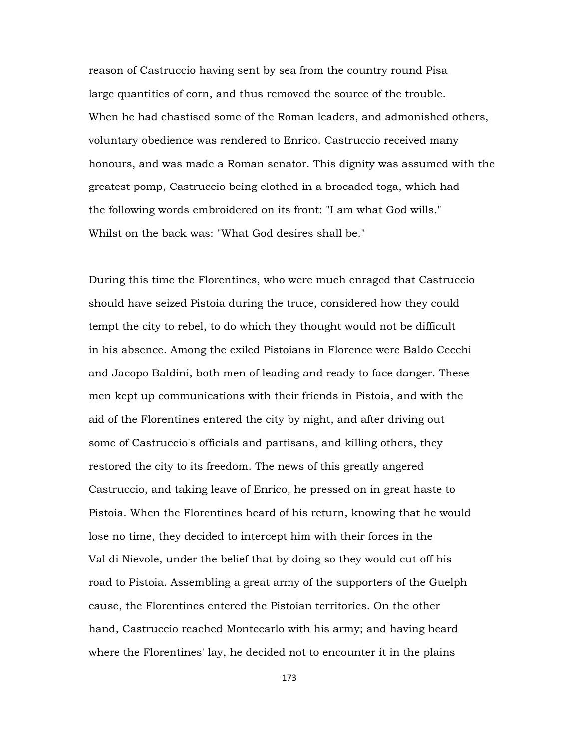reason of Castruccio having sent by sea from the country round Pisa large quantities of corn, and thus removed the source of the trouble. When he had chastised some of the Roman leaders, and admonished others, voluntary obedience was rendered to Enrico. Castruccio received many honours, and was made a Roman senator. This dignity was assumed with the greatest pomp, Castruccio being clothed in a brocaded toga, which had the following words embroidered on its front: "I am what God wills." Whilst on the back was: "What God desires shall be."

During this time the Florentines, who were much enraged that Castruccio should have seized Pistoia during the truce, considered how they could tempt the city to rebel, to do which they thought would not be difficult in his absence. Among the exiled Pistoians in Florence were Baldo Cecchi and Jacopo Baldini, both men of leading and ready to face danger. These men kept up communications with their friends in Pistoia, and with the aid of the Florentines entered the city by night, and after driving out some of Castruccio's officials and partisans, and killing others, they restored the city to its freedom. The news of this greatly angered Castruccio, and taking leave of Enrico, he pressed on in great haste to Pistoia. When the Florentines heard of his return, knowing that he would lose no time, they decided to intercept him with their forces in the Val di Nievole, under the belief that by doing so they would cut off his road to Pistoia. Assembling a great army of the supporters of the Guelph cause, the Florentines entered the Pistoian territories. On the other hand, Castruccio reached Montecarlo with his army; and having heard where the Florentines' lay, he decided not to encounter it in the plains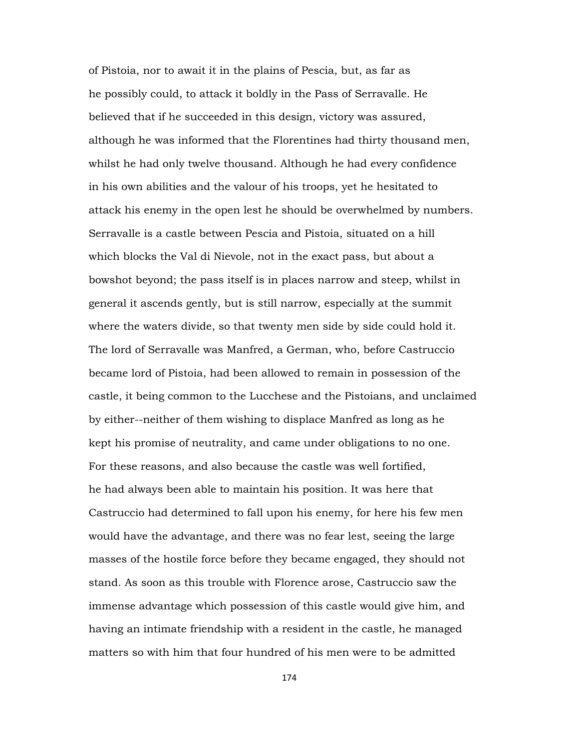of Pistoia, nor to await it in the plains of Pescia, but, as far as he possibly could, to attack it boldly in the Pass of Serravalle. He believed that if he succeeded in this design, victory was assured, although he was informed that the Florentines had thirty thousand men, whilst he had only twelve thousand. Although he had every confidence in his own abilities and the valour of his troops, yet he hesitated to attack his enemy in the open lest he should be overwhelmed by numbers. Serravalle is a castle between Pescia and Pistoia, situated on a hill which blocks the Val di Nievole, not in the exact pass, but about a bowshot beyond; the pass itself is in places narrow and steep, whilst in general it ascends gently, but is still narrow, especially at the summit where the waters divide, so that twenty men side by side could hold it. The lord of Serravalle was Manfred, a German, who, before Castruccio became lord of Pistoia, had been allowed to remain in possession of the castle, it being common to the Lucchese and the Pistoians, and unclaimed by either--neither of them wishing to displace Manfred as long as he kept his promise of neutrality, and came under obligations to no one. For these reasons, and also because the castle was well fortified, he had always been able to maintain his position. It was here that Castruccio had determined to fall upon his enemy, for here his few men would have the advantage, and there was no fear lest, seeing the large masses of the hostile force before they became engaged, they should not stand. As soon as this trouble with Florence arose, Castruccio saw the immense advantage which possession of this castle would give him, and having an intimate friendship with a resident in the castle, he managed matters so with him that four hundred of his men were to be admitted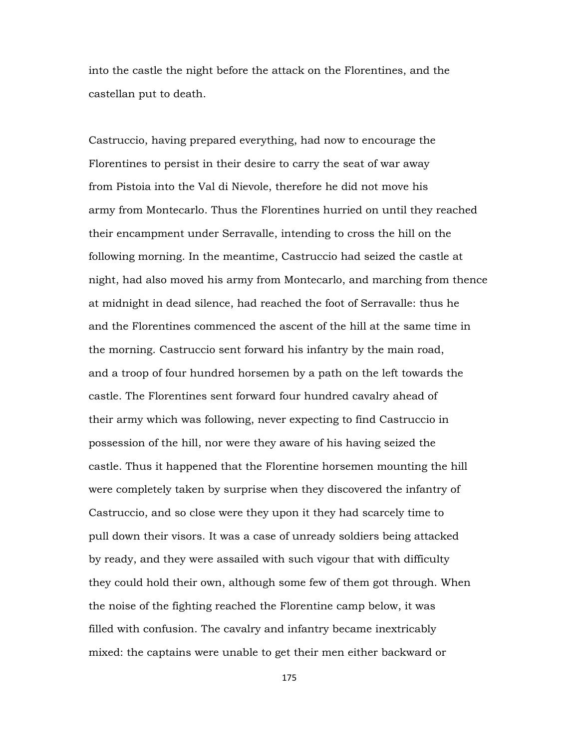into the castle the night before the attack on the Florentines, and the castellan put to death.

Castruccio, having prepared everything, had now to encourage the Florentines to persist in their desire to carry the seat of war away from Pistoia into the Val di Nievole, therefore he did not move his army from Montecarlo. Thus the Florentines hurried on until they reached their encampment under Serravalle, intending to cross the hill on the following morning. In the meantime, Castruccio had seized the castle at night, had also moved his army from Montecarlo, and marching from thence at midnight in dead silence, had reached the foot of Serravalle: thus he and the Florentines commenced the ascent of the hill at the same time in the morning. Castruccio sent forward his infantry by the main road, and a troop of four hundred horsemen by a path on the left towards the castle. The Florentines sent forward four hundred cavalry ahead of their army which was following, never expecting to find Castruccio in possession of the hill, nor were they aware of his having seized the castle. Thus it happened that the Florentine horsemen mounting the hill were completely taken by surprise when they discovered the infantry of Castruccio, and so close were they upon it they had scarcely time to pull down their visors. It was a case of unready soldiers being attacked by ready, and they were assailed with such vigour that with difficulty they could hold their own, although some few of them got through. When the noise of the fighting reached the Florentine camp below, it was filled with confusion. The cavalry and infantry became inextricably mixed: the captains were unable to get their men either backward or

175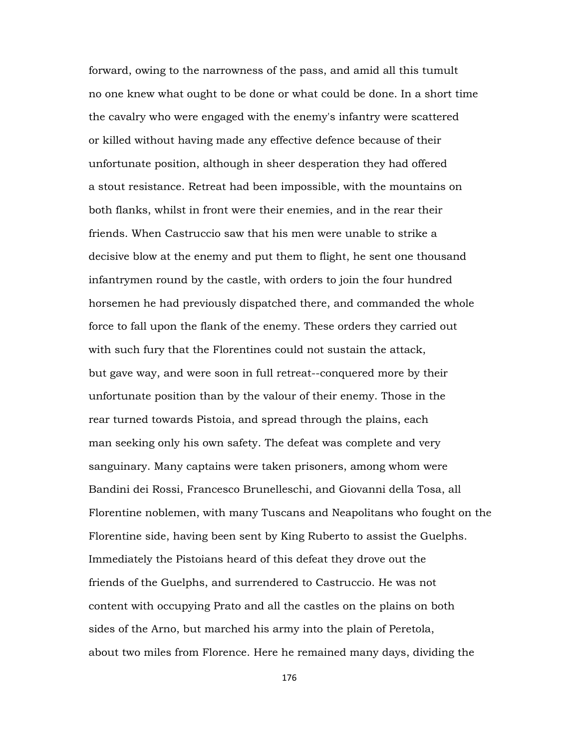forward, owing to the narrowness of the pass, and amid all this tumult no one knew what ought to be done or what could be done. In a short time the cavalry who were engaged with the enemy's infantry were scattered or killed without having made any effective defence because of their unfortunate position, although in sheer desperation they had offered a stout resistance. Retreat had been impossible, with the mountains on both flanks, whilst in front were their enemies, and in the rear their friends. When Castruccio saw that his men were unable to strike a decisive blow at the enemy and put them to flight, he sent one thousand infantrymen round by the castle, with orders to join the four hundred horsemen he had previously dispatched there, and commanded the whole force to fall upon the flank of the enemy. These orders they carried out with such fury that the Florentines could not sustain the attack, but gave way, and were soon in full retreat--conquered more by their unfortunate position than by the valour of their enemy. Those in the rear turned towards Pistoia, and spread through the plains, each man seeking only his own safety. The defeat was complete and very sanguinary. Many captains were taken prisoners, among whom were Bandini dei Rossi, Francesco Brunelleschi, and Giovanni della Tosa, all Florentine noblemen, with many Tuscans and Neapolitans who fought on the Florentine side, having been sent by King Ruberto to assist the Guelphs. Immediately the Pistoians heard of this defeat they drove out the friends of the Guelphs, and surrendered to Castruccio. He was not content with occupying Prato and all the castles on the plains on both sides of the Arno, but marched his army into the plain of Peretola, about two miles from Florence. Here he remained many days, dividing the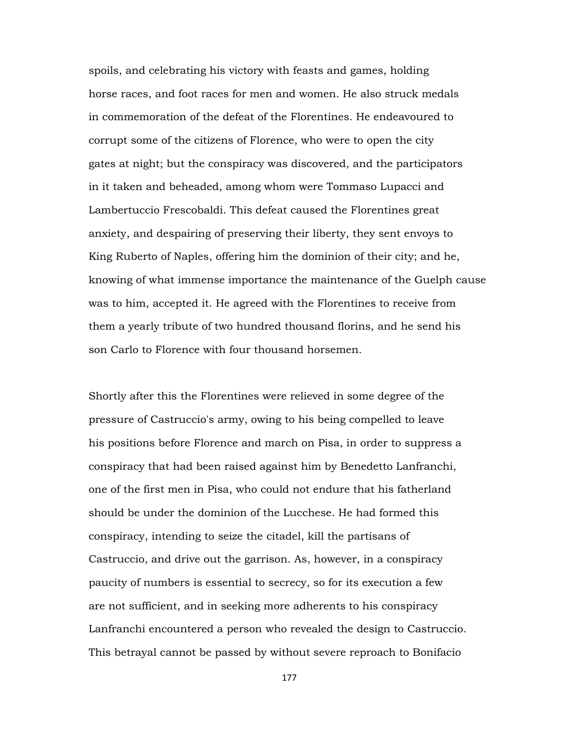spoils, and celebrating his victory with feasts and games, holding horse races, and foot races for men and women. He also struck medals in commemoration of the defeat of the Florentines. He endeavoured to corrupt some of the citizens of Florence, who were to open the city gates at night; but the conspiracy was discovered, and the participators in it taken and beheaded, among whom were Tommaso Lupacci and Lambertuccio Frescobaldi. This defeat caused the Florentines great anxiety, and despairing of preserving their liberty, they sent envoys to King Ruberto of Naples, offering him the dominion of their city; and he, knowing of what immense importance the maintenance of the Guelph cause was to him, accepted it. He agreed with the Florentines to receive from them a yearly tribute of two hundred thousand florins, and he send his son Carlo to Florence with four thousand horsemen.

Shortly after this the Florentines were relieved in some degree of the pressure of Castruccio's army, owing to his being compelled to leave his positions before Florence and march on Pisa, in order to suppress a conspiracy that had been raised against him by Benedetto Lanfranchi, one of the first men in Pisa, who could not endure that his fatherland should be under the dominion of the Lucchese. He had formed this conspiracy, intending to seize the citadel, kill the partisans of Castruccio, and drive out the garrison. As, however, in a conspiracy paucity of numbers is essential to secrecy, so for its execution a few are not sufficient, and in seeking more adherents to his conspiracy Lanfranchi encountered a person who revealed the design to Castruccio. This betrayal cannot be passed by without severe reproach to Bonifacio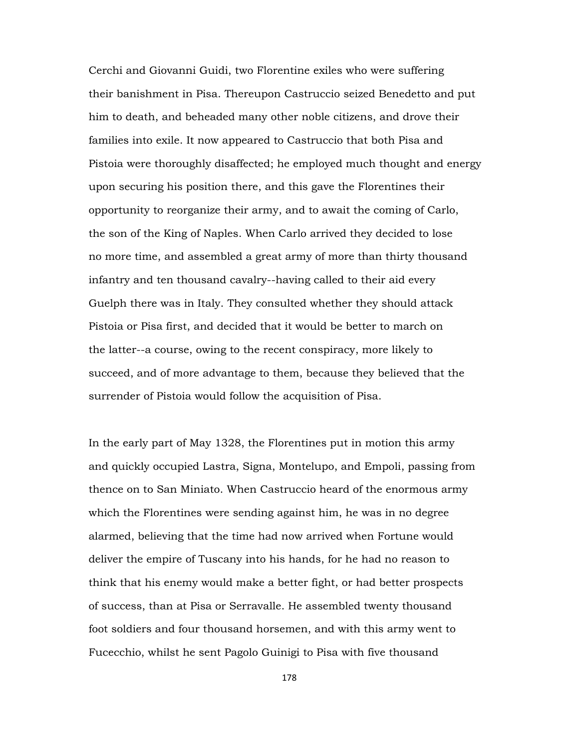Cerchi and Giovanni Guidi, two Florentine exiles who were suffering their banishment in Pisa. Thereupon Castruccio seized Benedetto and put him to death, and beheaded many other noble citizens, and drove their families into exile. It now appeared to Castruccio that both Pisa and Pistoia were thoroughly disaffected; he employed much thought and energy upon securing his position there, and this gave the Florentines their opportunity to reorganize their army, and to await the coming of Carlo, the son of the King of Naples. When Carlo arrived they decided to lose no more time, and assembled a great army of more than thirty thousand infantry and ten thousand cavalry--having called to their aid every Guelph there was in Italy. They consulted whether they should attack Pistoia or Pisa first, and decided that it would be better to march on the latter--a course, owing to the recent conspiracy, more likely to succeed, and of more advantage to them, because they believed that the surrender of Pistoia would follow the acquisition of Pisa.

In the early part of May 1328, the Florentines put in motion this army and quickly occupied Lastra, Signa, Montelupo, and Empoli, passing from thence on to San Miniato. When Castruccio heard of the enormous army which the Florentines were sending against him, he was in no degree alarmed, believing that the time had now arrived when Fortune would deliver the empire of Tuscany into his hands, for he had no reason to think that his enemy would make a better fight, or had better prospects of success, than at Pisa or Serravalle. He assembled twenty thousand foot soldiers and four thousand horsemen, and with this army went to Fucecchio, whilst he sent Pagolo Guinigi to Pisa with five thousand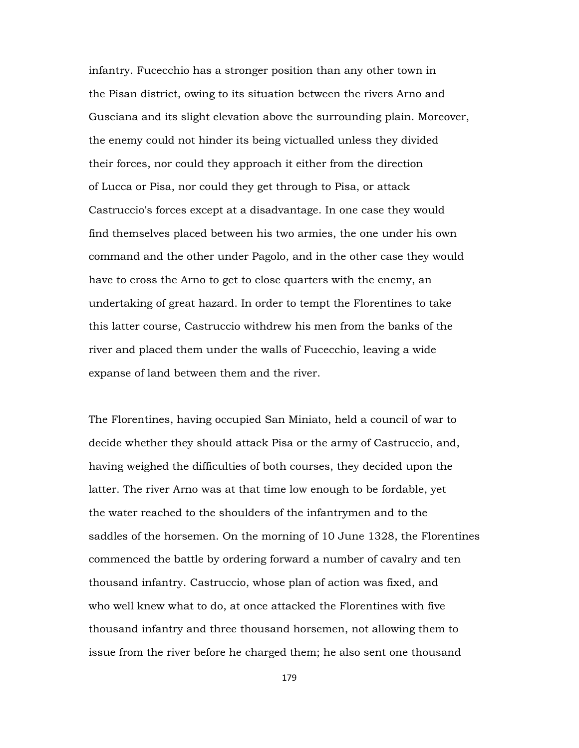infantry. Fucecchio has a stronger position than any other town in the Pisan district, owing to its situation between the rivers Arno and Gusciana and its slight elevation above the surrounding plain. Moreover, the enemy could not hinder its being victualled unless they divided their forces, nor could they approach it either from the direction of Lucca or Pisa, nor could they get through to Pisa, or attack Castruccio's forces except at a disadvantage. In one case they would find themselves placed between his two armies, the one under his own command and the other under Pagolo, and in the other case they would have to cross the Arno to get to close quarters with the enemy, an undertaking of great hazard. In order to tempt the Florentines to take this latter course, Castruccio withdrew his men from the banks of the river and placed them under the walls of Fucecchio, leaving a wide expanse of land between them and the river.

The Florentines, having occupied San Miniato, held a council of war to decide whether they should attack Pisa or the army of Castruccio, and, having weighed the difficulties of both courses, they decided upon the latter. The river Arno was at that time low enough to be fordable, yet the water reached to the shoulders of the infantrymen and to the saddles of the horsemen. On the morning of 10 June 1328, the Florentines commenced the battle by ordering forward a number of cavalry and ten thousand infantry. Castruccio, whose plan of action was fixed, and who well knew what to do, at once attacked the Florentines with five thousand infantry and three thousand horsemen, not allowing them to issue from the river before he charged them; he also sent one thousand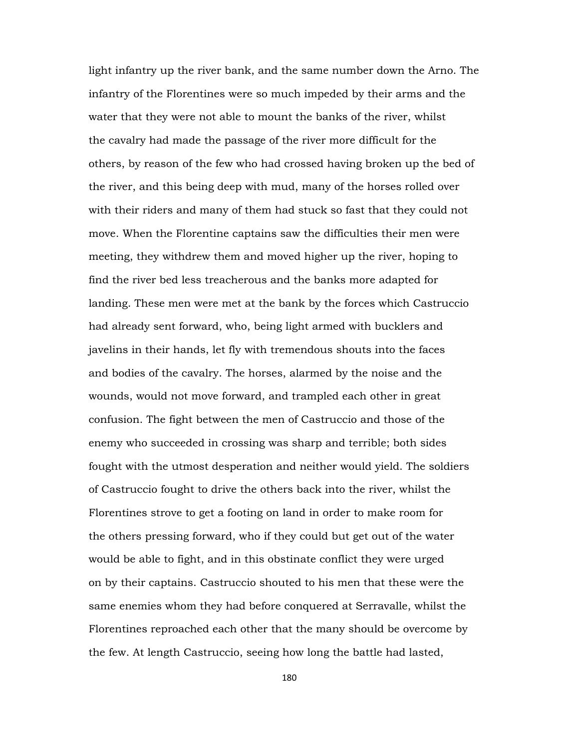light infantry up the river bank, and the same number down the Arno. The infantry of the Florentines were so much impeded by their arms and the water that they were not able to mount the banks of the river, whilst the cavalry had made the passage of the river more difficult for the others, by reason of the few who had crossed having broken up the bed of the river, and this being deep with mud, many of the horses rolled over with their riders and many of them had stuck so fast that they could not move. When the Florentine captains saw the difficulties their men were meeting, they withdrew them and moved higher up the river, hoping to find the river bed less treacherous and the banks more adapted for landing. These men were met at the bank by the forces which Castruccio had already sent forward, who, being light armed with bucklers and javelins in their hands, let fly with tremendous shouts into the faces and bodies of the cavalry. The horses, alarmed by the noise and the wounds, would not move forward, and trampled each other in great confusion. The fight between the men of Castruccio and those of the enemy who succeeded in crossing was sharp and terrible; both sides fought with the utmost desperation and neither would yield. The soldiers of Castruccio fought to drive the others back into the river, whilst the Florentines strove to get a footing on land in order to make room for the others pressing forward, who if they could but get out of the water would be able to fight, and in this obstinate conflict they were urged on by their captains. Castruccio shouted to his men that these were the same enemies whom they had before conquered at Serravalle, whilst the Florentines reproached each other that the many should be overcome by the few. At length Castruccio, seeing how long the battle had lasted,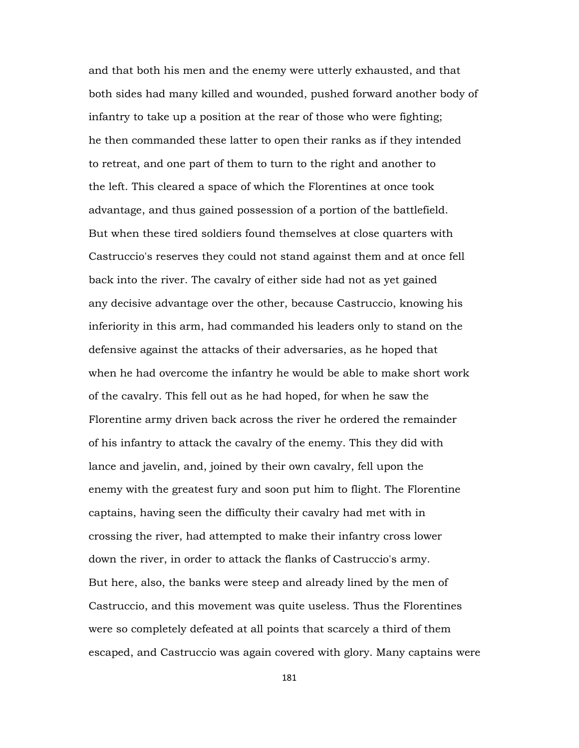and that both his men and the enemy were utterly exhausted, and that both sides had many killed and wounded, pushed forward another body of infantry to take up a position at the rear of those who were fighting; he then commanded these latter to open their ranks as if they intended to retreat, and one part of them to turn to the right and another to the left. This cleared a space of which the Florentines at once took advantage, and thus gained possession of a portion of the battlefield. But when these tired soldiers found themselves at close quarters with Castruccio's reserves they could not stand against them and at once fell back into the river. The cavalry of either side had not as yet gained any decisive advantage over the other, because Castruccio, knowing his inferiority in this arm, had commanded his leaders only to stand on the defensive against the attacks of their adversaries, as he hoped that when he had overcome the infantry he would be able to make short work of the cavalry. This fell out as he had hoped, for when he saw the Florentine army driven back across the river he ordered the remainder of his infantry to attack the cavalry of the enemy. This they did with lance and javelin, and, joined by their own cavalry, fell upon the enemy with the greatest fury and soon put him to flight. The Florentine captains, having seen the difficulty their cavalry had met with in crossing the river, had attempted to make their infantry cross lower down the river, in order to attack the flanks of Castruccio's army. But here, also, the banks were steep and already lined by the men of Castruccio, and this movement was quite useless. Thus the Florentines were so completely defeated at all points that scarcely a third of them escaped, and Castruccio was again covered with glory. Many captains were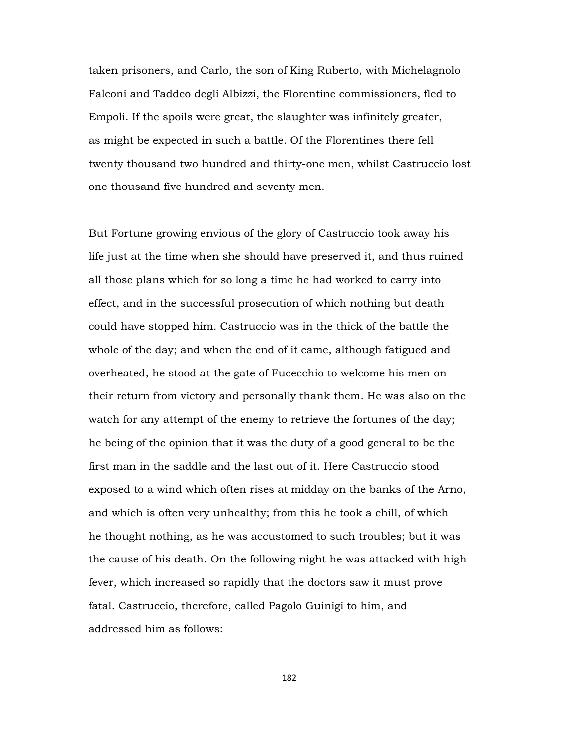taken prisoners, and Carlo, the son of King Ruberto, with Michelagnolo Falconi and Taddeo degli Albizzi, the Florentine commissioners, fled to Empoli. If the spoils were great, the slaughter was infinitely greater, as might be expected in such a battle. Of the Florentines there fell twenty thousand two hundred and thirty-one men, whilst Castruccio lost one thousand five hundred and seventy men.

But Fortune growing envious of the glory of Castruccio took away his life just at the time when she should have preserved it, and thus ruined all those plans which for so long a time he had worked to carry into effect, and in the successful prosecution of which nothing but death could have stopped him. Castruccio was in the thick of the battle the whole of the day; and when the end of it came, although fatigued and overheated, he stood at the gate of Fucecchio to welcome his men on their return from victory and personally thank them. He was also on the watch for any attempt of the enemy to retrieve the fortunes of the day; he being of the opinion that it was the duty of a good general to be the first man in the saddle and the last out of it. Here Castruccio stood exposed to a wind which often rises at midday on the banks of the Arno, and which is often very unhealthy; from this he took a chill, of which he thought nothing, as he was accustomed to such troubles; but it was the cause of his death. On the following night he was attacked with high fever, which increased so rapidly that the doctors saw it must prove fatal. Castruccio, therefore, called Pagolo Guinigi to him, and addressed him as follows:

182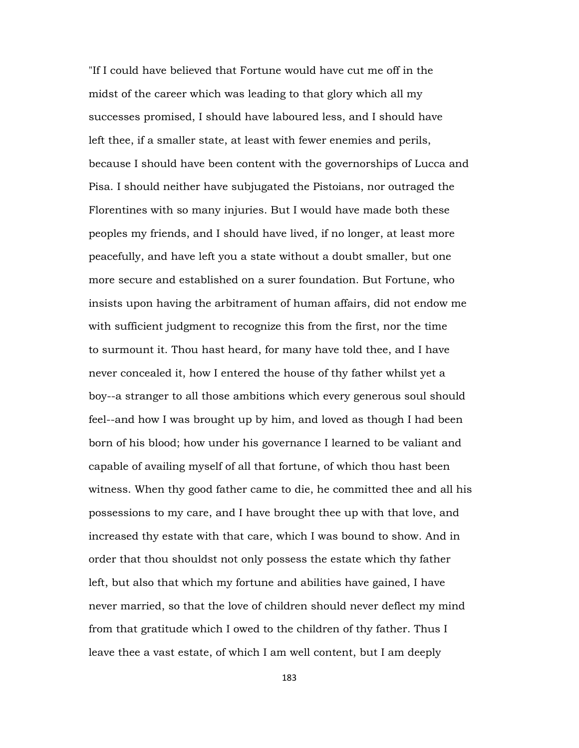"If I could have believed that Fortune would have cut me off in the midst of the career which was leading to that glory which all my successes promised, I should have laboured less, and I should have left thee, if a smaller state, at least with fewer enemies and perils, because I should have been content with the governorships of Lucca and Pisa. I should neither have subjugated the Pistoians, nor outraged the Florentines with so many injuries. But I would have made both these peoples my friends, and I should have lived, if no longer, at least more peacefully, and have left you a state without a doubt smaller, but one more secure and established on a surer foundation. But Fortune, who insists upon having the arbitrament of human affairs, did not endow me with sufficient judgment to recognize this from the first, nor the time to surmount it. Thou hast heard, for many have told thee, and I have never concealed it, how I entered the house of thy father whilst yet a boy--a stranger to all those ambitions which every generous soul should feel--and how I was brought up by him, and loved as though I had been born of his blood; how under his governance I learned to be valiant and capable of availing myself of all that fortune, of which thou hast been witness. When thy good father came to die, he committed thee and all his possessions to my care, and I have brought thee up with that love, and increased thy estate with that care, which I was bound to show. And in order that thou shouldst not only possess the estate which thy father left, but also that which my fortune and abilities have gained, I have never married, so that the love of children should never deflect my mind from that gratitude which I owed to the children of thy father. Thus I leave thee a vast estate, of which I am well content, but I am deeply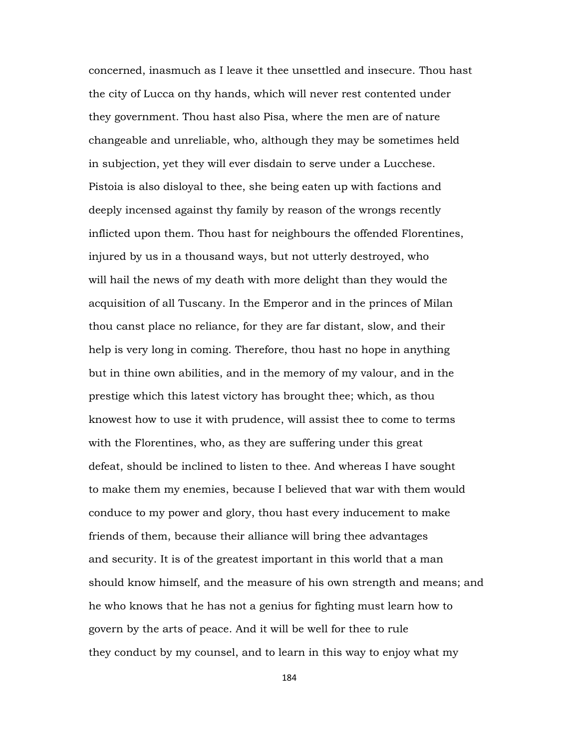concerned, inasmuch as I leave it thee unsettled and insecure. Thou hast the city of Lucca on thy hands, which will never rest contented under they government. Thou hast also Pisa, where the men are of nature changeable and unreliable, who, although they may be sometimes held in subjection, yet they will ever disdain to serve under a Lucchese. Pistoia is also disloyal to thee, she being eaten up with factions and deeply incensed against thy family by reason of the wrongs recently inflicted upon them. Thou hast for neighbours the offended Florentines, injured by us in a thousand ways, but not utterly destroyed, who will hail the news of my death with more delight than they would the acquisition of all Tuscany. In the Emperor and in the princes of Milan thou canst place no reliance, for they are far distant, slow, and their help is very long in coming. Therefore, thou hast no hope in anything but in thine own abilities, and in the memory of my valour, and in the prestige which this latest victory has brought thee; which, as thou knowest how to use it with prudence, will assist thee to come to terms with the Florentines, who, as they are suffering under this great defeat, should be inclined to listen to thee. And whereas I have sought to make them my enemies, because I believed that war with them would conduce to my power and glory, thou hast every inducement to make friends of them, because their alliance will bring thee advantages and security. It is of the greatest important in this world that a man should know himself, and the measure of his own strength and means; and he who knows that he has not a genius for fighting must learn how to govern by the arts of peace. And it will be well for thee to rule they conduct by my counsel, and to learn in this way to enjoy what my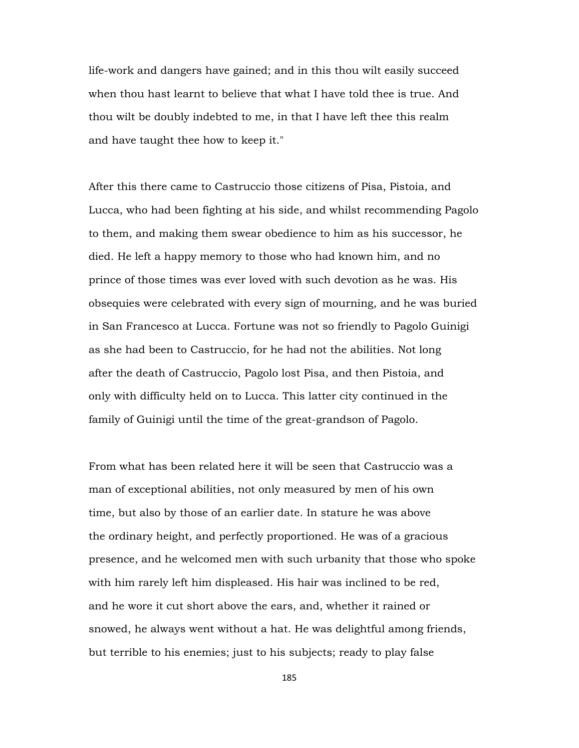life-work and dangers have gained; and in this thou wilt easily succeed when thou hast learnt to believe that what I have told thee is true. And thou wilt be doubly indebted to me, in that I have left thee this realm and have taught thee how to keep it."

After this there came to Castruccio those citizens of Pisa, Pistoia, and Lucca, who had been fighting at his side, and whilst recommending Pagolo to them, and making them swear obedience to him as his successor, he died. He left a happy memory to those who had known him, and no prince of those times was ever loved with such devotion as he was. His obsequies were celebrated with every sign of mourning, and he was buried in San Francesco at Lucca. Fortune was not so friendly to Pagolo Guinigi as she had been to Castruccio, for he had not the abilities. Not long after the death of Castruccio, Pagolo lost Pisa, and then Pistoia, and only with difficulty held on to Lucca. This latter city continued in the family of Guinigi until the time of the great-grandson of Pagolo.

From what has been related here it will be seen that Castruccio was a man of exceptional abilities, not only measured by men of his own time, but also by those of an earlier date. In stature he was above the ordinary height, and perfectly proportioned. He was of a gracious presence, and he welcomed men with such urbanity that those who spoke with him rarely left him displeased. His hair was inclined to be red, and he wore it cut short above the ears, and, whether it rained or snowed, he always went without a hat. He was delightful among friends, but terrible to his enemies; just to his subjects; ready to play false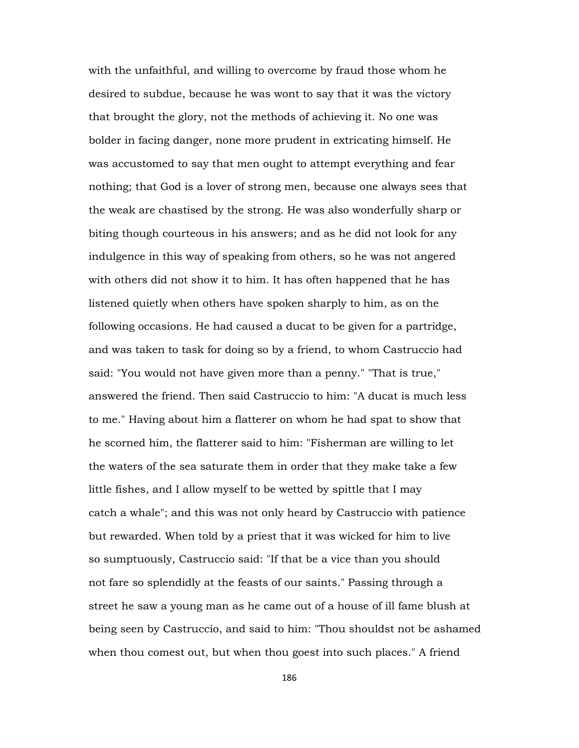with the unfaithful, and willing to overcome by fraud those whom he desired to subdue, because he was wont to say that it was the victory that brought the glory, not the methods of achieving it. No one was bolder in facing danger, none more prudent in extricating himself. He was accustomed to say that men ought to attempt everything and fear nothing; that God is a lover of strong men, because one always sees that the weak are chastised by the strong. He was also wonderfully sharp or biting though courteous in his answers; and as he did not look for any indulgence in this way of speaking from others, so he was not angered with others did not show it to him. It has often happened that he has listened quietly when others have spoken sharply to him, as on the following occasions. He had caused a ducat to be given for a partridge, and was taken to task for doing so by a friend, to whom Castruccio had said: "You would not have given more than a penny." "That is true," answered the friend. Then said Castruccio to him: "A ducat is much less to me." Having about him a flatterer on whom he had spat to show that he scorned him, the flatterer said to him: "Fisherman are willing to let the waters of the sea saturate them in order that they make take a few little fishes, and I allow myself to be wetted by spittle that I may catch a whale"; and this was not only heard by Castruccio with patience but rewarded. When told by a priest that it was wicked for him to live so sumptuously, Castruccio said: "If that be a vice than you should not fare so splendidly at the feasts of our saints." Passing through a street he saw a young man as he came out of a house of ill fame blush at being seen by Castruccio, and said to him: "Thou shouldst not be ashamed when thou comest out, but when thou goest into such places." A friend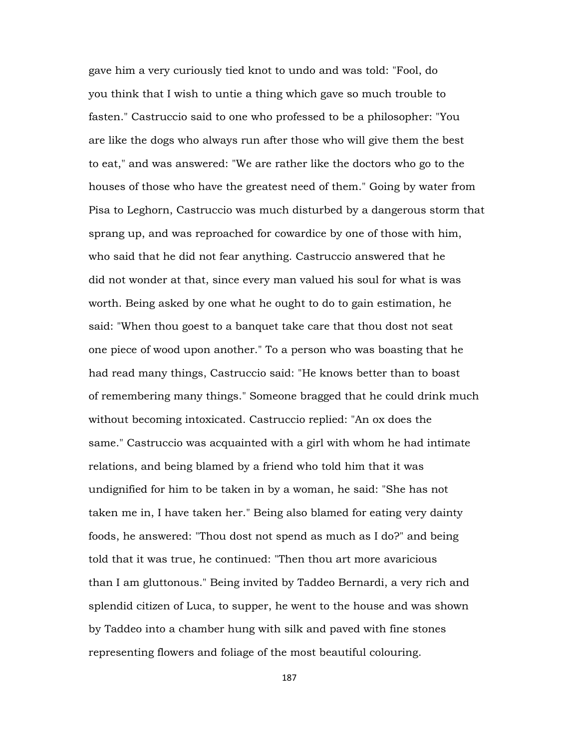gave him a very curiously tied knot to undo and was told: "Fool, do you think that I wish to untie a thing which gave so much trouble to fasten." Castruccio said to one who professed to be a philosopher: "You are like the dogs who always run after those who will give them the best to eat," and was answered: "We are rather like the doctors who go to the houses of those who have the greatest need of them." Going by water from Pisa to Leghorn, Castruccio was much disturbed by a dangerous storm that sprang up, and was reproached for cowardice by one of those with him, who said that he did not fear anything. Castruccio answered that he did not wonder at that, since every man valued his soul for what is was worth. Being asked by one what he ought to do to gain estimation, he said: "When thou goest to a banquet take care that thou dost not seat one piece of wood upon another." To a person who was boasting that he had read many things, Castruccio said: "He knows better than to boast of remembering many things." Someone bragged that he could drink much without becoming intoxicated. Castruccio replied: "An ox does the same." Castruccio was acquainted with a girl with whom he had intimate relations, and being blamed by a friend who told him that it was undignified for him to be taken in by a woman, he said: "She has not taken me in, I have taken her." Being also blamed for eating very dainty foods, he answered: "Thou dost not spend as much as I do?" and being told that it was true, he continued: "Then thou art more avaricious than I am gluttonous." Being invited by Taddeo Bernardi, a very rich and splendid citizen of Luca, to supper, he went to the house and was shown by Taddeo into a chamber hung with silk and paved with fine stones representing flowers and foliage of the most beautiful colouring.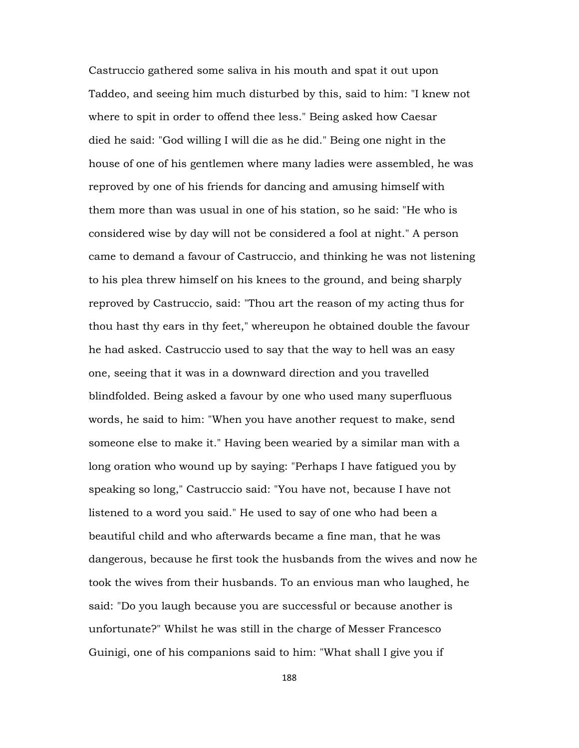Castruccio gathered some saliva in his mouth and spat it out upon Taddeo, and seeing him much disturbed by this, said to him: "I knew not where to spit in order to offend thee less." Being asked how Caesar died he said: "God willing I will die as he did." Being one night in the house of one of his gentlemen where many ladies were assembled, he was reproved by one of his friends for dancing and amusing himself with them more than was usual in one of his station, so he said: "He who is considered wise by day will not be considered a fool at night." A person came to demand a favour of Castruccio, and thinking he was not listening to his plea threw himself on his knees to the ground, and being sharply reproved by Castruccio, said: "Thou art the reason of my acting thus for thou hast thy ears in thy feet," whereupon he obtained double the favour he had asked. Castruccio used to say that the way to hell was an easy one, seeing that it was in a downward direction and you travelled blindfolded. Being asked a favour by one who used many superfluous words, he said to him: "When you have another request to make, send someone else to make it." Having been wearied by a similar man with a long oration who wound up by saying: "Perhaps I have fatigued you by speaking so long," Castruccio said: "You have not, because I have not listened to a word you said." He used to say of one who had been a beautiful child and who afterwards became a fine man, that he was dangerous, because he first took the husbands from the wives and now he took the wives from their husbands. To an envious man who laughed, he said: "Do you laugh because you are successful or because another is unfortunate?" Whilst he was still in the charge of Messer Francesco Guinigi, one of his companions said to him: "What shall I give you if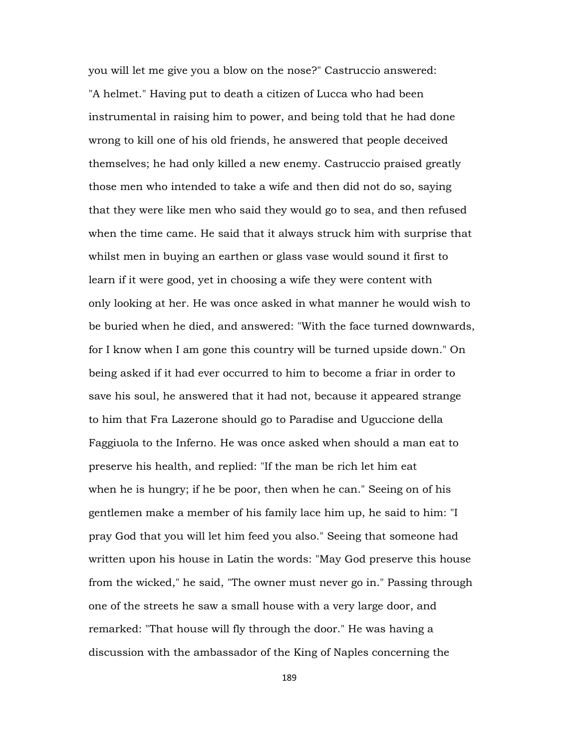you will let me give you a blow on the nose?" Castruccio answered: "A helmet." Having put to death a citizen of Lucca who had been instrumental in raising him to power, and being told that he had done wrong to kill one of his old friends, he answered that people deceived themselves; he had only killed a new enemy. Castruccio praised greatly those men who intended to take a wife and then did not do so, saying that they were like men who said they would go to sea, and then refused when the time came. He said that it always struck him with surprise that whilst men in buying an earthen or glass vase would sound it first to learn if it were good, yet in choosing a wife they were content with only looking at her. He was once asked in what manner he would wish to be buried when he died, and answered: "With the face turned downwards, for I know when I am gone this country will be turned upside down." On being asked if it had ever occurred to him to become a friar in order to save his soul, he answered that it had not, because it appeared strange to him that Fra Lazerone should go to Paradise and Uguccione della Faggiuola to the Inferno. He was once asked when should a man eat to preserve his health, and replied: "If the man be rich let him eat when he is hungry; if he be poor, then when he can." Seeing on of his gentlemen make a member of his family lace him up, he said to him: "I pray God that you will let him feed you also." Seeing that someone had written upon his house in Latin the words: "May God preserve this house from the wicked," he said, "The owner must never go in." Passing through one of the streets he saw a small house with a very large door, and remarked: "That house will fly through the door." He was having a discussion with the ambassador of the King of Naples concerning the